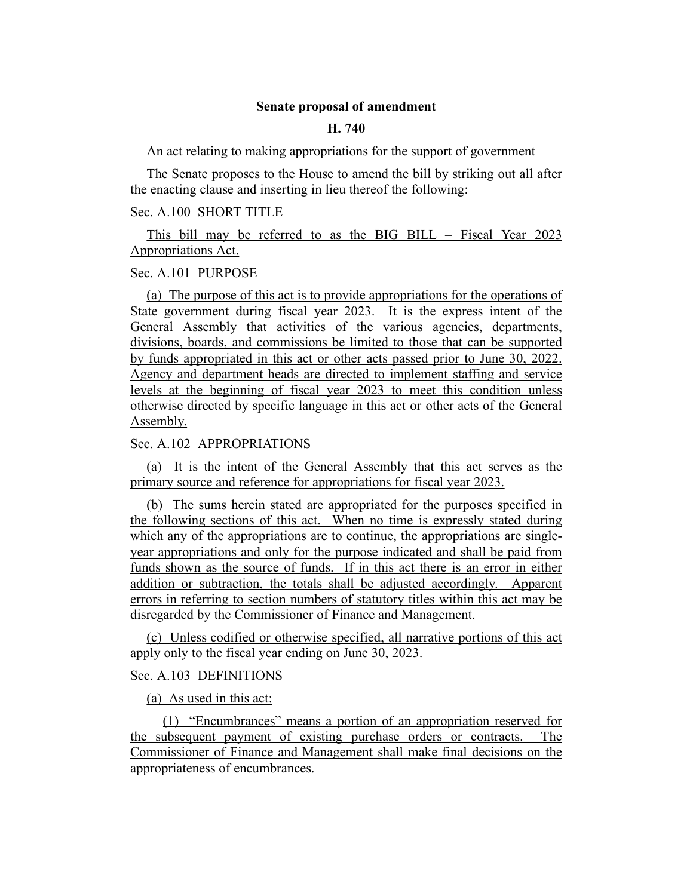### **Senate proposal of amendment**

### **H. 740**

An act relating to making appropriations for the support of government

The Senate proposes to the House to amend the bill by striking out all after the enacting clause and inserting in lieu thereof the following:

## Sec. A.100 SHORT TITLE

This bill may be referred to as the BIG BILL – Fiscal Year 2023 Appropriations Act.

### Sec. A.101 PURPOSE

(a) The purpose of this act is to provide appropriations for the operations of State government during fiscal year 2023. It is the express intent of the General Assembly that activities of the various agencies, departments, divisions, boards, and commissions be limited to those that can be supported by funds appropriated in this act or other acts passed prior to June 30, 2022. Agency and department heads are directed to implement staffing and service levels at the beginning of fiscal year 2023 to meet this condition unless otherwise directed by specific language in this act or other acts of the General Assembly.

## Sec. A.102 APPROPRIATIONS

(a) It is the intent of the General Assembly that this act serves as the primary source and reference for appropriations for fiscal year 2023.

(b) The sums herein stated are appropriated for the purposes specified in the following sections of this act. When no time is expressly stated during which any of the appropriations are to continue, the appropriations are singleyear appropriations and only for the purpose indicated and shall be paid from funds shown as the source of funds. If in this act there is an error in either addition or subtraction, the totals shall be adjusted accordingly. Apparent errors in referring to section numbers of statutory titles within this act may be disregarded by the Commissioner of Finance and Management.

(c) Unless codified or otherwise specified, all narrative portions of this act apply only to the fiscal year ending on June 30, 2023.

### Sec. A.103 DEFINITIONS

(a) As used in this act:

(1) "Encumbrances" means a portion of an appropriation reserved for the subsequent payment of existing purchase orders or contracts. The Commissioner of Finance and Management shall make final decisions on the appropriateness of encumbrances.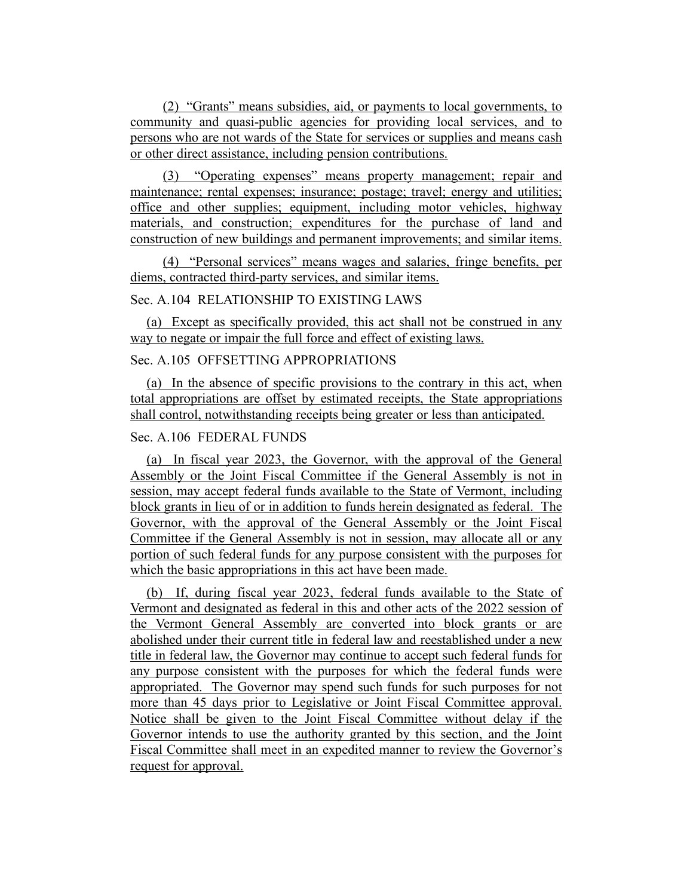(2) "Grants" means subsidies, aid, or payments to local governments, to community and quasi-public agencies for providing local services, and to persons who are not wards of the State for services or supplies and means cash or other direct assistance, including pension contributions.

(3) "Operating expenses" means property management; repair and maintenance; rental expenses; insurance; postage; travel; energy and utilities; office and other supplies; equipment, including motor vehicles, highway materials, and construction; expenditures for the purchase of land and construction of new buildings and permanent improvements; and similar items.

(4) "Personal services" means wages and salaries, fringe benefits, per diems, contracted third-party services, and similar items.

# Sec. A.104 RELATIONSHIP TO EXISTING LAWS

(a) Except as specifically provided, this act shall not be construed in any way to negate or impair the full force and effect of existing laws.

# Sec. A.105 OFFSETTING APPROPRIATIONS

(a) In the absence of specific provisions to the contrary in this act, when total appropriations are offset by estimated receipts, the State appropriations shall control, notwithstanding receipts being greater or less than anticipated.

## Sec. A.106 FEDERAL FUNDS

(a) In fiscal year 2023, the Governor, with the approval of the General Assembly or the Joint Fiscal Committee if the General Assembly is not in session, may accept federal funds available to the State of Vermont, including block grants in lieu of or in addition to funds herein designated as federal. The Governor, with the approval of the General Assembly or the Joint Fiscal Committee if the General Assembly is not in session, may allocate all or any portion of such federal funds for any purpose consistent with the purposes for which the basic appropriations in this act have been made.

(b) If, during fiscal year 2023, federal funds available to the State of Vermont and designated as federal in this and other acts of the 2022 session of the Vermont General Assembly are converted into block grants or are abolished under their current title in federal law and reestablished under a new title in federal law, the Governor may continue to accept such federal funds for any purpose consistent with the purposes for which the federal funds were appropriated. The Governor may spend such funds for such purposes for not more than 45 days prior to Legislative or Joint Fiscal Committee approval. Notice shall be given to the Joint Fiscal Committee without delay if the Governor intends to use the authority granted by this section, and the Joint Fiscal Committee shall meet in an expedited manner to review the Governor's request for approval.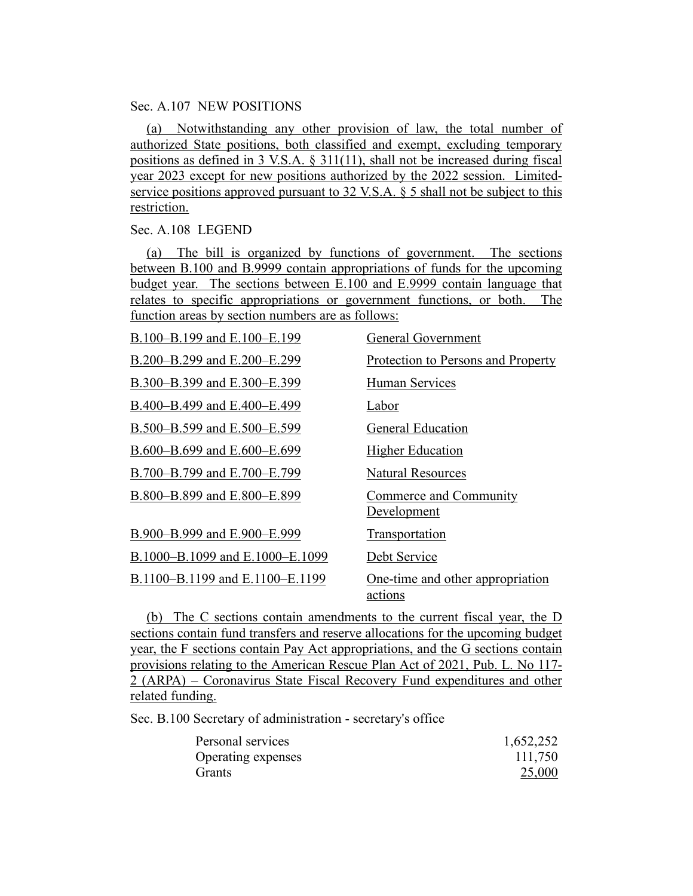## Sec. A.107 NEW POSITIONS

(a) Notwithstanding any other provision of law, the total number of authorized State positions, both classified and exempt, excluding temporary positions as defined in 3 V.S.A. § 311(11), shall not be increased during fiscal year 2023 except for new positions authorized by the 2022 session. Limitedservice positions approved pursuant to 32 V.S.A. § 5 shall not be subject to this restriction.

### Sec. A.108 LEGEND

(a) The bill is organized by functions of government. The sections between B.100 and B.9999 contain appropriations of funds for the upcoming budget year. The sections between E.100 and E.9999 contain language that relates to specific appropriations or government functions, or both. The function areas by section numbers are as follows:

| B.100-B.199 and E.100-E.199     | General Government                          |
|---------------------------------|---------------------------------------------|
| B.200-B.299 and E.200-E.299     | Protection to Persons and Property          |
| B.300–B.399 and E.300–E.399     | Human Services                              |
| B.400–B.499 and E.400–E.499     | Labor                                       |
| B.500–B.599 and E.500–E.599     | <b>General Education</b>                    |
| B.600-B.699 and E.600-E.699     | <b>Higher Education</b>                     |
| B.700–B.799 and E.700–E.799     | <b>Natural Resources</b>                    |
| B.800-B.899 and E.800-E.899     | Commerce and Community<br>Development       |
| B.900-B.999 and E.900-E.999     | Transportation                              |
| B.1000–B.1099 and E.1000–E.1099 | Debt Service                                |
| B.1100–B.1199 and E.1100–E.1199 | One-time and other appropriation<br>actions |

(b) The C sections contain amendments to the current fiscal year, the D sections contain fund transfers and reserve allocations for the upcoming budget year, the F sections contain Pay Act appropriations, and the G sections contain provisions relating to the American Rescue Plan Act of 2021, Pub. L. No 117- 2 (ARPA) – Coronavirus State Fiscal Recovery Fund expenditures and other related funding.

Sec. B.100 Secretary of administration - secretary's office

| Personal services  | 1,652,252 |
|--------------------|-----------|
| Operating expenses | 111,750   |
| <b>Grants</b>      | 25,000    |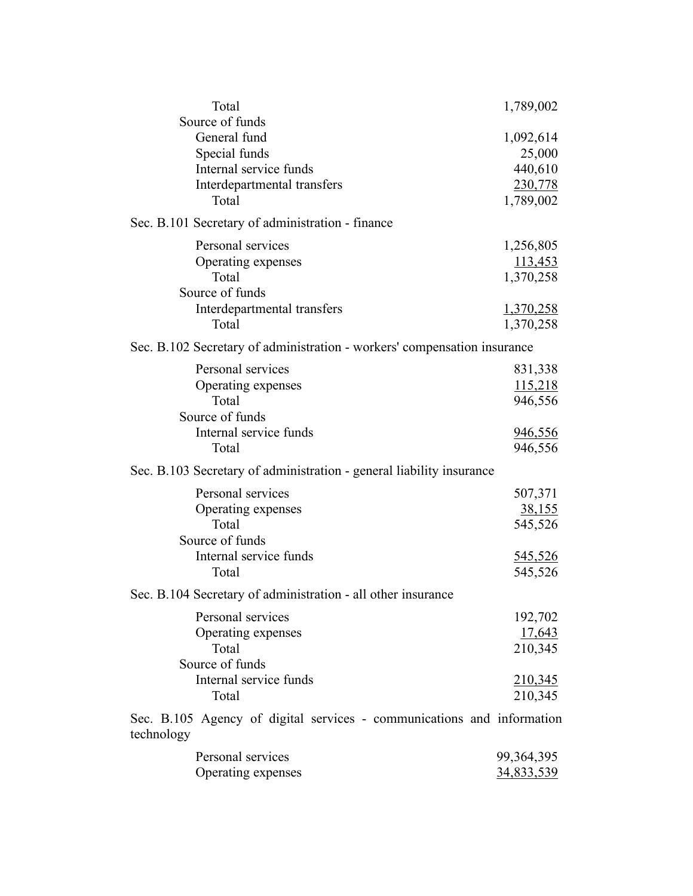| Total                                                                                                              | 1,789,002                                                 |
|--------------------------------------------------------------------------------------------------------------------|-----------------------------------------------------------|
| Source of funds<br>General fund<br>Special funds<br>Internal service funds<br>Interdepartmental transfers<br>Total | 1,092,614<br>25,000<br>440,610<br>230,778<br>1,789,002    |
| Sec. B.101 Secretary of administration - finance                                                                   |                                                           |
| Personal services<br>Operating expenses<br>Total<br>Source of funds                                                | 1,256,805<br>113,453<br>1,370,258                         |
| Interdepartmental transfers<br>Total                                                                               | 1,370,258<br>1,370,258                                    |
| Sec. B.102 Secretary of administration - workers' compensation insurance                                           |                                                           |
| Personal services<br>Operating expenses<br>Total<br>Source of funds<br>Internal service funds                      | 831,338<br>115,218<br>946,556<br>946,556                  |
| Total                                                                                                              | 946,556                                                   |
| Sec. B.103 Secretary of administration - general liability insurance<br>Personal services                          |                                                           |
| Operating expenses<br>Total<br>Source of funds<br>Internal service funds<br>Total                                  | 507,371<br><u>38,155</u><br>545,526<br>545,526<br>545,526 |
| Sec. B.104 Secretary of administration - all other insurance                                                       |                                                           |
| Personal services<br>Operating expenses<br>Total<br>Source of funds<br>Internal service funds<br>Total             | 192,702<br>17,643<br>210,345<br>210,345<br>210,345        |
| Sec. B.105 Agency of digital services - communications and information<br>technology                               |                                                           |
| Personal services<br>Operating expenses                                                                            | 99, 364, 395<br><u>34,833,539</u>                         |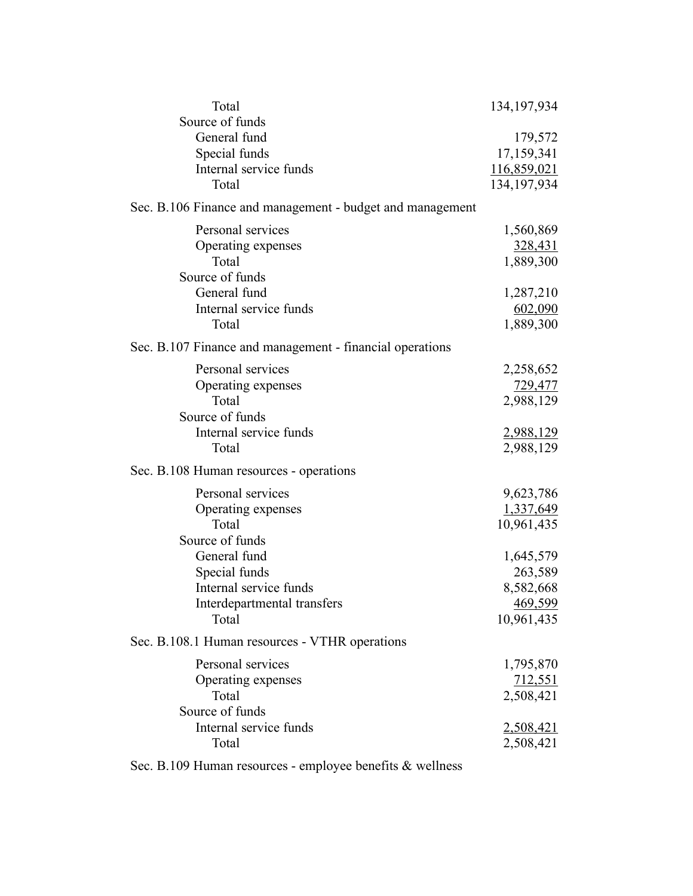| Total                                                     | 134, 197, 934  |
|-----------------------------------------------------------|----------------|
| Source of funds                                           |                |
| General fund                                              | 179,572        |
| Special funds<br>Internal service funds                   | 17,159,341     |
| Total                                                     | 116,859,021    |
|                                                           | 134, 197, 934  |
| Sec. B.106 Finance and management - budget and management |                |
| Personal services                                         | 1,560,869      |
| Operating expenses                                        | <u>328,431</u> |
| Total                                                     | 1,889,300      |
| Source of funds                                           |                |
| General fund                                              | 1,287,210      |
| Internal service funds                                    | 602,090        |
| Total                                                     | 1,889,300      |
| Sec. B.107 Finance and management - financial operations  |                |
| Personal services                                         | 2,258,652      |
| Operating expenses                                        | 729,477        |
| Total                                                     | 2,988,129      |
| Source of funds                                           |                |
| Internal service funds                                    | 2,988,129      |
| Total                                                     | 2,988,129      |
| Sec. B.108 Human resources - operations                   |                |
| Personal services                                         | 9,623,786      |
| Operating expenses                                        | 1,337,649      |
| Total                                                     | 10,961,435     |
| Source of funds                                           |                |
| General fund                                              | 1,645,579      |
| Special funds                                             | 263,589        |
| Internal service funds                                    | 8,582,668      |
| Interdepartmental transfers                               | 469,599        |
| Total                                                     | 10,961,435     |
| Sec. B.108.1 Human resources - VTHR operations            |                |
| Personal services                                         | 1,795,870      |
| Operating expenses                                        | 712,551        |
| Total                                                     | 2,508,421      |
| Source of funds                                           |                |
| Internal service funds                                    | 2,508,421      |
| Total                                                     | 2,508,421      |
|                                                           |                |

Sec. B.109 Human resources - employee benefits & wellness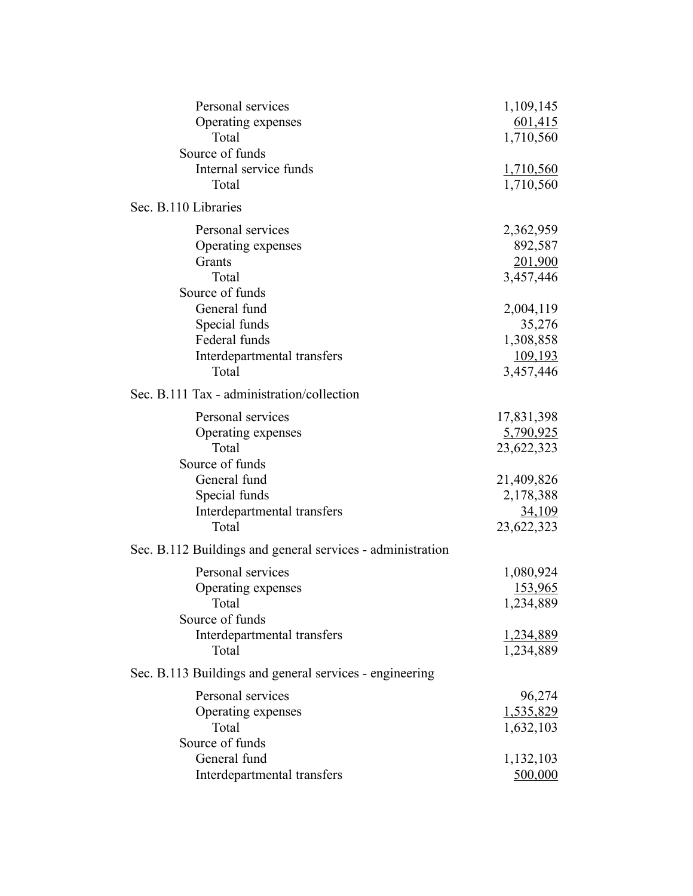| Personal services                                          | 1,109,145     |
|------------------------------------------------------------|---------------|
| Operating expenses                                         | 601,415       |
| Total                                                      | 1,710,560     |
| Source of funds                                            |               |
| Internal service funds                                     | 1,710,560     |
| Total                                                      | 1,710,560     |
| Sec. B.110 Libraries                                       |               |
| Personal services                                          | 2,362,959     |
| Operating expenses                                         | 892,587       |
| Grants                                                     | 201,900       |
| Total                                                      | 3,457,446     |
| Source of funds                                            |               |
| General fund                                               | 2,004,119     |
| Special funds                                              | 35,276        |
| Federal funds                                              | 1,308,858     |
| Interdepartmental transfers                                | 109,193       |
| Total                                                      | 3,457,446     |
| Sec. B.111 Tax - administration/collection                 |               |
| Personal services                                          | 17,831,398    |
| Operating expenses                                         | 5,790,925     |
| Total                                                      | 23,622,323    |
| Source of funds                                            |               |
| General fund                                               | 21,409,826    |
| Special funds                                              | 2,178,388     |
| Interdepartmental transfers                                | <u>34,109</u> |
| Total                                                      | 23,622,323    |
| Sec. B.112 Buildings and general services - administration |               |
| Personal services                                          | 1,080,924     |
| Operating expenses                                         | 153,965       |
| Total                                                      | 1,234,889     |
| Source of funds                                            |               |
| Interdepartmental transfers                                | 1,234,889     |
| Total                                                      | 1,234,889     |
| Sec. B.113 Buildings and general services - engineering    |               |
| Personal services                                          | 96,274        |
| Operating expenses                                         | 1,535,829     |
| Total                                                      | 1,632,103     |
| Source of funds                                            |               |
| General fund                                               | 1,132,103     |
| Interdepartmental transfers                                | 500,000       |
|                                                            |               |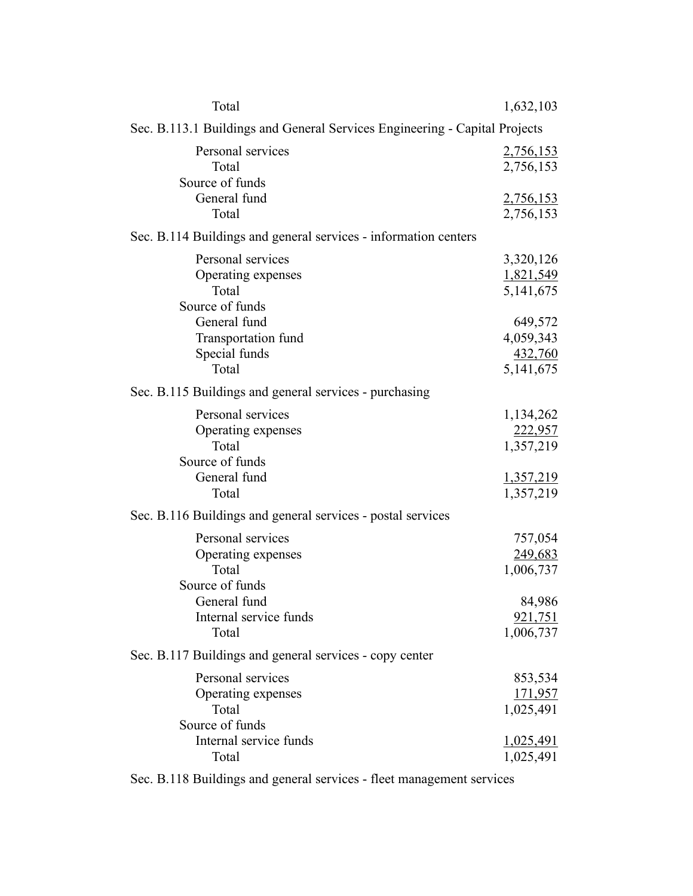| Total                                                                                        | 1,632,103                                                          |
|----------------------------------------------------------------------------------------------|--------------------------------------------------------------------|
| Sec. B.113.1 Buildings and General Services Engineering - Capital Projects                   |                                                                    |
| Personal services<br>Total<br>Source of funds                                                | <u>2,756,153</u><br>2,756,153                                      |
| General fund<br>Total                                                                        | <u>2,756,153</u><br>2,756,153                                      |
| Sec. B.114 Buildings and general services - information centers                              |                                                                    |
| Personal services<br>Operating expenses<br>Total<br>Source of funds                          | 3,320,126<br>1,821,549<br>5,141,675                                |
| General fund<br>Transportation fund<br>Special funds<br>Total                                | 649,572<br>4,059,343<br>432,760<br>5,141,675                       |
| Sec. B.115 Buildings and general services - purchasing                                       |                                                                    |
| Personal services<br>Operating expenses<br>Total<br>Source of funds<br>General fund<br>Total | 1,134,262<br><u>222,957</u><br>1,357,219<br>1,357,219<br>1,357,219 |
| Sec. B.116 Buildings and general services - postal services                                  |                                                                    |
| Personal services<br>Operating expenses<br>Total<br>Source of funds                          | 757,054<br>249,683<br>1,006,737                                    |
| General fund<br>Internal service funds<br>Total                                              | 84,986<br><u>921,751</u><br>1,006,737                              |
| Sec. B.117 Buildings and general services - copy center                                      |                                                                    |
| Personal services<br>Operating expenses<br>Total<br>Source of funds                          | 853,534<br><u>171,957</u><br>1,025,491                             |
| Internal service funds<br>Total                                                              | <u>1,025,491</u><br>1,025,491                                      |

Sec. B.118 Buildings and general services - fleet management services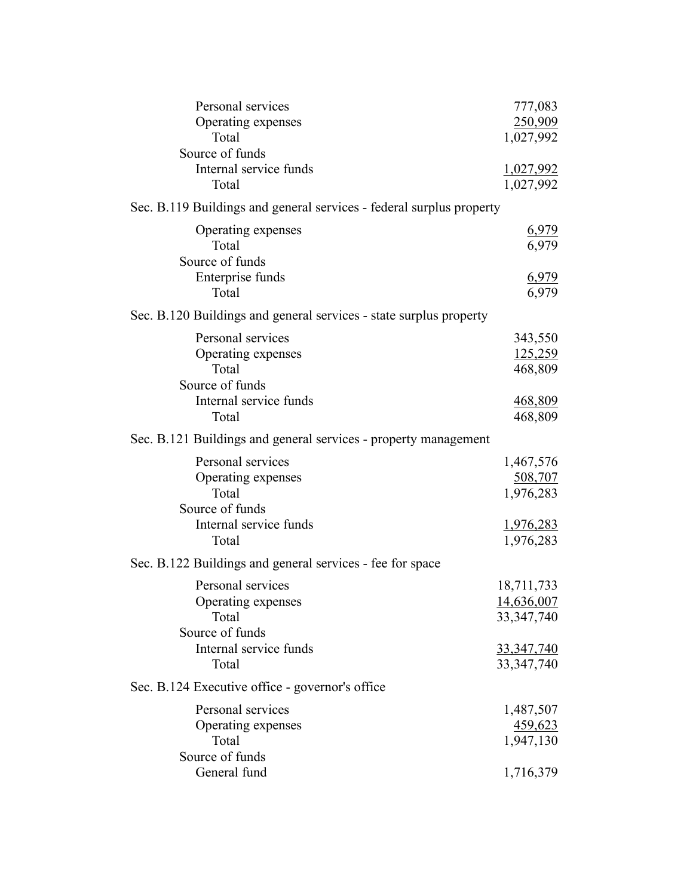| Personal services<br>Operating expenses<br>Total<br>Source of funds<br>Internal service funds<br>Total | 777,083<br>250,909<br>1,027,992<br><u>1,027,992</u><br>1,027,992              |
|--------------------------------------------------------------------------------------------------------|-------------------------------------------------------------------------------|
| Sec. B.119 Buildings and general services - federal surplus property                                   |                                                                               |
| Operating expenses<br>Total<br>Source of funds<br>Enterprise funds<br>Total                            | 6,979<br>6,979<br>6,979<br>6,979                                              |
| Sec. B.120 Buildings and general services - state surplus property                                     |                                                                               |
| Personal services<br>Operating expenses<br>Total<br>Source of funds<br>Internal service funds<br>Total | 343,550<br>125,259<br>468,809<br>468,809<br>468,809                           |
| Sec. B.121 Buildings and general services - property management                                        |                                                                               |
| Personal services<br>Operating expenses<br>Total<br>Source of funds<br>Internal service funds<br>Total | 1,467,576<br>508,707<br>1,976,283<br><u>1,976,283</u><br>1,976,283            |
| Sec. B.122 Buildings and general services - fee for space                                              |                                                                               |
| Personal services<br>Operating expenses<br>Total<br>Source of funds<br>Internal service funds<br>Total | 18,711,733<br>14,636,007<br>33, 347, 740<br><u>33,347,740</u><br>33, 347, 740 |
| Sec. B.124 Executive office - governor's office                                                        |                                                                               |
| Personal services<br>Operating expenses<br>Total<br>Source of funds<br>General fund                    | 1,487,507<br>459,623<br>1,947,130<br>1,716,379                                |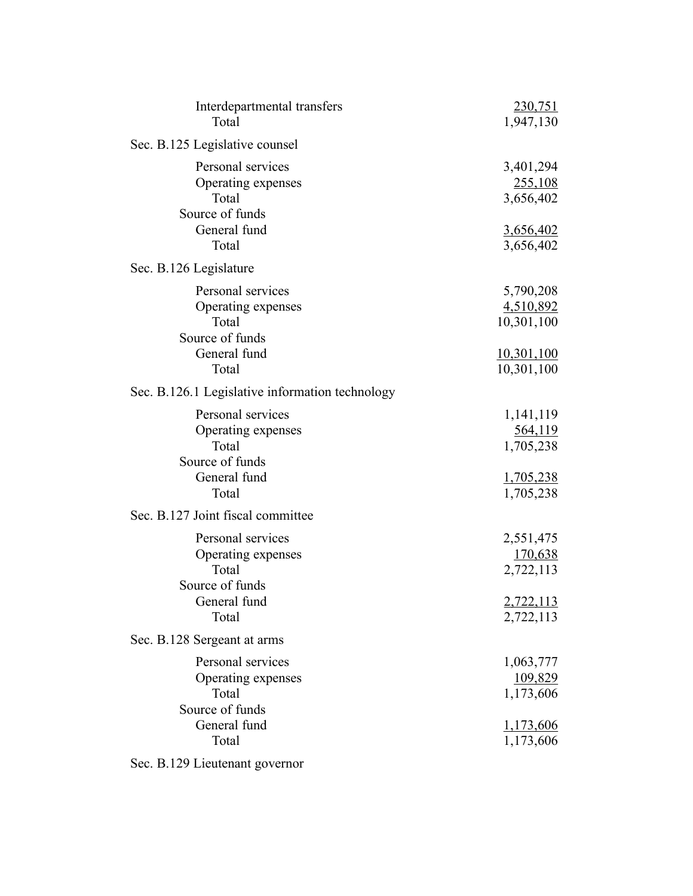| Interdepartmental transfers<br>Total                                | 230,751<br>1,947,130              |
|---------------------------------------------------------------------|-----------------------------------|
| Sec. B.125 Legislative counsel                                      |                                   |
| Personal services<br>Operating expenses<br>Total<br>Source of funds | 3,401,294<br>255,108<br>3,656,402 |
| General fund<br>Total                                               | 3,656,402<br>3,656,402            |
|                                                                     |                                   |
| Sec. B.126 Legislature<br>Personal services                         |                                   |
| Operating expenses                                                  | 5,790,208<br>4,510,892            |
| Total                                                               | 10,301,100                        |
| Source of funds                                                     |                                   |
| General fund                                                        | 10,301,100                        |
| Total                                                               | 10,301,100                        |
| Sec. B.126.1 Legislative information technology                     |                                   |
| Personal services                                                   | 1,141,119                         |
| Operating expenses                                                  | 564,119                           |
| Total                                                               | 1,705,238                         |
| Source of funds<br>General fund                                     | <u>1,705,238</u>                  |
| Total                                                               | 1,705,238                         |
| Sec. B.127 Joint fiscal committee                                   |                                   |
| Personal services                                                   | 2,551,475                         |
| Operating expenses                                                  | 170,638                           |
| Total<br>Source of funds                                            | 2,722,113                         |
| General fund                                                        | 2,722,113                         |
| Total                                                               | 2,722,113                         |
| Sec. B.128 Sergeant at arms                                         |                                   |
| Personal services                                                   | 1,063,777                         |
| Operating expenses                                                  | 109,829                           |
| Total                                                               | 1,173,606                         |
| Source of funds<br>General fund                                     |                                   |
| Total                                                               | 1,173,606<br>1,173,606            |
|                                                                     |                                   |

Sec. B.129 Lieutenant governor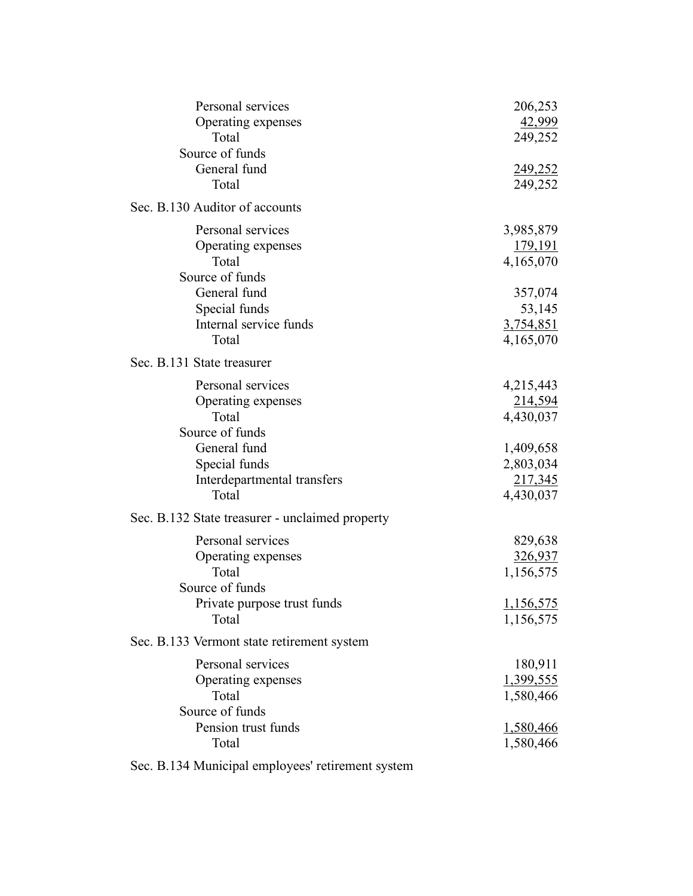| Personal services<br>Operating expenses<br>Total                                                            | 206,253<br>42,999<br>249,252                                |
|-------------------------------------------------------------------------------------------------------------|-------------------------------------------------------------|
| Source of funds<br>General fund<br>Total                                                                    | 249,252<br>249,252                                          |
| Sec. B.130 Auditor of accounts                                                                              |                                                             |
| Personal services<br>Operating expenses<br>Total<br>Source of funds                                         | 3,985,879<br>179,191<br>4,165,070                           |
| General fund<br>Special funds<br>Internal service funds<br>Total                                            | 357,074<br>53,145<br><u>3,754,851</u><br>4,165,070          |
| Sec. B.131 State treasurer                                                                                  |                                                             |
| Personal services<br>Operating expenses<br>Total<br>Source of funds<br>General fund<br>Special funds        | 4,215,443<br>214,594<br>4,430,037<br>1,409,658<br>2,803,034 |
| Interdepartmental transfers<br>Total                                                                        | 217,345<br>4,430,037                                        |
| Sec. B.132 State treasurer - unclaimed property                                                             |                                                             |
| Personal services<br>Operating expenses<br>Total<br>Source of funds<br>Private purpose trust funds<br>Total | 829,638<br>326,937<br>1,156,575<br>1,156,575<br>1,156,575   |
| Sec. B.133 Vermont state retirement system                                                                  |                                                             |
| Personal services<br>Operating expenses<br>Total<br>Source of funds                                         | 180,911<br><u>1,399,555</u><br>1,580,466                    |
| Pension trust funds<br>Total                                                                                | 1,580,466<br>1,580,466                                      |

Sec. B.134 Municipal employees' retirement system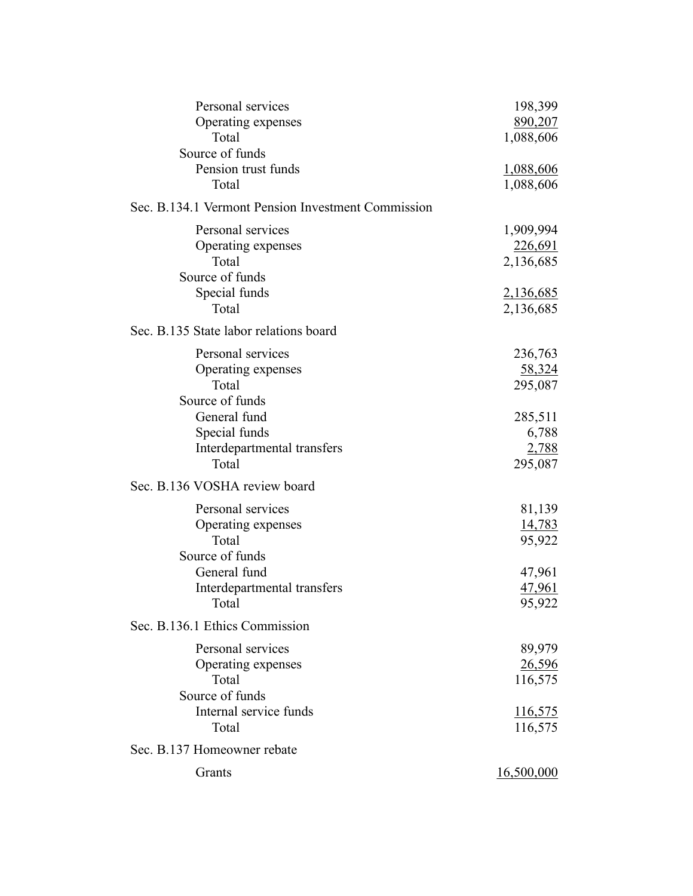| Personal services                                  | 198,399          |
|----------------------------------------------------|------------------|
| Operating expenses                                 | 890,207          |
| Total                                              | 1,088,606        |
| Source of funds                                    |                  |
| Pension trust funds                                | <u>1,088,606</u> |
| Total                                              | 1,088,606        |
| Sec. B.134.1 Vermont Pension Investment Commission |                  |
| Personal services                                  | 1,909,994        |
| Operating expenses                                 | 226,691          |
| Total                                              | 2,136,685        |
| Source of funds                                    |                  |
| Special funds                                      | <u>2,136,685</u> |
| Total                                              | 2,136,685        |
| Sec. B.135 State labor relations board             |                  |
| Personal services                                  | 236,763          |
| Operating expenses                                 | <u>58,324</u>    |
| Total                                              | 295,087          |
| Source of funds                                    |                  |
| General fund                                       | 285,511          |
| Special funds                                      | 6,788            |
| Interdepartmental transfers                        | 2,788            |
| Total                                              | 295,087          |
| Sec. B.136 VOSHA review board                      |                  |
| Personal services                                  | 81,139           |
| Operating expenses                                 | 14,783           |
| Total                                              | 95,922           |
| Source of funds                                    |                  |
| General fund                                       | 47,961           |
| Interdepartmental transfers                        | <u>47,961</u>    |
| Total                                              | 95,922           |
| Sec. B.136.1 Ethics Commission                     |                  |
| Personal services                                  | 89,979           |
| Operating expenses                                 | <u>26,596</u>    |
| Total                                              | 116,575          |
| Source of funds                                    |                  |
| Internal service funds                             | 116,575          |
| Total                                              | 116,575          |
| Sec. B.137 Homeowner rebate                        |                  |
| Grants                                             | 16,500,000       |
|                                                    |                  |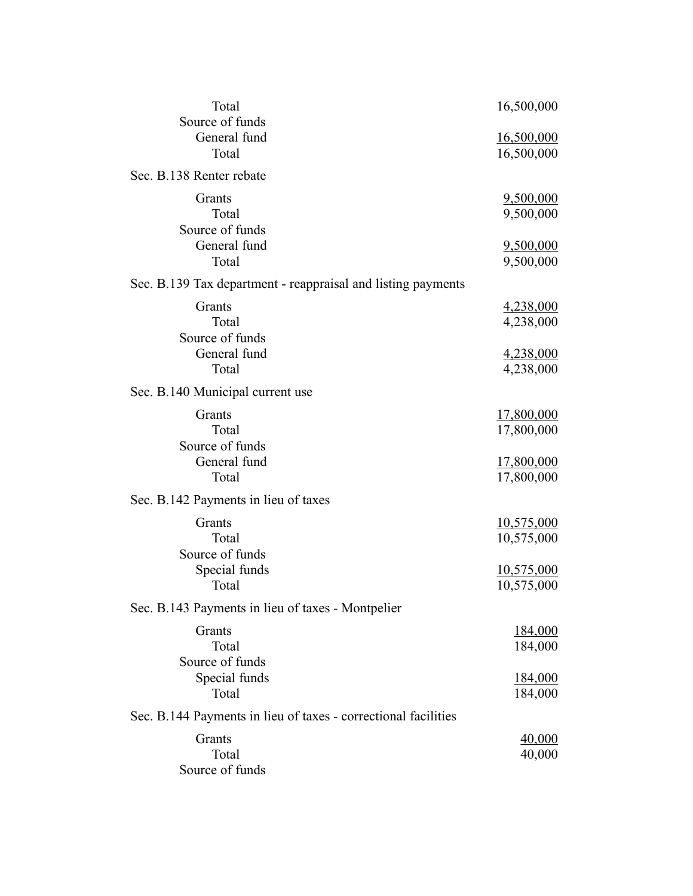| 16,500,000                |
|---------------------------|
|                           |
| 16,500,000<br>16,500,000  |
|                           |
|                           |
| 9,500,000                 |
| 9,500,000                 |
| 9,500,000                 |
| 9,500,000                 |
|                           |
| 4,238,000                 |
| 4,238,000                 |
|                           |
| 4,238,000                 |
| 4,238,000                 |
|                           |
| <u>17,800,000</u>         |
| 17,800,000                |
|                           |
| 17,800,000<br>17,800,000  |
|                           |
|                           |
| 10,575,000<br>10,575,000  |
|                           |
| 10,575,000                |
| 10,575,000                |
|                           |
| 184,000                   |
| 184,000                   |
|                           |
| <u>184,000</u><br>184,000 |
|                           |
|                           |
| 40,000<br>40,000          |
|                           |
|                           |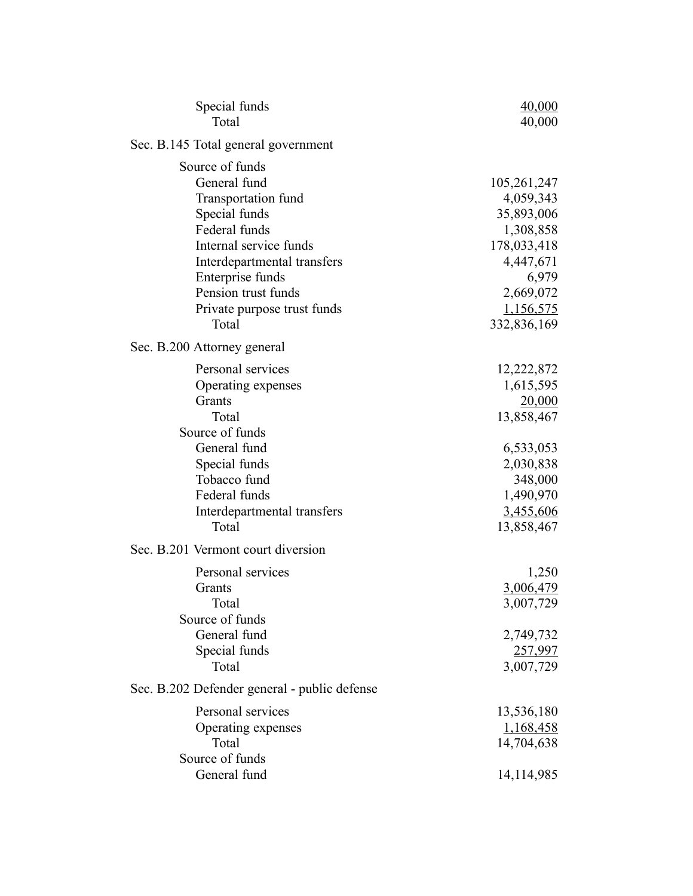| Special funds<br>Total                                                                                                                                                                                                               | 40,000<br>40,000                                                                                                                  |
|--------------------------------------------------------------------------------------------------------------------------------------------------------------------------------------------------------------------------------------|-----------------------------------------------------------------------------------------------------------------------------------|
| Sec. B.145 Total general government                                                                                                                                                                                                  |                                                                                                                                   |
| Source of funds<br>General fund<br>Transportation fund<br>Special funds<br>Federal funds<br>Internal service funds<br>Interdepartmental transfers<br>Enterprise funds<br>Pension trust funds<br>Private purpose trust funds<br>Total | 105,261,247<br>4,059,343<br>35,893,006<br>1,308,858<br>178,033,418<br>4,447,671<br>6,979<br>2,669,072<br>1,156,575<br>332,836,169 |
| Sec. B.200 Attorney general                                                                                                                                                                                                          |                                                                                                                                   |
| Personal services<br>Operating expenses<br>Grants<br>Total<br>Source of funds<br>General fund<br>Special funds<br>Tobacco fund<br>Federal funds<br>Interdepartmental transfers                                                       | 12,222,872<br>1,615,595<br><u>20,000</u><br>13,858,467<br>6,533,053<br>2,030,838<br>348,000<br>1,490,970<br>3,455,606             |
| Total                                                                                                                                                                                                                                | 13,858,467                                                                                                                        |
| Sec. B.201 Vermont court diversion<br>Personal services<br>Grants<br>Total<br>Source of funds<br>General fund<br>Special funds<br>Total                                                                                              | 1,250<br>3,006,479<br>3,007,729<br>2,749,732<br>257,997<br>3,007,729                                                              |
| Sec. B.202 Defender general - public defense                                                                                                                                                                                         |                                                                                                                                   |
| Personal services<br>Operating expenses<br>Total<br>Source of funds<br>General fund                                                                                                                                                  | 13,536,180<br><u>1,168,458</u><br>14,704,638<br>14,114,985                                                                        |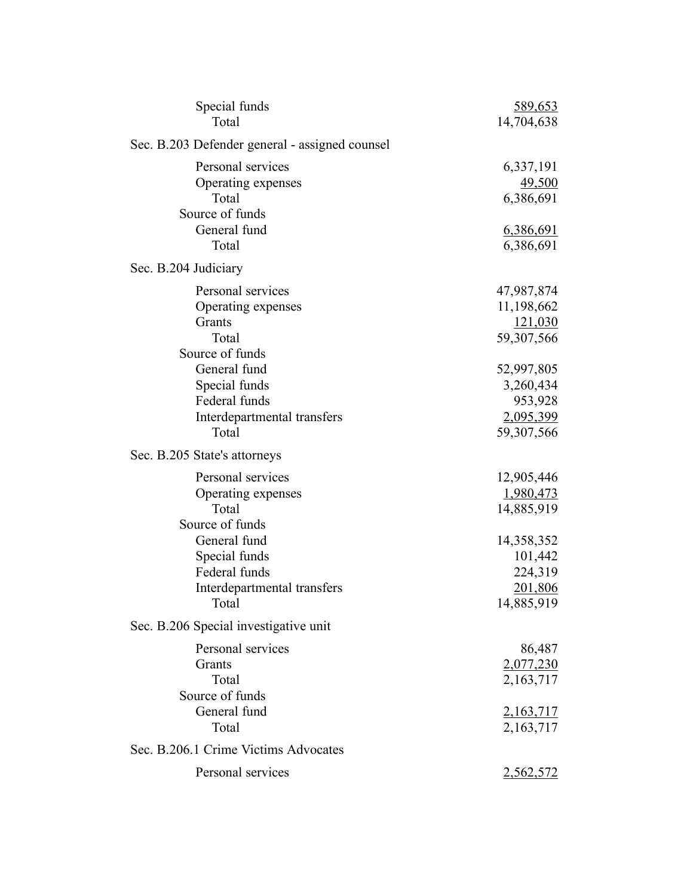| Special funds<br>Total                         | <u>589,653</u><br>14,704,638 |
|------------------------------------------------|------------------------------|
| Sec. B.203 Defender general - assigned counsel |                              |
| Personal services                              | 6,337,191                    |
| Operating expenses                             | 49,500                       |
| Total<br>Source of funds                       | 6,386,691                    |
| General fund                                   | <u>6,386,691</u>             |
| Total                                          | 6,386,691                    |
| Sec. B.204 Judiciary                           |                              |
| Personal services                              | 47,987,874                   |
| Operating expenses                             | 11,198,662                   |
| Grants                                         | 121,030                      |
| Total                                          | 59,307,566                   |
| Source of funds<br>General fund                | 52,997,805                   |
| Special funds                                  | 3,260,434                    |
| Federal funds                                  | 953,928                      |
| Interdepartmental transfers                    | 2,095,399                    |
| Total                                          | 59,307,566                   |
| Sec. B.205 State's attorneys                   |                              |
| Personal services                              | 12,905,446                   |
| Operating expenses                             | 1,980,473                    |
| Total                                          | 14,885,919                   |
| Source of funds                                |                              |
| General fund                                   | 14,358,352                   |
| Special funds<br>Federal funds                 | 101,442<br>224,319           |
| Interdepartmental transfers                    | 201,806                      |
| Total                                          | 14,885,919                   |
| Sec. B.206 Special investigative unit          |                              |
| Personal services                              | 86,487                       |
| Grants                                         | 2,077,230                    |
| Total                                          | 2,163,717                    |
| Source of funds                                |                              |
| General fund                                   | 2,163,717                    |
| Total                                          | 2,163,717                    |
| Sec. B.206.1 Crime Victims Advocates           |                              |
| Personal services                              | <u>2,562,572</u>             |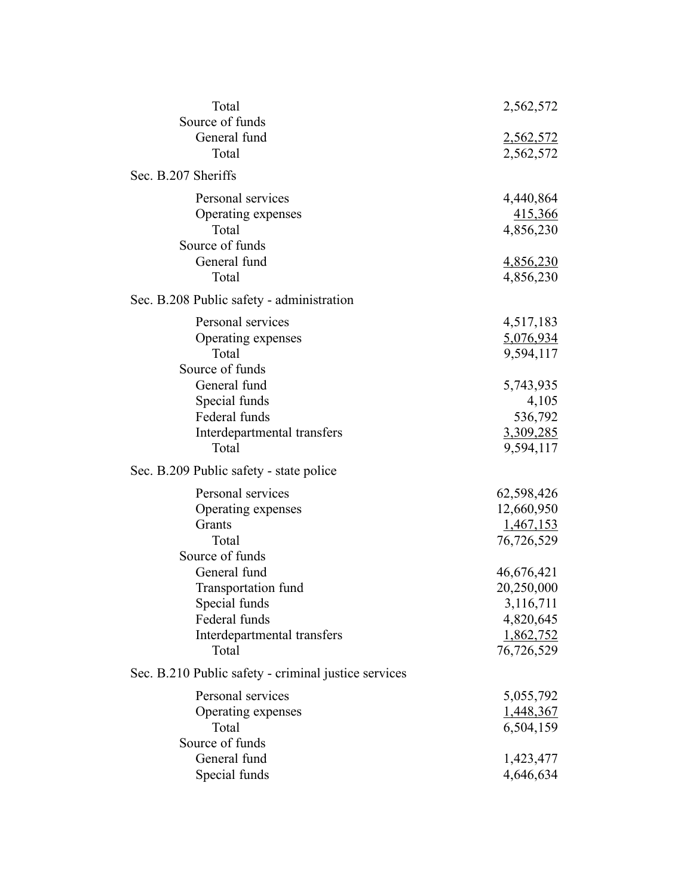| Total<br>Source of funds                             | 2,562,572                     |
|------------------------------------------------------|-------------------------------|
| General fund<br>Total                                | <u>2,562,572</u><br>2,562,572 |
| Sec. B.207 Sheriffs                                  |                               |
| Personal services                                    | 4,440,864                     |
| Operating expenses                                   | 415,366                       |
| Total<br>Source of funds                             | 4,856,230                     |
| General fund                                         | <u>4,856,230</u>              |
| Total                                                | 4,856,230                     |
| Sec. B.208 Public safety - administration            |                               |
| Personal services                                    | 4,517,183                     |
| Operating expenses                                   | 5,076,934                     |
| Total                                                | 9,594,117                     |
| Source of funds<br>General fund                      | 5,743,935                     |
| Special funds                                        | 4,105                         |
| Federal funds                                        | 536,792                       |
| Interdepartmental transfers                          | 3,309,285                     |
| Total                                                | 9,594,117                     |
| Sec. B.209 Public safety - state police              |                               |
| Personal services                                    | 62,598,426                    |
| Operating expenses                                   | 12,660,950                    |
| Grants                                               | <u>1,467,153</u>              |
| Total                                                | 76,726,529                    |
| Source of funds<br>General fund                      |                               |
| Transportation fund                                  | 46,676,421<br>20,250,000      |
| Special funds                                        | 3,116,711                     |
| Federal funds                                        | 4,820,645                     |
| Interdepartmental transfers                          | 1,862,752                     |
| Total                                                | 76,726,529                    |
| Sec. B.210 Public safety - criminal justice services |                               |
| Personal services                                    | 5,055,792                     |
| Operating expenses                                   | 1,448,367                     |
| Total                                                | 6,504,159                     |
| Source of funds<br>General fund                      |                               |
| Special funds                                        | 1,423,477<br>4,646,634        |
|                                                      |                               |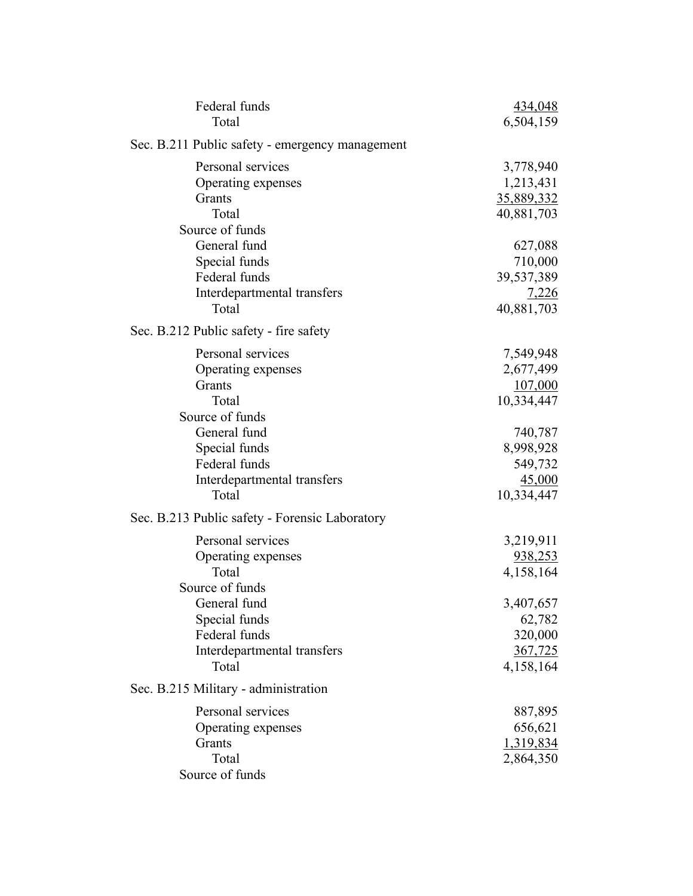| Federal funds<br>Total                                                                                                                                                                                          | 434,048<br>6,504,159                                                                                       |
|-----------------------------------------------------------------------------------------------------------------------------------------------------------------------------------------------------------------|------------------------------------------------------------------------------------------------------------|
| Sec. B.211 Public safety - emergency management                                                                                                                                                                 |                                                                                                            |
| Personal services<br>Operating expenses<br>Grants<br>Total<br>Source of funds                                                                                                                                   | 3,778,940<br>1,213,431<br>35,889,332<br>40,881,703                                                         |
| General fund<br>Special funds<br>Federal funds<br>Interdepartmental transfers<br>Total<br>Sec. B.212 Public safety - fire safety                                                                                | 627,088<br>710,000<br>39,537,389<br><u>7,226</u><br>40,881,703                                             |
| Personal services<br>Operating expenses<br>Grants<br>Total<br>Source of funds<br>General fund<br>Special funds<br>Federal funds<br>Interdepartmental transfers<br>Total                                         | 7,549,948<br>2,677,499<br>107,000<br>10,334,447<br>740,787<br>8,998,928<br>549,732<br>45,000<br>10,334,447 |
| Sec. B.213 Public safety - Forensic Laboratory<br>Personal services<br>Operating expenses<br>Total<br>Source of funds<br>General fund<br>Special funds<br>Federal funds<br>Interdepartmental transfers<br>Total | 3,219,911<br>938,253<br>4,158,164<br>3,407,657<br>62,782<br>320,000<br>367,725<br>4,158,164                |
| Sec. B.215 Military - administration<br>Personal services<br>Operating expenses<br>Grants<br>Total<br>Source of funds                                                                                           | 887,895<br>656,621<br>1,319,834<br>2,864,350                                                               |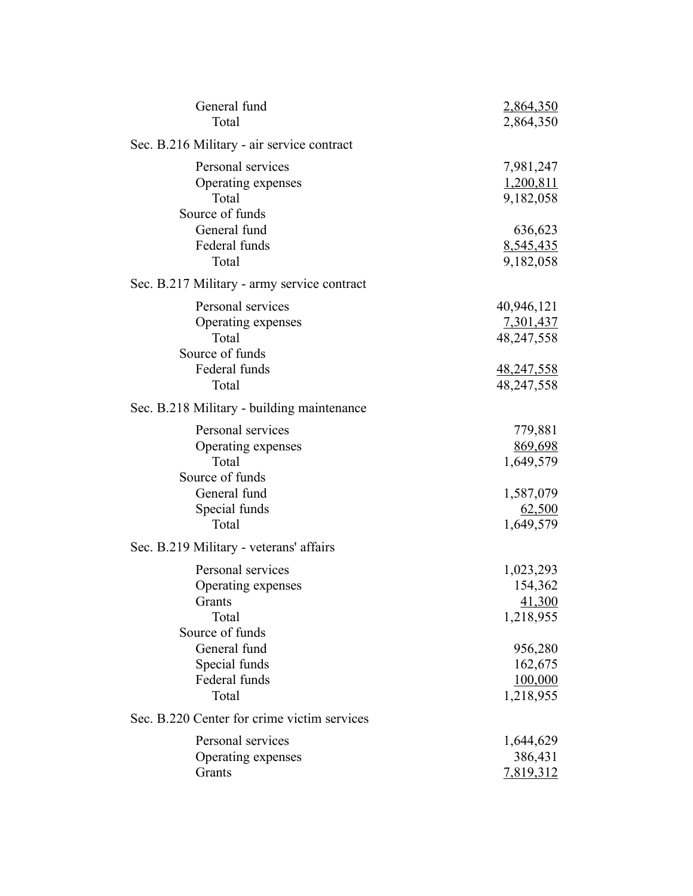| General fund<br>Total                                                                                         | 2,864,350<br>2,864,350                                                   |
|---------------------------------------------------------------------------------------------------------------|--------------------------------------------------------------------------|
| Sec. B.216 Military - air service contract                                                                    |                                                                          |
| Personal services<br>Operating expenses<br>Total<br>Source of funds                                           | 7,981,247<br>1,200,811<br>9,182,058                                      |
| General fund<br>Federal funds<br>Total                                                                        | 636,623<br>8,545,435<br>9,182,058                                        |
| Sec. B.217 Military - army service contract                                                                   |                                                                          |
| Personal services<br>Operating expenses<br>Total<br>Source of funds<br>Federal funds<br>Total                 | 40,946,121<br>7,301,437<br>48,247,558<br><u>48,247,558</u><br>48,247,558 |
| Sec. B.218 Military - building maintenance                                                                    |                                                                          |
| Personal services<br>Operating expenses<br>Total<br>Source of funds<br>General fund<br>Special funds<br>Total | 779,881<br>869,698<br>1,649,579<br>1,587,079<br>62,500<br>1,649,579      |
| Sec. B.219 Military - veterans' affairs                                                                       |                                                                          |
| Personal services<br>Operating expenses<br>Grants<br>Total                                                    | 1,023,293<br>154,362<br>41,300<br>1,218,955                              |
| Source of funds<br>General fund<br>Special funds<br>Federal funds<br>Total                                    | 956,280<br>162,675<br>100,000<br>1,218,955                               |
| Sec. B.220 Center for crime victim services                                                                   |                                                                          |
| Personal services<br>Operating expenses<br>Grants                                                             | 1,644,629<br>386,431<br>7,819,312                                        |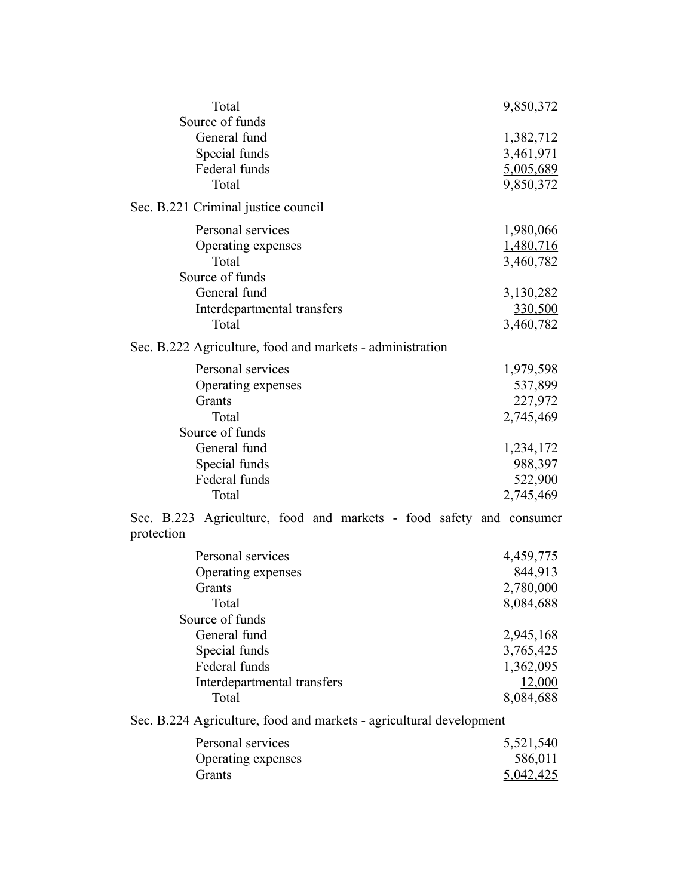| Total                                                                             | 9,850,372              |
|-----------------------------------------------------------------------------------|------------------------|
| Source of funds<br>General fund                                                   |                        |
|                                                                                   | 1,382,712              |
| Special funds<br>Federal funds                                                    | 3,461,971              |
| Total                                                                             | 5,005,689<br>9,850,372 |
|                                                                                   |                        |
| Sec. B.221 Criminal justice council                                               |                        |
| Personal services                                                                 | 1,980,066              |
| Operating expenses                                                                | 1,480,716              |
| Total                                                                             | 3,460,782              |
| Source of funds                                                                   |                        |
| General fund                                                                      | 3,130,282              |
| Interdepartmental transfers                                                       | 330,500                |
| Total                                                                             | 3,460,782              |
| Sec. B.222 Agriculture, food and markets - administration                         |                        |
| Personal services                                                                 | 1,979,598              |
| Operating expenses                                                                | 537,899                |
| Grants                                                                            | 227,972                |
| Total                                                                             | 2,745,469              |
| Source of funds                                                                   |                        |
| General fund                                                                      | 1,234,172              |
| Special funds                                                                     | 988,397                |
| Federal funds                                                                     | 522,900                |
| Total                                                                             | 2,745,469              |
| Sec. B.223 Agriculture, food and markets - food safety and consumer<br>protection |                        |
| Personal services                                                                 | 4,459,775              |
| Operating expenses                                                                | 844,913                |
| Grants                                                                            | 2,780,000              |
| Total                                                                             | 8,084,688              |
| Source of funds                                                                   |                        |
| General fund                                                                      | 2,945,168              |
| Special funds                                                                     | 3,765,425              |
| Federal funds                                                                     | 1,362,095              |
| Interdepartmental transfers                                                       | 12,000                 |
| Total                                                                             | 8,084,688              |
|                                                                                   |                        |

Sec. B.224 Agriculture, food and markets - agricultural development

| Personal services  | 5,521,540 |
|--------------------|-----------|
| Operating expenses | 586,011   |
| <b>Grants</b>      | 5,042,425 |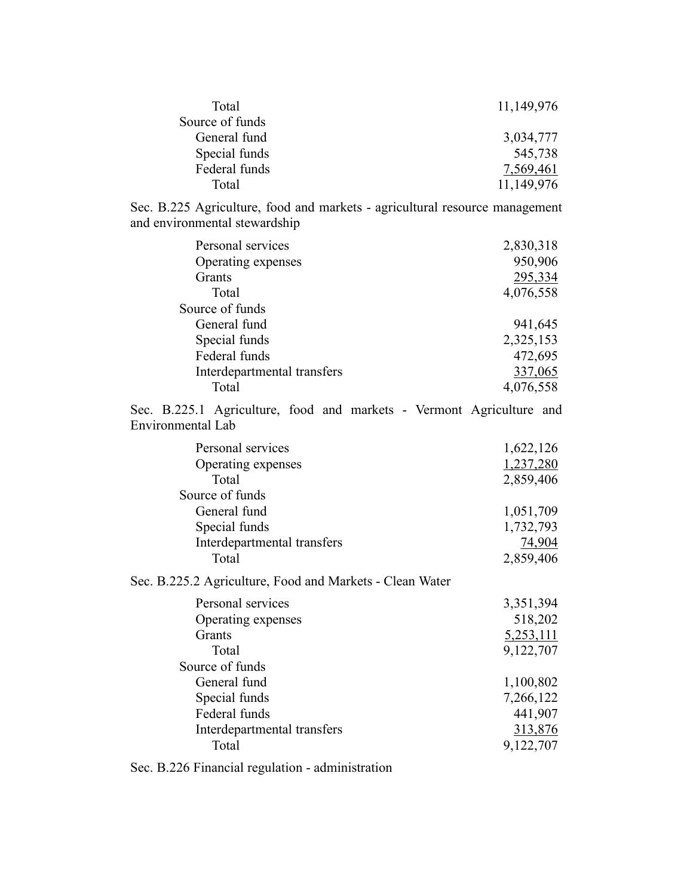| Total           | 11,149,976 |
|-----------------|------------|
| Source of funds |            |
| General fund    | 3,034,777  |
| Special funds   | 545,738    |
| Federal funds   | 7,569,461  |
| Total           | 11,149,976 |

Sec. B.225 Agriculture, food and markets - agricultural resource management and environmental stewardship

| Personal services           | 2,830,318 |
|-----------------------------|-----------|
| Operating expenses          | 950,906   |
| Grants                      | 295,334   |
| Total                       | 4,076,558 |
| Source of funds             |           |
| General fund                | 941,645   |
| Special funds               | 2,325,153 |
| Federal funds               | 472,695   |
| Interdepartmental transfers | 337,065   |
| Total                       | 4,076,558 |

Sec. B.225.1 Agriculture, food and markets - Vermont Agriculture and Environmental Lab

| Personal services           | 1,622,126 |
|-----------------------------|-----------|
| Operating expenses          | 1,237,280 |
| Total                       | 2,859,406 |
| Source of funds             |           |
| General fund                | 1,051,709 |
| Special funds               | 1,732,793 |
| Interdepartmental transfers | 74,904    |
| Total                       | 2,859,406 |
| $\overline{O}$              |           |

Sec. B.225.2 Agriculture, Food and Markets - Clean Water

| Personal services           | 3,351,394 |
|-----------------------------|-----------|
| Operating expenses          | 518,202   |
| <b>Grants</b>               | 5,253,111 |
| Total                       | 9,122,707 |
| Source of funds             |           |
| General fund                | 1,100,802 |
| Special funds               | 7,266,122 |
| Federal funds               | 441,907   |
| Interdepartmental transfers | 313,876   |
| Total                       | 9,122,707 |
|                             |           |

Sec. B.226 Financial regulation - administration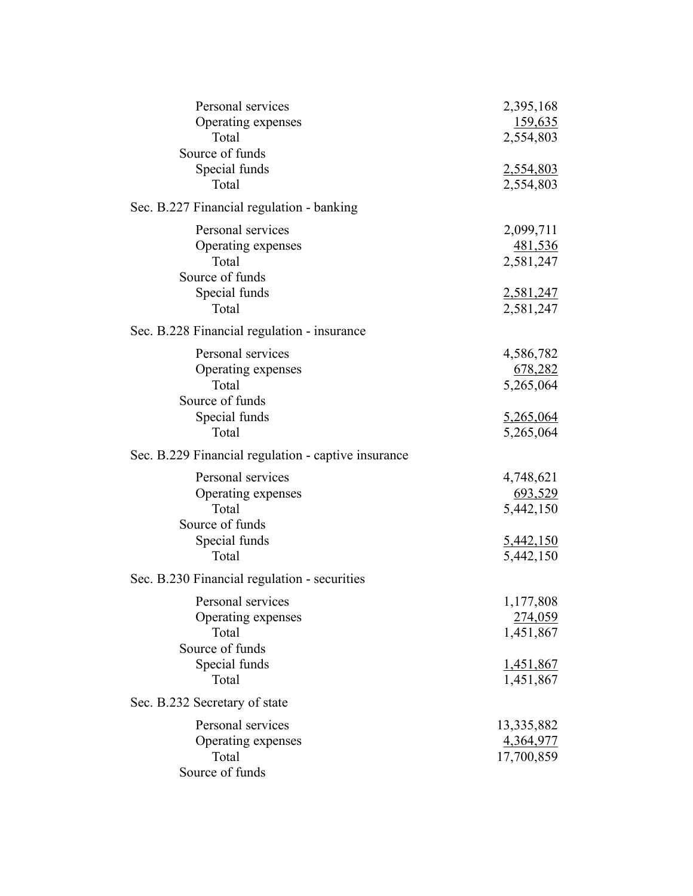| Personal services<br>Operating expenses<br>Total<br>Source of funds<br>Special funds<br>Total | 2,395,168<br>159,635<br>2,554,803<br>2,554,803<br>2,554,803        |
|-----------------------------------------------------------------------------------------------|--------------------------------------------------------------------|
| Sec. B.227 Financial regulation - banking                                                     |                                                                    |
| Personal services<br>Operating expenses<br>Total<br>Source of funds<br>Special funds          | 2,099,711<br>481,536<br>2,581,247                                  |
| Total                                                                                         | 2,581,247<br>2,581,247                                             |
| Sec. B.228 Financial regulation - insurance                                                   |                                                                    |
| Personal services<br>Operating expenses<br>Total<br>Source of funds<br>Special funds<br>Total | 4,586,782<br>678,282<br>5,265,064<br>5,265,064<br>5,265,064        |
| Sec. B.229 Financial regulation - captive insurance                                           |                                                                    |
| Personal services<br>Operating expenses<br>Total<br>Source of funds<br>Special funds<br>Total | 4,748,621<br>693,529<br>5,442,150<br><u>5,442,150</u><br>5,442,150 |
| Sec. B.230 Financial regulation - securities                                                  |                                                                    |
| Personal services<br>Operating expenses<br>Total<br>Source of funds                           | 1,177,808<br>274,059<br>1,451,867                                  |
| Special funds<br>Total                                                                        | <u>1,451,867</u><br>1,451,867                                      |
| Sec. B.232 Secretary of state                                                                 |                                                                    |
| Personal services<br>Operating expenses<br>Total<br>Source of funds                           | 13,335,882<br>4,364,977<br>17,700,859                              |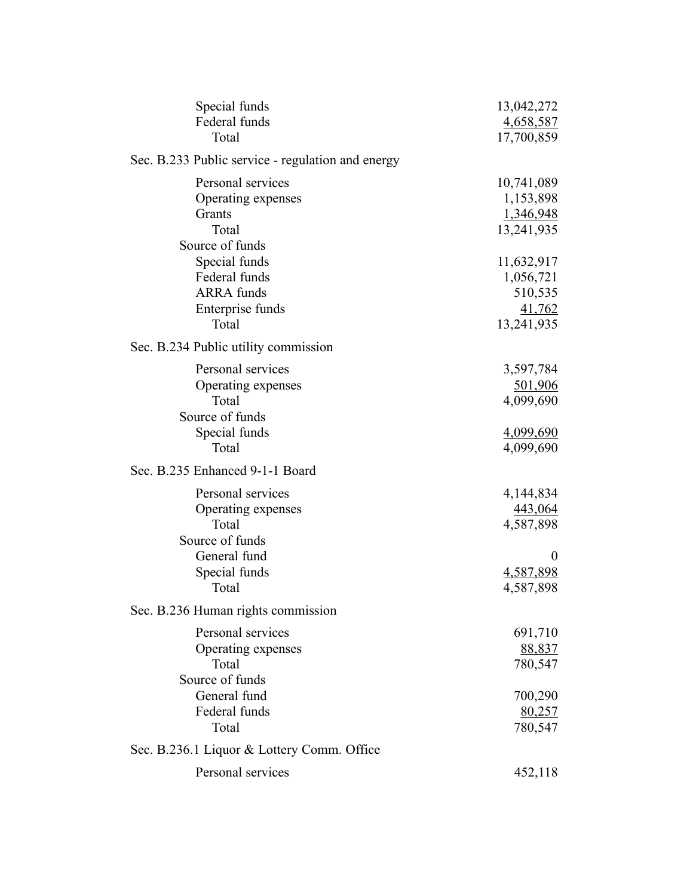| Special funds<br>Federal funds                    | 13,042,272<br>4,658,587 |
|---------------------------------------------------|-------------------------|
| Total                                             | 17,700,859              |
| Sec. B.233 Public service - regulation and energy |                         |
| Personal services                                 | 10,741,089              |
| Operating expenses                                | 1,153,898               |
| Grants                                            | 1,346,948               |
| Total                                             | 13,241,935              |
| Source of funds                                   |                         |
| Special funds<br>Federal funds                    | 11,632,917<br>1,056,721 |
| <b>ARRA</b> funds                                 | 510,535                 |
| Enterprise funds                                  | 41,762                  |
| Total                                             | 13,241,935              |
| Sec. B.234 Public utility commission              |                         |
| Personal services                                 | 3,597,784               |
| Operating expenses                                | 501,906                 |
| Total                                             | 4,099,690               |
| Source of funds                                   |                         |
| Special funds                                     | 4,099,690               |
| Total                                             | 4,099,690               |
| Sec. B.235 Enhanced 9-1-1 Board                   |                         |
| Personal services                                 | 4,144,834               |
| Operating expenses                                | 443,064                 |
| Total                                             | 4,587,898               |
| Source of funds                                   |                         |
| General fund                                      | $\theta$                |
| Special funds<br>Total                            | 4,587,898<br>4,587,898  |
| Sec. B.236 Human rights commission                |                         |
| Personal services                                 |                         |
| Operating expenses                                | 691,710<br>88,837       |
| Total                                             | 780,547                 |
| Source of funds                                   |                         |
| General fund                                      | 700,290                 |
| Federal funds                                     | 80,257                  |
| Total                                             | 780,547                 |
| Sec. B.236.1 Liquor & Lottery Comm. Office        |                         |
| Personal services                                 | 452,118                 |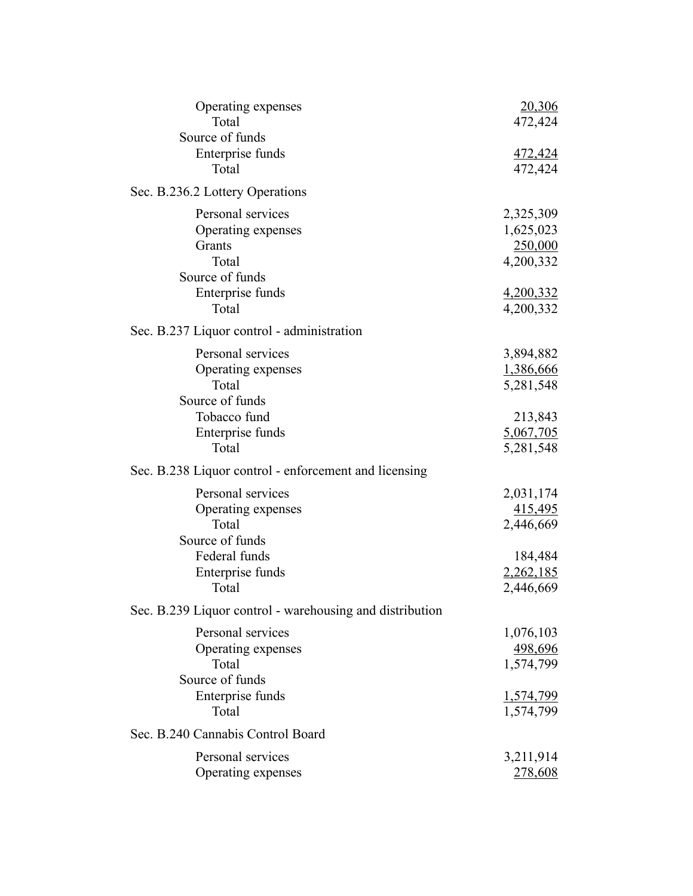| Operating expenses<br>Total                              | <u>20,306</u><br>472,424  |
|----------------------------------------------------------|---------------------------|
| Source of funds                                          |                           |
| Enterprise funds<br>Total                                | <u>472,424</u><br>472,424 |
| Sec. B.236.2 Lottery Operations                          |                           |
| Personal services                                        | 2,325,309                 |
| Operating expenses                                       | 1,625,023                 |
| Grants                                                   | 250,000                   |
| Total                                                    | 4,200,332                 |
| Source of funds                                          |                           |
| Enterprise funds                                         | <u>4,200,332</u>          |
| Total                                                    | 4,200,332                 |
| Sec. B.237 Liquor control - administration               |                           |
| Personal services                                        | 3,894,882                 |
| Operating expenses                                       | 1,386,666                 |
| Total                                                    | 5,281,548                 |
| Source of funds                                          |                           |
| Tobacco fund                                             | 213,843                   |
| Enterprise funds                                         | 5,067,705                 |
| Total                                                    | 5,281,548                 |
| Sec. B.238 Liquor control - enforcement and licensing    |                           |
| Personal services                                        | 2,031,174                 |
| Operating expenses                                       | 415,495                   |
| Total                                                    | 2,446,669                 |
| Source of funds                                          |                           |
| Federal funds                                            | 184,484                   |
| Enterprise funds                                         | 2,262,185                 |
| Total                                                    | 2,446,669                 |
| Sec. B.239 Liquor control - warehousing and distribution |                           |
| Personal services                                        | 1,076,103                 |
| Operating expenses                                       | 498,696                   |
| Total                                                    | 1,574,799                 |
| Source of funds                                          |                           |
| Enterprise funds                                         | <u>1,574,799</u>          |
| Total                                                    | 1,574,799                 |
| Sec. B.240 Cannabis Control Board                        |                           |
| Personal services                                        | 3,211,914                 |
| Operating expenses                                       | 278,608                   |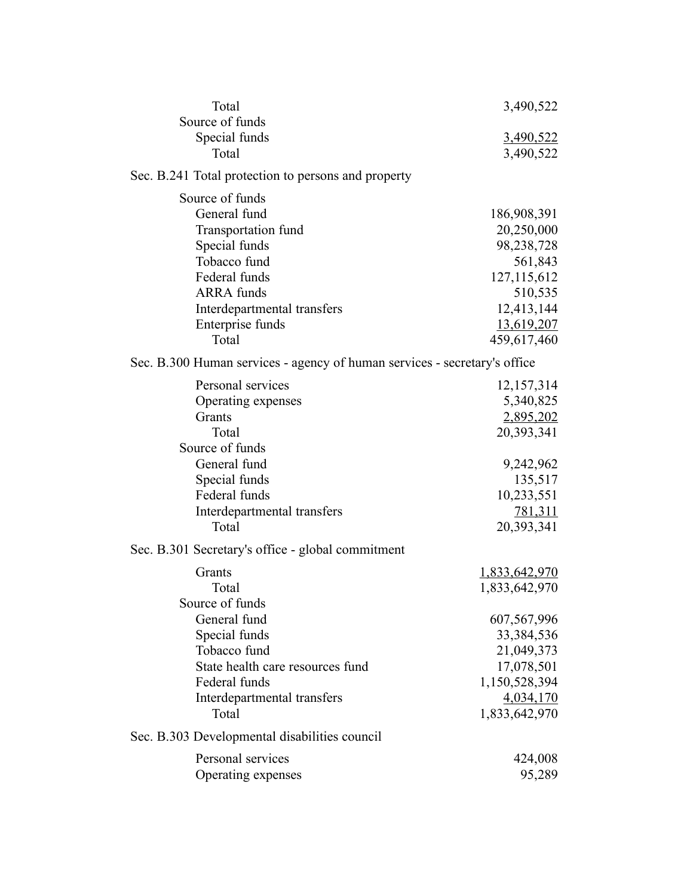| Total                                                                                                                                                                            | 3,490,522                                                                                                         |
|----------------------------------------------------------------------------------------------------------------------------------------------------------------------------------|-------------------------------------------------------------------------------------------------------------------|
| Source of funds<br>Special funds<br>Total                                                                                                                                        | <u>3,490,522</u><br>3,490,522                                                                                     |
| Sec. B.241 Total protection to persons and property                                                                                                                              |                                                                                                                   |
| Source of funds<br>General fund<br>Transportation fund<br>Special funds<br>Tobacco fund<br>Federal funds<br><b>ARRA</b> funds<br>Interdepartmental transfers<br>Enterprise funds | 186,908,391<br>20,250,000<br>98,238,728<br>561,843<br>127, 115, 612<br>510,535<br>12,413,144<br>13,619,207        |
| Total                                                                                                                                                                            | 459,617,460                                                                                                       |
| Sec. B.300 Human services - agency of human services - secretary's office                                                                                                        |                                                                                                                   |
| Personal services<br>Operating expenses<br>Grants<br>Total<br>Source of funds<br>General fund<br>Special funds<br>Federal funds<br>Interdepartmental transfers<br>Total          | 12,157,314<br>5,340,825<br>2,895,202<br>20,393,341<br>9,242,962<br>135,517<br>10,233,551<br>781,311<br>20,393,341 |
| Sec. B.301 Secretary's office - global commitment                                                                                                                                |                                                                                                                   |
| Grants<br>Total<br>Source of funds<br>General fund                                                                                                                               | <u>1,833,642,970</u><br>1,833,642,970<br>607,567,996                                                              |
| Special funds<br>Tobacco fund<br>State health care resources fund<br>Federal funds<br>Interdepartmental transfers<br>Total                                                       | 33, 384, 536<br>21,049,373<br>17,078,501<br>1,150,528,394<br>4,034,170<br>1,833,642,970                           |
| Sec. B.303 Developmental disabilities council                                                                                                                                    |                                                                                                                   |
| Personal services<br>Operating expenses                                                                                                                                          | 424,008<br>95,289                                                                                                 |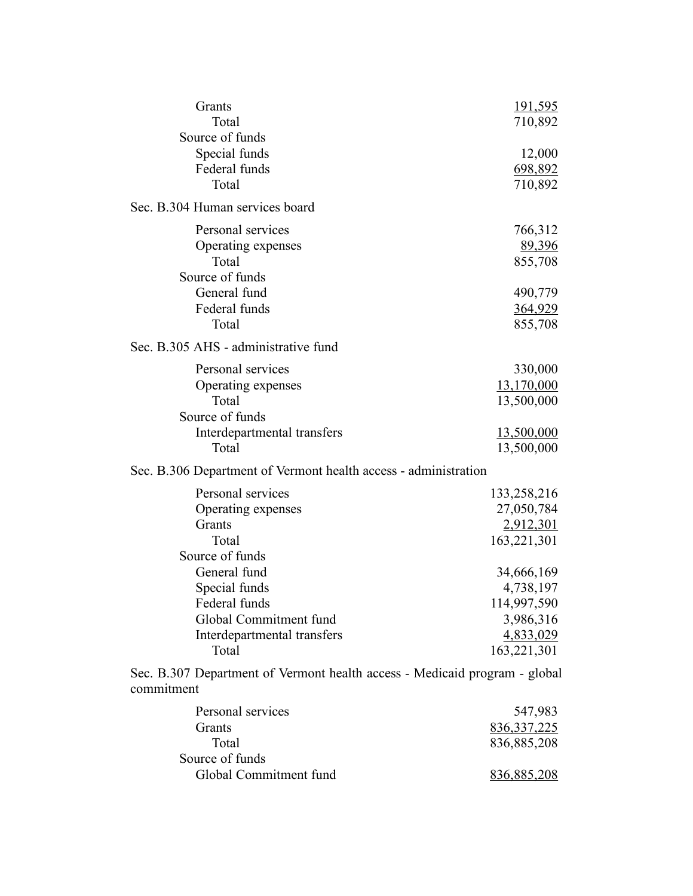| Grants<br>Total                                                                          | <u>191,595</u> |
|------------------------------------------------------------------------------------------|----------------|
| Source of funds                                                                          | 710,892        |
|                                                                                          |                |
| Special funds<br>Federal funds                                                           | 12,000         |
| Total                                                                                    | 698,892        |
|                                                                                          | 710,892        |
| Sec. B.304 Human services board                                                          |                |
| Personal services                                                                        | 766,312        |
| Operating expenses                                                                       | 89,396         |
| Total                                                                                    | 855,708        |
| Source of funds                                                                          |                |
| General fund                                                                             | 490,779        |
| Federal funds                                                                            | 364,929        |
| Total                                                                                    | 855,708        |
| Sec. B.305 AHS - administrative fund                                                     |                |
| Personal services                                                                        | 330,000        |
| Operating expenses                                                                       | 13,170,000     |
| Total                                                                                    | 13,500,000     |
| Source of funds                                                                          |                |
| Interdepartmental transfers                                                              | 13,500,000     |
| Total                                                                                    | 13,500,000     |
| Sec. B.306 Department of Vermont health access - administration                          |                |
| Personal services                                                                        | 133,258,216    |
| Operating expenses                                                                       | 27,050,784     |
| Grants                                                                                   | 2,912,301      |
| Total                                                                                    | 163,221,301    |
| Source of funds                                                                          |                |
| General fund                                                                             | 34,666,169     |
| Special funds                                                                            | 4,738,197      |
| Federal funds                                                                            | 114,997,590    |
| Global Commitment fund                                                                   | 3,986,316      |
| Interdepartmental transfers                                                              | 4,833,029      |
| Total                                                                                    | 163,221,301    |
|                                                                                          |                |
| Sec. B.307 Department of Vermont health access - Medicaid program - global<br>commitment |                |
| Personal services                                                                        | 547,983        |
| Grants                                                                                   | 836, 337, 225  |
| Total                                                                                    | 836,885,208    |
| Source of funds                                                                          |                |
| Global Commitment fund                                                                   | 836,885,208    |
|                                                                                          |                |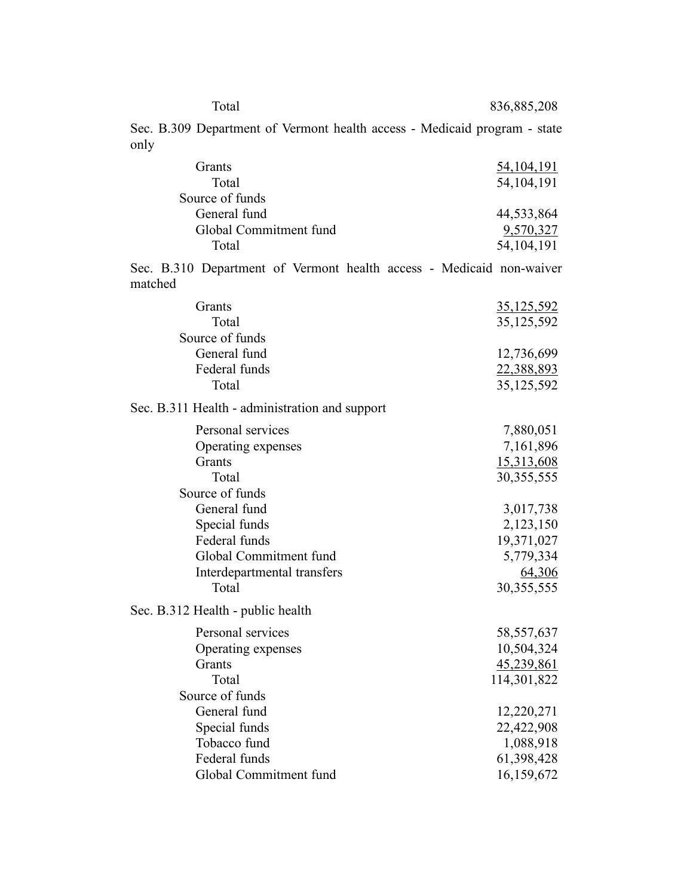836,885,208

Sec. B.309 Department of Vermont health access - Medicaid program - state only

| <b>Grants</b>          | 54, 104, 191 |
|------------------------|--------------|
| Total                  | 54, 104, 191 |
| Source of funds        |              |
| General fund           | 44,533,864   |
| Global Commitment fund | 9,570,327    |
| Total                  | 54, 104, 191 |

Sec. B.310 Department of Vermont health access - Medicaid non-waiver matched

| Grants                                         | 35,125,592   |
|------------------------------------------------|--------------|
| Total                                          | 35,125,592   |
| Source of funds                                |              |
| General fund                                   | 12,736,699   |
| Federal funds                                  | 22,388,893   |
| Total                                          | 35,125,592   |
| Sec. B.311 Health - administration and support |              |
| Personal services                              | 7,880,051    |
| Operating expenses                             | 7,161,896    |
| Grants                                         | 15,313,608   |
| Total                                          | 30, 355, 555 |
| Source of funds                                |              |
| General fund                                   | 3,017,738    |
| Special funds                                  | 2,123,150    |
| Federal funds                                  | 19,371,027   |
| Global Commitment fund                         | 5,779,334    |
| Interdepartmental transfers                    | 64,306       |
| Total                                          | 30, 355, 555 |
| Sec. B.312 Health - public health              |              |
| Personal services                              | 58, 557, 637 |
| Operating expenses                             | 10,504,324   |
| Grants                                         | 45,239,861   |
| Total                                          | 114,301,822  |
| Source of funds                                |              |
| General fund                                   | 12,220,271   |
| Special funds                                  | 22,422,908   |
| Tobacco fund                                   | 1,088,918    |
| Federal funds                                  | 61,398,428   |
| Global Commitment fund                         | 16,159,672   |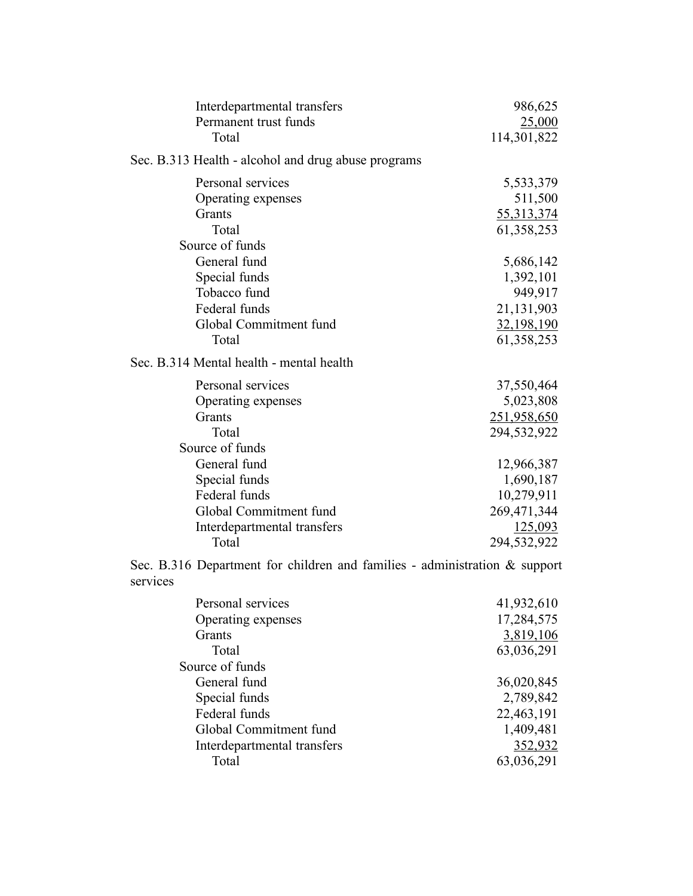| Interdepartmental transfers                         | 986,625     |
|-----------------------------------------------------|-------------|
| Permanent trust funds                               | 25,000      |
| Total                                               | 114,301,822 |
| Sec. B.313 Health - alcohol and drug abuse programs |             |
| Personal services                                   | 5,533,379   |
| Operating expenses                                  | 511,500     |
| Grants                                              | 55,313,374  |
| Total                                               | 61,358,253  |
| Source of funds                                     |             |
| General fund                                        | 5,686,142   |
| Special funds                                       | 1,392,101   |
| Tobacco fund                                        | 949,917     |
| Federal funds                                       | 21,131,903  |
| Global Commitment fund                              | 32,198,190  |
| Total                                               | 61,358,253  |
| Sec. B.314 Mental health - mental health            |             |
| Personal services                                   | 37,550,464  |
| Operating expenses                                  | 5,023,808   |
| Grants                                              | 251,958,650 |
| Total                                               | 294,532,922 |
| Source of funds                                     |             |
| General fund                                        | 12,966,387  |
| Special funds                                       | 1,690,187   |
| Federal funds                                       | 10,279,911  |
| Global Commitment fund                              | 269,471,344 |
| Interdepartmental transfers                         | 125,093     |
| Total                                               | 294,532,922 |
|                                                     |             |

Sec. B.316 Department for children and families - administration & support services

| Personal services           | 41,932,610 |
|-----------------------------|------------|
| Operating expenses          | 17,284,575 |
| <b>Grants</b>               | 3,819,106  |
| Total                       | 63,036,291 |
| Source of funds             |            |
| General fund                | 36,020,845 |
| Special funds               | 2,789,842  |
| Federal funds               | 22,463,191 |
| Global Commitment fund      | 1,409,481  |
| Interdepartmental transfers | 352,932    |
| Total                       | 63,036,291 |
|                             |            |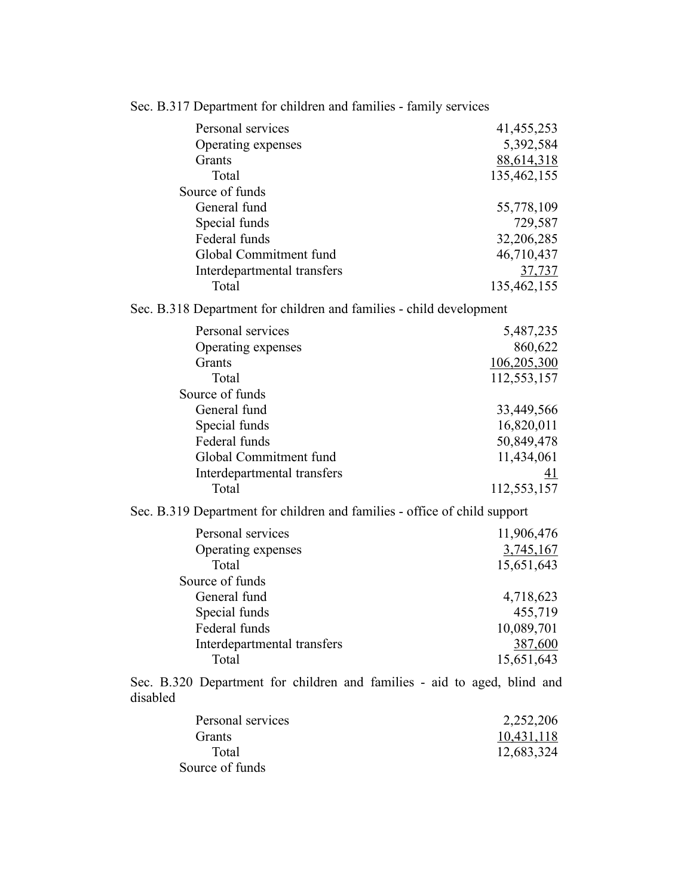| Sec. B.317 Department for children and families - family services                    |               |
|--------------------------------------------------------------------------------------|---------------|
| Personal services                                                                    | 41, 455, 253  |
| Operating expenses                                                                   | 5,392,584     |
| Grants                                                                               | 88,614,318    |
| Total                                                                                | 135,462,155   |
| Source of funds                                                                      |               |
| General fund                                                                         | 55,778,109    |
| Special funds                                                                        | 729,587       |
| Federal funds                                                                        | 32,206,285    |
| Global Commitment fund                                                               | 46,710,437    |
| Interdepartmental transfers                                                          | <u>37,737</u> |
| Total                                                                                | 135,462,155   |
| Sec. B.318 Department for children and families - child development                  |               |
| Personal services                                                                    | 5,487,235     |
| Operating expenses                                                                   | 860,622       |
| Grants                                                                               | 106,205,300   |
| Total                                                                                | 112,553,157   |
| Source of funds                                                                      |               |
| General fund                                                                         | 33,449,566    |
| Special funds                                                                        | 16,820,011    |
| Federal funds                                                                        | 50,849,478    |
| Global Commitment fund                                                               | 11,434,061    |
| Interdepartmental transfers                                                          | 41            |
| Total                                                                                | 112,553,157   |
| Sec. B.319 Department for children and families - office of child support            |               |
| Personal services                                                                    | 11,906,476    |
| Operating expenses                                                                   | 3,745,167     |
| Total                                                                                | 15,651,643    |
| Source of funds                                                                      |               |
| General fund                                                                         | 4,718,623     |
| Special funds                                                                        | 455,719       |
| Federal funds                                                                        | 10,089,701    |
| Interdepartmental transfers                                                          | 387,600       |
| Total                                                                                | 15,651,643    |
| Sec. B.320 Department for children and families - aid to aged, blind and<br>disabled |               |
| Personal services                                                                    | 2,252,206     |
| Grants                                                                               | 10,431,118    |
| Total                                                                                | 12,683,324    |
| Source of funds                                                                      |               |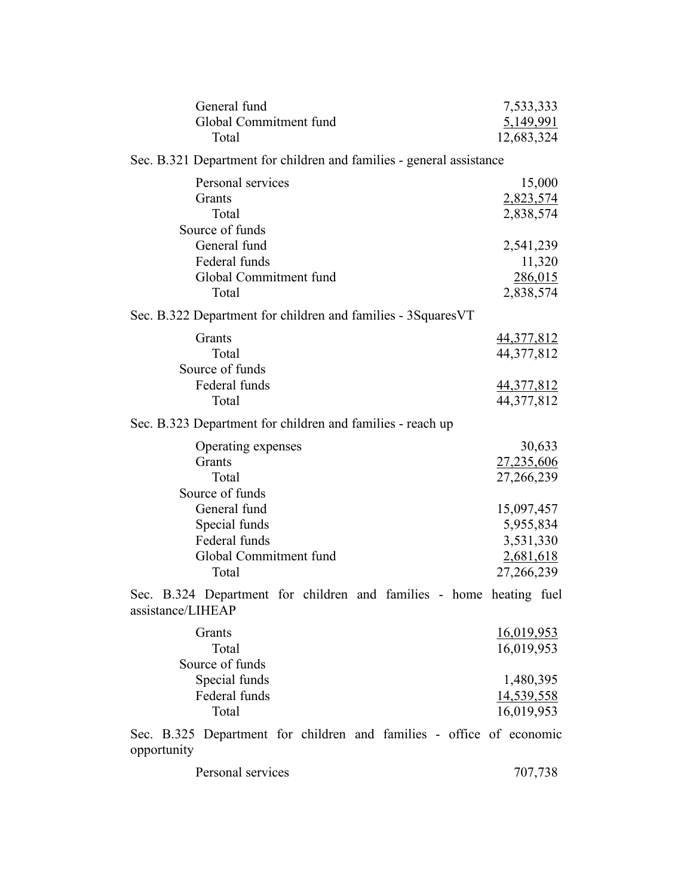| General fund<br>Global Commitment fund<br>Total                                          | 7,533,333<br>5,149,991<br>12,683,324                            |
|------------------------------------------------------------------------------------------|-----------------------------------------------------------------|
| Sec. B.321 Department for children and families - general assistance                     |                                                                 |
| Personal services<br>Grants<br>Total<br>Source of funds<br>General fund                  | 15,000<br>2,823,574<br>2,838,574<br>2,541,239                   |
| Federal funds<br>Global Commitment fund                                                  | 11,320<br>286,015                                               |
| Total                                                                                    | 2,838,574                                                       |
| Sec. B.322 Department for children and families - 3SquaresVT                             |                                                                 |
| Grants<br>Total<br>Source of funds                                                       | <u>44,377,812</u><br>44,377,812                                 |
| Federal funds                                                                            | <u>44,377,812</u>                                               |
| Total                                                                                    | 44, 377, 812                                                    |
| Sec. B.323 Department for children and families - reach up                               |                                                                 |
| Operating expenses<br>Grants<br>Total<br>Source of funds                                 | 30,633<br>27,235,606<br>27,266,239                              |
| General fund<br>Special funds<br>Federal funds<br>Global Commitment fund<br>Total        | 15,097,457<br>5,955,834<br>3,531,330<br>2,681,618<br>27,266,239 |
| Sec. B.324 Department for children and families - home heating fuel<br>assistance/LIHEAP |                                                                 |
| Grants<br>Total<br>Source of funds<br>Special funds                                      | <u>16,019,953</u><br>16,019,953<br>1,480,395                    |
| Federal funds<br>Total                                                                   | <u>14,539,558</u><br>16,019,953                                 |
| Sec. B 325 Department for children and families - office of economic                     |                                                                 |

Sec. B.325 Department for children and families - office of economic opportunity

| Personal services | 707,738 |
|-------------------|---------|
|                   |         |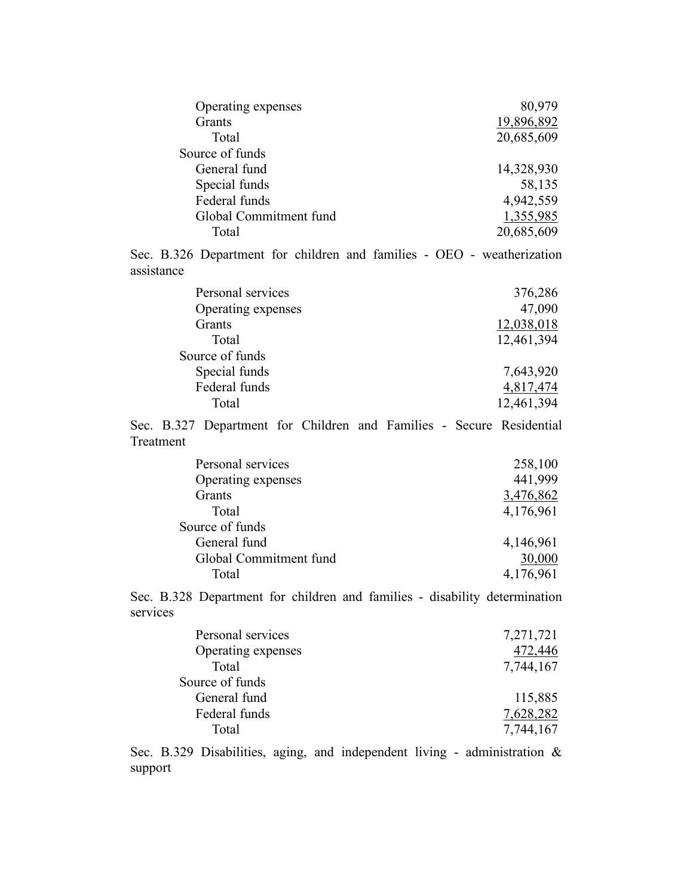| Operating expenses                                                     | 80,979     |
|------------------------------------------------------------------------|------------|
| Grants                                                                 | 19,896,892 |
| Total                                                                  | 20,685,609 |
| Source of funds                                                        |            |
| General fund                                                           | 14,328,930 |
| Special funds                                                          | 58,135     |
| Federal funds                                                          | 4,942,559  |
| Global Commitment fund                                                 | 1,355,985  |
| Total                                                                  | 20,685,609 |
| Sec. B.326 Department for children and families - OEO - weatherization |            |

assistance

| Personal services  | 376,286    |
|--------------------|------------|
| Operating expenses | 47,090     |
| <b>Grants</b>      | 12,038,018 |
| Total              | 12,461,394 |
| Source of funds    |            |
| Special funds      | 7,643,920  |
| Federal funds      | 4,817,474  |
| Total              | 12,461,394 |
|                    |            |

Sec. B.327 Department for Children and Families - Secure Residential Treatment

| Personal services      | 258,100   |
|------------------------|-----------|
| Operating expenses     | 441,999   |
| Grants                 | 3,476,862 |
| Total                  | 4,176,961 |
| Source of funds        |           |
| General fund           | 4,146,961 |
| Global Commitment fund | 30,000    |
| Total                  | 4,176,961 |

Sec. B.328 Department for children and families - disability determination services

| Personal services  | 7,271,721 |
|--------------------|-----------|
| Operating expenses | 472,446   |
| Total              | 7,744,167 |
| Source of funds    |           |
| General fund       | 115,885   |
| Federal funds      | 7,628,282 |
| Total              | 7,744,167 |
|                    |           |

Sec. B.329 Disabilities, aging, and independent living - administration & support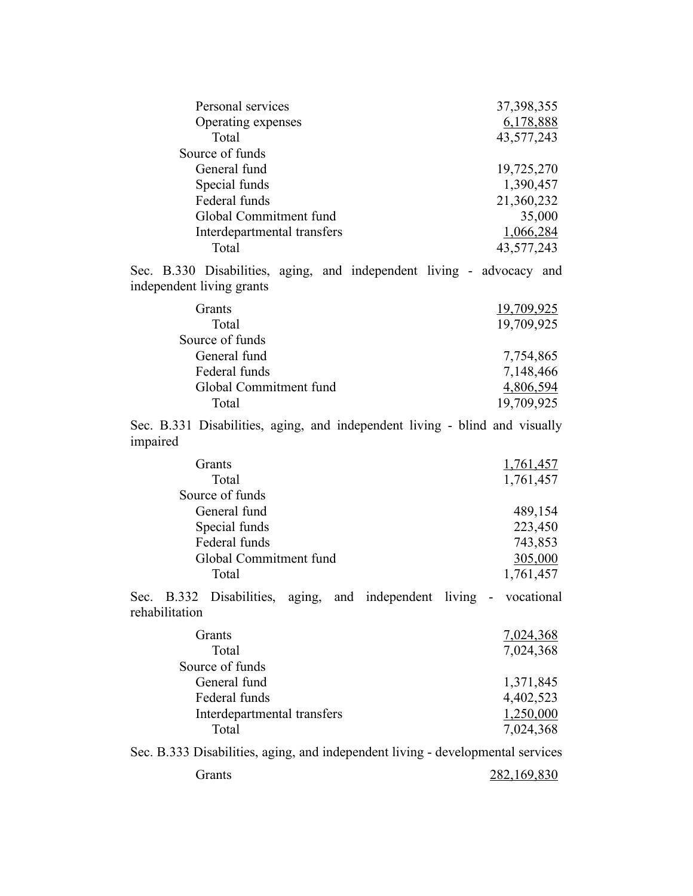| Personal services           | 37, 398, 355                                                          |
|-----------------------------|-----------------------------------------------------------------------|
| Operating expenses          | 6,178,888                                                             |
| Total                       | 43,577,243                                                            |
| Source of funds             |                                                                       |
| General fund                | 19,725,270                                                            |
| Special funds               | 1,390,457                                                             |
| Federal funds               | 21,360,232                                                            |
| Global Commitment fund      | 35,000                                                                |
| Interdepartmental transfers | 1,066,284                                                             |
| Total                       | 43,577,243                                                            |
| independent living grants   | Sec. B.330 Disabilities, aging, and independent living - advocacy and |
| <b>Grants</b>               | 19,709,925                                                            |
| Total                       | 19,709,925                                                            |
| Source of funds             |                                                                       |
| General fund                | 7,754,865                                                             |
| Federal funds               | 7,148,466                                                             |
| Global Commitment fund      | 4,806,594                                                             |

Sec. B.331 Disabilities, aging, and independent living - blind and visually impaired

| <b>Grants</b>          | 1,761,457 |
|------------------------|-----------|
| Total                  | 1,761,457 |
| Source of funds        |           |
| General fund           | 489,154   |
| Special funds          | 223,450   |
| Federal funds          | 743,853   |
| Global Commitment fund | 305,000   |
| Total                  | 1,761,457 |
|                        |           |

Total 19,709,925

Sec. B.332 Disabilities, aging, and independent living - vocational rehabilitation

| <b>Grants</b>               | 7,024,368 |
|-----------------------------|-----------|
| Total                       | 7,024,368 |
| Source of funds             |           |
| General fund                | 1,371,845 |
| Federal funds               | 4,402,523 |
| Interdepartmental transfers | 1,250,000 |
| Total                       | 7,024,368 |
|                             |           |

Sec. B.333 Disabilities, aging, and independent living - developmental services

| Grants | 282,169,830 |
|--------|-------------|
|        |             |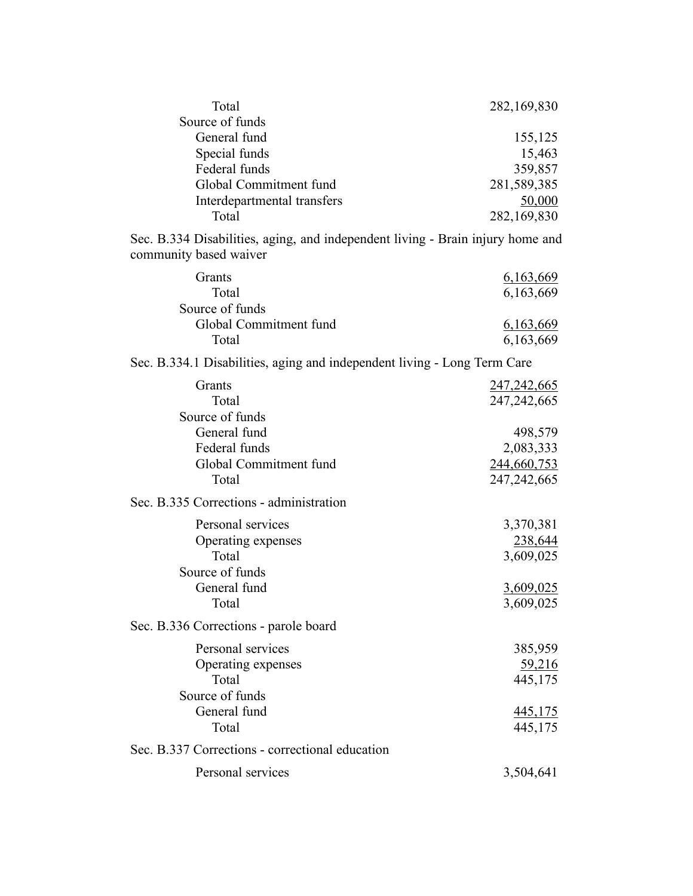| Total                       | 282,169,830 |
|-----------------------------|-------------|
| Source of funds             |             |
| General fund                | 155,125     |
| Special funds               | 15,463      |
| Federal funds               | 359,857     |
| Global Commitment fund      | 281,589,385 |
| Interdepartmental transfers | 50,000      |
| Total                       | 282,169,830 |

Sec. B.334 Disabilities, aging, and independent living - Brain injury home and community based waiver

| Grants                                                                   | 6,163,669      |
|--------------------------------------------------------------------------|----------------|
| Total                                                                    | 6,163,669      |
| Source of funds                                                          |                |
| Global Commitment fund                                                   | 6,163,669      |
| Total                                                                    | 6,163,669      |
| Sec. B.334.1 Disabilities, aging and independent living - Long Term Care |                |
| Grants                                                                   | 247, 242, 665  |
| Total                                                                    | 247, 242, 665  |
| Source of funds                                                          |                |
| General fund                                                             | 498,579        |
| Federal funds                                                            | 2,083,333      |
| Global Commitment fund                                                   | 244,660,753    |
| Total                                                                    | 247, 242, 665  |
| Sec. B.335 Corrections - administration                                  |                |
| Personal services                                                        | 3,370,381      |
| Operating expenses                                                       | 238,644        |
| Total                                                                    | 3,609,025      |
| Source of funds                                                          |                |
| General fund                                                             | 3,609,025      |
| Total                                                                    | 3,609,025      |
| Sec. B.336 Corrections - parole board                                    |                |
| Personal services                                                        | 385,959        |
| Operating expenses                                                       | 59,216         |
| Total                                                                    | 445,175        |
| Source of funds                                                          |                |
| General fund                                                             | <u>445,175</u> |
| Total                                                                    | 445,175        |
| Sec. B.337 Corrections - correctional education                          |                |
| Personal services                                                        | 3,504,641      |
|                                                                          |                |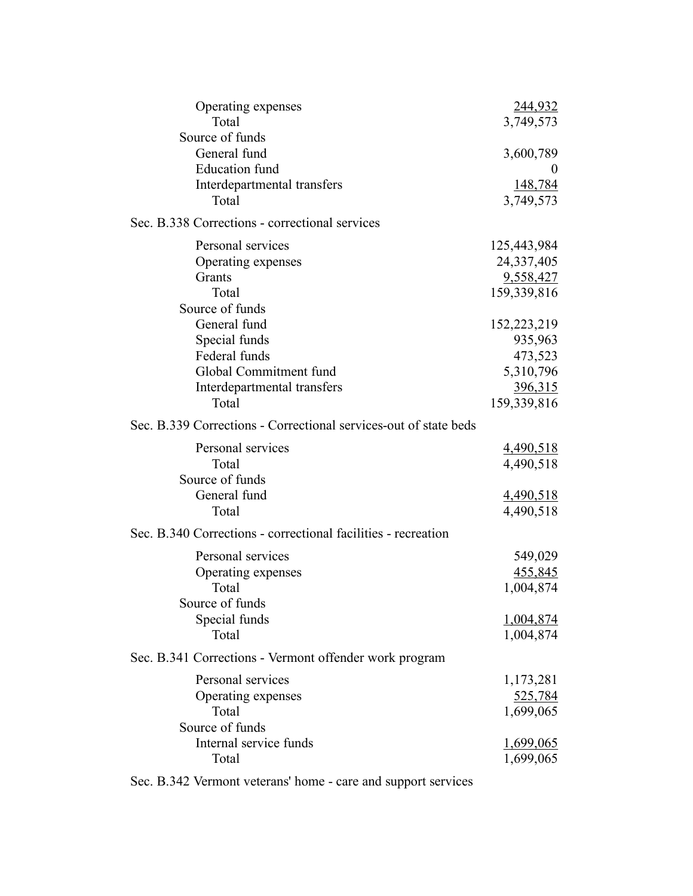| Operating expenses                                               | <u>244,932</u>   |
|------------------------------------------------------------------|------------------|
| Total                                                            | 3,749,573        |
| Source of funds                                                  |                  |
| General fund                                                     | 3,600,789        |
| <b>Education</b> fund                                            | $_{0}$           |
| Interdepartmental transfers                                      | 148,784          |
| Total                                                            | 3,749,573        |
| Sec. B.338 Corrections - correctional services                   |                  |
| Personal services                                                | 125,443,984      |
| Operating expenses                                               | 24,337,405       |
| Grants                                                           | 9,558,427        |
| Total                                                            | 159,339,816      |
| Source of funds                                                  |                  |
| General fund                                                     | 152,223,219      |
| Special funds                                                    | 935,963          |
| Federal funds                                                    | 473,523          |
| Global Commitment fund                                           | 5,310,796        |
| Interdepartmental transfers                                      | 396,315          |
| Total                                                            | 159,339,816      |
| Sec. B.339 Corrections - Correctional services-out of state beds |                  |
| Personal services                                                | 4,490,518        |
| Total                                                            | 4,490,518        |
| Source of funds                                                  |                  |
| General fund                                                     | <u>4,490,518</u> |
| Total                                                            | 4,490,518        |
| Sec. B.340 Corrections - correctional facilities - recreation    |                  |
| Personal services                                                | 549,029          |
| Operating expenses                                               | 455,845          |
| Total                                                            | 1,004,874        |
| Source of funds                                                  |                  |
| Special funds                                                    | <u>1,004,874</u> |
| Total                                                            | 1,004,874        |
| Sec. B.341 Corrections - Vermont offender work program           |                  |
| Personal services                                                | 1,173,281        |
| Operating expenses                                               | <u>525,784</u>   |
| Total                                                            | 1,699,065        |
| Source of funds                                                  |                  |
| Internal service funds                                           | <u>1,699,065</u> |
| Total                                                            | 1,699,065        |
|                                                                  |                  |

Sec. B.342 Vermont veterans' home - care and support services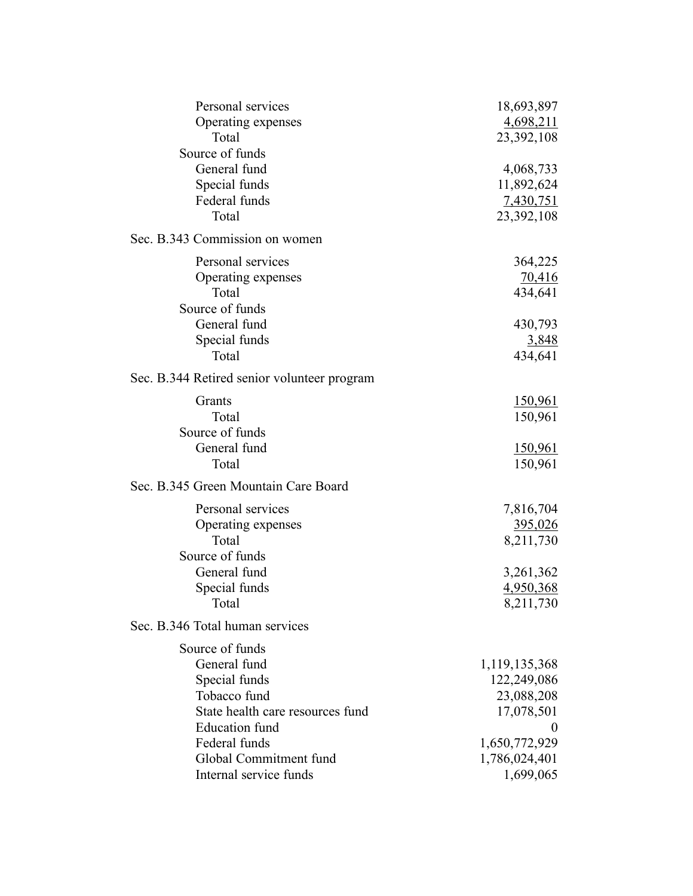| Personal services                           | 18,693,897     |
|---------------------------------------------|----------------|
| Operating expenses                          | 4,698,211      |
| Total                                       | 23,392,108     |
| Source of funds                             |                |
| General fund                                | 4,068,733      |
| Special funds                               | 11,892,624     |
| Federal funds                               | 7,430,751      |
| Total                                       | 23,392,108     |
| Sec. B.343 Commission on women              |                |
| Personal services                           | 364,225        |
| Operating expenses                          | 70,416         |
| Total                                       | 434,641        |
| Source of funds                             |                |
| General fund                                | 430,793        |
| Special funds                               | 3,848          |
| Total                                       | 434,641        |
| Sec. B.344 Retired senior volunteer program |                |
| Grants                                      | <u>150,961</u> |
| Total                                       | 150,961        |
| Source of funds                             |                |
| General fund                                | <u>150,961</u> |
| Total                                       | 150,961        |
| Sec. B.345 Green Mountain Care Board        |                |
| Personal services                           | 7,816,704      |
| Operating expenses                          | <u>395,026</u> |
| Total                                       | 8,211,730      |
| Source of funds                             |                |
| General fund                                | 3,261,362      |
| Special funds                               | 4,950,368      |
| Total                                       | 8,211,730      |
| Sec. B.346 Total human services             |                |
| Source of funds                             |                |
| General fund                                | 1,119,135,368  |
| Special funds                               | 122,249,086    |
| Tobacco fund                                | 23,088,208     |
| State health care resources fund            | 17,078,501     |
| <b>Education</b> fund                       | 0              |
| Federal funds                               | 1,650,772,929  |
| Global Commitment fund                      | 1,786,024,401  |
| Internal service funds                      | 1,699,065      |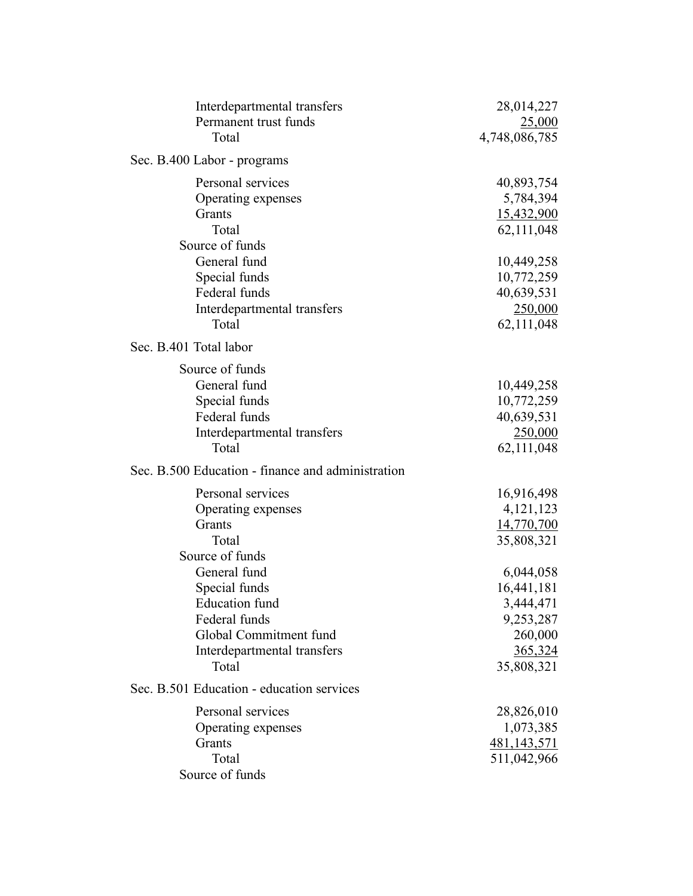| Interdepartmental transfers                       | 28,014,227    |
|---------------------------------------------------|---------------|
| Permanent trust funds                             | 25,000        |
| Total                                             | 4,748,086,785 |
| Sec. B.400 Labor - programs                       |               |
| Personal services                                 | 40,893,754    |
| Operating expenses                                | 5,784,394     |
| Grants                                            | 15,432,900    |
| Total                                             | 62,111,048    |
| Source of funds                                   |               |
| General fund                                      | 10,449,258    |
| Special funds                                     | 10,772,259    |
| Federal funds                                     | 40,639,531    |
| Interdepartmental transfers                       | 250,000       |
| Total                                             | 62, 111, 048  |
| Sec. B.401 Total labor                            |               |
| Source of funds                                   |               |
| General fund                                      | 10,449,258    |
| Special funds                                     | 10,772,259    |
| Federal funds                                     | 40,639,531    |
| Interdepartmental transfers                       | 250,000       |
| Total                                             | 62, 111, 048  |
| Sec. B.500 Education - finance and administration |               |
| Personal services                                 | 16,916,498    |
| Operating expenses                                | 4, 121, 123   |
| Grants                                            | 14,770,700    |
| Total                                             | 35,808,321    |
| Source of funds                                   |               |
| General fund                                      | 6,044,058     |
| Special funds                                     | 16,441,181    |
| <b>Education</b> fund                             | 3,444,471     |
| Federal funds                                     | 9,253,287     |
| Global Commitment fund                            | 260,000       |
| Interdepartmental transfers                       | 365,324       |
| Total                                             | 35,808,321    |
| Sec. B.501 Education - education services         |               |
| Personal services                                 | 28,826,010    |
| Operating expenses                                | 1,073,385     |
| Grants                                            | 481,143,571   |
| Total                                             | 511,042,966   |
| Source of funds                                   |               |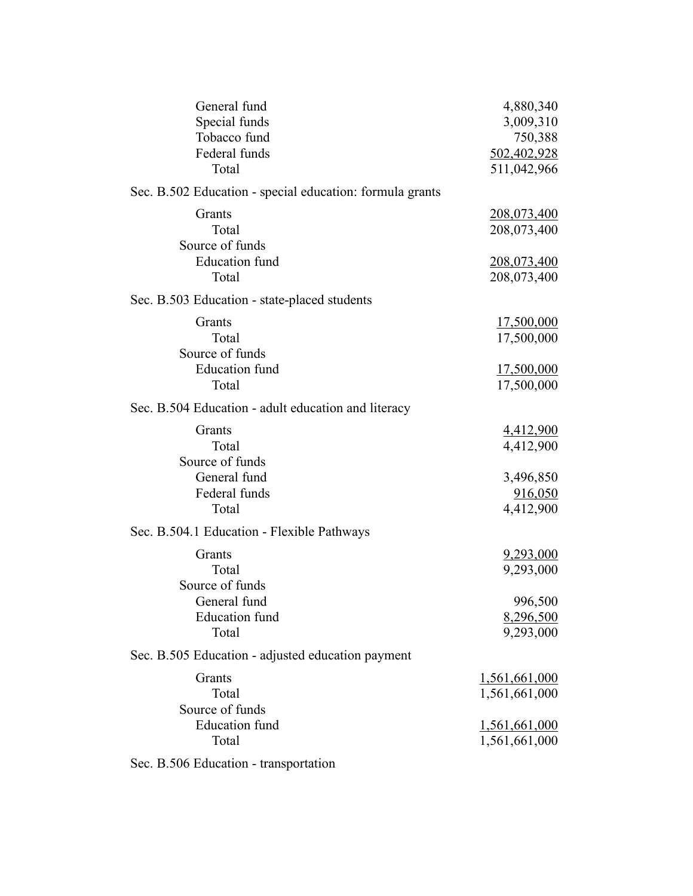| General fund                                             | 4,880,340         |
|----------------------------------------------------------|-------------------|
| Special funds                                            | 3,009,310         |
| Tobacco fund                                             | 750,388           |
| Federal funds                                            | 502,402,928       |
|                                                          |                   |
| Total                                                    | 511,042,966       |
| Sec. B.502 Education - special education: formula grants |                   |
| Grants                                                   | 208,073,400       |
| Total                                                    | 208,073,400       |
| Source of funds                                          |                   |
| <b>Education</b> fund                                    | 208,073,400       |
| Total                                                    |                   |
|                                                          | 208,073,400       |
| Sec. B.503 Education - state-placed students             |                   |
| Grants                                                   | 17,500,000        |
| Total                                                    | 17,500,000        |
| Source of funds                                          |                   |
| <b>Education</b> fund                                    | <u>17,500,000</u> |
| Total                                                    | 17,500,000        |
|                                                          |                   |
| Sec. B.504 Education - adult education and literacy      |                   |
| Grants                                                   | 4,412,900         |
| Total                                                    | 4,412,900         |
| Source of funds                                          |                   |
| General fund                                             | 3,496,850         |
| Federal funds                                            |                   |
|                                                          | 916,050           |
| Total                                                    | 4,412,900         |
| Sec. B.504.1 Education - Flexible Pathways               |                   |
| Grants                                                   | 9,293,000         |
| Total                                                    | 9,293,000         |
| Source of funds                                          |                   |
| General fund                                             | 996,500           |
|                                                          |                   |
| <b>Education</b> fund                                    | 8,296,500         |
| Total                                                    | 9,293,000         |
| Sec. B.505 Education - adjusted education payment        |                   |
| Grants                                                   | 1,561,661,000     |
| Total                                                    | 1,561,661,000     |
| Source of funds                                          |                   |
| <b>Education</b> fund                                    | 1,561,661,000     |
| Total                                                    |                   |
|                                                          | 1,561,661,000     |
| Sec. B.506 Education - transportation                    |                   |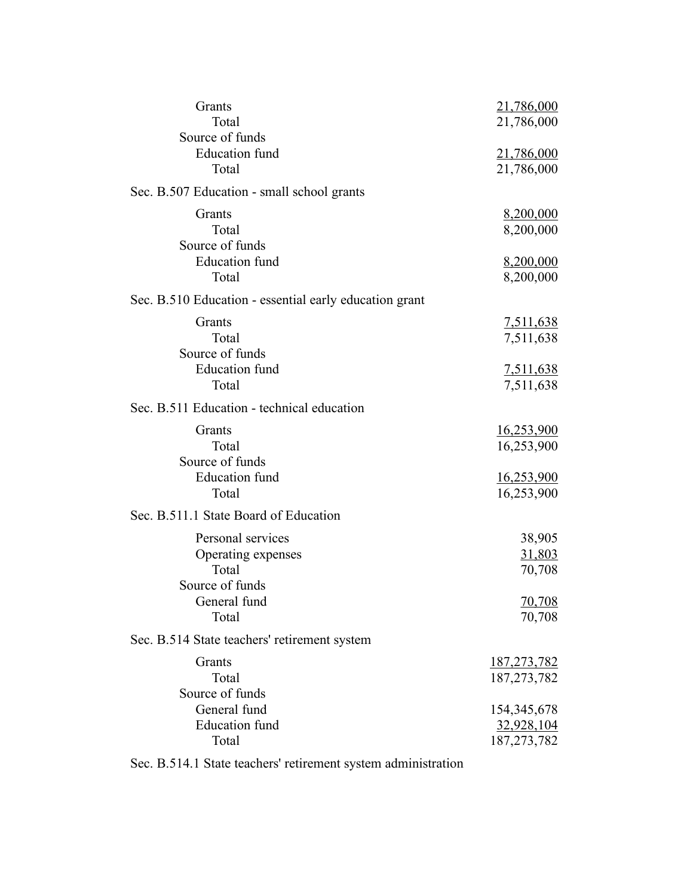| Grants<br>Total                                                                              | 21,786,000<br>21,786,000                                    |
|----------------------------------------------------------------------------------------------|-------------------------------------------------------------|
| Source of funds<br><b>Education</b> fund<br>Total                                            | <u>21,786,000</u><br>21,786,000                             |
| Sec. B.507 Education - small school grants                                                   |                                                             |
| Grants<br>Total<br>Source of funds                                                           | 8,200,000<br>8,200,000                                      |
| <b>Education</b> fund<br>Total                                                               | 8,200,000<br>8,200,000                                      |
| Sec. B.510 Education - essential early education grant                                       |                                                             |
| Grants<br>Total<br>Source of funds                                                           | 7,511,638<br>7,511,638                                      |
| <b>Education</b> fund<br>Total                                                               | <u>7,511,638</u><br>7,511,638                               |
| Sec. B.511 Education - technical education                                                   |                                                             |
| Grants<br>Total<br>Source of funds<br><b>Education</b> fund<br>Total                         | 16,253,900<br>16,253,900<br><u>16,253,900</u><br>16,253,900 |
| Sec. B.511.1 State Board of Education                                                        |                                                             |
| Personal services<br>Operating expenses<br>Total<br>Source of funds<br>General fund<br>Total | 38,905<br>31,803<br>70,708<br>70,708<br>70,708              |
| Sec. B.514 State teachers' retirement system                                                 |                                                             |
| Grants<br>Total<br>Source of funds                                                           | <u>187,273,782</u><br>187, 273, 782                         |
| General fund<br><b>Education</b> fund<br>Total                                               | 154,345,678<br>32,928,104<br>187, 273, 782                  |

Sec. B.514.1 State teachers' retirement system administration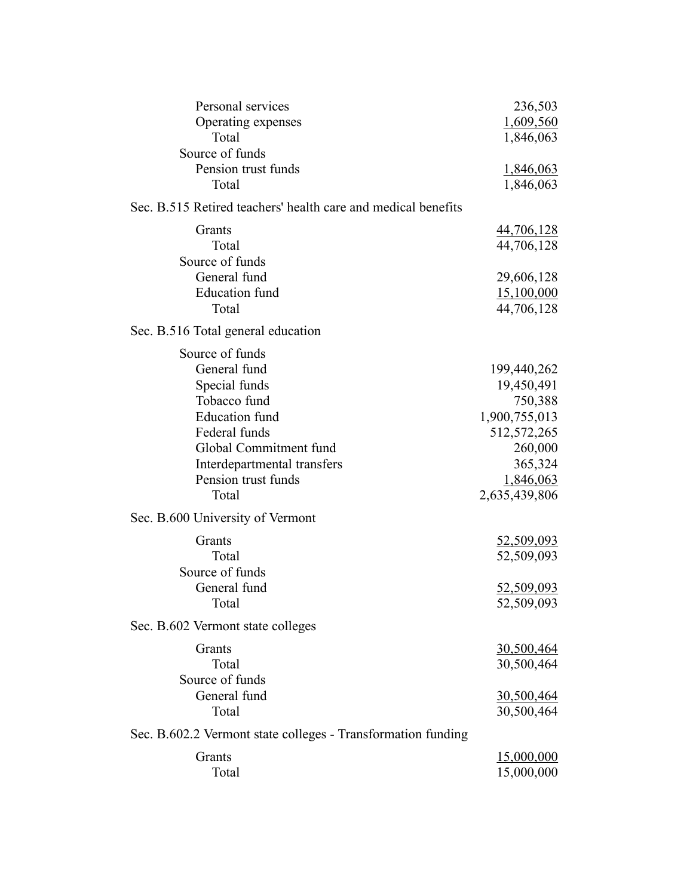| Personal services                                             | 236,503           |
|---------------------------------------------------------------|-------------------|
| Operating expenses                                            | 1,609,560         |
| Total                                                         | 1,846,063         |
| Source of funds                                               |                   |
| Pension trust funds                                           | <u>1,846,063</u>  |
| Total                                                         | 1,846,063         |
| Sec. B.515 Retired teachers' health care and medical benefits |                   |
| Grants                                                        | 44,706,128        |
| Total                                                         | 44,706,128        |
| Source of funds                                               |                   |
| General fund                                                  | 29,606,128        |
| <b>Education</b> fund                                         | 15,100,000        |
| Total                                                         | 44,706,128        |
| Sec. B.516 Total general education                            |                   |
| Source of funds                                               |                   |
| General fund                                                  | 199,440,262       |
| Special funds                                                 | 19,450,491        |
| Tobacco fund                                                  | 750,388           |
| <b>Education</b> fund                                         | 1,900,755,013     |
| Federal funds                                                 | 512, 572, 265     |
| Global Commitment fund                                        | 260,000           |
| Interdepartmental transfers                                   | 365,324           |
| Pension trust funds                                           | 1,846,063         |
| Total                                                         | 2,635,439,806     |
|                                                               |                   |
| Sec. B.600 University of Vermont                              |                   |
| Grants                                                        | 52,509,093        |
| Total                                                         | 52,509,093        |
| Source of funds                                               |                   |
| General fund                                                  | 52,509,093        |
| Total                                                         | 52,509,093        |
| Sec. B.602 Vermont state colleges                             |                   |
| Grants                                                        | <u>30,500,464</u> |
| Total                                                         | 30,500,464        |
| Source of funds                                               |                   |
| General fund                                                  | 30,500,464        |
| Total                                                         | 30,500,464        |
| Sec. B.602.2 Vermont state colleges - Transformation funding  |                   |
| Grants                                                        | <u>15,000,000</u> |
| Total                                                         | 15,000,000        |
|                                                               |                   |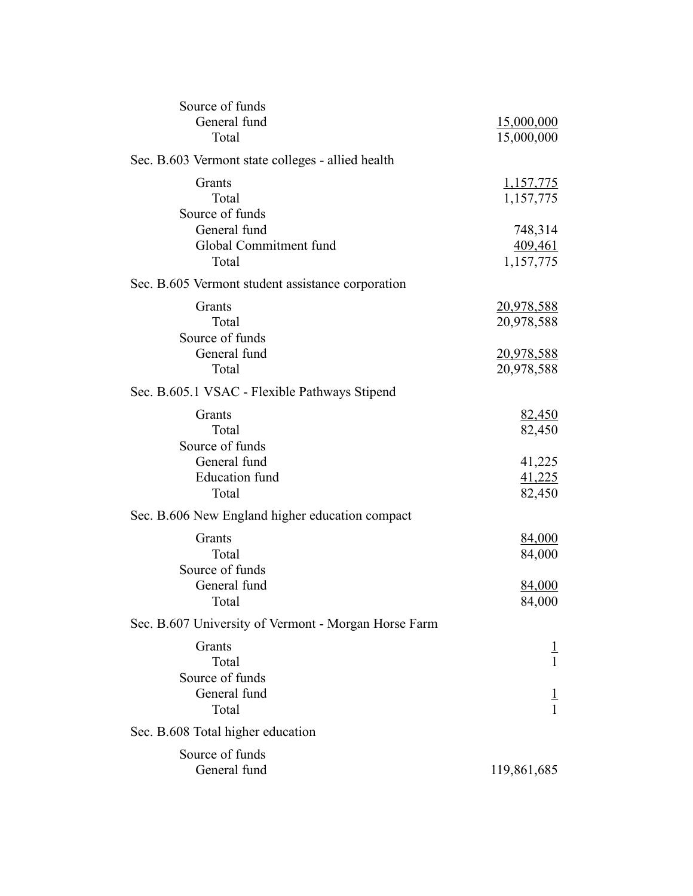| Source of funds                                      |                                |
|------------------------------------------------------|--------------------------------|
| General fund                                         | <u>15,000,000</u>              |
| Total                                                | 15,000,000                     |
| Sec. B.603 Vermont state colleges - allied health    |                                |
| Grants                                               | <u>1,157,775</u>               |
| Total                                                | 1,157,775                      |
| Source of funds                                      |                                |
| General fund                                         | 748,314                        |
| Global Commitment fund                               | 409,461                        |
| Total                                                | 1,157,775                      |
| Sec. B.605 Vermont student assistance corporation    |                                |
| Grants                                               | <u>20,978,588</u>              |
| Total                                                | 20,978,588                     |
| Source of funds                                      |                                |
| General fund                                         | <u>20,978,588</u>              |
| Total                                                | 20,978,588                     |
| Sec. B.605.1 VSAC - Flexible Pathways Stipend        |                                |
| Grants                                               | 82,450                         |
| Total                                                | 82,450                         |
| Source of funds                                      |                                |
| General fund                                         | 41,225                         |
| <b>Education</b> fund                                | 41,225                         |
| Total                                                | 82,450                         |
| Sec. B.606 New England higher education compact      |                                |
| Grants                                               | 84,000                         |
| Total                                                | 84,000                         |
| Source of funds                                      |                                |
| General fund                                         | 84,000                         |
| Total                                                | 84,000                         |
| Sec. B.607 University of Vermont - Morgan Horse Farm |                                |
| Grants                                               |                                |
| Total                                                | Ŧ<br>$\mathbf{1}$              |
| Source of funds                                      |                                |
| General fund                                         |                                |
| Total                                                | $\overline{1}$<br>$\mathbf{1}$ |
| Sec. B.608 Total higher education                    |                                |
| Source of funds                                      |                                |
| General fund                                         |                                |
|                                                      | 119,861,685                    |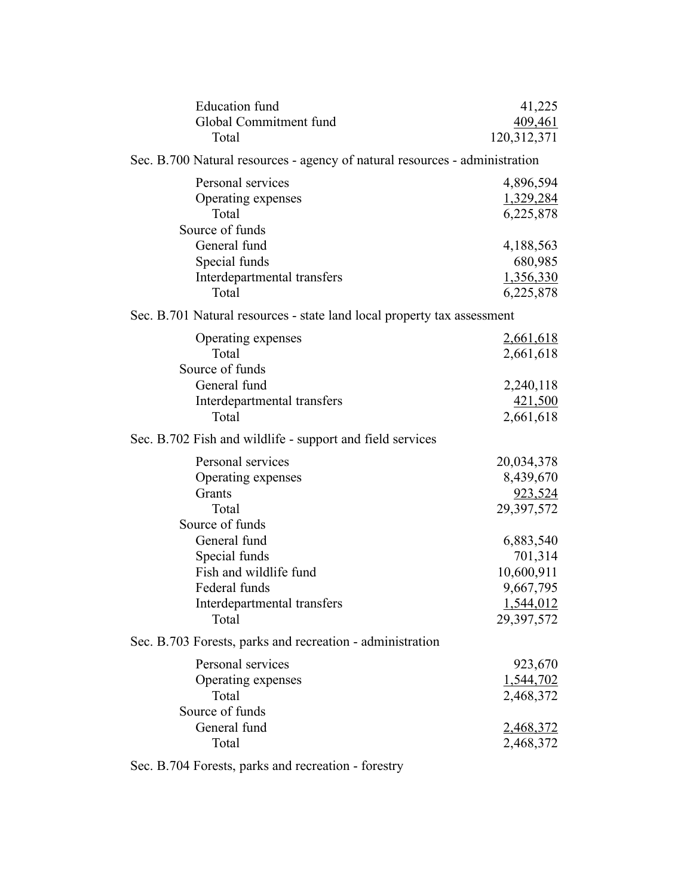| <b>Education</b> fund<br>Global Commitment fund<br>Total                                     | 41,225<br>409,461<br>120,312,371                            |
|----------------------------------------------------------------------------------------------|-------------------------------------------------------------|
| Sec. B.700 Natural resources - agency of natural resources - administration                  |                                                             |
| Personal services<br>Operating expenses<br>Total<br>Source of funds                          | 4,896,594<br>1,329,284<br>6,225,878                         |
| General fund<br>Special funds<br>Interdepartmental transfers<br>Total                        | 4,188,563<br>680,985<br>1,356,330<br>6,225,878              |
| Sec. B.701 Natural resources - state land local property tax assessment                      |                                                             |
| Operating expenses<br>Total<br>Source of funds                                               | <u>2,661,618</u><br>2,661,618                               |
| General fund<br>Interdepartmental transfers<br>Total                                         | 2,240,118<br>421,500<br>2,661,618                           |
| Sec. B.702 Fish and wildlife - support and field services                                    |                                                             |
| Personal services<br>Operating expenses<br>Grants<br>Total<br>Source of funds                | 20,034,378<br>8,439,670<br>923,524<br>29,397,572            |
| General fund<br>Special funds                                                                | 6,883,540<br>701,314                                        |
| Fish and wildlife fund<br>Federal funds<br>Interdepartmental transfers<br>Total              | 10,600,911<br>9,667,795<br>1,544,012<br>29,397,572          |
| Sec. B.703 Forests, parks and recreation - administration                                    |                                                             |
| Personal services<br>Operating expenses<br>Total<br>Source of funds<br>General fund<br>Total | 923,670<br>1,544,702<br>2,468,372<br>2,468,372<br>2,468,372 |
|                                                                                              |                                                             |

Sec. B.704 Forests, parks and recreation - forestry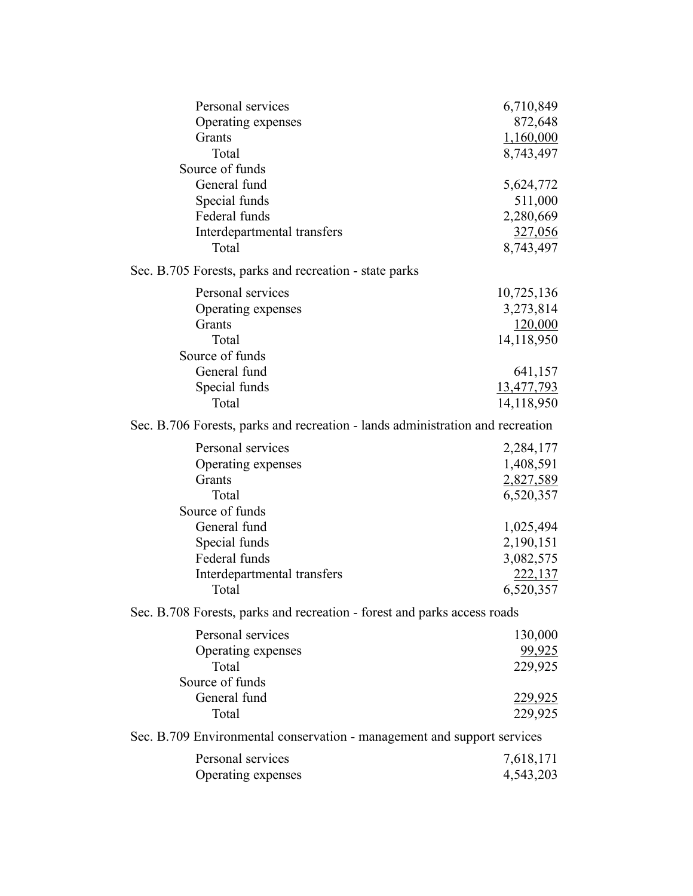| Personal services                                                              | 6,710,849      |
|--------------------------------------------------------------------------------|----------------|
| Operating expenses                                                             | 872,648        |
| Grants                                                                         | 1,160,000      |
| Total                                                                          | 8,743,497      |
| Source of funds                                                                |                |
| General fund                                                                   | 5,624,772      |
| Special funds                                                                  | 511,000        |
| Federal funds                                                                  | 2,280,669      |
| Interdepartmental transfers                                                    | <u>327,056</u> |
| Total                                                                          | 8,743,497      |
| Sec. B.705 Forests, parks and recreation - state parks                         |                |
| Personal services                                                              | 10,725,136     |
| Operating expenses                                                             | 3,273,814      |
| Grants                                                                         | 120,000        |
| Total                                                                          | 14,118,950     |
| Source of funds                                                                |                |
| General fund                                                                   | 641,157        |
| Special funds                                                                  | 13,477,793     |
| Total                                                                          | 14,118,950     |
| Sec. B.706 Forests, parks and recreation - lands administration and recreation |                |
| Personal services                                                              | 2,284,177      |
| Operating expenses                                                             | 1,408,591      |
| Grants                                                                         | 2,827,589      |
| Total                                                                          | 6,520,357      |
| Source of funds                                                                |                |
| General fund                                                                   | 1,025,494      |
| Special funds                                                                  | 2,190,151      |
| Federal funds                                                                  | 3,082,575      |
| Interdepartmental transfers                                                    | 222,137        |
| Total                                                                          | 6,520,357      |
| Sec. B.708 Forests, parks and recreation - forest and parks access roads       |                |
| Personal services                                                              | 130,000        |
| Operating expenses                                                             | 99,925         |
| Total                                                                          | 229,925        |
| Source of funds                                                                |                |
| General fund                                                                   | 229,925        |
| Total                                                                          | 229,925        |
| Sec. B.709 Environmental conservation - management and support services        |                |
| Personal services                                                              | 7,618,171      |
| Operating expenses                                                             | 4,543,203      |
|                                                                                |                |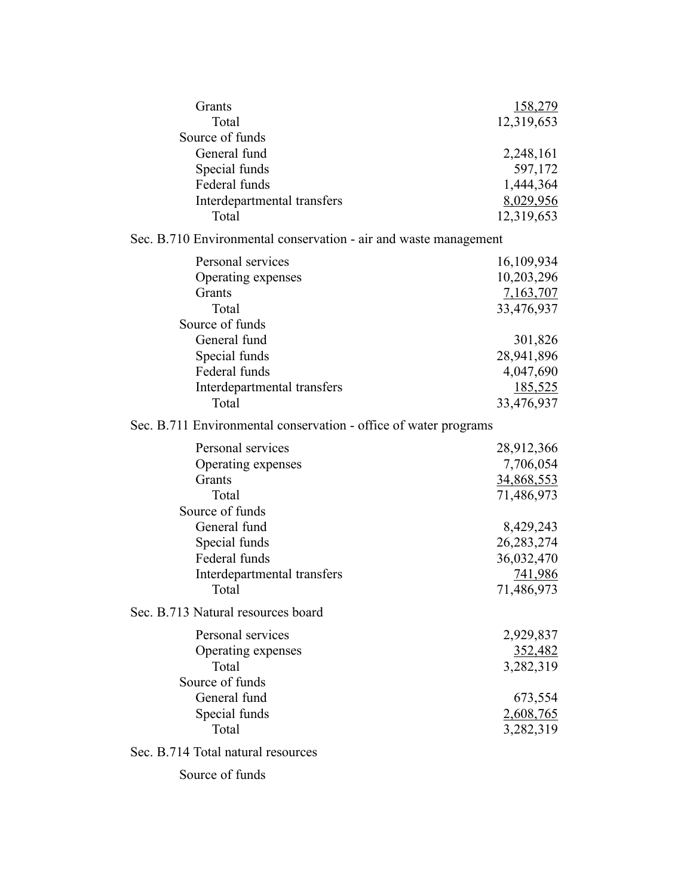| Grants<br>Total                                                  | 158,279<br>12,319,653 |
|------------------------------------------------------------------|-----------------------|
| Source of funds                                                  |                       |
| General fund                                                     | 2,248,161             |
| Special funds                                                    | 597,172               |
| Federal funds                                                    | 1,444,364             |
| Interdepartmental transfers                                      | 8,029,956             |
| Total                                                            | 12,319,653            |
| Sec. B.710 Environmental conservation - air and waste management |                       |
| Personal services                                                | 16,109,934            |
| Operating expenses                                               | 10,203,296            |
| Grants                                                           | 7,163,707             |
| Total                                                            | 33,476,937            |
| Source of funds                                                  |                       |
| General fund                                                     | 301,826               |
| Special funds                                                    | 28,941,896            |
| Federal funds                                                    | 4,047,690             |
| Interdepartmental transfers                                      | <u>185,525</u>        |
| Total                                                            | 33,476,937            |
| Sec. B.711 Environmental conservation - office of water programs |                       |
| Personal services                                                | 28,912,366            |
| Operating expenses                                               | 7,706,054             |
| Grants                                                           | 34,868,553            |
| Total                                                            | 71,486,973            |
| Source of funds                                                  |                       |
| General fund                                                     | 8,429,243             |
| Special funds                                                    | 26, 283, 274          |
| Federal funds                                                    | 36,032,470            |
| Interdepartmental transfers                                      | 741,986               |
| Total                                                            | 71,486,973            |
| Sec. B.713 Natural resources board                               |                       |
| Personal services                                                | 2,929,837             |
| Operating expenses                                               | 352,482               |
| Total                                                            | 3,282,319             |
| Source of funds                                                  |                       |
| General fund                                                     | 673,554               |
| Special funds                                                    | 2,608,765             |
| Total                                                            | 3,282,319             |
|                                                                  |                       |
| Sec. B.714 Total natural resources                               |                       |
| Source of funds                                                  |                       |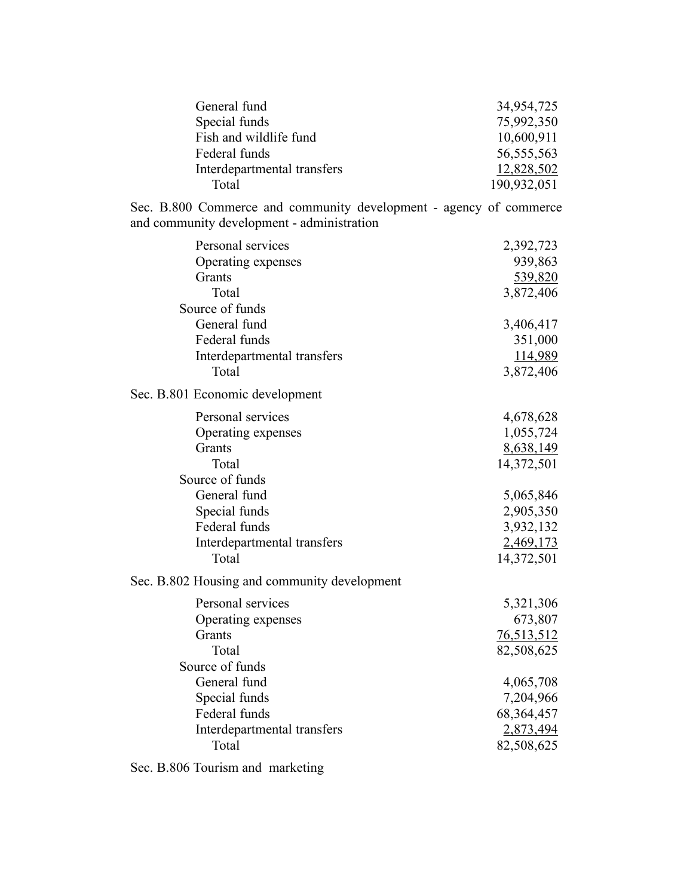| General fund                | 34,954,725   |
|-----------------------------|--------------|
| Special funds               | 75,992,350   |
| Fish and wildlife fund      | 10,600,911   |
| Federal funds               | 56, 555, 563 |
| Interdepartmental transfers | 12,828,502   |
| Total                       | 190,932,051  |

Sec. B.800 Commerce and community development - agency of commerce and community development - administration

| Personal services                            | 2,392,723    |
|----------------------------------------------|--------------|
| Operating expenses                           | 939,863      |
| Grants                                       | 539,820      |
| Total                                        | 3,872,406    |
| Source of funds                              |              |
| General fund                                 | 3,406,417    |
| Federal funds                                | 351,000      |
| Interdepartmental transfers                  | 114,989      |
| Total                                        | 3,872,406    |
| Sec. B.801 Economic development              |              |
| Personal services                            | 4,678,628    |
| Operating expenses                           | 1,055,724    |
| Grants                                       | 8,638,149    |
| Total                                        | 14,372,501   |
| Source of funds                              |              |
| General fund                                 | 5,065,846    |
| Special funds                                | 2,905,350    |
| Federal funds                                | 3,932,132    |
| Interdepartmental transfers                  | 2,469,173    |
| Total                                        | 14,372,501   |
| Sec. B.802 Housing and community development |              |
| Personal services                            | 5,321,306    |
| Operating expenses                           | 673,807      |
| Grants                                       | 76,513,512   |
| Total                                        | 82,508,625   |
| Source of funds                              |              |
| General fund                                 | 4,065,708    |
| Special funds                                | 7,204,966    |
| Federal funds                                | 68, 364, 457 |
| Interdepartmental transfers                  | 2,873,494    |
| Total                                        | 82,508,625   |
|                                              |              |

Sec. B.806 Tourism and marketing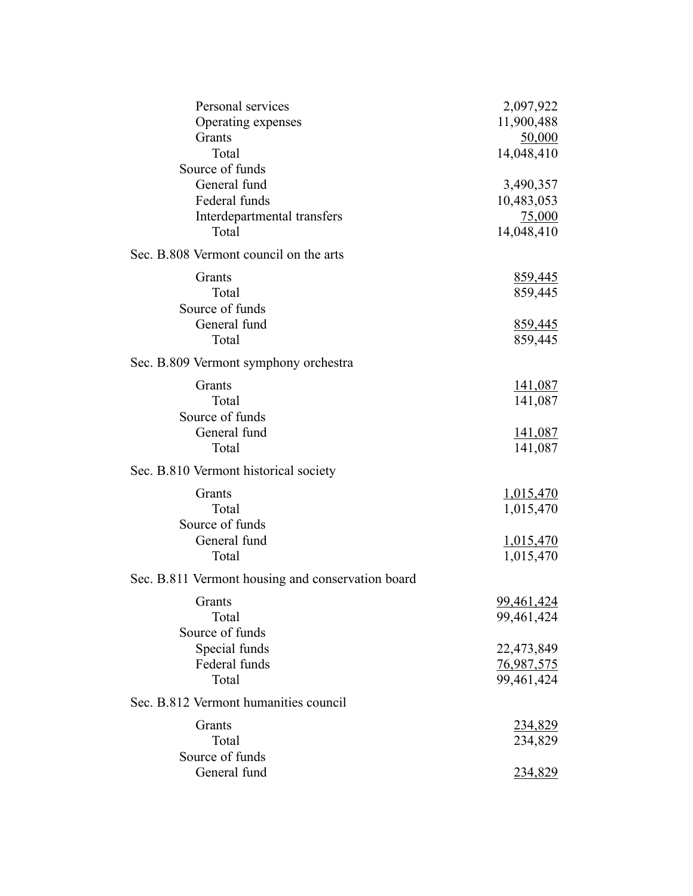| Personal services                                 | 2,097,922        |
|---------------------------------------------------|------------------|
| Operating expenses                                | 11,900,488       |
| Grants                                            | 50,000           |
| Total                                             | 14,048,410       |
| Source of funds                                   |                  |
| General fund                                      | 3,490,357        |
| Federal funds                                     | 10,483,053       |
| Interdepartmental transfers                       | 75,000           |
| Total                                             | 14,048,410       |
| Sec. B.808 Vermont council on the arts            |                  |
| Grants                                            | 859,445          |
| Total                                             | 859,445          |
| Source of funds                                   |                  |
| General fund                                      | 859,445          |
| Total                                             | 859,445          |
| Sec. B.809 Vermont symphony orchestra             |                  |
| Grants                                            | 141,087          |
| Total                                             | 141,087          |
| Source of funds                                   |                  |
| General fund                                      | 141,087          |
| Total                                             | 141,087          |
| Sec. B.810 Vermont historical society             |                  |
| Grants                                            | 1,015,470        |
| Total                                             | 1,015,470        |
| Source of funds                                   |                  |
| General fund                                      | <u>1,015,470</u> |
| Total                                             | 1,015,470        |
| Sec. B.811 Vermont housing and conservation board |                  |
| Grants                                            | 99,461,424       |
| Total                                             | 99,461,424       |
| Source of funds                                   |                  |
| Special funds                                     | 22,473,849       |
| Federal funds                                     | 76,987,575       |
| Total                                             | 99,461,424       |
| Sec. B.812 Vermont humanities council             |                  |
| Grants                                            | 234,829          |
| Total                                             | 234,829          |
| Source of funds                                   |                  |
| General fund                                      | <u>234,829</u>   |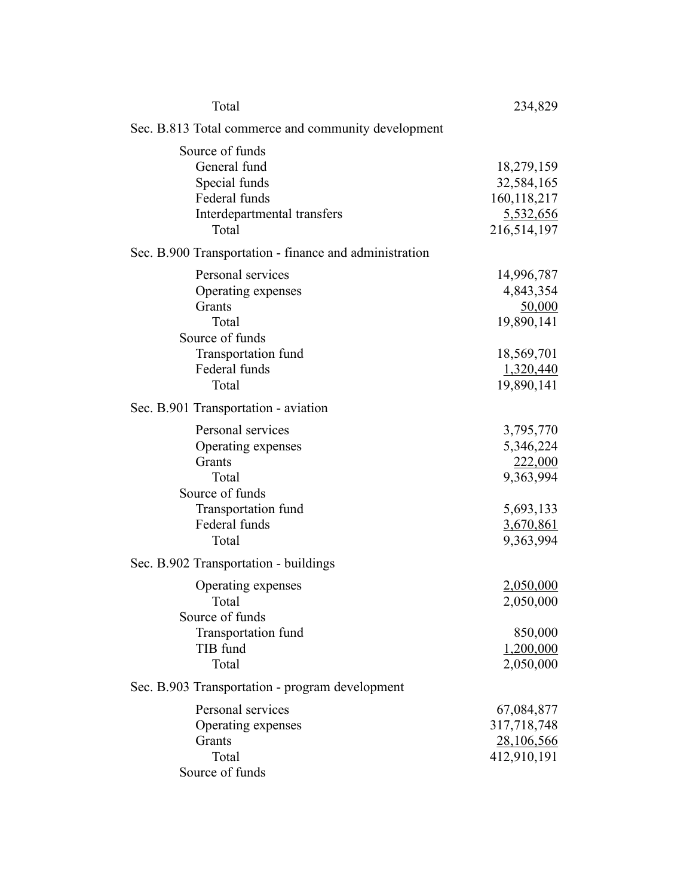| Total                                                                                                                          | 234,829                                                                                      |
|--------------------------------------------------------------------------------------------------------------------------------|----------------------------------------------------------------------------------------------|
| Sec. B.813 Total commerce and community development                                                                            |                                                                                              |
| Source of funds<br>General fund<br>Special funds<br>Federal funds<br>Interdepartmental transfers<br>Total                      | 18,279,159<br>32,584,165<br>160, 118, 217<br>5,532,656<br>216,514,197                        |
| Sec. B.900 Transportation - finance and administration                                                                         |                                                                                              |
| Personal services<br>Operating expenses<br>Grants<br>Total<br>Source of funds<br>Transportation fund<br>Federal funds<br>Total | 14,996,787<br>4,843,354<br>50,000<br>19,890,141<br>18,569,701<br>1,320,440<br>19,890,141     |
| Sec. B.901 Transportation - aviation                                                                                           |                                                                                              |
| Personal services<br>Operating expenses<br>Grants<br>Total<br>Source of funds<br>Transportation fund<br>Federal funds<br>Total | 3,795,770<br>5,346,224<br>222,000<br>9,363,994<br>5,693,133<br><u>3,670,861</u><br>9,363,994 |
| Sec. B.902 Transportation - buildings                                                                                          |                                                                                              |
| Operating expenses<br>Total<br>Source of funds                                                                                 | 2,050,000<br>2,050,000                                                                       |
| Transportation fund<br>TIB fund<br>Total                                                                                       | 850,000<br>1,200,000<br>2,050,000                                                            |
| Sec. B.903 Transportation - program development                                                                                |                                                                                              |
| Personal services<br>Operating expenses<br>Grants<br>Total<br>Source of funds                                                  | 67,084,877<br>317,718,748<br>28,106,566<br>412,910,191                                       |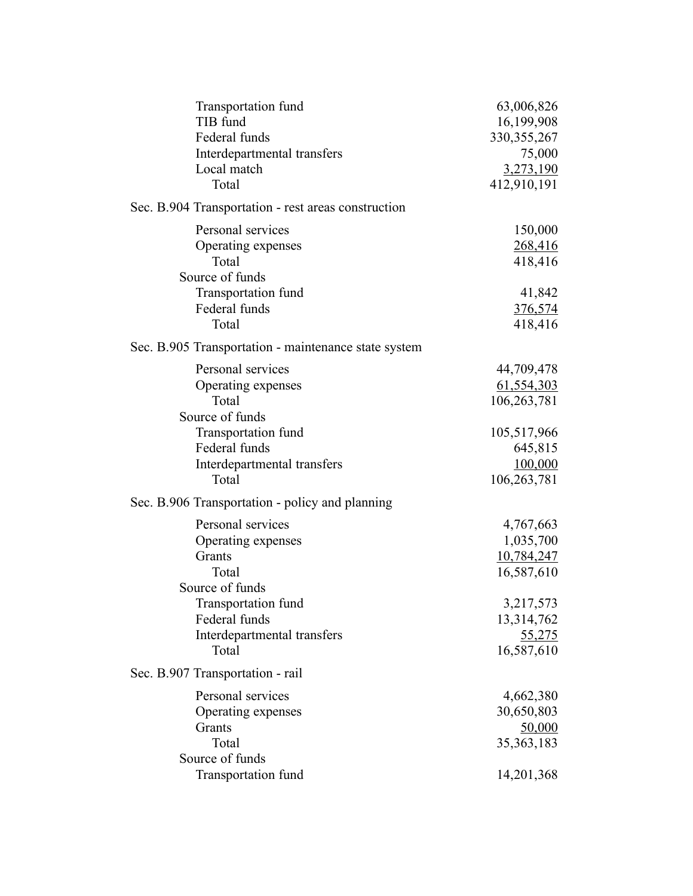| Transportation fund                                  | 63,006,826     |
|------------------------------------------------------|----------------|
| TIB fund                                             | 16,199,908     |
| Federal funds                                        | 330, 355, 267  |
| Interdepartmental transfers                          | 75,000         |
| Local match                                          | 3,273,190      |
| Total                                                | 412,910,191    |
| Sec. B.904 Transportation - rest areas construction  |                |
| Personal services                                    | 150,000        |
| Operating expenses                                   | 268,416        |
| Total                                                | 418,416        |
| Source of funds                                      |                |
| Transportation fund                                  | 41,842         |
| Federal funds                                        | <u>376,574</u> |
| Total                                                | 418,416        |
| Sec. B.905 Transportation - maintenance state system |                |
| Personal services                                    | 44,709,478     |
| Operating expenses                                   | 61,554,303     |
| Total                                                | 106,263,781    |
| Source of funds                                      |                |
| Transportation fund                                  | 105,517,966    |
| Federal funds                                        | 645,815        |
| Interdepartmental transfers                          | 100,000        |
| Total                                                | 106,263,781    |
| Sec. B.906 Transportation - policy and planning      |                |
| Personal services                                    | 4,767,663      |
| Operating expenses                                   | 1,035,700      |
| Grants                                               | 10,784,247     |
| Total                                                | 16,587,610     |
| Source of funds                                      |                |
| Transportation fund                                  | 3,217,573      |
| Federal funds                                        | 13,314,762     |
| Interdepartmental transfers                          | <u>55,275</u>  |
| Total                                                | 16,587,610     |
| Sec. B.907 Transportation - rail                     |                |
| Personal services                                    | 4,662,380      |
| Operating expenses                                   | 30,650,803     |
| Grants                                               | 50,000         |
| Total                                                | 35, 363, 183   |
| Source of funds                                      |                |
| Transportation fund                                  | 14,201,368     |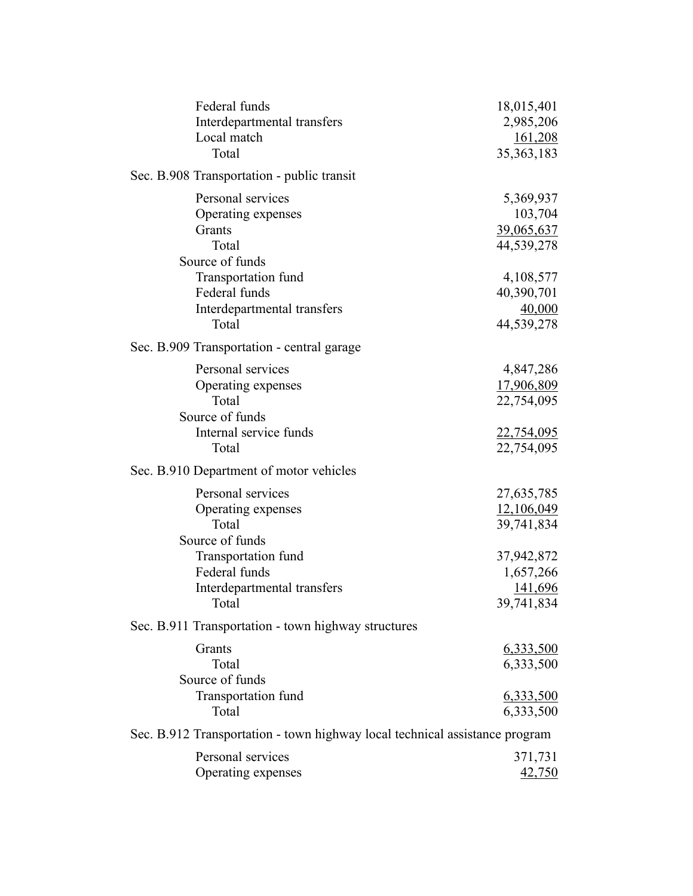| Federal funds                                                               | 18,015,401        |
|-----------------------------------------------------------------------------|-------------------|
| Interdepartmental transfers                                                 | 2,985,206         |
| Local match                                                                 | 161,208           |
| Total                                                                       | 35, 363, 183      |
| Sec. B.908 Transportation - public transit                                  |                   |
| Personal services                                                           | 5,369,937         |
| Operating expenses                                                          | 103,704           |
| Grants                                                                      | 39,065,637        |
| Total                                                                       | 44,539,278        |
| Source of funds                                                             |                   |
| Transportation fund                                                         | 4,108,577         |
| Federal funds                                                               | 40,390,701        |
| Interdepartmental transfers                                                 | 40,000            |
| Total                                                                       | 44,539,278        |
| Sec. B.909 Transportation - central garage                                  |                   |
| Personal services                                                           | 4,847,286         |
| Operating expenses                                                          | 17,906,809        |
| Total                                                                       | 22,754,095        |
| Source of funds                                                             |                   |
| Internal service funds                                                      | <u>22,754,095</u> |
| Total                                                                       | 22,754,095        |
| Sec. B.910 Department of motor vehicles                                     |                   |
| Personal services                                                           | 27,635,785        |
| Operating expenses                                                          | 12,106,049        |
| Total                                                                       | 39,741,834        |
| Source of funds                                                             |                   |
| Transportation fund                                                         | 37,942,872        |
| Federal funds                                                               | 1,657,266         |
| Interdepartmental transfers                                                 | <u>141,696</u>    |
| Total                                                                       | 39,741,834        |
| Sec. B.911 Transportation - town highway structures                         |                   |
| Grants                                                                      | 6,333,500         |
| Total                                                                       | 6,333,500         |
| Source of funds                                                             |                   |
| Transportation fund                                                         | 6,333,500         |
| Total                                                                       | 6,333,500         |
| Sec. B.912 Transportation - town highway local technical assistance program |                   |
| Personal services                                                           | 371,731           |
| Operating expenses                                                          | 42,750            |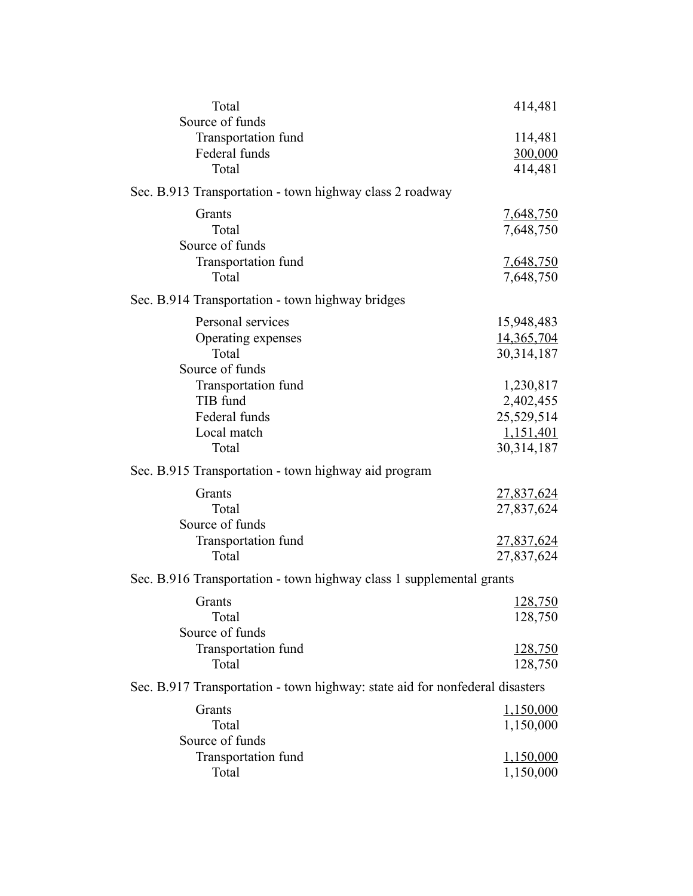| Total                                                                        | 414,481            |
|------------------------------------------------------------------------------|--------------------|
| Source of funds                                                              |                    |
| Transportation fund<br>Federal funds                                         | 114,481            |
| Total                                                                        | 300,000<br>414,481 |
|                                                                              |                    |
| Sec. B.913 Transportation - town highway class 2 roadway                     |                    |
| Grants                                                                       | 7,648,750          |
| Total                                                                        | 7,648,750          |
| Source of funds                                                              |                    |
| Transportation fund                                                          | <u>7,648,750</u>   |
| Total                                                                        | 7,648,750          |
| Sec. B.914 Transportation - town highway bridges                             |                    |
| Personal services                                                            | 15,948,483         |
| Operating expenses                                                           | 14,365,704         |
| Total                                                                        | 30,314,187         |
| Source of funds                                                              |                    |
| Transportation fund                                                          | 1,230,817          |
| TIB fund                                                                     | 2,402,455          |
| Federal funds                                                                | 25,529,514         |
| Local match                                                                  | 1,151,401          |
| Total                                                                        | 30, 314, 187       |
| Sec. B.915 Transportation - town highway aid program                         |                    |
| Grants                                                                       | <u>27,837,624</u>  |
| Total                                                                        | 27,837,624         |
| Source of funds                                                              |                    |
| Transportation fund                                                          | <u>27,837,624</u>  |
| Total                                                                        | 27,837,624         |
| Sec. B.916 Transportation - town highway class 1 supplemental grants         |                    |
| Grants                                                                       | 128,750            |
| Total                                                                        | 128,750            |
| Source of funds                                                              |                    |
| Transportation fund                                                          | <u>128,750</u>     |
| Total                                                                        | 128,750            |
| Sec. B.917 Transportation - town highway: state aid for nonfederal disasters |                    |
| Grants                                                                       | 1,150,000          |
| Total                                                                        | 1,150,000          |
| Source of funds                                                              |                    |
| Transportation fund                                                          | <u>1,150,000</u>   |
| Total                                                                        | 1,150,000          |
|                                                                              |                    |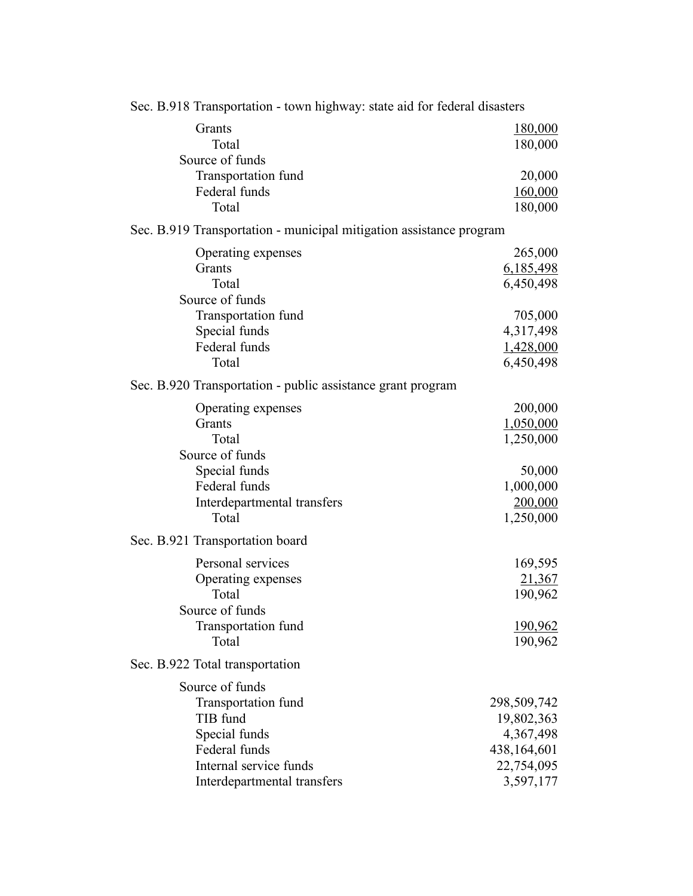| Sec. B.918 Transportation - town highway: state aid for federal disasters |                |  |
|---------------------------------------------------------------------------|----------------|--|
| Grants                                                                    | 180,000        |  |
| Total                                                                     | 180,000        |  |
| Source of funds                                                           |                |  |
| Transportation fund                                                       | 20,000         |  |
| Federal funds                                                             | 160,000        |  |
| Total                                                                     | 180,000        |  |
| Sec. B.919 Transportation - municipal mitigation assistance program       |                |  |
| Operating expenses                                                        | 265,000        |  |
| Grants                                                                    | 6,185,498      |  |
| Total                                                                     | 6,450,498      |  |
| Source of funds                                                           |                |  |
| Transportation fund                                                       | 705,000        |  |
| Special funds                                                             | 4,317,498      |  |
| Federal funds                                                             | 1,428,000      |  |
| Total                                                                     | 6,450,498      |  |
| Sec. B.920 Transportation - public assistance grant program               |                |  |
| Operating expenses                                                        | 200,000        |  |
| Grants                                                                    | 1,050,000      |  |
| Total                                                                     | 1,250,000      |  |
| Source of funds                                                           |                |  |
| Special funds                                                             | 50,000         |  |
| Federal funds                                                             | 1,000,000      |  |
| Interdepartmental transfers                                               | 200,000        |  |
| Total                                                                     | 1,250,000      |  |
| Sec. B.921 Transportation board                                           |                |  |
| Personal services                                                         | 169,595        |  |
| Operating expenses                                                        | 21,367         |  |
| Total                                                                     | 190,962        |  |
| Source of funds                                                           |                |  |
| Transportation fund                                                       | <u>190,962</u> |  |
| Total                                                                     | 190,962        |  |
| Sec. B.922 Total transportation                                           |                |  |
| Source of funds                                                           |                |  |
| Transportation fund                                                       | 298,509,742    |  |
| TIB fund                                                                  | 19,802,363     |  |
| Special funds                                                             | 4,367,498      |  |
| Federal funds                                                             | 438,164,601    |  |
| Internal service funds                                                    | 22,754,095     |  |
| Interdepartmental transfers                                               | 3,597,177      |  |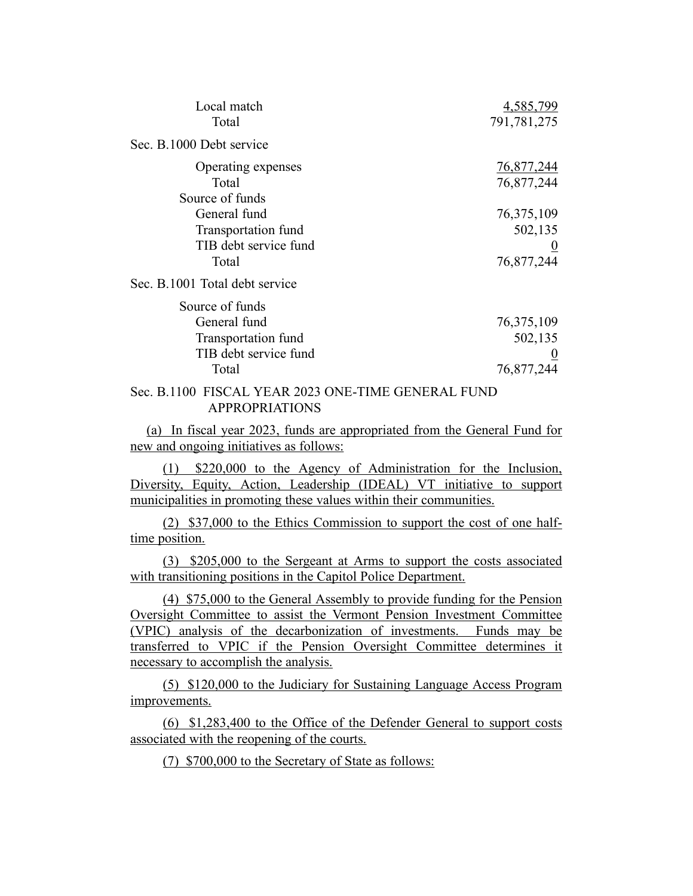| Local match<br>Total                                                                     | 4,585,799<br>791,781,275                          |
|------------------------------------------------------------------------------------------|---------------------------------------------------|
| Sec. B.1000 Debt service                                                                 |                                                   |
| Operating expenses<br>Total<br>Source of funds                                           | 76,877,244<br>76,877,244                          |
| General fund<br>Transportation fund<br>TIB debt service fund<br>Total                    | 76, 375, 109<br>502,135<br>76,877,244             |
| Sec. B.1001 Total debt service                                                           |                                                   |
| Source of funds<br>General fund<br>Transportation fund<br>TIB debt service fund<br>Total | 76, 375, 109<br>502,135<br>$\bf{0}$<br>76,877,244 |
| $C \cup T$ velope and $C \cup T$ and $C \cap T$ and $T \cap T$                           |                                                   |

### Sec. B.1100 FISCAL YEAR 2023 ONE-TIME GENERAL FUND APPROPRIATIONS

(a) In fiscal year 2023, funds are appropriated from the General Fund for new and ongoing initiatives as follows:

(1) \$220,000 to the Agency of Administration for the Inclusion, Diversity, Equity, Action, Leadership (IDEAL) VT initiative to support municipalities in promoting these values within their communities.

(2) \$37,000 to the Ethics Commission to support the cost of one halftime position.

(3) \$205,000 to the Sergeant at Arms to support the costs associated with transitioning positions in the Capitol Police Department.

(4) \$75,000 to the General Assembly to provide funding for the Pension Oversight Committee to assist the Vermont Pension Investment Committee (VPIC) analysis of the decarbonization of investments. Funds may be transferred to VPIC if the Pension Oversight Committee determines it necessary to accomplish the analysis.

(5) \$120,000 to the Judiciary for Sustaining Language Access Program improvements.

(6) \$1,283,400 to the Office of the Defender General to support costs associated with the reopening of the courts.

(7) \$700,000 to the Secretary of State as follows: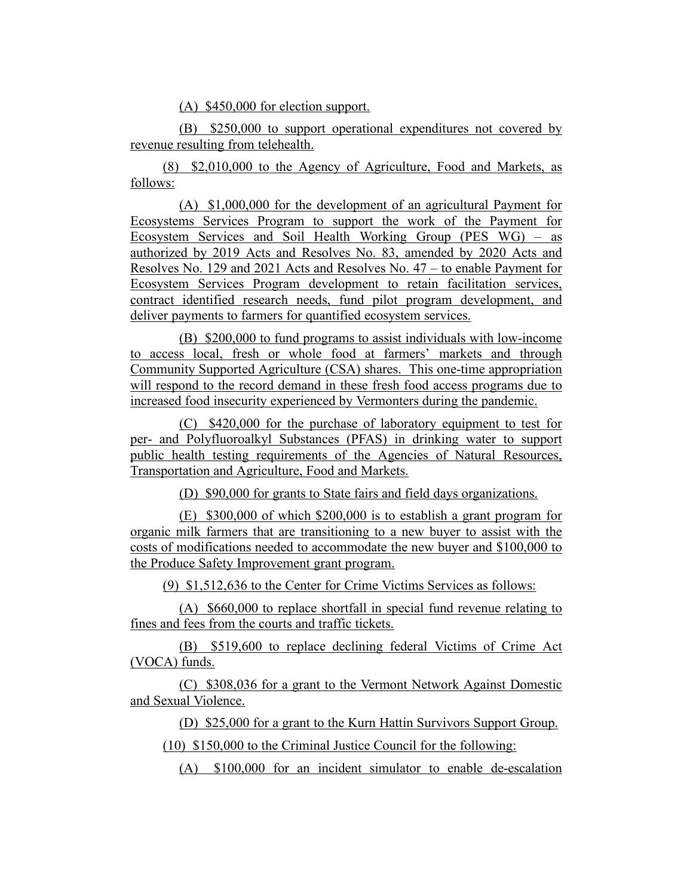(A) \$450,000 for election support.

(B) \$250,000 to support operational expenditures not covered by revenue resulting from telehealth.

(8) \$2,010,000 to the Agency of Agriculture, Food and Markets, as follows:

(A) \$1,000,000 for the development of an agricultural Payment for Ecosystems Services Program to support the work of the Payment for Ecosystem Services and Soil Health Working Group (PES WG) – as authorized by 2019 Acts and Resolves No. 83, amended by 2020 Acts and Resolves No. 129 and 2021 Acts and Resolves No. 47 – to enable Payment for Ecosystem Services Program development to retain facilitation services, contract identified research needs, fund pilot program development, and deliver payments to farmers for quantified ecosystem services.

(B) \$200,000 to fund programs to assist individuals with low-income to access local, fresh or whole food at farmers' markets and through Community Supported Agriculture (CSA) shares. This one-time appropriation will respond to the record demand in these fresh food access programs due to increased food insecurity experienced by Vermonters during the pandemic.

(C) \$420,000 for the purchase of laboratory equipment to test for per- and Polyfluoroalkyl Substances (PFAS) in drinking water to support public health testing requirements of the Agencies of Natural Resources, Transportation and Agriculture, Food and Markets.

(D) \$90,000 for grants to State fairs and field days organizations.

(E) \$300,000 of which \$200,000 is to establish a grant program for organic milk farmers that are transitioning to a new buyer to assist with the costs of modifications needed to accommodate the new buyer and \$100,000 to the Produce Safety Improvement grant program.

(9) \$1,512,636 to the Center for Crime Victims Services as follows:

(A) \$660,000 to replace shortfall in special fund revenue relating to fines and fees from the courts and traffic tickets.

(B) \$519,600 to replace declining federal Victims of Crime Act (VOCA) funds.

(C) \$308,036 for a grant to the Vermont Network Against Domestic and Sexual Violence.

(D) \$25,000 for a grant to the Kurn Hattin Survivors Support Group.

(10) \$150,000 to the Criminal Justice Council for the following:

(A) \$100,000 for an incident simulator to enable de-escalation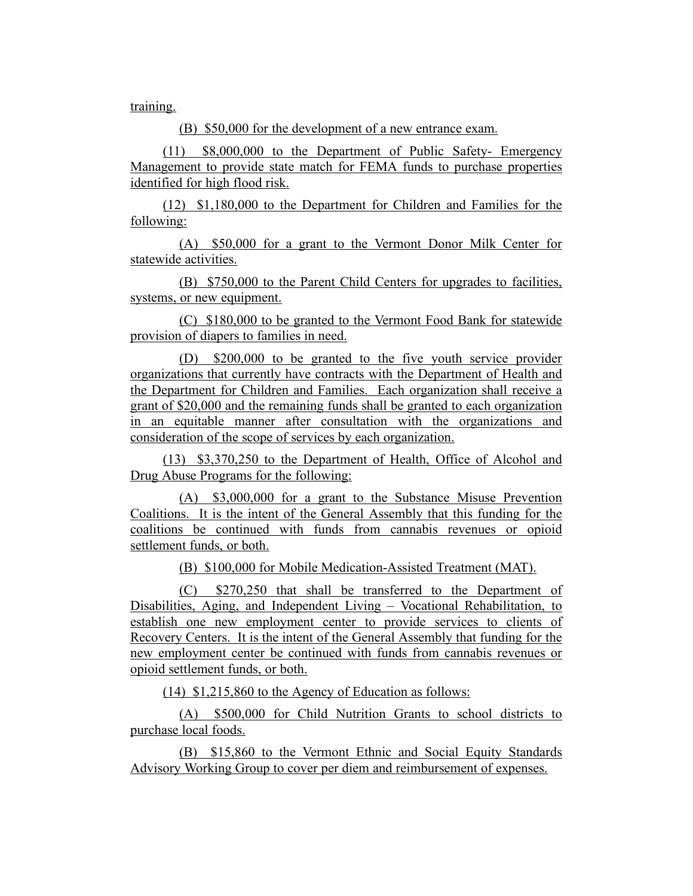training.

(B) \$50,000 for the development of a new entrance exam.

(11) \$8,000,000 to the Department of Public Safety- Emergency Management to provide state match for FEMA funds to purchase properties identified for high flood risk.

(12) \$1,180,000 to the Department for Children and Families for the following:

(A) \$50,000 for a grant to the Vermont Donor Milk Center for statewide activities.

(B) \$750,000 to the Parent Child Centers for upgrades to facilities, systems, or new equipment.

(C) \$180,000 to be granted to the Vermont Food Bank for statewide provision of diapers to families in need.

(D) \$200,000 to be granted to the five youth service provider organizations that currently have contracts with the Department of Health and the Department for Children and Families. Each organization shall receive a grant of \$20,000 and the remaining funds shall be granted to each organization in an equitable manner after consultation with the organizations and consideration of the scope of services by each organization.

(13) \$3,370,250 to the Department of Health, Office of Alcohol and Drug Abuse Programs for the following:

(A) \$3,000,000 for a grant to the Substance Misuse Prevention Coalitions. It is the intent of the General Assembly that this funding for the coalitions be continued with funds from cannabis revenues or opioid settlement funds, or both.

(B) \$100,000 for Mobile Medication-Assisted Treatment (MAT).

(C) \$270,250 that shall be transferred to the Department of Disabilities, Aging, and Independent Living – Vocational Rehabilitation, to establish one new employment center to provide services to clients of Recovery Centers. It is the intent of the General Assembly that funding for the new employment center be continued with funds from cannabis revenues or opioid settlement funds, or both.

(14) \$1,215,860 to the Agency of Education as follows:

(A) \$500,000 for Child Nutrition Grants to school districts to purchase local foods.

(B) \$15,860 to the Vermont Ethnic and Social Equity Standards Advisory Working Group to cover per diem and reimbursement of expenses.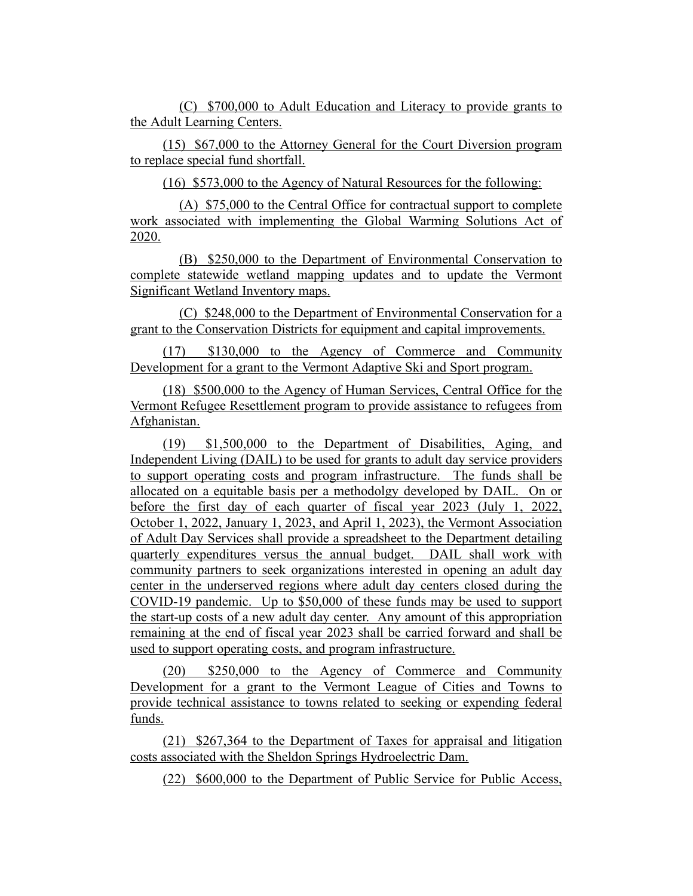(C) \$700,000 to Adult Education and Literacy to provide grants to the Adult Learning Centers.

(15) \$67,000 to the Attorney General for the Court Diversion program to replace special fund shortfall.

(16) \$573,000 to the Agency of Natural Resources for the following:

(A) \$75,000 to the Central Office for contractual support to complete work associated with implementing the Global Warming Solutions Act of 2020.

(B) \$250,000 to the Department of Environmental Conservation to complete statewide wetland mapping updates and to update the Vermont Significant Wetland Inventory maps.

(C) \$248,000 to the Department of Environmental Conservation for a grant to the Conservation Districts for equipment and capital improvements.

(17) \$130,000 to the Agency of Commerce and Community Development for a grant to the Vermont Adaptive Ski and Sport program.

(18) \$500,000 to the Agency of Human Services, Central Office for the Vermont Refugee Resettlement program to provide assistance to refugees from Afghanistan.

(19) \$1,500,000 to the Department of Disabilities, Aging, and Independent Living (DAIL) to be used for grants to adult day service providers to support operating costs and program infrastructure. The funds shall be allocated on a equitable basis per a methodolgy developed by DAIL. On or before the first day of each quarter of fiscal year 2023 (July 1, 2022, October 1, 2022, January 1, 2023, and April 1, 2023), the Vermont Association of Adult Day Services shall provide a spreadsheet to the Department detailing quarterly expenditures versus the annual budget. DAIL shall work with community partners to seek organizations interested in opening an adult day center in the underserved regions where adult day centers closed during the COVID-19 pandemic. Up to \$50,000 of these funds may be used to support the start-up costs of a new adult day center. Any amount of this appropriation remaining at the end of fiscal year 2023 shall be carried forward and shall be used to support operating costs, and program infrastructure.

(20) \$250,000 to the Agency of Commerce and Community Development for a grant to the Vermont League of Cities and Towns to provide technical assistance to towns related to seeking or expending federal funds.

(21) \$267,364 to the Department of Taxes for appraisal and litigation costs associated with the Sheldon Springs Hydroelectric Dam.

(22) \$600,000 to the Department of Public Service for Public Access,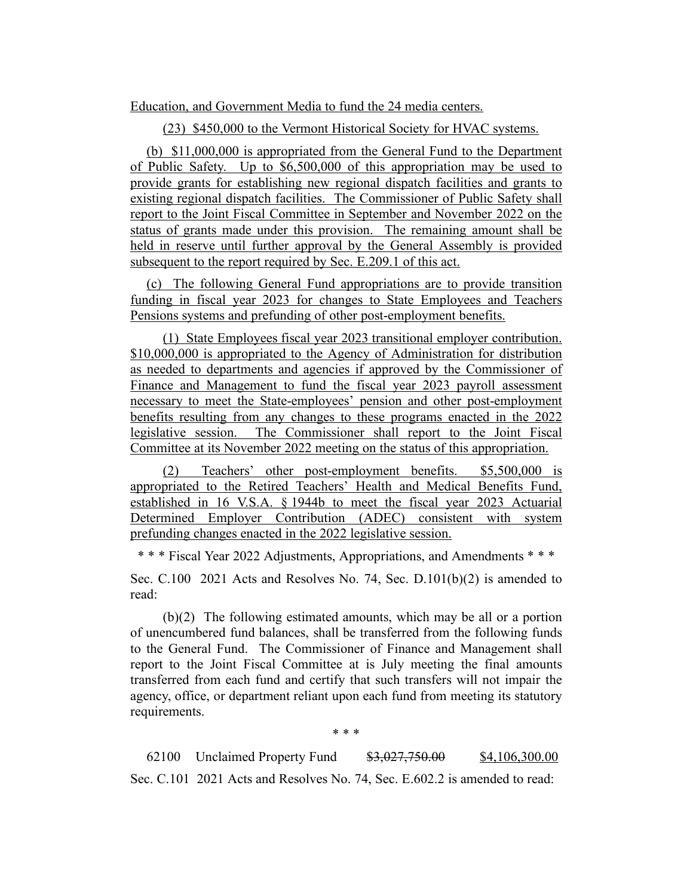Education, and Government Media to fund the 24 media centers.

(23) \$450,000 to the Vermont Historical Society for HVAC systems.

(b) \$11,000,000 is appropriated from the General Fund to the Department of Public Safety. Up to \$6,500,000 of this appropriation may be used to provide grants for establishing new regional dispatch facilities and grants to existing regional dispatch facilities. The Commissioner of Public Safety shall report to the Joint Fiscal Committee in September and November 2022 on the status of grants made under this provision. The remaining amount shall be held in reserve until further approval by the General Assembly is provided subsequent to the report required by Sec. E.209.1 of this act.

(c) The following General Fund appropriations are to provide transition funding in fiscal year 2023 for changes to State Employees and Teachers Pensions systems and prefunding of other post-employment benefits.

(1) State Employees fiscal year 2023 transitional employer contribution. \$10,000,000 is appropriated to the Agency of Administration for distribution as needed to departments and agencies if approved by the Commissioner of Finance and Management to fund the fiscal year 2023 payroll assessment necessary to meet the State-employees' pension and other post-employment benefits resulting from any changes to these programs enacted in the 2022 legislative session. The Commissioner shall report to the Joint Fiscal Committee at its November 2022 meeting on the status of this appropriation.

(2) Teachers' other post-employment benefits. \$5,500,000 is appropriated to the Retired Teachers' Health and Medical Benefits Fund, established in 16 V.S.A. § 1944b to meet the fiscal year 2023 Actuarial Determined Employer Contribution (ADEC) consistent with system prefunding changes enacted in the 2022 legislative session.

\* \* \* Fiscal Year 2022 Adjustments, Appropriations, and Amendments \* \* \*

Sec. C.100 2021 Acts and Resolves No. 74, Sec. D.101(b)(2) is amended to read:

(b)(2) The following estimated amounts, which may be all or a portion of unencumbered fund balances, shall be transferred from the following funds to the General Fund. The Commissioner of Finance and Management shall report to the Joint Fiscal Committee at is July meeting the final amounts transferred from each fund and certify that such transfers will not impair the agency, office, or department reliant upon each fund from meeting its statutory requirements.

\* \* \*

62100 Unclaimed Property Fund  $$3,027,750.00$  \$4,106,300.00 Sec. C.101 2021 Acts and Resolves No. 74, Sec. E.602.2 is amended to read: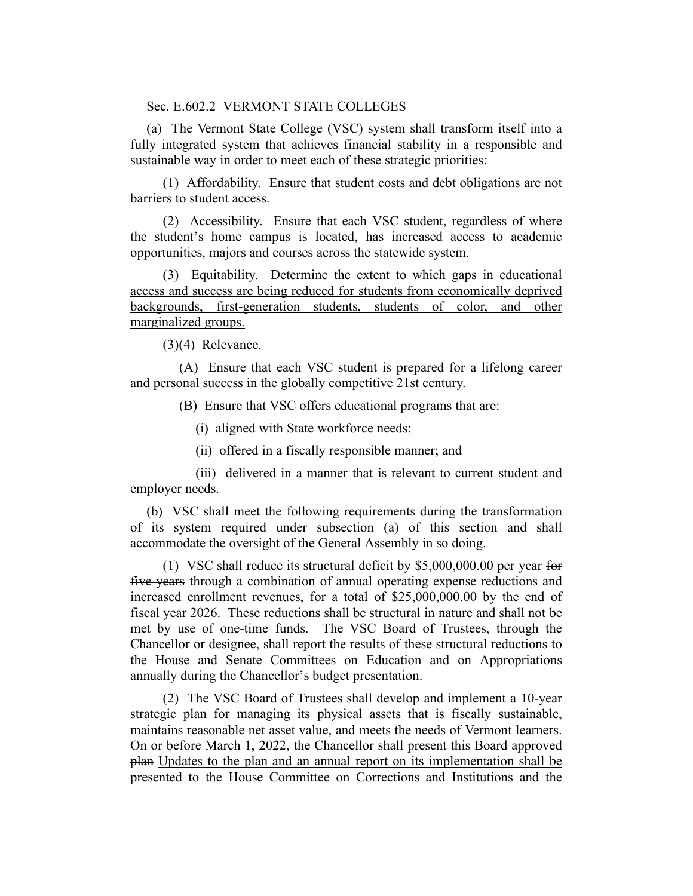Sec. E.602.2 VERMONT STATE COLLEGES

(a) The Vermont State College (VSC) system shall transform itself into a fully integrated system that achieves financial stability in a responsible and sustainable way in order to meet each of these strategic priorities:

(1) Affordability. Ensure that student costs and debt obligations are not barriers to student access.

(2) Accessibility. Ensure that each VSC student, regardless of where the student's home campus is located, has increased access to academic opportunities, majors and courses across the statewide system.

(3) Equitability. Determine the extent to which gaps in educational access and success are being reduced for students from economically deprived backgrounds, first-generation students, students of color, and other marginalized groups.

 $(3)(4)$  Relevance.

(A) Ensure that each VSC student is prepared for a lifelong career and personal success in the globally competitive 21st century.

(B) Ensure that VSC offers educational programs that are:

(i) aligned with State workforce needs;

(ii) offered in a fiscally responsible manner; and

(iii) delivered in a manner that is relevant to current student and employer needs.

(b) VSC shall meet the following requirements during the transformation of its system required under subsection (a) of this section and shall accommodate the oversight of the General Assembly in so doing.

(1) VSC shall reduce its structural deficit by \$5,000,000.00 per year for five years through a combination of annual operating expense reductions and increased enrollment revenues, for a total of \$25,000,000.00 by the end of fiscal year 2026. These reductions shall be structural in nature and shall not be met by use of one-time funds. The VSC Board of Trustees, through the Chancellor or designee, shall report the results of these structural reductions to the House and Senate Committees on Education and on Appropriations annually during the Chancellor's budget presentation.

(2) The VSC Board of Trustees shall develop and implement a 10-year strategic plan for managing its physical assets that is fiscally sustainable, maintains reasonable net asset value, and meets the needs of Vermont learners. On or before March 1, 2022, the Chancellor shall present this Board approved plan Updates to the plan and an annual report on its implementation shall be presented to the House Committee on Corrections and Institutions and the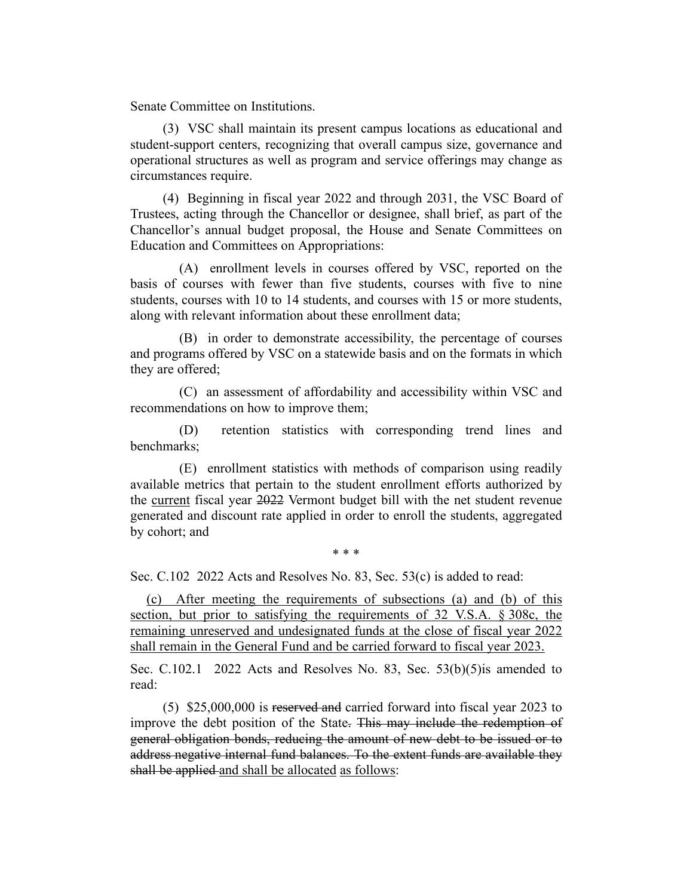Senate Committee on Institutions.

(3) VSC shall maintain its present campus locations as educational and student-support centers, recognizing that overall campus size, governance and operational structures as well as program and service offerings may change as circumstances require.

(4) Beginning in fiscal year 2022 and through 2031, the VSC Board of Trustees, acting through the Chancellor or designee, shall brief, as part of the Chancellor's annual budget proposal, the House and Senate Committees on Education and Committees on Appropriations:

(A) enrollment levels in courses offered by VSC, reported on the basis of courses with fewer than five students, courses with five to nine students, courses with 10 to 14 students, and courses with 15 or more students, along with relevant information about these enrollment data;

(B) in order to demonstrate accessibility, the percentage of courses and programs offered by VSC on a statewide basis and on the formats in which they are offered;

(C) an assessment of affordability and accessibility within VSC and recommendations on how to improve them;

(D) retention statistics with corresponding trend lines and benchmarks;

(E) enrollment statistics with methods of comparison using readily available metrics that pertain to the student enrollment efforts authorized by the current fiscal year 2022 Vermont budget bill with the net student revenue generated and discount rate applied in order to enroll the students, aggregated by cohort; and

\* \* \*

Sec. C.102 2022 Acts and Resolves No. 83, Sec. 53(c) is added to read:

(c) After meeting the requirements of subsections (a) and (b) of this section, but prior to satisfying the requirements of 32 V.S.A. § 308c, the remaining unreserved and undesignated funds at the close of fiscal year 2022 shall remain in the General Fund and be carried forward to fiscal year 2023.

Sec. C.102.1 2022 Acts and Resolves No. 83, Sec. 53(b)(5)is amended to read:

(5) \$25,000,000 is reserved and carried forward into fiscal year 2023 to improve the debt position of the State. This may include the redemption of general obligation bonds, reducing the amount of new debt to be issued or to address negative internal fund balances. To the extent funds are available they shall be applied and shall be allocated as follows: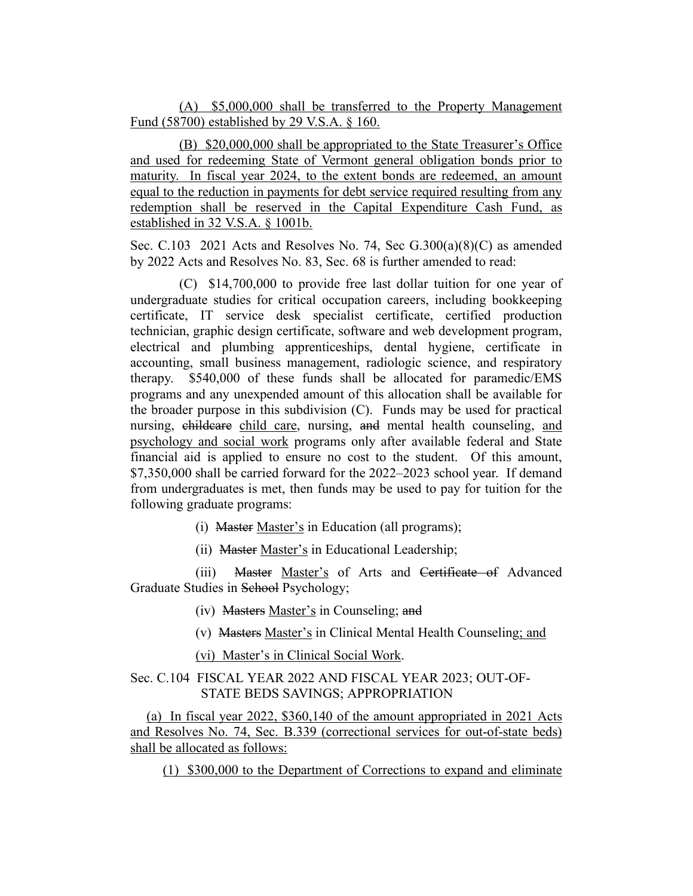(A) \$5,000,000 shall be transferred to the Property Management Fund (58700) established by 29 V.S.A. § 160.

(B) \$20,000,000 shall be appropriated to the State Treasurer's Office and used for redeeming State of Vermont general obligation bonds prior to maturity. In fiscal year 2024, to the extent bonds are redeemed, an amount equal to the reduction in payments for debt service required resulting from any redemption shall be reserved in the Capital Expenditure Cash Fund, as established in 32 V.S.A. § 1001b.

Sec. C.103 2021 Acts and Resolves No. 74, Sec G.300(a)(8)(C) as amended by 2022 Acts and Resolves No. 83, Sec. 68 is further amended to read:

(C) \$14,700,000 to provide free last dollar tuition for one year of undergraduate studies for critical occupation careers, including bookkeeping certificate, IT service desk specialist certificate, certified production technician, graphic design certificate, software and web development program, electrical and plumbing apprenticeships, dental hygiene, certificate in accounting, small business management, radiologic science, and respiratory therapy. \$540,000 of these funds shall be allocated for paramedic/EMS programs and any unexpended amount of this allocation shall be available for the broader purpose in this subdivision (C). Funds may be used for practical nursing, childcare child care, nursing, and mental health counseling, and psychology and social work programs only after available federal and State financial aid is applied to ensure no cost to the student. Of this amount, \$7,350,000 shall be carried forward for the 2022–2023 school year. If demand from undergraduates is met, then funds may be used to pay for tuition for the following graduate programs:

(i) Master Master's in Education (all programs);

(ii) Master Master's in Educational Leadership;

(iii) Master Master's of Arts and Certificate of Advanced Graduate Studies in School Psychology;

(iv) Masters Master's in Counseling; and

(v) Masters Master's in Clinical Mental Health Counseling; and

(vi) Master's in Clinical Social Work.

Sec. C.104 FISCAL YEAR 2022 AND FISCAL YEAR 2023; OUT-OF-STATE BEDS SAVINGS; APPROPRIATION

(a) In fiscal year 2022, \$360,140 of the amount appropriated in 2021 Acts and Resolves No. 74, Sec. B.339 (correctional services for out-of-state beds) shall be allocated as follows:

(1) \$300,000 to the Department of Corrections to expand and eliminate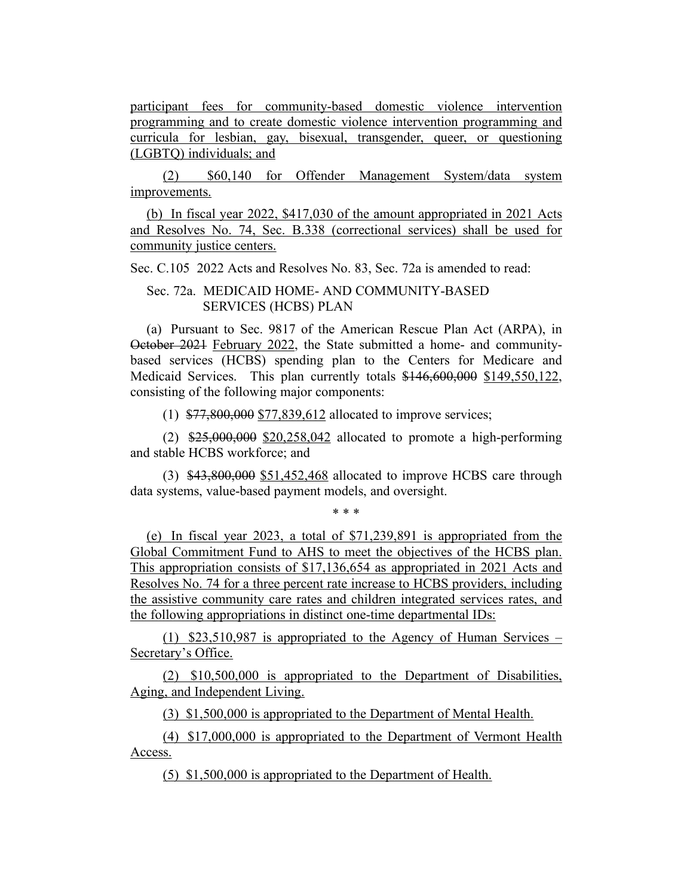participant fees for community-based domestic violence intervention programming and to create domestic violence intervention programming and curricula for lesbian, gay, bisexual, transgender, queer, or questioning (LGBTQ) individuals; and

(2) \$60,140 for Offender Management System/data system improvements.

(b) In fiscal year 2022, \$417,030 of the amount appropriated in 2021 Acts and Resolves No. 74, Sec. B.338 (correctional services) shall be used for community justice centers.

Sec. C.105 2022 Acts and Resolves No. 83, Sec. 72a is amended to read:

Sec. 72a. MEDICAID HOME- AND COMMUNITY-BASED SERVICES (HCBS) PLAN

(a) Pursuant to Sec. 9817 of the American Rescue Plan Act (ARPA), in October 2021 February 2022, the State submitted a home- and communitybased services (HCBS) spending plan to the Centers for Medicare and Medicaid Services. This plan currently totals \$146,600,000 \$149,550,122, consisting of the following major components:

(1) \$77,800,000 \$77,839,612 allocated to improve services;

(2) \$25,000,000 \$20,258,042 allocated to promote a high-performing and stable HCBS workforce; and

(3) \$43,800,000 \$51,452,468 allocated to improve HCBS care through data systems, value-based payment models, and oversight.

\* \* \*

(e) In fiscal year 2023, a total of \$71,239,891 is appropriated from the Global Commitment Fund to AHS to meet the objectives of the HCBS plan. This appropriation consists of \$17,136,654 as appropriated in 2021 Acts and Resolves No. 74 for a three percent rate increase to HCBS providers, including the assistive community care rates and children integrated services rates, and the following appropriations in distinct one-time departmental IDs:

(1) \$23,510,987 is appropriated to the Agency of Human Services – Secretary's Office.

(2) \$10,500,000 is appropriated to the Department of Disabilities, Aging, and Independent Living.

(3) \$1,500,000 is appropriated to the Department of Mental Health.

(4) \$17,000,000 is appropriated to the Department of Vermont Health Access.

(5) \$1,500,000 is appropriated to the Department of Health.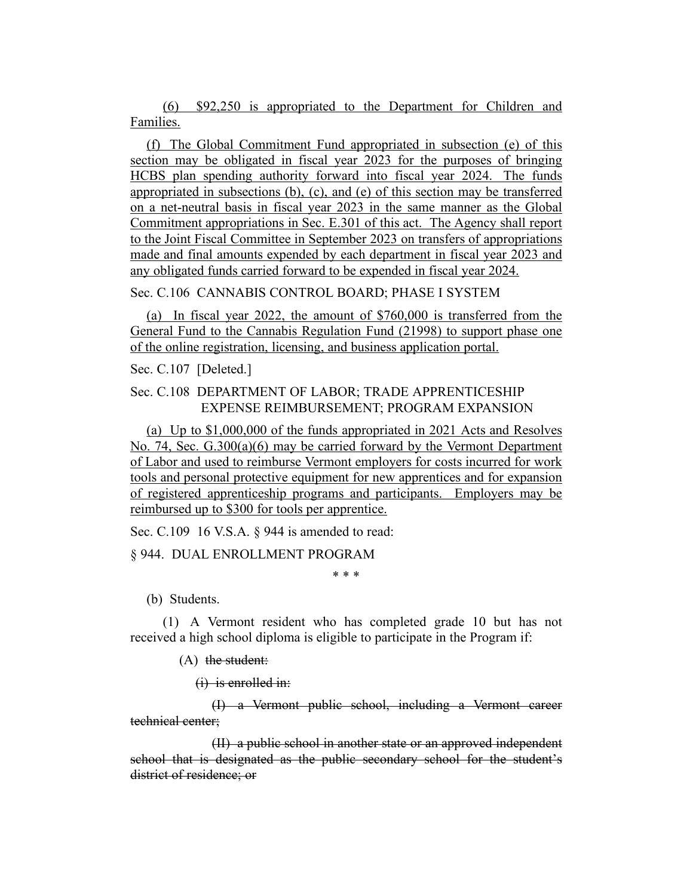(6) \$92,250 is appropriated to the Department for Children and Families.

(f) The Global Commitment Fund appropriated in subsection (e) of this section may be obligated in fiscal year 2023 for the purposes of bringing HCBS plan spending authority forward into fiscal year 2024. The funds appropriated in subsections (b), (c), and (e) of this section may be transferred on a net-neutral basis in fiscal year 2023 in the same manner as the Global Commitment appropriations in Sec. E.301 of this act. The Agency shall report to the Joint Fiscal Committee in September 2023 on transfers of appropriations made and final amounts expended by each department in fiscal year 2023 and any obligated funds carried forward to be expended in fiscal year 2024.

#### Sec. C.106 CANNABIS CONTROL BOARD; PHASE I SYSTEM

(a) In fiscal year 2022, the amount of \$760,000 is transferred from the General Fund to the Cannabis Regulation Fund (21998) to support phase one of the online registration, licensing, and business application portal.

Sec. C.107 [Deleted.]

# Sec. C.108 DEPARTMENT OF LABOR; TRADE APPRENTICESHIP EXPENSE REIMBURSEMENT; PROGRAM EXPANSION

(a) Up to \$1,000,000 of the funds appropriated in 2021 Acts and Resolves No. 74, Sec. G.300(a)(6) may be carried forward by the Vermont Department of Labor and used to reimburse Vermont employers for costs incurred for work tools and personal protective equipment for new apprentices and for expansion of registered apprenticeship programs and participants. Employers may be reimbursed up to \$300 for tools per apprentice.

Sec. C.109 16 V.S.A. § 944 is amended to read:

§ 944. DUAL ENROLLMENT PROGRAM

\* \* \*

(b) Students.

(1) A Vermont resident who has completed grade 10 but has not received a high school diploma is eligible to participate in the Program if:

 $(A)$  the student:

 $(i)$  is enrolled in:

(I) a Vermont public school, including a Vermont career technical center;

(II) a public school in another state or an approved independent school that is designated as the public secondary school for the student's district of residence; or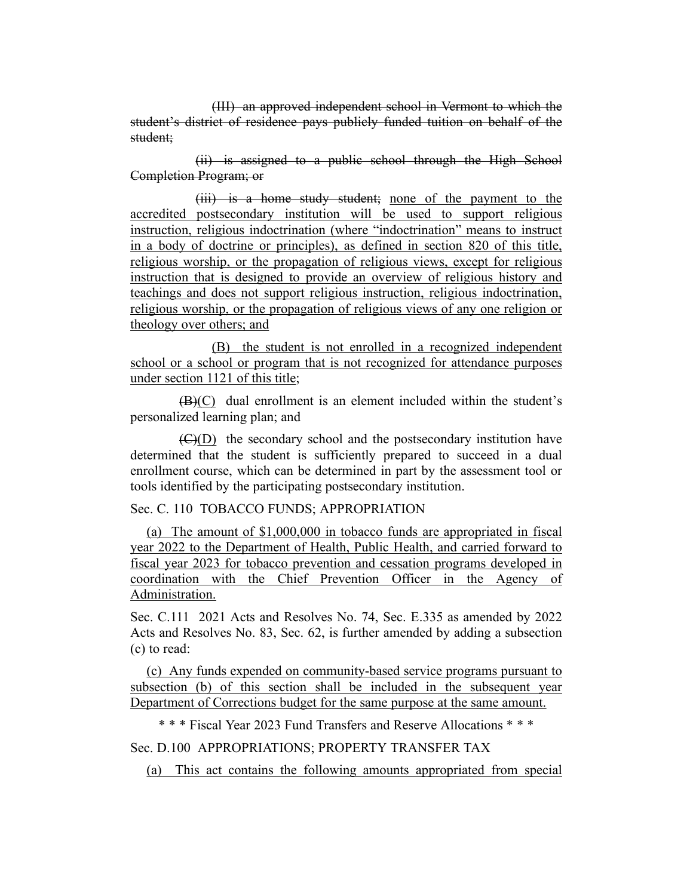(III) an approved independent school in Vermont to which the student's district of residence pays publicly funded tuition on behalf of the student;

(ii) is assigned to a public school through the High School Completion Program; or

(iii) is a home study student; none of the payment to the accredited postsecondary institution will be used to support religious instruction, religious indoctrination (where "indoctrination" means to instruct in a body of doctrine or principles), as defined in section 820 of this title, religious worship, or the propagation of religious views, except for religious instruction that is designed to provide an overview of religious history and teachings and does not support religious instruction, religious indoctrination, religious worship, or the propagation of religious views of any one religion or theology over others; and

(B) the student is not enrolled in a recognized independent school or a school or program that is not recognized for attendance purposes under section 1121 of this title;

(B)(C) dual enrollment is an element included within the student's personalized learning plan; and

(C)(D) the secondary school and the postsecondary institution have determined that the student is sufficiently prepared to succeed in a dual enrollment course, which can be determined in part by the assessment tool or tools identified by the participating postsecondary institution.

#### Sec. C. 110 TOBACCO FUNDS; APPROPRIATION

(a) The amount of \$1,000,000 in tobacco funds are appropriated in fiscal year 2022 to the Department of Health, Public Health, and carried forward to fiscal year 2023 for tobacco prevention and cessation programs developed in coordination with the Chief Prevention Officer in the Agency of Administration.

Sec. C.111 2021 Acts and Resolves No. 74, Sec. E.335 as amended by 2022 Acts and Resolves No. 83, Sec. 62, is further amended by adding a subsection (c) to read:

(c) Any funds expended on community-based service programs pursuant to subsection (b) of this section shall be included in the subsequent year Department of Corrections budget for the same purpose at the same amount.

\* \* \* Fiscal Year 2023 Fund Transfers and Reserve Allocations \* \* \*

# Sec. D.100 APPROPRIATIONS; PROPERTY TRANSFER TAX

(a) This act contains the following amounts appropriated from special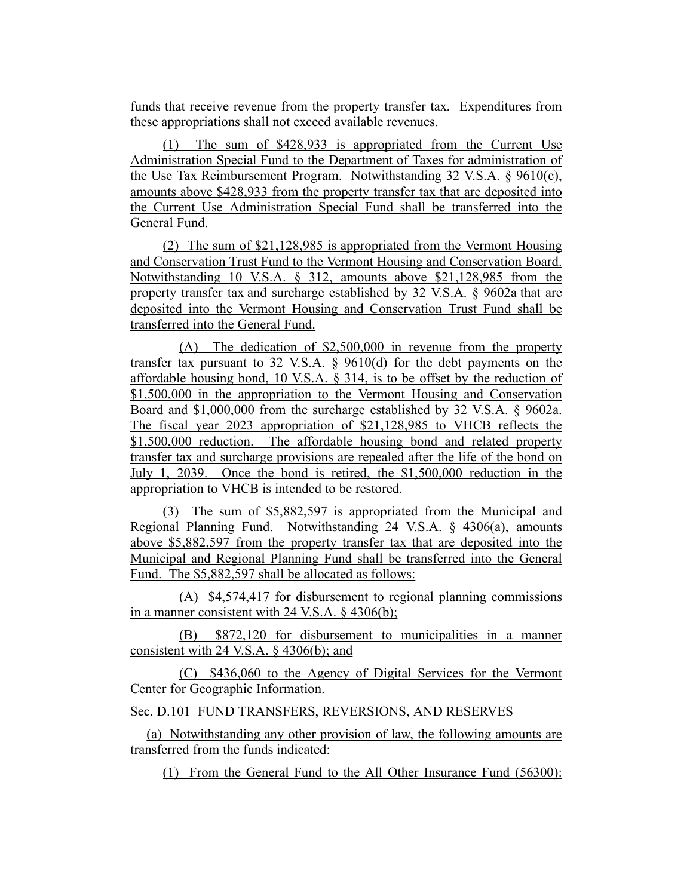funds that receive revenue from the property transfer tax. Expenditures from these appropriations shall not exceed available revenues.

(1) The sum of \$428,933 is appropriated from the Current Use Administration Special Fund to the Department of Taxes for administration of the Use Tax Reimbursement Program. Notwithstanding 32 V.S.A. § 9610(c), amounts above \$428,933 from the property transfer tax that are deposited into the Current Use Administration Special Fund shall be transferred into the General Fund.

(2) The sum of \$21,128,985 is appropriated from the Vermont Housing and Conservation Trust Fund to the Vermont Housing and Conservation Board. Notwithstanding 10 V.S.A. § 312, amounts above \$21,128,985 from the property transfer tax and surcharge established by 32 V.S.A. § 9602a that are deposited into the Vermont Housing and Conservation Trust Fund shall be transferred into the General Fund.

(A) The dedication of \$2,500,000 in revenue from the property transfer tax pursuant to 32 V.S.A. § 9610(d) for the debt payments on the affordable housing bond, 10 V.S.A. § 314, is to be offset by the reduction of \$1,500,000 in the appropriation to the Vermont Housing and Conservation Board and \$1,000,000 from the surcharge established by 32 V.S.A. § 9602a. The fiscal year 2023 appropriation of \$21,128,985 to VHCB reflects the \$1,500,000 reduction. The affordable housing bond and related property transfer tax and surcharge provisions are repealed after the life of the bond on July 1, 2039. Once the bond is retired, the \$1,500,000 reduction in the appropriation to VHCB is intended to be restored.

(3) The sum of \$5,882,597 is appropriated from the Municipal and Regional Planning Fund. Notwithstanding 24 V.S.A. § 4306(a), amounts above \$5,882,597 from the property transfer tax that are deposited into the Municipal and Regional Planning Fund shall be transferred into the General Fund. The \$5,882,597 shall be allocated as follows:

(A) \$4,574,417 for disbursement to regional planning commissions in a manner consistent with 24 V.S.A. § 4306(b);

(B) \$872,120 for disbursement to municipalities in a manner consistent with 24 V.S.A. § 4306(b); and

(C) \$436,060 to the Agency of Digital Services for the Vermont Center for Geographic Information.

Sec. D.101 FUND TRANSFERS, REVERSIONS, AND RESERVES

(a) Notwithstanding any other provision of law, the following amounts are transferred from the funds indicated:

(1) From the General Fund to the All Other Insurance Fund (56300):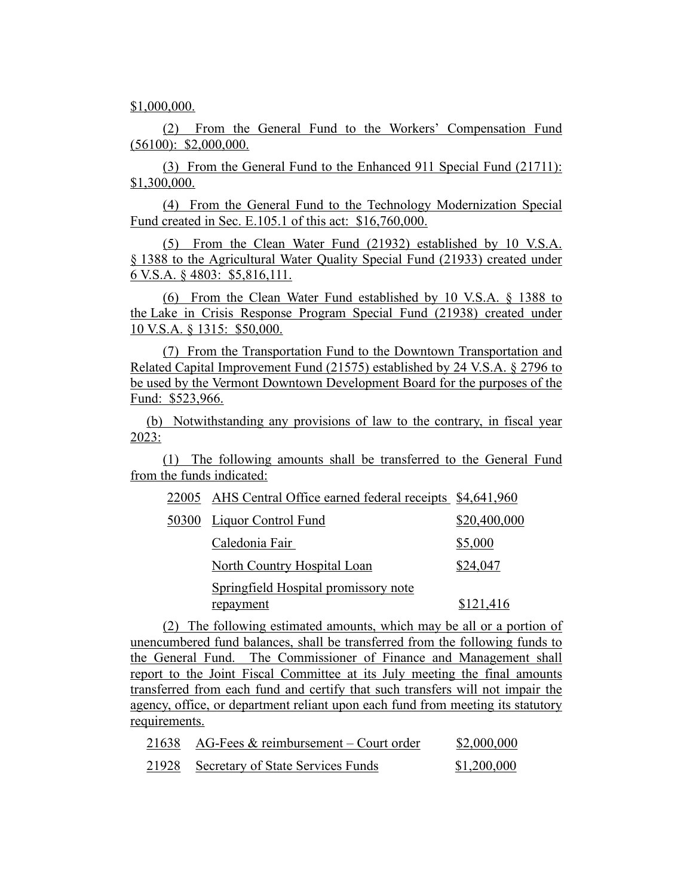\$1,000,000.

(2) From the General Fund to the Workers' Compensation Fund (56100): \$2,000,000.

(3) From the General Fund to the Enhanced 911 Special Fund (21711): \$1,300,000.

(4) From the General Fund to the Technology Modernization Special Fund created in Sec. E.105.1 of this act: \$16,760,000.

(5) From the Clean Water Fund (21932) established by 10 V.S.A. § 1388 to the Agricultural Water Quality Special Fund (21933) created under 6 V.S.A. § 4803: \$5,816,111.

(6) From the Clean Water Fund established by 10 V.S.A. § 1388 to the Lake in Crisis Response Program Special Fund (21938) created under 10 V.S.A. § 1315: \$50,000.

(7) From the Transportation Fund to the Downtown Transportation and Related Capital Improvement Fund (21575) established by 24 V.S.A. § 2796 to be used by the Vermont Downtown Development Board for the purposes of the Fund: \$523,966.

(b) Notwithstanding any provisions of law to the contrary, in fiscal year 2023:

(1) The following amounts shall be transferred to the General Fund from the funds indicated:

22005 AHS Central Office earned federal receipts \$4,641,960

| $22000$ THIS Central Office earlied redefial receipts $\phi$ is $0.11,000$ |              |
|----------------------------------------------------------------------------|--------------|
| 50300 Liquor Control Fund                                                  | \$20,400,000 |
| Caledonia Fair                                                             | \$5,000      |
| North Country Hospital Loan                                                | \$24,047     |
| Springfield Hospital promissory note                                       |              |
| repayment                                                                  | \$121,416    |

(2) The following estimated amounts, which may be all or a portion of unencumbered fund balances, shall be transferred from the following funds to the General Fund. The Commissioner of Finance and Management shall report to the Joint Fiscal Committee at its July meeting the final amounts transferred from each fund and certify that such transfers will not impair the agency, office, or department reliant upon each fund from meeting its statutory requirements.

| 21638 AG-Fees $&$ reimbursement – Court order | \$2,000,000 |
|-----------------------------------------------|-------------|
| 21928 Secretary of State Services Funds       | \$1,200,000 |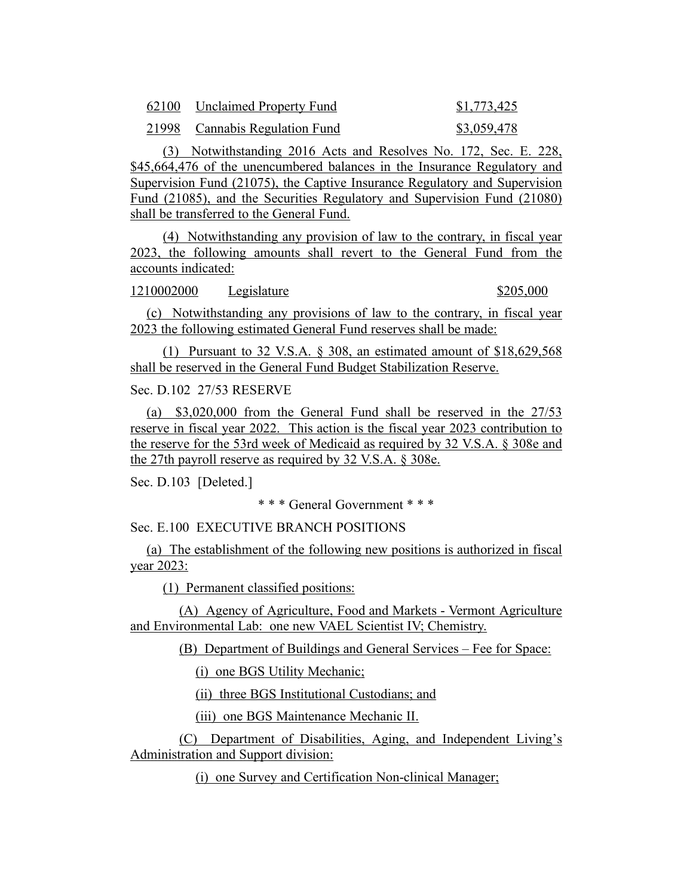| 62100 | <b>Unclaimed Property Fund</b> | \$1,773,425 |
|-------|--------------------------------|-------------|
|       | 21998 Cannabis Regulation Fund | \$3,059,478 |

(3) Notwithstanding 2016 Acts and Resolves No. 172, Sec. E. 228, \$45,664,476 of the unencumbered balances in the Insurance Regulatory and Supervision Fund (21075), the Captive Insurance Regulatory and Supervision Fund (21085), and the Securities Regulatory and Supervision Fund (21080) shall be transferred to the General Fund.

(4) Notwithstanding any provision of law to the contrary, in fiscal year 2023, the following amounts shall revert to the General Fund from the accounts indicated:

1210002000 Legislature \$205,000

(c) Notwithstanding any provisions of law to the contrary, in fiscal year 2023 the following estimated General Fund reserves shall be made:

(1) Pursuant to 32 V.S.A. § 308, an estimated amount of \$18,629,568 shall be reserved in the General Fund Budget Stabilization Reserve.

Sec. D.102 27/53 RESERVE

(a) \$3,020,000 from the General Fund shall be reserved in the 27/53 reserve in fiscal year 2022. This action is the fiscal year 2023 contribution to the reserve for the 53rd week of Medicaid as required by 32 V.S.A. § 308e and the 27th payroll reserve as required by 32 V.S.A. § 308e.

Sec. D.103 [Deleted.]

\* \* \* General Government \* \* \*

Sec. E.100 EXECUTIVE BRANCH POSITIONS

(a) The establishment of the following new positions is authorized in fiscal year 2023:

(1) Permanent classified positions:

(A) Agency of Agriculture, Food and Markets - Vermont Agriculture and Environmental Lab: one new VAEL Scientist IV; Chemistry.

(B) Department of Buildings and General Services – Fee for Space:

(i) one BGS Utility Mechanic;

(ii) three BGS Institutional Custodians; and

(iii) one BGS Maintenance Mechanic II.

(C) Department of Disabilities, Aging, and Independent Living's Administration and Support division:

(i) one Survey and Certification Non-clinical Manager;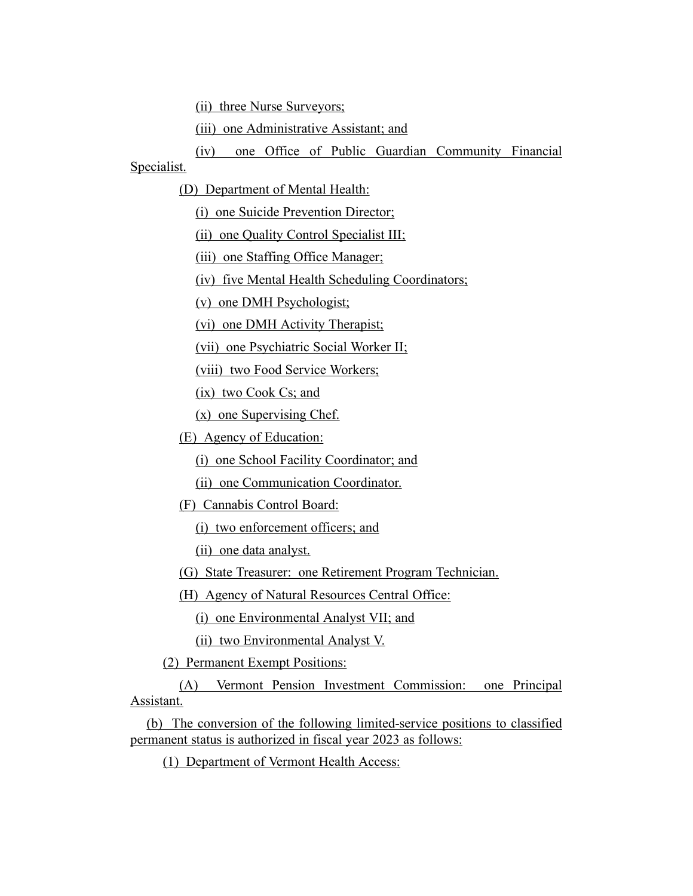(ii) three Nurse Surveyors;

(iii) one Administrative Assistant; and

(iv) one Office of Public Guardian Community Financial

Specialist.

(D) Department of Mental Health:

(i) one Suicide Prevention Director;

(ii) one Quality Control Specialist III;

(iii) one Staffing Office Manager;

(iv) five Mental Health Scheduling Coordinators;

(v) one DMH Psychologist;

(vi) one DMH Activity Therapist;

(vii) one Psychiatric Social Worker II;

(viii) two Food Service Workers;

(ix) two Cook Cs; and

(x) one Supervising Chef.

(E) Agency of Education:

(i) one School Facility Coordinator; and

(ii) one Communication Coordinator.

(F) Cannabis Control Board:

(i) two enforcement officers; and

(ii) one data analyst.

(G) State Treasurer: one Retirement Program Technician.

(H) Agency of Natural Resources Central Office:

(i) one Environmental Analyst VII; and

(ii) two Environmental Analyst V.

(2) Permanent Exempt Positions:

(A) Vermont Pension Investment Commission: one Principal Assistant.

(b) The conversion of the following limited-service positions to classified permanent status is authorized in fiscal year 2023 as follows:

(1) Department of Vermont Health Access: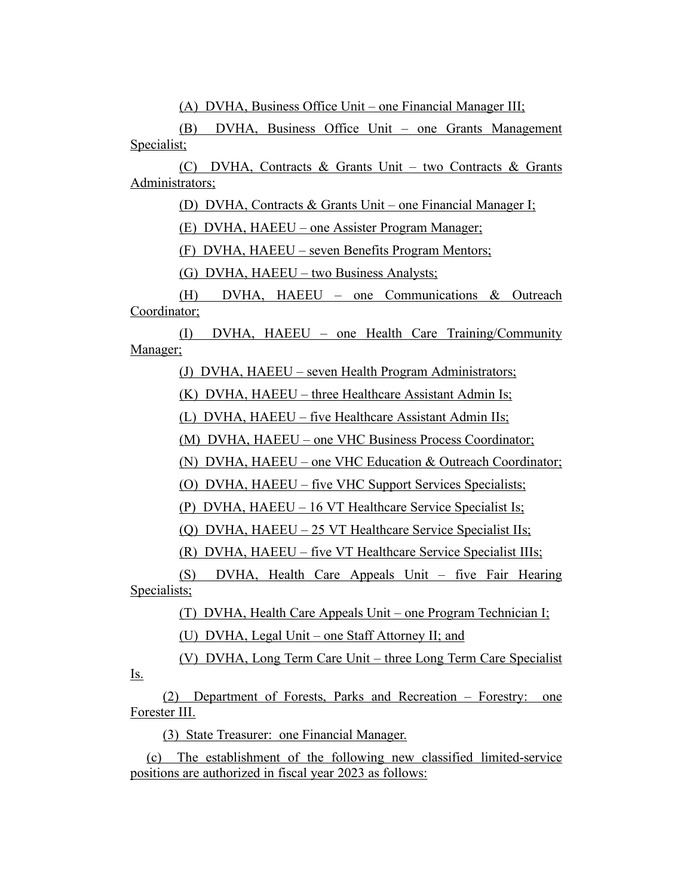(A) DVHA, Business Office Unit – one Financial Manager III;

(B) DVHA, Business Office Unit – one Grants Management Specialist;

(C) DVHA, Contracts & Grants Unit – two Contracts & Grants Administrators;

(D) DVHA, Contracts & Grants Unit – one Financial Manager I;

(E) DVHA, HAEEU – one Assister Program Manager;

(F) DVHA, HAEEU – seven Benefits Program Mentors;

(G) DVHA, HAEEU – two Business Analysts;

(H) DVHA, HAEEU – one Communications & Outreach Coordinator;

(I) DVHA, HAEEU – one Health Care Training/Community Manager;

(J) DVHA, HAEEU – seven Health Program Administrators;

(K) DVHA, HAEEU – three Healthcare Assistant Admin Is;

(L) DVHA, HAEEU – five Healthcare Assistant Admin IIs;

(M) DVHA, HAEEU – one VHC Business Process Coordinator;

(N) DVHA, HAEEU – one VHC Education & Outreach Coordinator;

(O) DVHA, HAEEU – five VHC Support Services Specialists;

(P) DVHA, HAEEU – 16 VT Healthcare Service Specialist Is;

(Q) DVHA, HAEEU – 25 VT Healthcare Service Specialist IIs;

(R) DVHA, HAEEU – five VT Healthcare Service Specialist IIIs;

(S) DVHA, Health Care Appeals Unit – five Fair Hearing Specialists;

> (T) DVHA, Health Care Appeals Unit – one Program Technician I; (U) DVHA, Legal Unit – one Staff Attorney II; and

(V) DVHA, Long Term Care Unit – three Long Term Care Specialist

(2) Department of Forests, Parks and Recreation – Forestry: one Forester III.

(3) State Treasurer: one Financial Manager.

Is.

(c) The establishment of the following new classified limited-service positions are authorized in fiscal year 2023 as follows: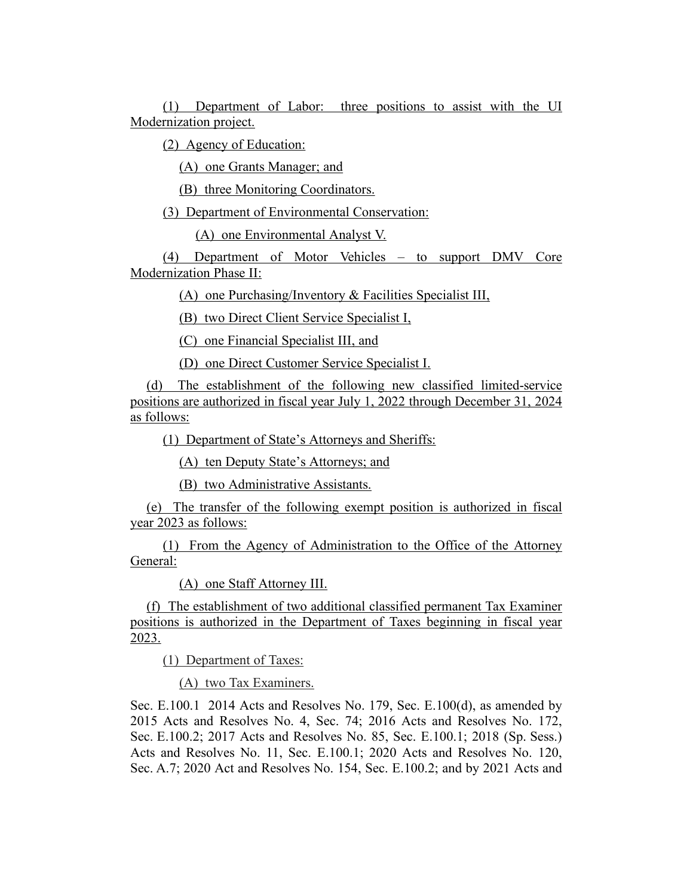(1) Department of Labor: three positions to assist with the UI Modernization project.

(2) Agency of Education:

(A) one Grants Manager; and

(B) three Monitoring Coordinators.

(3) Department of Environmental Conservation:

(A) one Environmental Analyst V.

(4) Department of Motor Vehicles – to support DMV Core Modernization Phase II:

(A) one Purchasing/Inventory & Facilities Specialist III,

(B) two Direct Client Service Specialist I,

(C) one Financial Specialist III, and

(D) one Direct Customer Service Specialist I.

(d) The establishment of the following new classified limited-service positions are authorized in fiscal year July 1, 2022 through December 31, 2024 as follows:

(1) Department of State's Attorneys and Sheriffs:

(A) ten Deputy State's Attorneys; and

(B) two Administrative Assistants.

(e) The transfer of the following exempt position is authorized in fiscal year 2023 as follows:

(1) From the Agency of Administration to the Office of the Attorney General:

(A) one Staff Attorney III.

(f) The establishment of two additional classified permanent Tax Examiner positions is authorized in the Department of Taxes beginning in fiscal year 2023.

(1) Department of Taxes:

(A) two Tax Examiners.

Sec. E.100.1 2014 Acts and Resolves No. 179, Sec. E.100(d), as amended by 2015 Acts and Resolves No. 4, Sec. 74; 2016 Acts and Resolves No. 172, Sec. E.100.2; 2017 Acts and Resolves No. 85, Sec. E.100.1; 2018 (Sp. Sess.) Acts and Resolves No. 11, Sec. E.100.1; 2020 Acts and Resolves No. 120, Sec. A.7; 2020 Act and Resolves No. 154, Sec. E.100.2; and by 2021 Acts and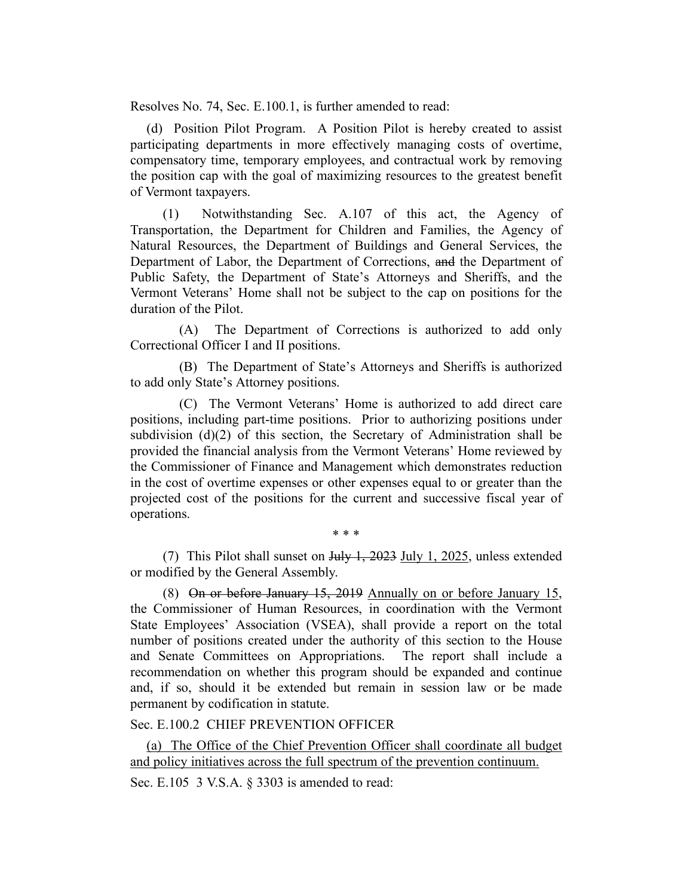Resolves No. 74, Sec. E.100.1, is further amended to read:

(d) Position Pilot Program. A Position Pilot is hereby created to assist participating departments in more effectively managing costs of overtime, compensatory time, temporary employees, and contractual work by removing the position cap with the goal of maximizing resources to the greatest benefit of Vermont taxpayers.

(1) Notwithstanding Sec. A.107 of this act, the Agency of Transportation, the Department for Children and Families, the Agency of Natural Resources, the Department of Buildings and General Services, the Department of Labor, the Department of Corrections, and the Department of Public Safety, the Department of State's Attorneys and Sheriffs, and the Vermont Veterans' Home shall not be subject to the cap on positions for the duration of the Pilot.

(A) The Department of Corrections is authorized to add only Correctional Officer I and II positions.

(B) The Department of State's Attorneys and Sheriffs is authorized to add only State's Attorney positions.

(C) The Vermont Veterans' Home is authorized to add direct care positions, including part-time positions. Prior to authorizing positions under subdivision (d)(2) of this section, the Secretary of Administration shall be provided the financial analysis from the Vermont Veterans' Home reviewed by the Commissioner of Finance and Management which demonstrates reduction in the cost of overtime expenses or other expenses equal to or greater than the projected cost of the positions for the current and successive fiscal year of operations.

\* \* \*

(7) This Pilot shall sunset on  $\frac{\text{H}_1 \cdot \text{H}_2}{\text{H}_1}$  and  $\frac{1}{\sqrt{25}}$ , unless extended or modified by the General Assembly.

(8) On or before January 15, 2019 Annually on or before January 15, the Commissioner of Human Resources, in coordination with the Vermont State Employees' Association (VSEA), shall provide a report on the total number of positions created under the authority of this section to the House and Senate Committees on Appropriations. The report shall include a recommendation on whether this program should be expanded and continue and, if so, should it be extended but remain in session law or be made permanent by codification in statute.

Sec. E.100.2 CHIEF PREVENTION OFFICER

(a) The Office of the Chief Prevention Officer shall coordinate all budget and policy initiatives across the full spectrum of the prevention continuum.

Sec. E.105 3 V.S.A. § 3303 is amended to read: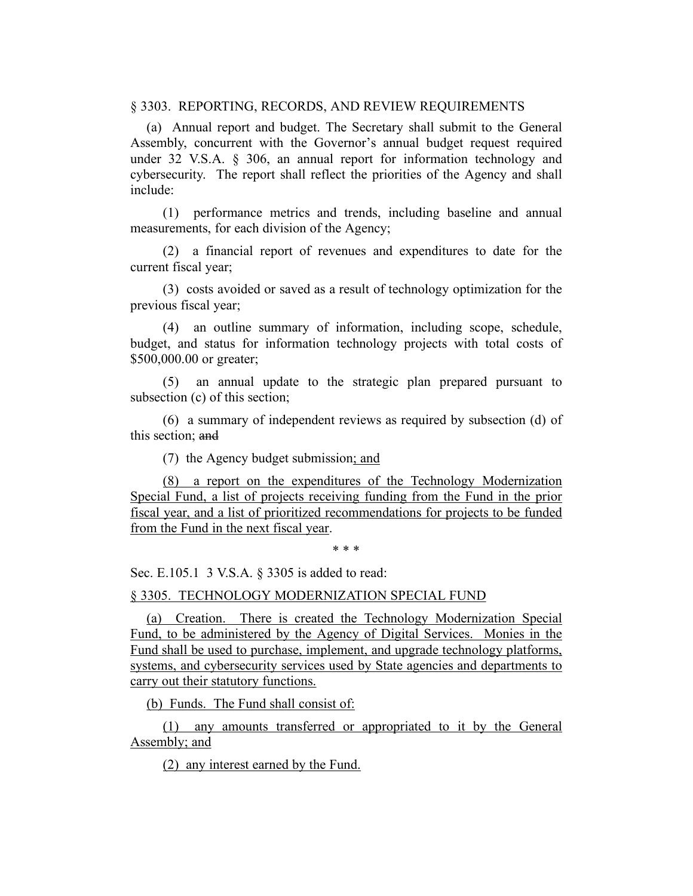§ 3303. REPORTING, RECORDS, AND REVIEW REQUIREMENTS

(a) Annual report and budget. The Secretary shall submit to the General Assembly, concurrent with the Governor's annual budget request required under 32 V.S.A. § 306, an annual report for information technology and cybersecurity. The report shall reflect the priorities of the Agency and shall include:

(1) performance metrics and trends, including baseline and annual measurements, for each division of the Agency;

(2) a financial report of revenues and expenditures to date for the current fiscal year;

(3) costs avoided or saved as a result of technology optimization for the previous fiscal year;

(4) an outline summary of information, including scope, schedule, budget, and status for information technology projects with total costs of \$500,000.00 or greater;

(5) an annual update to the strategic plan prepared pursuant to subsection (c) of this section;

(6) a summary of independent reviews as required by subsection (d) of this section; and

(7) the Agency budget submission; and

(8) a report on the expenditures of the Technology Modernization Special Fund, a list of projects receiving funding from the Fund in the prior fiscal year, and a list of prioritized recommendations for projects to be funded from the Fund in the next fiscal year.

\* \* \*

Sec. E.105.1 3 V.S.A. § 3305 is added to read:

§ 3305. TECHNOLOGY MODERNIZATION SPECIAL FUND

(a) Creation. There is created the Technology Modernization Special Fund, to be administered by the Agency of Digital Services. Monies in the Fund shall be used to purchase, implement, and upgrade technology platforms, systems, and cybersecurity services used by State agencies and departments to carry out their statutory functions.

(b) Funds. The Fund shall consist of:

(1) any amounts transferred or appropriated to it by the General Assembly; and

(2) any interest earned by the Fund.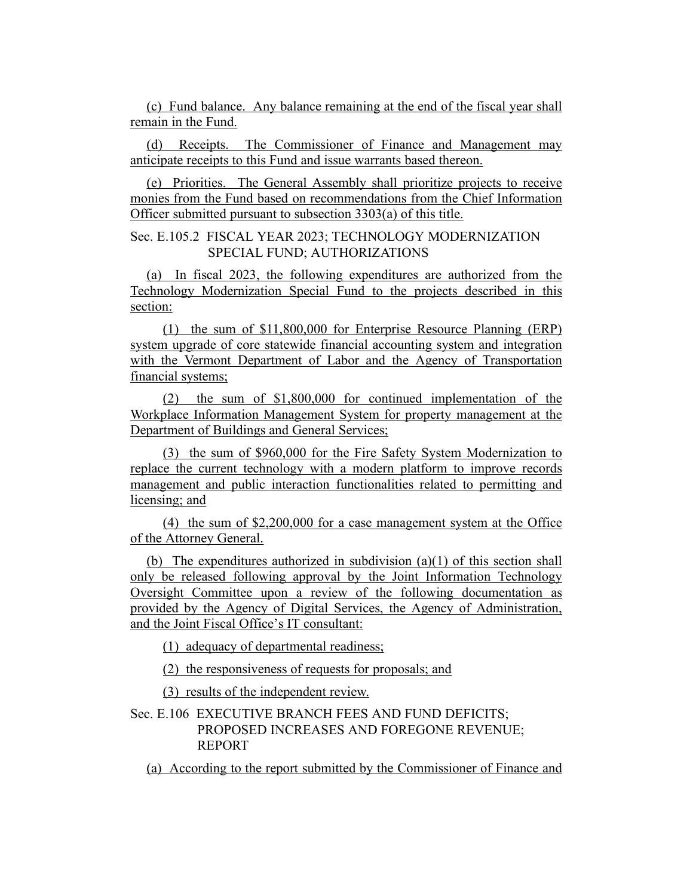(c) Fund balance. Any balance remaining at the end of the fiscal year shall remain in the Fund.

(d) Receipts. The Commissioner of Finance and Management may anticipate receipts to this Fund and issue warrants based thereon.

(e) Priorities. The General Assembly shall prioritize projects to receive monies from the Fund based on recommendations from the Chief Information Officer submitted pursuant to subsection 3303(a) of this title.

# Sec. E.105.2 FISCAL YEAR 2023; TECHNOLOGY MODERNIZATION SPECIAL FUND; AUTHORIZATIONS

(a) In fiscal 2023, the following expenditures are authorized from the Technology Modernization Special Fund to the projects described in this section:

(1) the sum of \$11,800,000 for Enterprise Resource Planning (ERP) system upgrade of core statewide financial accounting system and integration with the Vermont Department of Labor and the Agency of Transportation financial systems;

(2) the sum of \$1,800,000 for continued implementation of the Workplace Information Management System for property management at the Department of Buildings and General Services;

(3) the sum of \$960,000 for the Fire Safety System Modernization to replace the current technology with a modern platform to improve records management and public interaction functionalities related to permitting and licensing; and

(4) the sum of \$2,200,000 for a case management system at the Office of the Attorney General.

(b) The expenditures authorized in subdivision (a)(1) of this section shall only be released following approval by the Joint Information Technology Oversight Committee upon a review of the following documentation as provided by the Agency of Digital Services, the Agency of Administration, and the Joint Fiscal Office's IT consultant:

(1) adequacy of departmental readiness;

(2) the responsiveness of requests for proposals; and

(3) results of the independent review.

# Sec. E.106 EXECUTIVE BRANCH FEES AND FUND DEFICITS; PROPOSED INCREASES AND FOREGONE REVENUE; REPORT

(a) According to the report submitted by the Commissioner of Finance and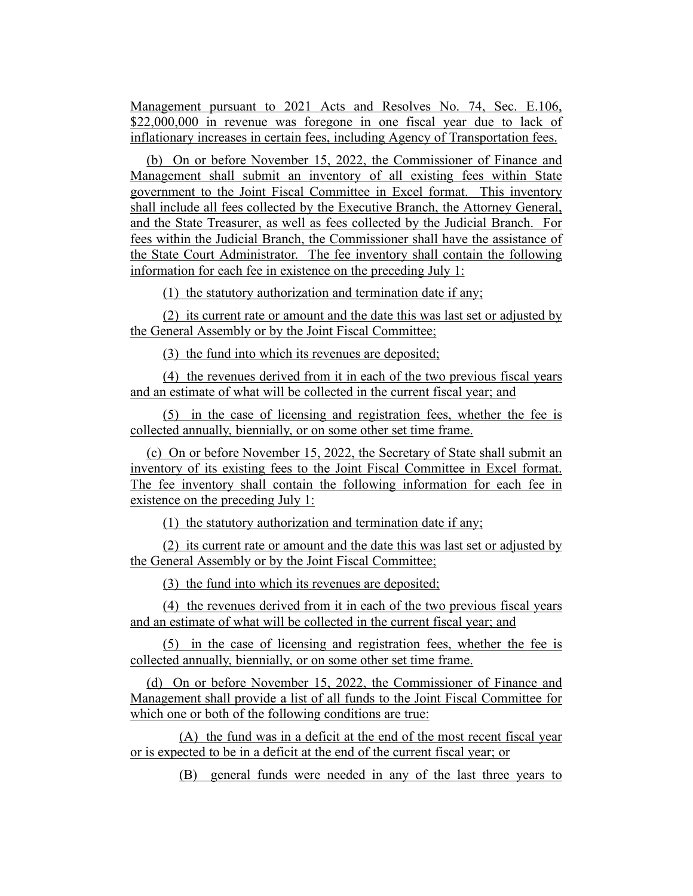Management pursuant to 2021 Acts and Resolves No. 74, Sec. E.106, \$22,000,000 in revenue was foregone in one fiscal year due to lack of inflationary increases in certain fees, including Agency of Transportation fees.

(b) On or before November 15, 2022, the Commissioner of Finance and Management shall submit an inventory of all existing fees within State government to the Joint Fiscal Committee in Excel format. This inventory shall include all fees collected by the Executive Branch, the Attorney General, and the State Treasurer, as well as fees collected by the Judicial Branch. For fees within the Judicial Branch, the Commissioner shall have the assistance of the State Court Administrator. The fee inventory shall contain the following information for each fee in existence on the preceding July 1:

(1) the statutory authorization and termination date if any;

(2) its current rate or amount and the date this was last set or adjusted by the General Assembly or by the Joint Fiscal Committee;

(3) the fund into which its revenues are deposited;

(4) the revenues derived from it in each of the two previous fiscal years and an estimate of what will be collected in the current fiscal year; and

(5) in the case of licensing and registration fees, whether the fee is collected annually, biennially, or on some other set time frame.

(c) On or before November 15, 2022, the Secretary of State shall submit an inventory of its existing fees to the Joint Fiscal Committee in Excel format. The fee inventory shall contain the following information for each fee in existence on the preceding July 1:

(1) the statutory authorization and termination date if any;

(2) its current rate or amount and the date this was last set or adjusted by the General Assembly or by the Joint Fiscal Committee;

(3) the fund into which its revenues are deposited;

(4) the revenues derived from it in each of the two previous fiscal years and an estimate of what will be collected in the current fiscal year; and

(5) in the case of licensing and registration fees, whether the fee is collected annually, biennially, or on some other set time frame.

(d) On or before November 15, 2022, the Commissioner of Finance and Management shall provide a list of all funds to the Joint Fiscal Committee for which one or both of the following conditions are true:

(A) the fund was in a deficit at the end of the most recent fiscal year or is expected to be in a deficit at the end of the current fiscal year; or

(B) general funds were needed in any of the last three years to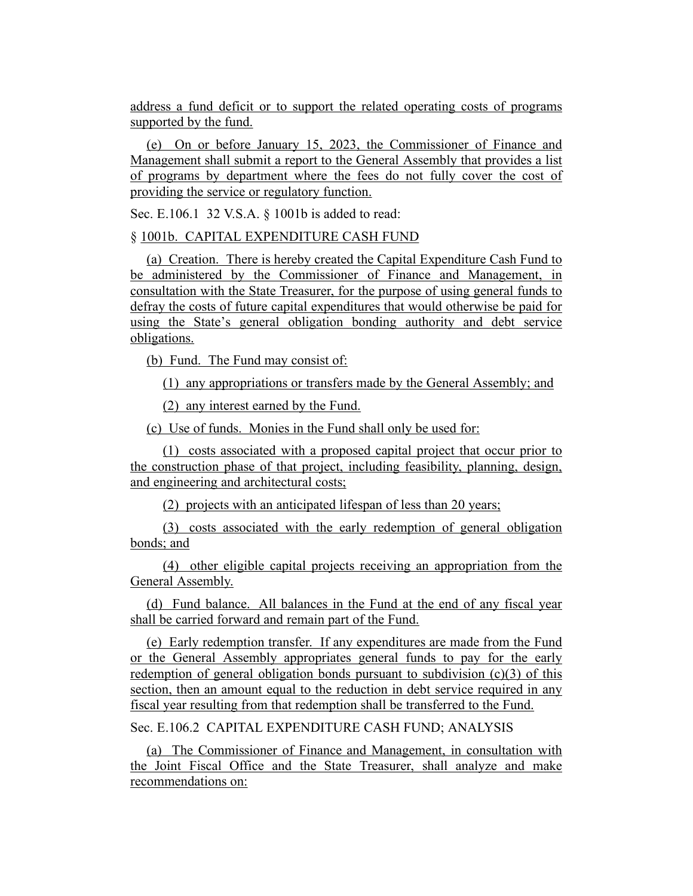address a fund deficit or to support the related operating costs of programs supported by the fund.

(e) On or before January 15, 2023, the Commissioner of Finance and Management shall submit a report to the General Assembly that provides a list of programs by department where the fees do not fully cover the cost of providing the service or regulatory function.

Sec. E.106.1 32 V.S.A. § 1001b is added to read:

§ 1001b. CAPITAL EXPENDITURE CASH FUND

(a) Creation. There is hereby created the Capital Expenditure Cash Fund to be administered by the Commissioner of Finance and Management, in consultation with the State Treasurer, for the purpose of using general funds to defray the costs of future capital expenditures that would otherwise be paid for using the State's general obligation bonding authority and debt service obligations.

(b) Fund. The Fund may consist of:

(1) any appropriations or transfers made by the General Assembly; and

(2) any interest earned by the Fund.

(c) Use of funds. Monies in the Fund shall only be used for:

(1) costs associated with a proposed capital project that occur prior to the construction phase of that project, including feasibility, planning, design, and engineering and architectural costs;

(2) projects with an anticipated lifespan of less than 20 years;

(3) costs associated with the early redemption of general obligation bonds; and

(4) other eligible capital projects receiving an appropriation from the General Assembly.

(d) Fund balance. All balances in the Fund at the end of any fiscal year shall be carried forward and remain part of the Fund.

(e) Early redemption transfer. If any expenditures are made from the Fund or the General Assembly appropriates general funds to pay for the early redemption of general obligation bonds pursuant to subdivision  $(c)(3)$  of this section, then an amount equal to the reduction in debt service required in any fiscal year resulting from that redemption shall be transferred to the Fund.

Sec. E.106.2 CAPITAL EXPENDITURE CASH FUND; ANALYSIS

(a) The Commissioner of Finance and Management, in consultation with the Joint Fiscal Office and the State Treasurer, shall analyze and make recommendations on: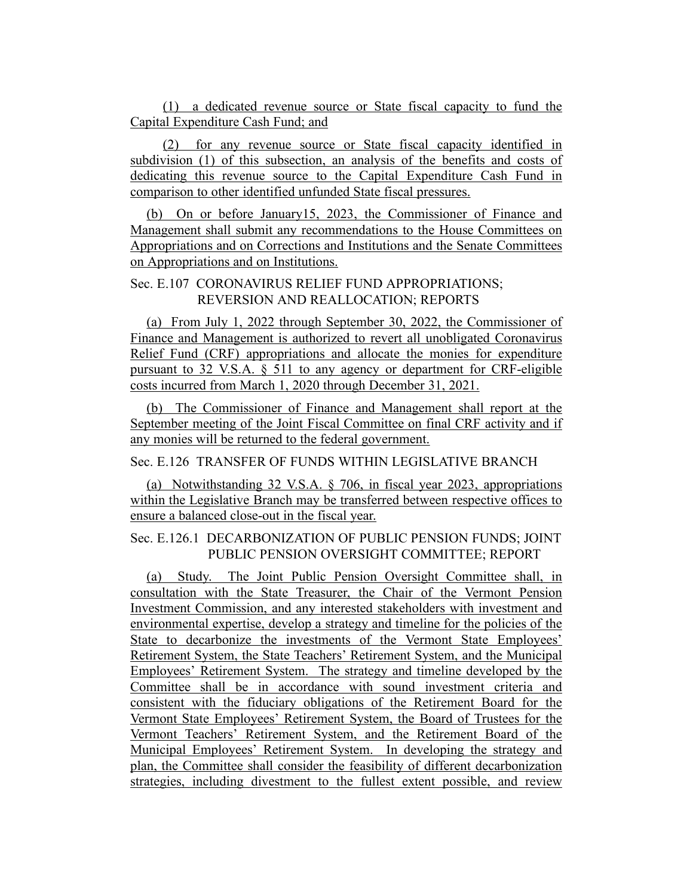(1) a dedicated revenue source or State fiscal capacity to fund the Capital Expenditure Cash Fund; and

(2) for any revenue source or State fiscal capacity identified in subdivision (1) of this subsection, an analysis of the benefits and costs of dedicating this revenue source to the Capital Expenditure Cash Fund in comparison to other identified unfunded State fiscal pressures.

(b) On or before January15, 2023, the Commissioner of Finance and Management shall submit any recommendations to the House Committees on Appropriations and on Corrections and Institutions and the Senate Committees on Appropriations and on Institutions.

#### Sec. E.107 CORONAVIRUS RELIEF FUND APPROPRIATIONS; REVERSION AND REALLOCATION; REPORTS

(a) From July 1, 2022 through September 30, 2022, the Commissioner of Finance and Management is authorized to revert all unobligated Coronavirus Relief Fund (CRF) appropriations and allocate the monies for expenditure pursuant to 32 V.S.A. § 511 to any agency or department for CRF-eligible costs incurred from March 1, 2020 through December 31, 2021.

(b) The Commissioner of Finance and Management shall report at the September meeting of the Joint Fiscal Committee on final CRF activity and if any monies will be returned to the federal government.

### Sec. E.126 TRANSFER OF FUNDS WITHIN LEGISLATIVE BRANCH

(a) Notwithstanding 32 V.S.A. § 706, in fiscal year 2023, appropriations within the Legislative Branch may be transferred between respective offices to ensure a balanced close-out in the fiscal year.

### Sec. E.126.1 DECARBONIZATION OF PUBLIC PENSION FUNDS; JOINT PUBLIC PENSION OVERSIGHT COMMITTEE; REPORT

(a) Study. The Joint Public Pension Oversight Committee shall, in consultation with the State Treasurer, the Chair of the Vermont Pension Investment Commission, and any interested stakeholders with investment and environmental expertise, develop a strategy and timeline for the policies of the State to decarbonize the investments of the Vermont State Employees' Retirement System, the State Teachers' Retirement System, and the Municipal Employees' Retirement System. The strategy and timeline developed by the Committee shall be in accordance with sound investment criteria and consistent with the fiduciary obligations of the Retirement Board for the Vermont State Employees' Retirement System, the Board of Trustees for the Vermont Teachers' Retirement System, and the Retirement Board of the Municipal Employees' Retirement System. In developing the strategy and plan, the Committee shall consider the feasibility of different decarbonization strategies, including divestment to the fullest extent possible, and review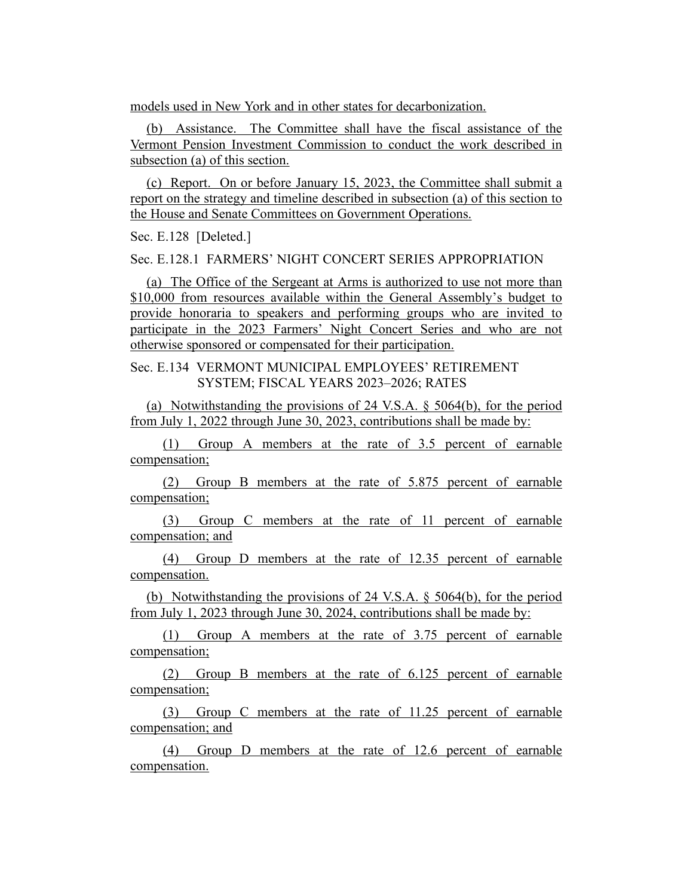models used in New York and in other states for decarbonization.

(b) Assistance. The Committee shall have the fiscal assistance of the Vermont Pension Investment Commission to conduct the work described in subsection (a) of this section.

(c) Report. On or before January 15, 2023, the Committee shall submit a report on the strategy and timeline described in subsection (a) of this section to the House and Senate Committees on Government Operations.

Sec. E.128 [Deleted.]

Sec. E.128.1 FARMERS' NIGHT CONCERT SERIES APPROPRIATION

(a) The Office of the Sergeant at Arms is authorized to use not more than \$10,000 from resources available within the General Assembly's budget to provide honoraria to speakers and performing groups who are invited to participate in the 2023 Farmers' Night Concert Series and who are not otherwise sponsored or compensated for their participation.

Sec. E.134 VERMONT MUNICIPAL EMPLOYEES' RETIREMENT SYSTEM; FISCAL YEARS 2023–2026; RATES

(a) Notwithstanding the provisions of 24 V.S.A. § 5064(b), for the period from July 1, 2022 through June 30, 2023, contributions shall be made by:

(1) Group A members at the rate of 3.5 percent of earnable compensation;

(2) Group B members at the rate of 5.875 percent of earnable compensation;

(3) Group C members at the rate of 11 percent of earnable compensation; and

(4) Group D members at the rate of 12.35 percent of earnable compensation.

(b) Notwithstanding the provisions of 24 V.S.A. § 5064(b), for the period from July 1, 2023 through June 30, 2024, contributions shall be made by:

(1) Group A members at the rate of 3.75 percent of earnable compensation;

(2) Group B members at the rate of 6.125 percent of earnable compensation;

(3) Group C members at the rate of 11.25 percent of earnable compensation; and

(4) Group D members at the rate of 12.6 percent of earnable compensation.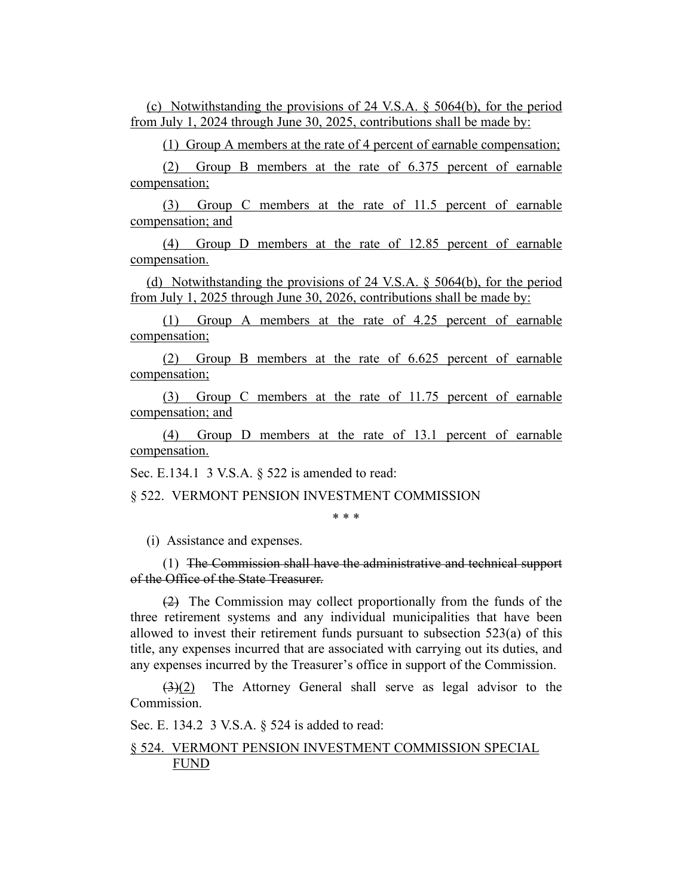(c) Notwithstanding the provisions of 24 V.S.A. § 5064(b), for the period from July 1, 2024 through June 30, 2025, contributions shall be made by:

(1) Group A members at the rate of 4 percent of earnable compensation;

(2) Group B members at the rate of 6.375 percent of earnable compensation;

(3) Group C members at the rate of 11.5 percent of earnable compensation; and

(4) Group D members at the rate of 12.85 percent of earnable compensation.

(d) Notwithstanding the provisions of 24 V.S.A. § 5064(b), for the period from July 1, 2025 through June 30, 2026, contributions shall be made by:

(1) Group A members at the rate of 4.25 percent of earnable compensation;

(2) Group B members at the rate of 6.625 percent of earnable compensation;

(3) Group C members at the rate of 11.75 percent of earnable compensation; and

(4) Group D members at the rate of 13.1 percent of earnable compensation.

Sec. E.134.1 3 V.S.A. § 522 is amended to read:

§ 522. VERMONT PENSION INVESTMENT COMMISSION

\* \* \*

(i) Assistance and expenses.

(1) The Commission shall have the administrative and technical support of the Office of the State Treasurer.

(2) The Commission may collect proportionally from the funds of the three retirement systems and any individual municipalities that have been allowed to invest their retirement funds pursuant to subsection 523(a) of this title, any expenses incurred that are associated with carrying out its duties, and any expenses incurred by the Treasurer's office in support of the Commission.

 $(3)(2)$  The Attorney General shall serve as legal advisor to the Commission.

Sec. E. 134.2 3 V.S.A. § 524 is added to read:

## § 524. VERMONT PENSION INVESTMENT COMMISSION SPECIAL FUND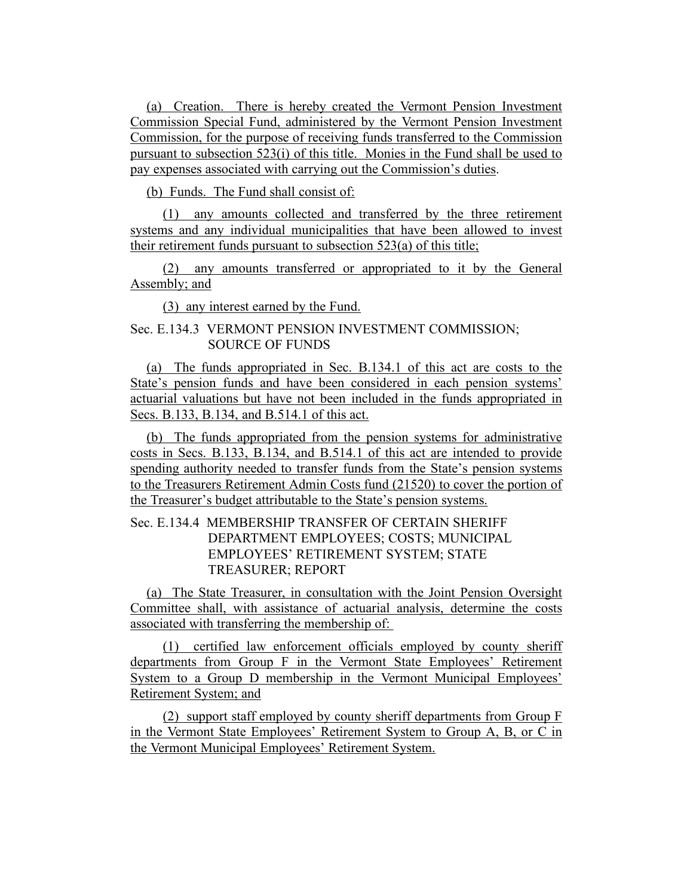(a) Creation. There is hereby created the Vermont Pension Investment Commission Special Fund, administered by the Vermont Pension Investment Commission, for the purpose of receiving funds transferred to the Commission pursuant to subsection 523(i) of this title. Monies in the Fund shall be used to pay expenses associated with carrying out the Commission's duties.

(b) Funds. The Fund shall consist of:

(1) any amounts collected and transferred by the three retirement systems and any individual municipalities that have been allowed to invest their retirement funds pursuant to subsection 523(a) of this title;

(2) any amounts transferred or appropriated to it by the General Assembly; and

(3) any interest earned by the Fund.

# Sec. E.134.3 VERMONT PENSION INVESTMENT COMMISSION; SOURCE OF FUNDS

(a) The funds appropriated in Sec. B.134.1 of this act are costs to the State's pension funds and have been considered in each pension systems' actuarial valuations but have not been included in the funds appropriated in Secs. B.133, B.134, and B.514.1 of this act.

(b) The funds appropriated from the pension systems for administrative costs in Secs. B.133, B.134, and B.514.1 of this act are intended to provide spending authority needed to transfer funds from the State's pension systems to the Treasurers Retirement Admin Costs fund (21520) to cover the portion of the Treasurer's budget attributable to the State's pension systems.

# Sec. E.134.4 MEMBERSHIP TRANSFER OF CERTAIN SHERIFF DEPARTMENT EMPLOYEES; COSTS; MUNICIPAL EMPLOYEES' RETIREMENT SYSTEM; STATE TREASURER; REPORT

(a) The State Treasurer, in consultation with the Joint Pension Oversight Committee shall, with assistance of actuarial analysis, determine the costs associated with transferring the membership of:

(1) certified law enforcement officials employed by county sheriff departments from Group F in the Vermont State Employees' Retirement System to a Group D membership in the Vermont Municipal Employees' Retirement System; and

(2) support staff employed by county sheriff departments from Group F in the Vermont State Employees' Retirement System to Group A, B, or C in the Vermont Municipal Employees' Retirement System.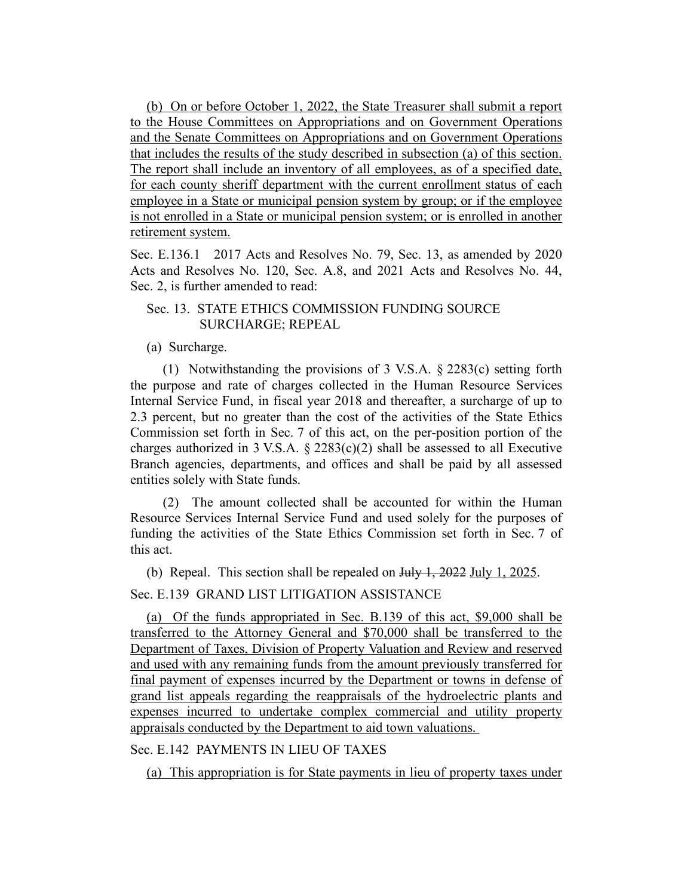(b) On or before October 1, 2022, the State Treasurer shall submit a report to the House Committees on Appropriations and on Government Operations and the Senate Committees on Appropriations and on Government Operations that includes the results of the study described in subsection (a) of this section. The report shall include an inventory of all employees, as of a specified date, for each county sheriff department with the current enrollment status of each employee in a State or municipal pension system by group; or if the employee is not enrolled in a State or municipal pension system; or is enrolled in another retirement system.

Sec. E.136.1 2017 Acts and Resolves No. 79, Sec. 13, as amended by 2020 Acts and Resolves No. 120, Sec. A.8, and 2021 Acts and Resolves No. 44, Sec. 2, is further amended to read:

## Sec. 13. STATE ETHICS COMMISSION FUNDING SOURCE SURCHARGE; REPEAL

(a) Surcharge.

(1) Notwithstanding the provisions of 3 V.S.A. § 2283(c) setting forth the purpose and rate of charges collected in the Human Resource Services Internal Service Fund, in fiscal year 2018 and thereafter, a surcharge of up to 2.3 percent, but no greater than the cost of the activities of the State Ethics Commission set forth in Sec. 7 of this act, on the per-position portion of the charges authorized in 3 V.S.A.  $\S$  2283(c)(2) shall be assessed to all Executive Branch agencies, departments, and offices and shall be paid by all assessed entities solely with State funds.

(2) The amount collected shall be accounted for within the Human Resource Services Internal Service Fund and used solely for the purposes of funding the activities of the State Ethics Commission set forth in Sec. 7 of this act.

(b) Repeal. This section shall be repealed on July 1, 2022 July 1, 2025.

Sec. E.139 GRAND LIST LITIGATION ASSISTANCE

(a) Of the funds appropriated in Sec. B.139 of this act, \$9,000 shall be transferred to the Attorney General and \$70,000 shall be transferred to the Department of Taxes, Division of Property Valuation and Review and reserved and used with any remaining funds from the amount previously transferred for final payment of expenses incurred by the Department or towns in defense of grand list appeals regarding the reappraisals of the hydroelectric plants and expenses incurred to undertake complex commercial and utility property appraisals conducted by the Department to aid town valuations.

Sec. E.142 PAYMENTS IN LIEU OF TAXES

(a) This appropriation is for State payments in lieu of property taxes under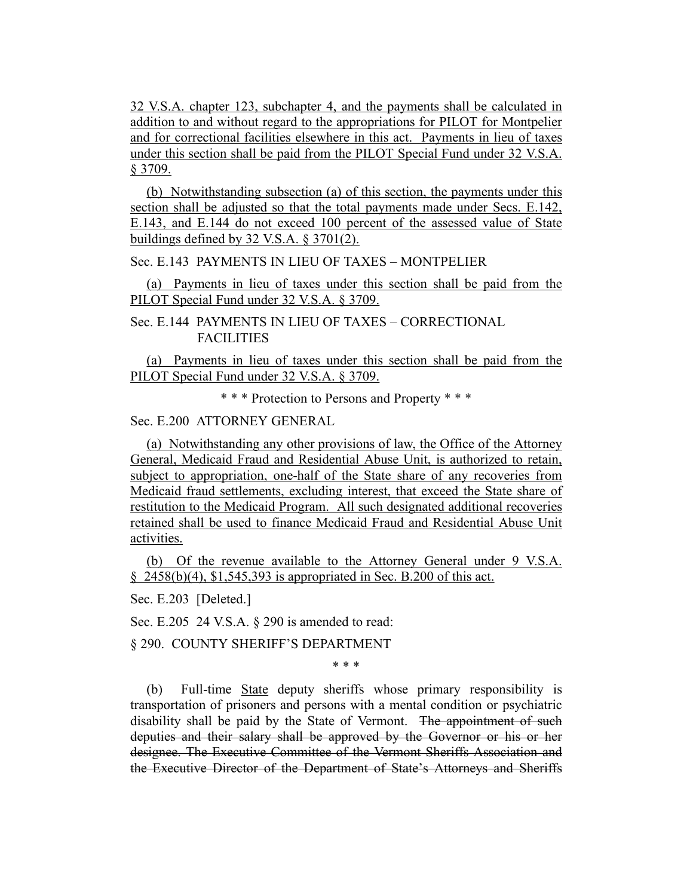32 V.S.A. chapter 123, subchapter 4, and the payments shall be calculated in addition to and without regard to the appropriations for PILOT for Montpelier and for correctional facilities elsewhere in this act. Payments in lieu of taxes under this section shall be paid from the PILOT Special Fund under 32 V.S.A. § 3709.

(b) Notwithstanding subsection (a) of this section, the payments under this section shall be adjusted so that the total payments made under Secs. E.142, E.143, and E.144 do not exceed 100 percent of the assessed value of State buildings defined by 32 V.S.A. § 3701(2).

Sec. E.143 PAYMENTS IN LIEU OF TAXES – MONTPELIER

(a) Payments in lieu of taxes under this section shall be paid from the PILOT Special Fund under 32 V.S.A. § 3709.

Sec. E.144 PAYMENTS IN LIEU OF TAXES – CORRECTIONAL FACILITIES

(a) Payments in lieu of taxes under this section shall be paid from the PILOT Special Fund under 32 V.S.A. § 3709.

\* \* \* Protection to Persons and Property \* \* \*

Sec. E.200 ATTORNEY GENERAL

(a) Notwithstanding any other provisions of law, the Office of the Attorney General, Medicaid Fraud and Residential Abuse Unit, is authorized to retain, subject to appropriation, one-half of the State share of any recoveries from Medicaid fraud settlements, excluding interest, that exceed the State share of restitution to the Medicaid Program. All such designated additional recoveries retained shall be used to finance Medicaid Fraud and Residential Abuse Unit activities.

(b) Of the revenue available to the Attorney General under 9 V.S.A. § 2458(b)(4), \$1,545,393 is appropriated in Sec. B.200 of this act.

Sec. E.203 [Deleted.]

Sec. E.205 24 V.S.A. § 290 is amended to read:

§ 290. COUNTY SHERIFF'S DEPARTMENT

\* \* \*

(b) Full-time State deputy sheriffs whose primary responsibility is transportation of prisoners and persons with a mental condition or psychiatric disability shall be paid by the State of Vermont. The appointment of such deputies and their salary shall be approved by the Governor or his or her designee. The Executive Committee of the Vermont Sheriffs Association and the Executive Director of the Department of State's Attorneys and Sheriffs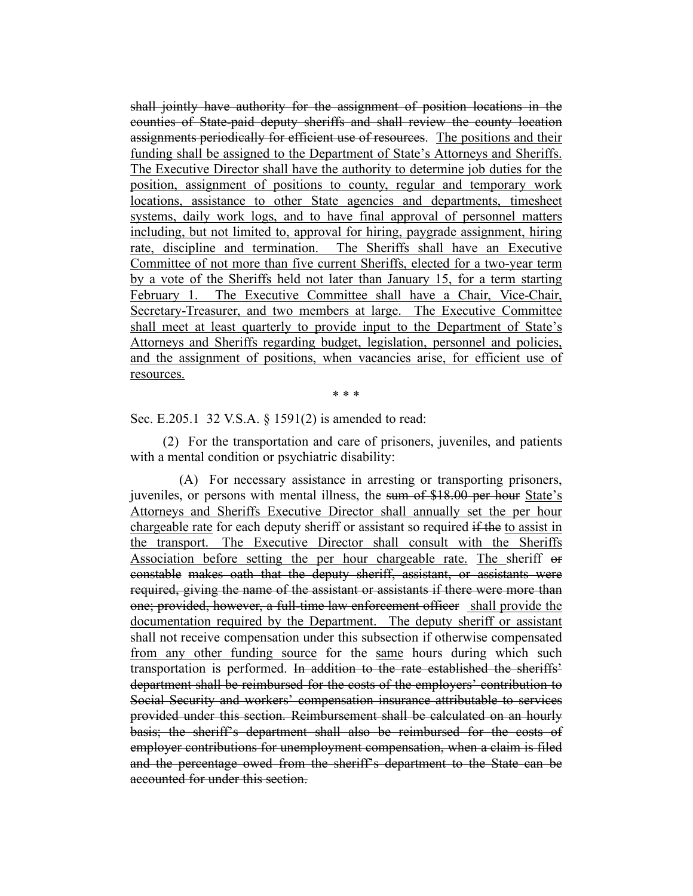shall jointly have authority for the assignment of position locations in the counties of State-paid deputy sheriffs and shall review the county location assignments periodically for efficient use of resources. The positions and their funding shall be assigned to the Department of State's Attorneys and Sheriffs. The Executive Director shall have the authority to determine job duties for the position, assignment of positions to county, regular and temporary work locations, assistance to other State agencies and departments, timesheet systems, daily work logs, and to have final approval of personnel matters including, but not limited to, approval for hiring, paygrade assignment, hiring rate, discipline and termination. The Sheriffs shall have an Executive Committee of not more than five current Sheriffs, elected for a two-year term by a vote of the Sheriffs held not later than January 15, for a term starting February 1. The Executive Committee shall have a Chair, Vice-Chair, Secretary-Treasurer, and two members at large. The Executive Committee shall meet at least quarterly to provide input to the Department of State's Attorneys and Sheriffs regarding budget, legislation, personnel and policies, and the assignment of positions, when vacancies arise, for efficient use of resources.

\* \* \*

Sec. E.205.1 32 V.S.A. § 1591(2) is amended to read:

(2) For the transportation and care of prisoners, juveniles, and patients with a mental condition or psychiatric disability:

(A) For necessary assistance in arresting or transporting prisoners, juveniles, or persons with mental illness, the sum of \$18.00 per hour State's Attorneys and Sheriffs Executive Director shall annually set the per hour chargeable rate for each deputy sheriff or assistant so required if the to assist in the transport. The Executive Director shall consult with the Sheriffs Association before setting the per hour chargeable rate. The sheriff or constable makes oath that the deputy sheriff, assistant, or assistants were required, giving the name of the assistant or assistants if there were more than one; provided, however, a full-time law enforcement officer shall provide the documentation required by the Department. The deputy sheriff or assistant shall not receive compensation under this subsection if otherwise compensated from any other funding source for the same hours during which such transportation is performed. In addition to the rate established the sheriffs' department shall be reimbursed for the costs of the employers' contribution to Social Security and workers' compensation insurance attributable to services provided under this section. Reimbursement shall be calculated on an hourly basis; the sheriff's department shall also be reimbursed for the costs of employer contributions for unemployment compensation, when a claim is filed and the percentage owed from the sheriff's department to the State can be accounted for under this section.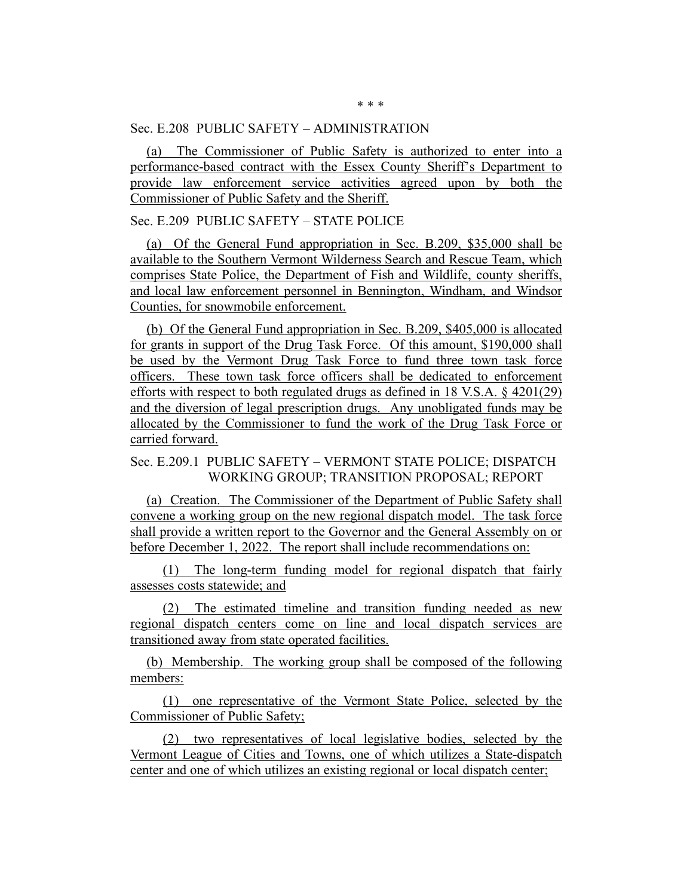Sec. E.208 PUBLIC SAFETY – ADMINISTRATION

(a) The Commissioner of Public Safety is authorized to enter into a performance-based contract with the Essex County Sheriff's Department to provide law enforcement service activities agreed upon by both the Commissioner of Public Safety and the Sheriff.

Sec. E.209 PUBLIC SAFETY – STATE POLICE

(a) Of the General Fund appropriation in Sec. B.209, \$35,000 shall be available to the Southern Vermont Wilderness Search and Rescue Team, which comprises State Police, the Department of Fish and Wildlife, county sheriffs, and local law enforcement personnel in Bennington, Windham, and Windsor Counties, for snowmobile enforcement.

(b) Of the General Fund appropriation in Sec. B.209, \$405,000 is allocated for grants in support of the Drug Task Force. Of this amount, \$190,000 shall be used by the Vermont Drug Task Force to fund three town task force officers. These town task force officers shall be dedicated to enforcement efforts with respect to both regulated drugs as defined in 18 V.S.A. § 4201(29) and the diversion of legal prescription drugs. Any unobligated funds may be allocated by the Commissioner to fund the work of the Drug Task Force or carried forward.

# Sec. E.209.1 PUBLIC SAFETY – VERMONT STATE POLICE; DISPATCH WORKING GROUP; TRANSITION PROPOSAL; REPORT

(a) Creation. The Commissioner of the Department of Public Safety shall convene a working group on the new regional dispatch model. The task force shall provide a written report to the Governor and the General Assembly on or before December 1, 2022. The report shall include recommendations on:

(1) The long-term funding model for regional dispatch that fairly assesses costs statewide; and

(2) The estimated timeline and transition funding needed as new regional dispatch centers come on line and local dispatch services are transitioned away from state operated facilities.

(b) Membership. The working group shall be composed of the following members:

(1) one representative of the Vermont State Police, selected by the Commissioner of Public Safety;

(2) two representatives of local legislative bodies, selected by the Vermont League of Cities and Towns, one of which utilizes a State-dispatch center and one of which utilizes an existing regional or local dispatch center;

\* \* \*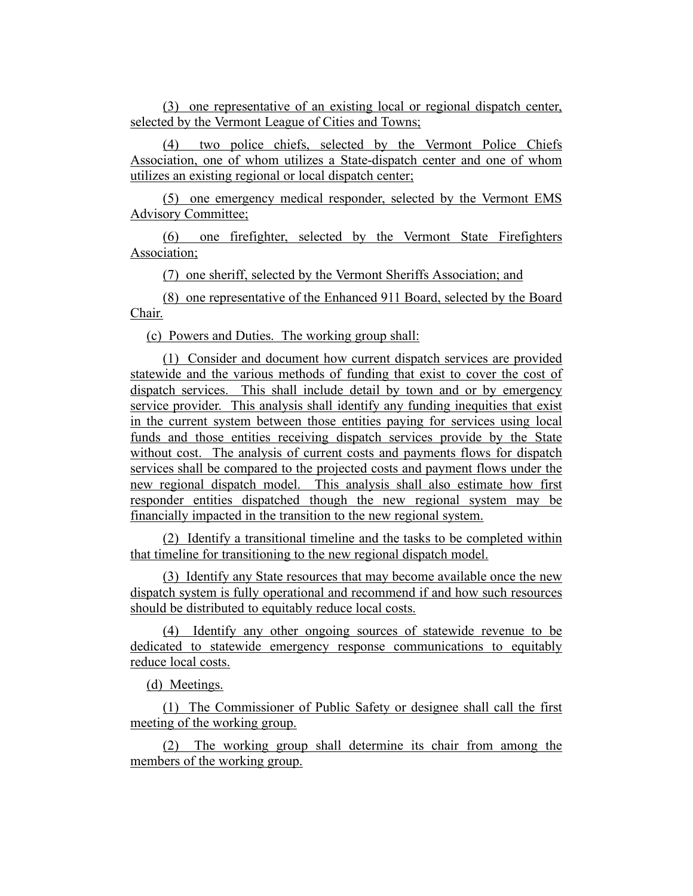(3) one representative of an existing local or regional dispatch center, selected by the Vermont League of Cities and Towns;

(4) two police chiefs, selected by the Vermont Police Chiefs Association, one of whom utilizes a State-dispatch center and one of whom utilizes an existing regional or local dispatch center;

(5) one emergency medical responder, selected by the Vermont EMS Advisory Committee;

(6) one firefighter, selected by the Vermont State Firefighters Association;

(7) one sheriff, selected by the Vermont Sheriffs Association; and

(8) one representative of the Enhanced 911 Board, selected by the Board Chair.

(c) Powers and Duties. The working group shall:

(1) Consider and document how current dispatch services are provided statewide and the various methods of funding that exist to cover the cost of dispatch services. This shall include detail by town and or by emergency service provider. This analysis shall identify any funding inequities that exist in the current system between those entities paying for services using local funds and those entities receiving dispatch services provide by the State without cost. The analysis of current costs and payments flows for dispatch services shall be compared to the projected costs and payment flows under the new regional dispatch model. This analysis shall also estimate how first responder entities dispatched though the new regional system may be financially impacted in the transition to the new regional system.

(2) Identify a transitional timeline and the tasks to be completed within that timeline for transitioning to the new regional dispatch model.

(3) Identify any State resources that may become available once the new dispatch system is fully operational and recommend if and how such resources should be distributed to equitably reduce local costs.

(4) Identify any other ongoing sources of statewide revenue to be dedicated to statewide emergency response communications to equitably reduce local costs.

(d) Meetings.

(1) The Commissioner of Public Safety or designee shall call the first meeting of the working group.

(2) The working group shall determine its chair from among the members of the working group.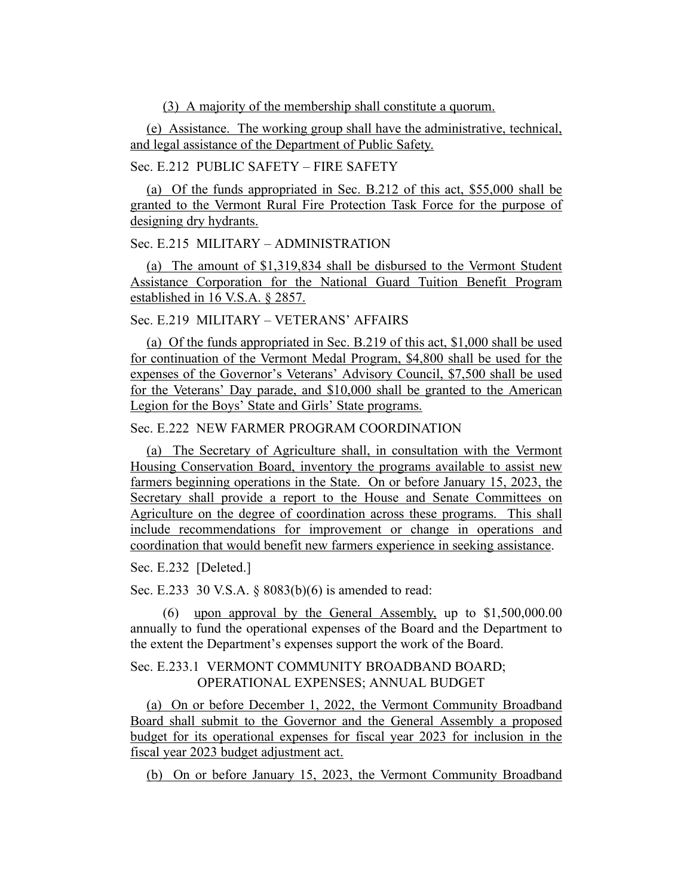(3) A majority of the membership shall constitute a quorum.

(e) Assistance. The working group shall have the administrative, technical, and legal assistance of the Department of Public Safety.

## Sec. E.212 PUBLIC SAFETY – FIRE SAFETY

(a) Of the funds appropriated in Sec. B.212 of this act, \$55,000 shall be granted to the Vermont Rural Fire Protection Task Force for the purpose of designing dry hydrants.

Sec. E.215 MILITARY – ADMINISTRATION

(a) The amount of \$1,319,834 shall be disbursed to the Vermont Student Assistance Corporation for the National Guard Tuition Benefit Program established in 16 V.S.A. § 2857.

## Sec. E.219 MILITARY – VETERANS' AFFAIRS

(a) Of the funds appropriated in Sec. B.219 of this act, \$1,000 shall be used for continuation of the Vermont Medal Program, \$4,800 shall be used for the expenses of the Governor's Veterans' Advisory Council, \$7,500 shall be used for the Veterans' Day parade, and \$10,000 shall be granted to the American Legion for the Boys' State and Girls' State programs.

## Sec. E.222 NEW FARMER PROGRAM COORDINATION

(a) The Secretary of Agriculture shall, in consultation with the Vermont Housing Conservation Board, inventory the programs available to assist new farmers beginning operations in the State. On or before January 15, 2023, the Secretary shall provide a report to the House and Senate Committees on Agriculture on the degree of coordination across these programs. This shall include recommendations for improvement or change in operations and coordination that would benefit new farmers experience in seeking assistance.

#### Sec. E.232 [Deleted.]

Sec. E.233 30 V.S.A. § 8083(b)(6) is amended to read:

(6) upon approval by the General Assembly, up to \$1,500,000.00 annually to fund the operational expenses of the Board and the Department to the extent the Department's expenses support the work of the Board.

## Sec. E.233.1 VERMONT COMMUNITY BROADBAND BOARD; OPERATIONAL EXPENSES; ANNUAL BUDGET

(a) On or before December 1, 2022, the Vermont Community Broadband Board shall submit to the Governor and the General Assembly a proposed budget for its operational expenses for fiscal year 2023 for inclusion in the fiscal year 2023 budget adjustment act.

(b) On or before January 15, 2023, the Vermont Community Broadband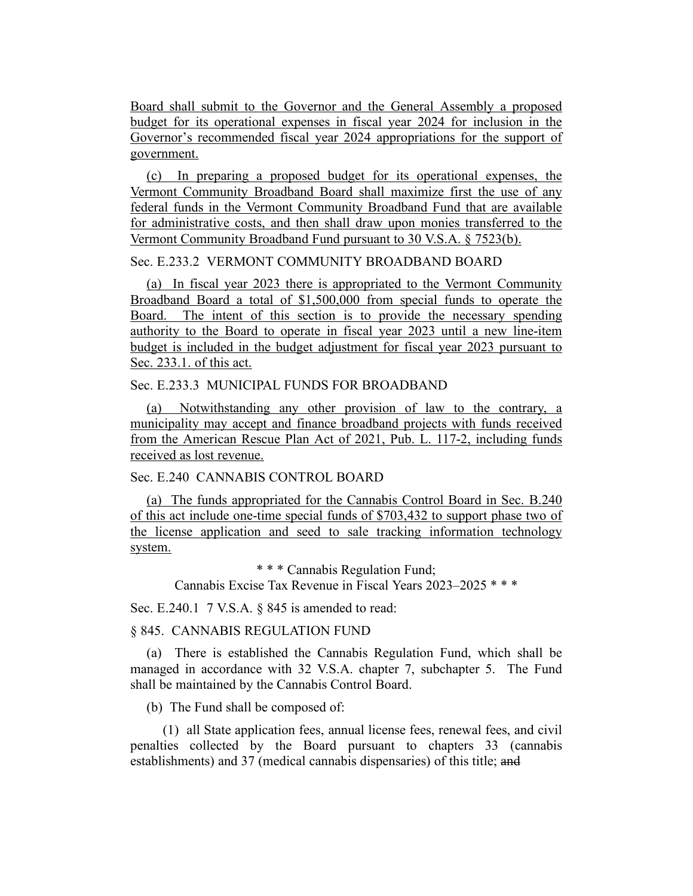Board shall submit to the Governor and the General Assembly a proposed budget for its operational expenses in fiscal year 2024 for inclusion in the Governor's recommended fiscal year 2024 appropriations for the support of government.

(c) In preparing a proposed budget for its operational expenses, the Vermont Community Broadband Board shall maximize first the use of any federal funds in the Vermont Community Broadband Fund that are available for administrative costs, and then shall draw upon monies transferred to the Vermont Community Broadband Fund pursuant to 30 V.S.A. § 7523(b).

# Sec. E.233.2 VERMONT COMMUNITY BROADBAND BOARD

(a) In fiscal year 2023 there is appropriated to the Vermont Community Broadband Board a total of \$1,500,000 from special funds to operate the Board. The intent of this section is to provide the necessary spending authority to the Board to operate in fiscal year 2023 until a new line-item budget is included in the budget adjustment for fiscal year 2023 pursuant to Sec. 233.1. of this act.

#### Sec. E.233.3 MUNICIPAL FUNDS FOR BROADBAND

(a) Notwithstanding any other provision of law to the contrary, a municipality may accept and finance broadband projects with funds received from the American Rescue Plan Act of 2021, Pub. L. 117-2, including funds received as lost revenue.

## Sec. E.240 CANNABIS CONTROL BOARD

(a) The funds appropriated for the Cannabis Control Board in Sec. B.240 of this act include one-time special funds of \$703,432 to support phase two of the license application and seed to sale tracking information technology system.

> \* \* \* Cannabis Regulation Fund; Cannabis Excise Tax Revenue in Fiscal Years 2023–2025 \* \* \*

Sec. E.240.1 7 V.S.A. § 845 is amended to read:

#### § 845. CANNABIS REGULATION FUND

(a) There is established the Cannabis Regulation Fund, which shall be managed in accordance with 32 V.S.A. chapter 7, subchapter 5. The Fund shall be maintained by the Cannabis Control Board.

(b) The Fund shall be composed of:

(1) all State application fees, annual license fees, renewal fees, and civil penalties collected by the Board pursuant to chapters 33 (cannabis establishments) and 37 (medical cannabis dispensaries) of this title; and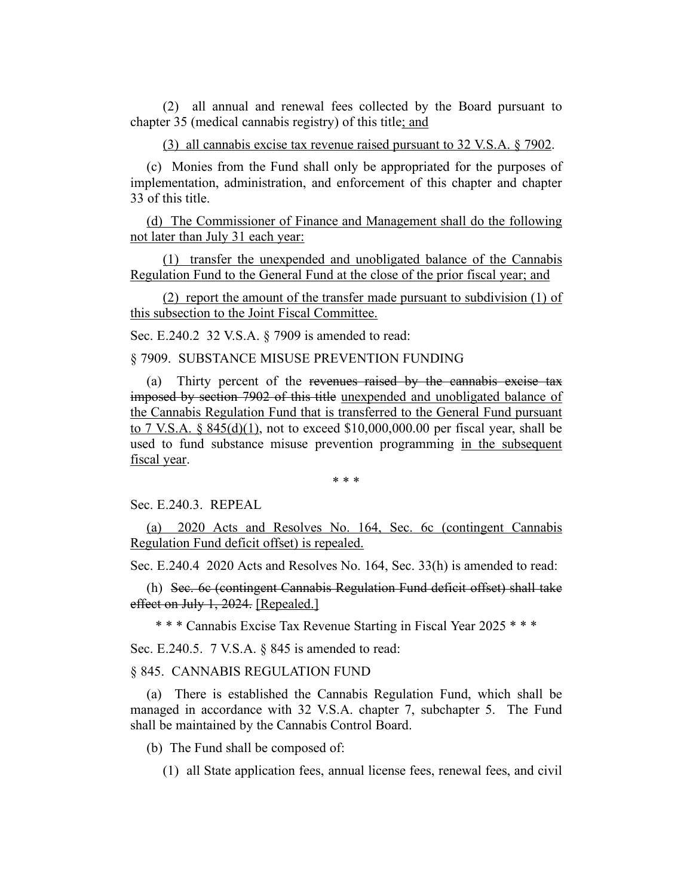(2) all annual and renewal fees collected by the Board pursuant to chapter 35 (medical cannabis registry) of this title; and

(3) all cannabis excise tax revenue raised pursuant to 32 V.S.A. § 7902.

(c) Monies from the Fund shall only be appropriated for the purposes of implementation, administration, and enforcement of this chapter and chapter 33 of this title.

(d) The Commissioner of Finance and Management shall do the following not later than July 31 each year:

(1) transfer the unexpended and unobligated balance of the Cannabis Regulation Fund to the General Fund at the close of the prior fiscal year; and

(2) report the amount of the transfer made pursuant to subdivision (1) of this subsection to the Joint Fiscal Committee.

Sec. E.240.2 32 V.S.A. § 7909 is amended to read:

§ 7909. SUBSTANCE MISUSE PREVENTION FUNDING

(a) Thirty percent of the revenues raised by the cannabis excise tax imposed by section 7902 of this title unexpended and unobligated balance of the Cannabis Regulation Fund that is transferred to the General Fund pursuant to 7 V.S.A. §  $845(d)(1)$ , not to exceed \$10,000,000.00 per fiscal year, shall be used to fund substance misuse prevention programming in the subsequent fiscal year.

\* \* \*

Sec. E.240.3. REPEAL

(a) 2020 Acts and Resolves No. 164, Sec. 6c (contingent Cannabis Regulation Fund deficit offset) is repealed.

Sec. E.240.4 2020 Acts and Resolves No. 164, Sec. 33(h) is amended to read:

(h) Sec. 6c (contingent Cannabis Regulation Fund deficit offset) shall take effect on July 1, 2024. [Repealed.]

\* \* \* Cannabis Excise Tax Revenue Starting in Fiscal Year 2025 \* \* \*

Sec. E.240.5. 7 V.S.A. § 845 is amended to read:

§ 845. CANNABIS REGULATION FUND

(a) There is established the Cannabis Regulation Fund, which shall be managed in accordance with 32 V.S.A. chapter 7, subchapter 5. The Fund shall be maintained by the Cannabis Control Board.

(b) The Fund shall be composed of:

(1) all State application fees, annual license fees, renewal fees, and civil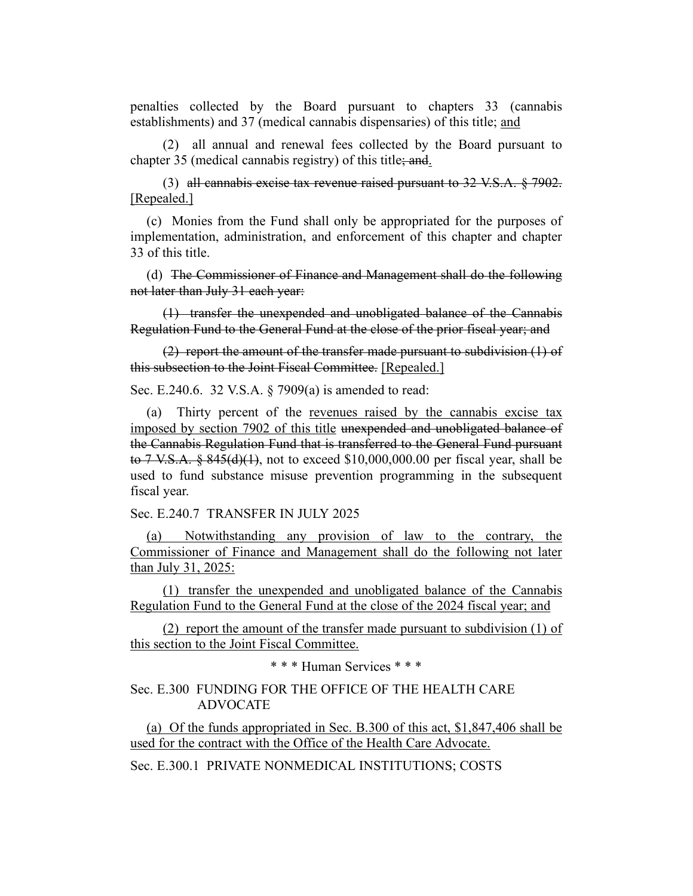penalties collected by the Board pursuant to chapters 33 (cannabis establishments) and 37 (medical cannabis dispensaries) of this title; and

(2) all annual and renewal fees collected by the Board pursuant to chapter 35 (medical cannabis registry) of this title; and.

(3) all cannabis excise tax revenue raised pursuant to 32 V.S.A. § 7902. [Repealed.]

(c) Monies from the Fund shall only be appropriated for the purposes of implementation, administration, and enforcement of this chapter and chapter 33 of this title.

(d) The Commissioner of Finance and Management shall do the following not later than July 31 each year:

(1) transfer the unexpended and unobligated balance of the Cannabis Regulation Fund to the General Fund at the close of the prior fiscal year; and

(2) report the amount of the transfer made pursuant to subdivision (1) of this subsection to the Joint Fiscal Committee. [Repealed.]

Sec. E.240.6. 32 V.S.A. § 7909(a) is amended to read:

(a) Thirty percent of the revenues raised by the cannabis excise tax imposed by section 7902 of this title unexpended and unobligated balance of the Cannabis Regulation Fund that is transferred to the General Fund pursuant to 7 V.S.A. § 845(d)(1), not to exceed \$10,000,000.00 per fiscal year, shall be used to fund substance misuse prevention programming in the subsequent fiscal year.

Sec. E.240.7 TRANSFER IN JULY 2025

(a) Notwithstanding any provision of law to the contrary, the Commissioner of Finance and Management shall do the following not later than July 31, 2025:

(1) transfer the unexpended and unobligated balance of the Cannabis Regulation Fund to the General Fund at the close of the 2024 fiscal year; and

(2) report the amount of the transfer made pursuant to subdivision  $(1)$  of this section to the Joint Fiscal Committee.

\* \* \* Human Services \* \* \*

#### Sec. E.300 FUNDING FOR THE OFFICE OF THE HEALTH CARE ADVOCATE

(a) Of the funds appropriated in Sec. B.300 of this act, \$1,847,406 shall be used for the contract with the Office of the Health Care Advocate.

Sec. E.300.1 PRIVATE NONMEDICAL INSTITUTIONS; COSTS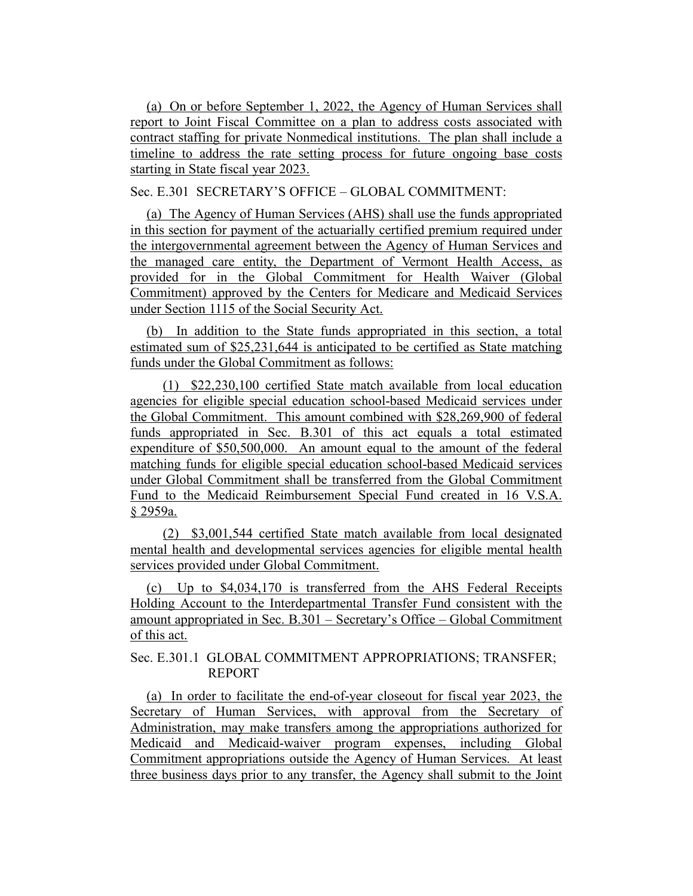(a) On or before September 1, 2022, the Agency of Human Services shall report to Joint Fiscal Committee on a plan to address costs associated with contract staffing for private Nonmedical institutions. The plan shall include a timeline to address the rate setting process for future ongoing base costs starting in State fiscal year 2023.

Sec. E.301 SECRETARY'S OFFICE – GLOBAL COMMITMENT:

(a) The Agency of Human Services (AHS) shall use the funds appropriated in this section for payment of the actuarially certified premium required under the intergovernmental agreement between the Agency of Human Services and the managed care entity, the Department of Vermont Health Access, as provided for in the Global Commitment for Health Waiver (Global Commitment) approved by the Centers for Medicare and Medicaid Services under Section 1115 of the Social Security Act.

(b) In addition to the State funds appropriated in this section, a total estimated sum of \$25,231,644 is anticipated to be certified as State matching funds under the Global Commitment as follows:

(1) \$22,230,100 certified State match available from local education agencies for eligible special education school-based Medicaid services under the Global Commitment. This amount combined with \$28,269,900 of federal funds appropriated in Sec. B.301 of this act equals a total estimated expenditure of \$50,500,000. An amount equal to the amount of the federal matching funds for eligible special education school-based Medicaid services under Global Commitment shall be transferred from the Global Commitment Fund to the Medicaid Reimbursement Special Fund created in 16 V.S.A. § 2959a.

(2) \$3,001,544 certified State match available from local designated mental health and developmental services agencies for eligible mental health services provided under Global Commitment.

(c) Up to \$4,034,170 is transferred from the AHS Federal Receipts Holding Account to the Interdepartmental Transfer Fund consistent with the amount appropriated in Sec. B.301 – Secretary's Office – Global Commitment of this act.

# Sec. E.301.1 GLOBAL COMMITMENT APPROPRIATIONS; TRANSFER; REPORT

(a) In order to facilitate the end-of-year closeout for fiscal year 2023, the Secretary of Human Services, with approval from the Secretary of Administration, may make transfers among the appropriations authorized for Medicaid and Medicaid-waiver program expenses, including Global Commitment appropriations outside the Agency of Human Services. At least three business days prior to any transfer, the Agency shall submit to the Joint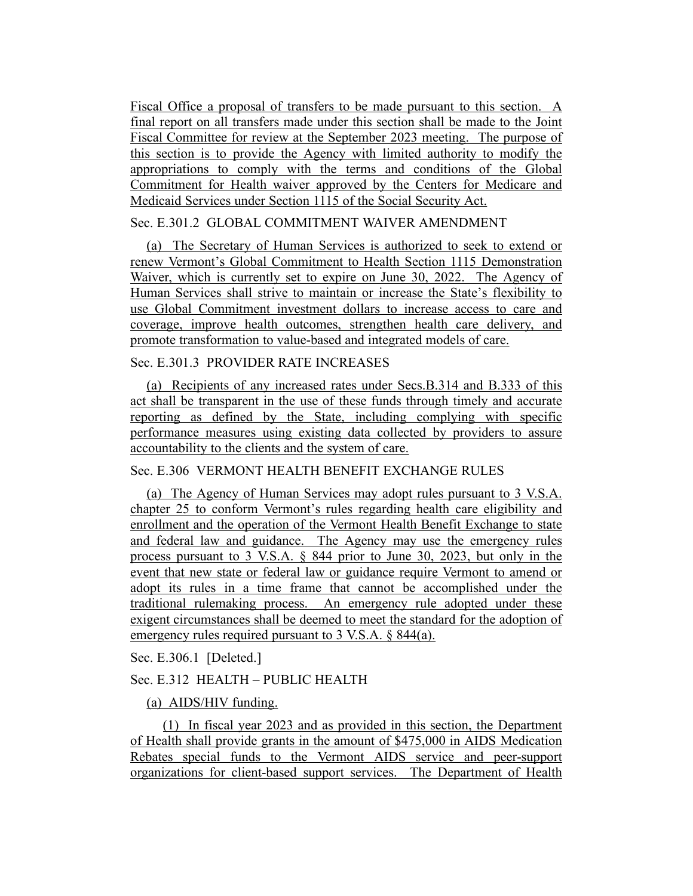Fiscal Office a proposal of transfers to be made pursuant to this section. A final report on all transfers made under this section shall be made to the Joint Fiscal Committee for review at the September 2023 meeting. The purpose of this section is to provide the Agency with limited authority to modify the appropriations to comply with the terms and conditions of the Global Commitment for Health waiver approved by the Centers for Medicare and Medicaid Services under Section 1115 of the Social Security Act.

## Sec. E.301.2 GLOBAL COMMITMENT WAIVER AMENDMENT

(a) The Secretary of Human Services is authorized to seek to extend or renew Vermont's Global Commitment to Health Section 1115 Demonstration Waiver, which is currently set to expire on June 30, 2022. The Agency of Human Services shall strive to maintain or increase the State's flexibility to use Global Commitment investment dollars to increase access to care and coverage, improve health outcomes, strengthen health care delivery, and promote transformation to value-based and integrated models of care.

## Sec. E.301.3 PROVIDER RATE INCREASES

(a) Recipients of any increased rates under Secs.B.314 and B.333 of this act shall be transparent in the use of these funds through timely and accurate reporting as defined by the State, including complying with specific performance measures using existing data collected by providers to assure accountability to the clients and the system of care.

## Sec. E.306 VERMONT HEALTH BENEFIT EXCHANGE RULES

(a) The Agency of Human Services may adopt rules pursuant to 3 V.S.A. chapter 25 to conform Vermont's rules regarding health care eligibility and enrollment and the operation of the Vermont Health Benefit Exchange to state and federal law and guidance. The Agency may use the emergency rules process pursuant to 3 V.S.A. § 844 prior to June 30, 2023, but only in the event that new state or federal law or guidance require Vermont to amend or adopt its rules in a time frame that cannot be accomplished under the traditional rulemaking process. An emergency rule adopted under these exigent circumstances shall be deemed to meet the standard for the adoption of emergency rules required pursuant to 3 V.S.A. § 844(a).

Sec. E.306.1 [Deleted.]

## Sec. E.312 HEALTH – PUBLIC HEALTH

## (a) AIDS/HIV funding.

(1) In fiscal year 2023 and as provided in this section, the Department of Health shall provide grants in the amount of \$475,000 in AIDS Medication Rebates special funds to the Vermont AIDS service and peer-support organizations for client-based support services. The Department of Health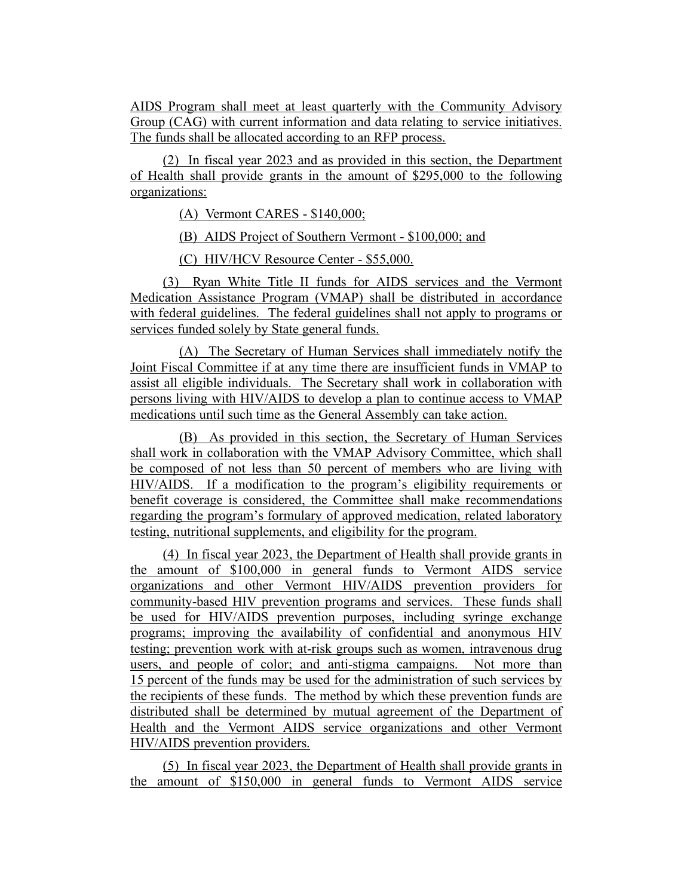AIDS Program shall meet at least quarterly with the Community Advisory Group (CAG) with current information and data relating to service initiatives. The funds shall be allocated according to an RFP process.

(2) In fiscal year 2023 and as provided in this section, the Department of Health shall provide grants in the amount of \$295,000 to the following organizations:

(A) Vermont CARES - \$140,000;

(B) AIDS Project of Southern Vermont - \$100,000; and

(C) HIV/HCV Resource Center - \$55,000.

(3) Ryan White Title II funds for AIDS services and the Vermont Medication Assistance Program (VMAP) shall be distributed in accordance with federal guidelines. The federal guidelines shall not apply to programs or services funded solely by State general funds.

(A) The Secretary of Human Services shall immediately notify the Joint Fiscal Committee if at any time there are insufficient funds in VMAP to assist all eligible individuals. The Secretary shall work in collaboration with persons living with HIV/AIDS to develop a plan to continue access to VMAP medications until such time as the General Assembly can take action.

(B) As provided in this section, the Secretary of Human Services shall work in collaboration with the VMAP Advisory Committee, which shall be composed of not less than 50 percent of members who are living with HIV/AIDS. If a modification to the program's eligibility requirements or benefit coverage is considered, the Committee shall make recommendations regarding the program's formulary of approved medication, related laboratory testing, nutritional supplements, and eligibility for the program.

(4) In fiscal year 2023, the Department of Health shall provide grants in the amount of \$100,000 in general funds to Vermont AIDS service organizations and other Vermont HIV/AIDS prevention providers for community-based HIV prevention programs and services. These funds shall be used for HIV/AIDS prevention purposes, including syringe exchange programs; improving the availability of confidential and anonymous HIV testing; prevention work with at-risk groups such as women, intravenous drug users, and people of color; and anti-stigma campaigns. Not more than 15 percent of the funds may be used for the administration of such services by the recipients of these funds. The method by which these prevention funds are distributed shall be determined by mutual agreement of the Department of Health and the Vermont AIDS service organizations and other Vermont HIV/AIDS prevention providers.

(5) In fiscal year 2023, the Department of Health shall provide grants in the amount of \$150,000 in general funds to Vermont AIDS service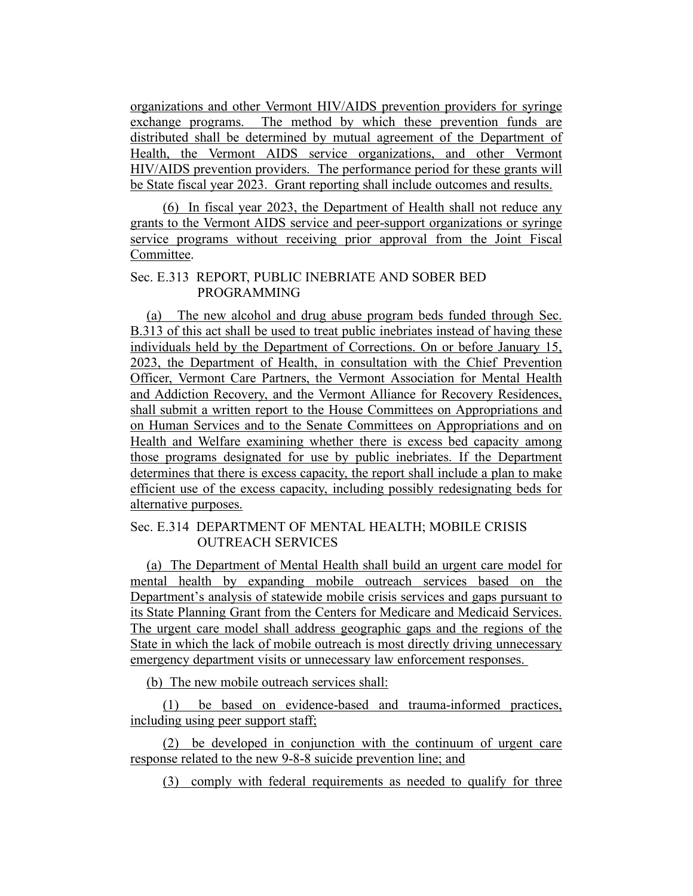organizations and other Vermont HIV/AIDS prevention providers for syringe exchange programs. The method by which these prevention funds are distributed shall be determined by mutual agreement of the Department of Health, the Vermont AIDS service organizations, and other Vermont HIV/AIDS prevention providers. The performance period for these grants will be State fiscal year 2023. Grant reporting shall include outcomes and results.

(6) In fiscal year 2023, the Department of Health shall not reduce any grants to the Vermont AIDS service and peer-support organizations or syringe service programs without receiving prior approval from the Joint Fiscal Committee.

## Sec. E.313 REPORT, PUBLIC INEBRIATE AND SOBER BED PROGRAMMING

(a) The new alcohol and drug abuse program beds funded through Sec. B.313 of this act shall be used to treat public inebriates instead of having these individuals held by the Department of Corrections. On or before January 15, 2023, the Department of Health, in consultation with the Chief Prevention Officer, Vermont Care Partners, the Vermont Association for Mental Health and Addiction Recovery, and the Vermont Alliance for Recovery Residences, shall submit a written report to the House Committees on Appropriations and on Human Services and to the Senate Committees on Appropriations and on Health and Welfare examining whether there is excess bed capacity among those programs designated for use by public inebriates. If the Department determines that there is excess capacity, the report shall include a plan to make efficient use of the excess capacity, including possibly redesignating beds for alternative purposes.

# Sec. E.314 DEPARTMENT OF MENTAL HEALTH; MOBILE CRISIS OUTREACH SERVICES

(a) The Department of Mental Health shall build an urgent care model for mental health by expanding mobile outreach services based on the Department's analysis of statewide mobile crisis services and gaps pursuant to its State Planning Grant from the Centers for Medicare and Medicaid Services. The urgent care model shall address geographic gaps and the regions of the State in which the lack of mobile outreach is most directly driving unnecessary emergency department visits or unnecessary law enforcement responses.

(b) The new mobile outreach services shall:

(1) be based on evidence-based and trauma-informed practices, including using peer support staff;

(2) be developed in conjunction with the continuum of urgent care response related to the new 9-8-8 suicide prevention line; and

(3) comply with federal requirements as needed to qualify for three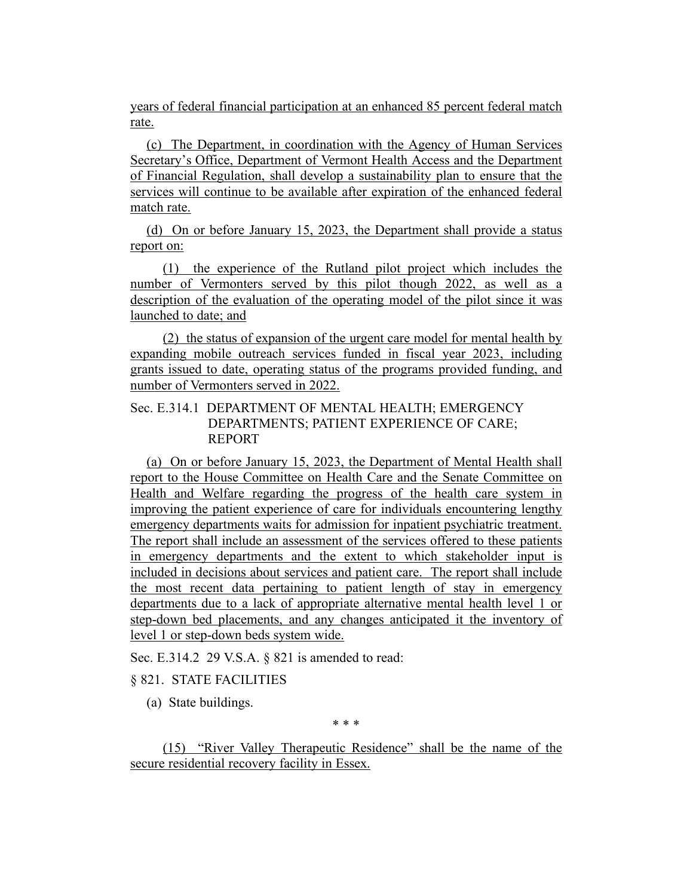years of federal financial participation at an enhanced 85 percent federal match rate.

(c) The Department, in coordination with the Agency of Human Services Secretary's Office, Department of Vermont Health Access and the Department of Financial Regulation, shall develop a sustainability plan to ensure that the services will continue to be available after expiration of the enhanced federal match rate.

(d) On or before January 15, 2023, the Department shall provide a status report on:

(1) the experience of the Rutland pilot project which includes the number of Vermonters served by this pilot though 2022, as well as a description of the evaluation of the operating model of the pilot since it was launched to date; and

(2) the status of expansion of the urgent care model for mental health by expanding mobile outreach services funded in fiscal year 2023, including grants issued to date, operating status of the programs provided funding, and number of Vermonters served in 2022.

## Sec. E.314.1 DEPARTMENT OF MENTAL HEALTH; EMERGENCY DEPARTMENTS; PATIENT EXPERIENCE OF CARE; REPORT

(a) On or before January 15, 2023, the Department of Mental Health shall report to the House Committee on Health Care and the Senate Committee on Health and Welfare regarding the progress of the health care system in improving the patient experience of care for individuals encountering lengthy emergency departments waits for admission for inpatient psychiatric treatment. The report shall include an assessment of the services offered to these patients in emergency departments and the extent to which stakeholder input is included in decisions about services and patient care. The report shall include the most recent data pertaining to patient length of stay in emergency departments due to a lack of appropriate alternative mental health level 1 or step-down bed placements, and any changes anticipated it the inventory of level 1 or step-down beds system wide.

Sec. E.314.2 29 V.S.A. § 821 is amended to read:

## § 821. STATE FACILITIES

(a) State buildings.

\* \* \*

(15) "River Valley Therapeutic Residence" shall be the name of the secure residential recovery facility in Essex.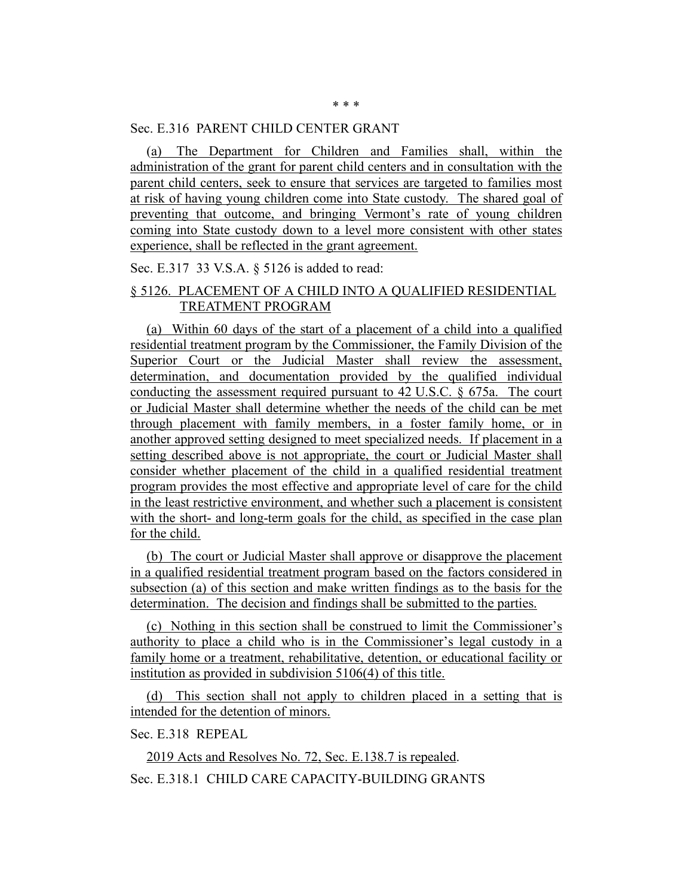#### Sec. E.316 PARENT CHILD CENTER GRANT

(a) The Department for Children and Families shall, within the administration of the grant for parent child centers and in consultation with the parent child centers, seek to ensure that services are targeted to families most at risk of having young children come into State custody. The shared goal of preventing that outcome, and bringing Vermont's rate of young children coming into State custody down to a level more consistent with other states experience, shall be reflected in the grant agreement.

Sec. E.317 33 V.S.A. § 5126 is added to read:

## § 5126. PLACEMENT OF A CHILD INTO A QUALIFIED RESIDENTIAL TREATMENT PROGRAM

(a) Within 60 days of the start of a placement of a child into a qualified residential treatment program by the Commissioner, the Family Division of the Superior Court or the Judicial Master shall review the assessment, determination, and documentation provided by the qualified individual conducting the assessment required pursuant to 42 U.S.C. § 675a. The court or Judicial Master shall determine whether the needs of the child can be met through placement with family members, in a foster family home, or in another approved setting designed to meet specialized needs. If placement in a setting described above is not appropriate, the court or Judicial Master shall consider whether placement of the child in a qualified residential treatment program provides the most effective and appropriate level of care for the child in the least restrictive environment, and whether such a placement is consistent with the short- and long-term goals for the child, as specified in the case plan for the child.

(b) The court or Judicial Master shall approve or disapprove the placement in a qualified residential treatment program based on the factors considered in subsection (a) of this section and make written findings as to the basis for the determination. The decision and findings shall be submitted to the parties.

(c) Nothing in this section shall be construed to limit the Commissioner's authority to place a child who is in the Commissioner's legal custody in a family home or a treatment, rehabilitative, detention, or educational facility or institution as provided in subdivision 5106(4) of this title.

(d) This section shall not apply to children placed in a setting that is intended for the detention of minors.

Sec. E.318 REPEAL

2019 Acts and Resolves No. 72, Sec. E.138.7 is repealed.

Sec. E.318.1 CHILD CARE CAPACITY-BUILDING GRANTS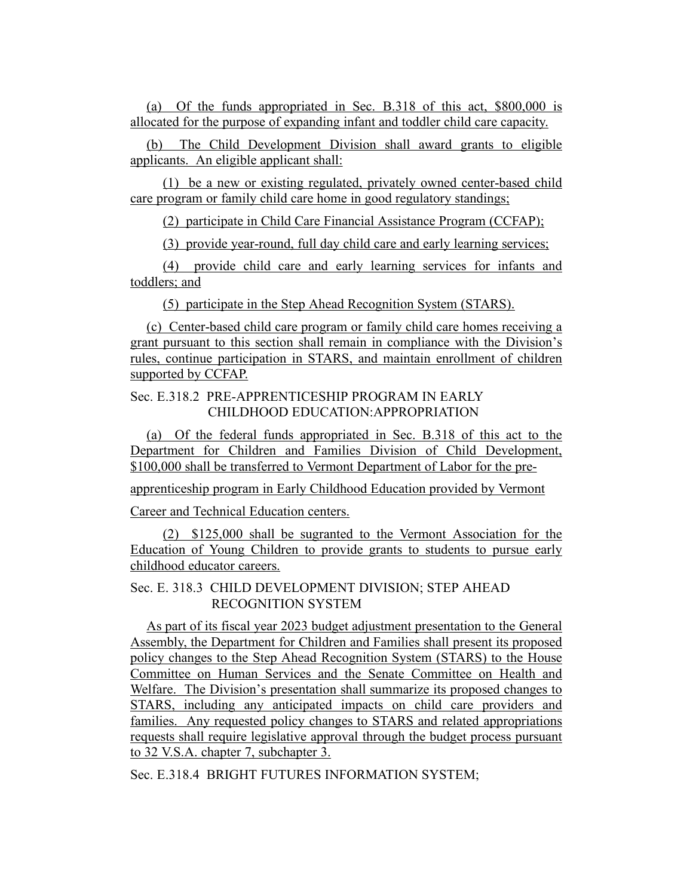(a) Of the funds appropriated in Sec. B.318 of this act, \$800,000 is allocated for the purpose of expanding infant and toddler child care capacity.

(b) The Child Development Division shall award grants to eligible applicants. An eligible applicant shall:

(1) be a new or existing regulated, privately owned center-based child care program or family child care home in good regulatory standings;

(2) participate in Child Care Financial Assistance Program (CCFAP);

(3) provide year-round, full day child care and early learning services;

(4) provide child care and early learning services for infants and toddlers; and

(5) participate in the Step Ahead Recognition System (STARS).

(c) Center-based child care program or family child care homes receiving a grant pursuant to this section shall remain in compliance with the Division's rules, continue participation in STARS, and maintain enrollment of children supported by CCFAP.

## Sec. E.318.2 PRE-APPRENTICESHIP PROGRAM IN EARLY CHILDHOOD EDUCATION:APPROPRIATION

(a) Of the federal funds appropriated in Sec. B.318 of this act to the Department for Children and Families Division of Child Development, \$100,000 shall be transferred to Vermont Department of Labor for the pre-

apprenticeship program in Early Childhood Education provided by Vermont

Career and Technical Education centers.

(2) \$125,000 shall be sugranted to the Vermont Association for the Education of Young Children to provide grants to students to pursue early childhood educator careers.

## Sec. E. 318.3 CHILD DEVELOPMENT DIVISION; STEP AHEAD RECOGNITION SYSTEM

As part of its fiscal year 2023 budget adjustment presentation to the General Assembly, the Department for Children and Families shall present its proposed policy changes to the Step Ahead Recognition System (STARS) to the House Committee on Human Services and the Senate Committee on Health and Welfare. The Division's presentation shall summarize its proposed changes to STARS, including any anticipated impacts on child care providers and families. Any requested policy changes to STARS and related appropriations requests shall require legislative approval through the budget process pursuant to 32 V.S.A. chapter 7, subchapter 3.

Sec. E.318.4 BRIGHT FUTURES INFORMATION SYSTEM;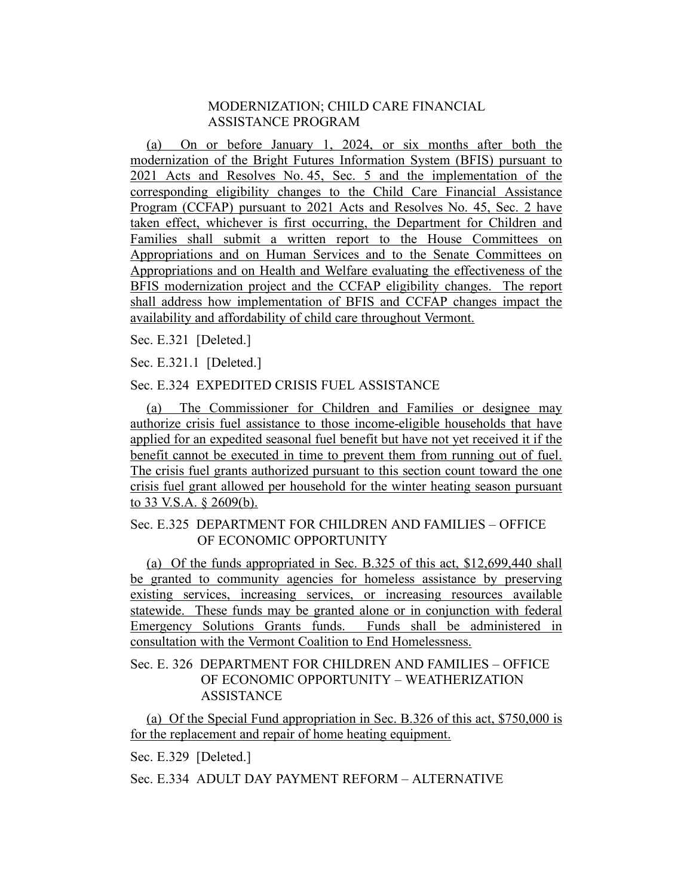## MODERNIZATION; CHILD CARE FINANCIAL ASSISTANCE PROGRAM

(a) On or before January 1, 2024, or six months after both the modernization of the Bright Futures Information System (BFIS) pursuant to 2021 Acts and Resolves No. 45, Sec. 5 and the implementation of the corresponding eligibility changes to the Child Care Financial Assistance Program (CCFAP) pursuant to 2021 Acts and Resolves No. 45, Sec. 2 have taken effect, whichever is first occurring, the Department for Children and Families shall submit a written report to the House Committees on Appropriations and on Human Services and to the Senate Committees on Appropriations and on Health and Welfare evaluating the effectiveness of the BFIS modernization project and the CCFAP eligibility changes. The report shall address how implementation of BFIS and CCFAP changes impact the availability and affordability of child care throughout Vermont.

Sec. E.321 [Deleted.]

Sec. E.321.1 [Deleted.]

## Sec. E.324 EXPEDITED CRISIS FUEL ASSISTANCE

(a) The Commissioner for Children and Families or designee may authorize crisis fuel assistance to those income-eligible households that have applied for an expedited seasonal fuel benefit but have not yet received it if the benefit cannot be executed in time to prevent them from running out of fuel. The crisis fuel grants authorized pursuant to this section count toward the one crisis fuel grant allowed per household for the winter heating season pursuant to 33 V.S.A. § 2609(b).

## Sec. E.325 DEPARTMENT FOR CHILDREN AND FAMILIES – OFFICE OF ECONOMIC OPPORTUNITY

(a) Of the funds appropriated in Sec. B.325 of this act, \$12,699,440 shall be granted to community agencies for homeless assistance by preserving existing services, increasing services, or increasing resources available statewide. These funds may be granted alone or in conjunction with federal Emergency Solutions Grants funds. Funds shall be administered in consultation with the Vermont Coalition to End Homelessness.

## Sec. E. 326 DEPARTMENT FOR CHILDREN AND FAMILIES – OFFICE OF ECONOMIC OPPORTUNITY – WEATHERIZATION ASSISTANCE

(a) Of the Special Fund appropriation in Sec. B.326 of this act, \$750,000 is for the replacement and repair of home heating equipment.

Sec. E.329 [Deleted.]

Sec. E.334 ADULT DAY PAYMENT REFORM – ALTERNATIVE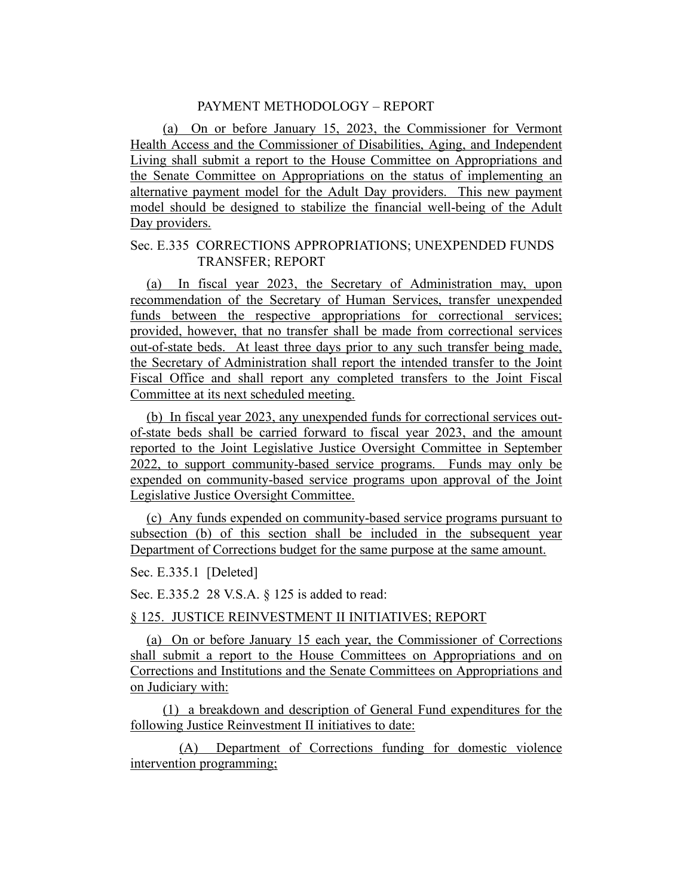## PAYMENT METHODOLOGY – REPORT

(a) On or before January 15, 2023, the Commissioner for Vermont Health Access and the Commissioner of Disabilities, Aging, and Independent Living shall submit a report to the House Committee on Appropriations and the Senate Committee on Appropriations on the status of implementing an alternative payment model for the Adult Day providers. This new payment model should be designed to stabilize the financial well-being of the Adult Day providers.

#### Sec. E.335 CORRECTIONS APPROPRIATIONS; UNEXPENDED FUNDS TRANSFER; REPORT

(a) In fiscal year 2023, the Secretary of Administration may, upon recommendation of the Secretary of Human Services, transfer unexpended funds between the respective appropriations for correctional services; provided, however, that no transfer shall be made from correctional services out-of-state beds. At least three days prior to any such transfer being made, the Secretary of Administration shall report the intended transfer to the Joint Fiscal Office and shall report any completed transfers to the Joint Fiscal Committee at its next scheduled meeting.

(b) In fiscal year 2023, any unexpended funds for correctional services outof-state beds shall be carried forward to fiscal year 2023, and the amount reported to the Joint Legislative Justice Oversight Committee in September 2022, to support community-based service programs. Funds may only be expended on community-based service programs upon approval of the Joint Legislative Justice Oversight Committee.

(c) Any funds expended on community-based service programs pursuant to subsection (b) of this section shall be included in the subsequent year Department of Corrections budget for the same purpose at the same amount.

Sec. E.335.1 [Deleted]

Sec. E.335.2 28 V.S.A. § 125 is added to read:

§ 125. JUSTICE REINVESTMENT II INITIATIVES; REPORT

(a) On or before January 15 each year, the Commissioner of Corrections shall submit a report to the House Committees on Appropriations and on Corrections and Institutions and the Senate Committees on Appropriations and on Judiciary with:

(1) a breakdown and description of General Fund expenditures for the following Justice Reinvestment II initiatives to date:

(A) Department of Corrections funding for domestic violence intervention programming;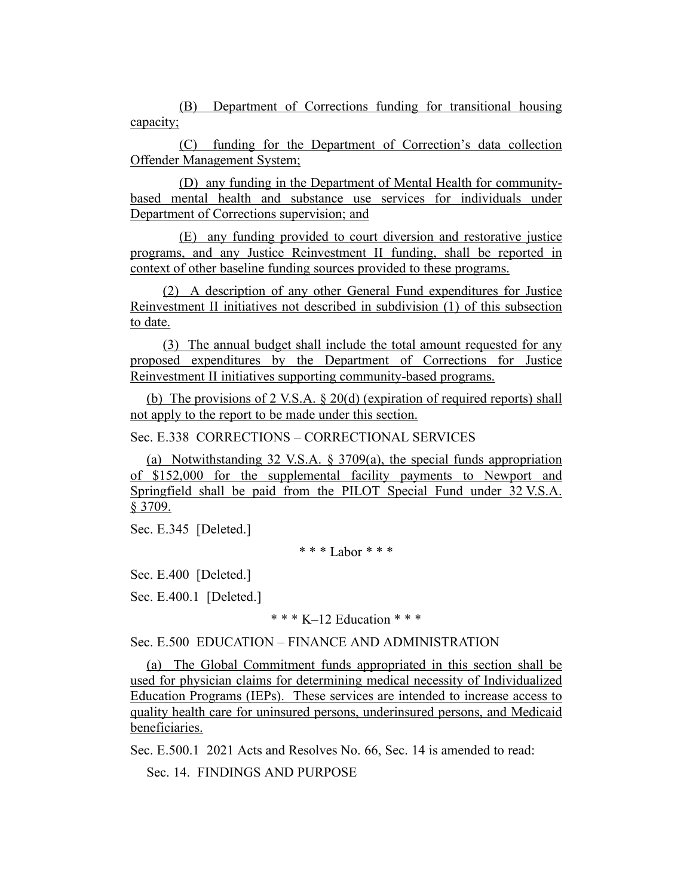(B) Department of Corrections funding for transitional housing capacity;

(C) funding for the Department of Correction's data collection Offender Management System;

(D) any funding in the Department of Mental Health for communitybased mental health and substance use services for individuals under Department of Corrections supervision; and

(E) any funding provided to court diversion and restorative justice programs, and any Justice Reinvestment II funding, shall be reported in context of other baseline funding sources provided to these programs.

(2) A description of any other General Fund expenditures for Justice Reinvestment II initiatives not described in subdivision (1) of this subsection to date.

(3) The annual budget shall include the total amount requested for any proposed expenditures by the Department of Corrections for Justice Reinvestment II initiatives supporting community-based programs.

(b) The provisions of 2 V.S.A. § 20(d) (expiration of required reports) shall not apply to the report to be made under this section.

Sec. E.338 CORRECTIONS – CORRECTIONAL SERVICES

(a) Notwithstanding 32 V.S.A. § 3709(a), the special funds appropriation of \$152,000 for the supplemental facility payments to Newport and Springfield shall be paid from the PILOT Special Fund under 32 V.S.A. § 3709.

Sec. E.345 [Deleted.]

\* \* \* Labor \* \* \*

Sec. E.400 [Deleted.]

Sec. E.400.1 [Deleted.]

 $*** K=12$  Education  $***$ 

Sec. E.500 EDUCATION – FINANCE AND ADMINISTRATION

(a) The Global Commitment funds appropriated in this section shall be used for physician claims for determining medical necessity of Individualized Education Programs (IEPs). These services are intended to increase access to quality health care for uninsured persons, underinsured persons, and Medicaid beneficiaries.

Sec. E.500.1 2021 Acts and Resolves No. 66, Sec. 14 is amended to read:

Sec. 14. FINDINGS AND PURPOSE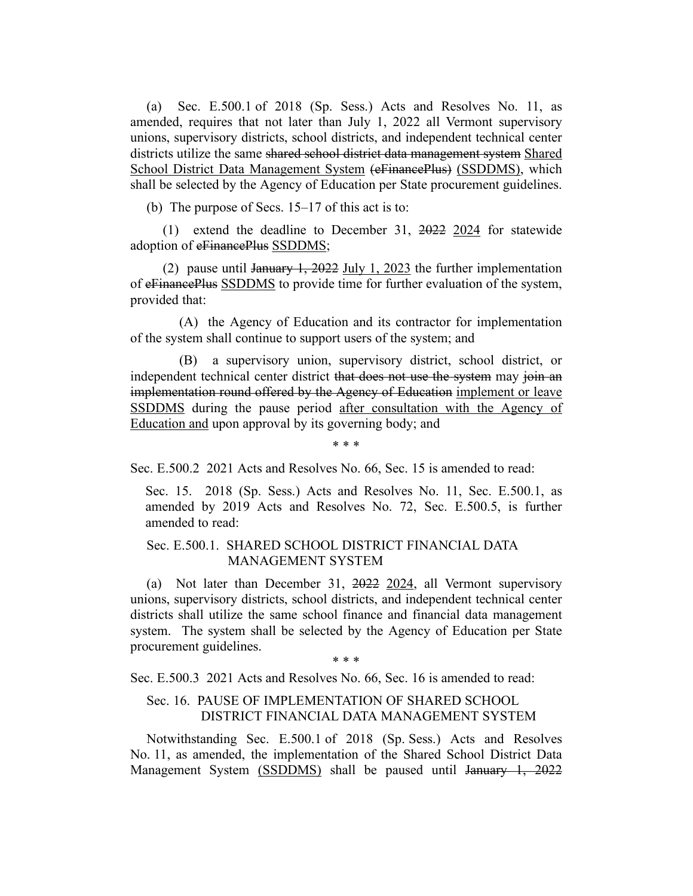(a) Sec. E.500.1 of 2018 (Sp. Sess.) Acts and Resolves No. 11, as amended, requires that not later than July 1, 2022 all Vermont supervisory unions, supervisory districts, school districts, and independent technical center districts utilize the same shared school district data management system Shared School District Data Management System (eFinancePlus) (SSDDMS), which shall be selected by the Agency of Education per State procurement guidelines.

(b) The purpose of Secs.  $15-17$  of this act is to:

(1) extend the deadline to December 31, 2022 2024 for statewide adoption of eFinancePlus SSDDMS;

(2) pause until January 1, 2022 July 1, 2023 the further implementation of eFinancePlus SSDDMS to provide time for further evaluation of the system, provided that:

(A) the Agency of Education and its contractor for implementation of the system shall continue to support users of the system; and

(B) a supervisory union, supervisory district, school district, or independent technical center district that does not use the system may join an implementation round offered by the Agency of Education implement or leave SSDDMS during the pause period after consultation with the Agency of Education and upon approval by its governing body; and

\* \* \*

Sec. E.500.2 2021 Acts and Resolves No. 66, Sec. 15 is amended to read:

Sec. 15. 2018 (Sp. Sess.) Acts and Resolves No. 11, Sec. E.500.1, as amended by 2019 Acts and Resolves No. 72, Sec. E.500.5, is further amended to read:

#### Sec. E.500.1. SHARED SCHOOL DISTRICT FINANCIAL DATA MANAGEMENT SYSTEM

(a) Not later than December 31, 2022 2024, all Vermont supervisory unions, supervisory districts, school districts, and independent technical center districts shall utilize the same school finance and financial data management system. The system shall be selected by the Agency of Education per State procurement guidelines.

\* \* \*

Sec. E.500.3 2021 Acts and Resolves No. 66, Sec. 16 is amended to read:

## Sec. 16. PAUSE OF IMPLEMENTATION OF SHARED SCHOOL DISTRICT FINANCIAL DATA MANAGEMENT SYSTEM

Notwithstanding Sec. E.500.1 of 2018 (Sp. Sess.) Acts and Resolves No. 11, as amended, the implementation of the Shared School District Data Management System (SSDDMS) shall be paused until January 1, 2022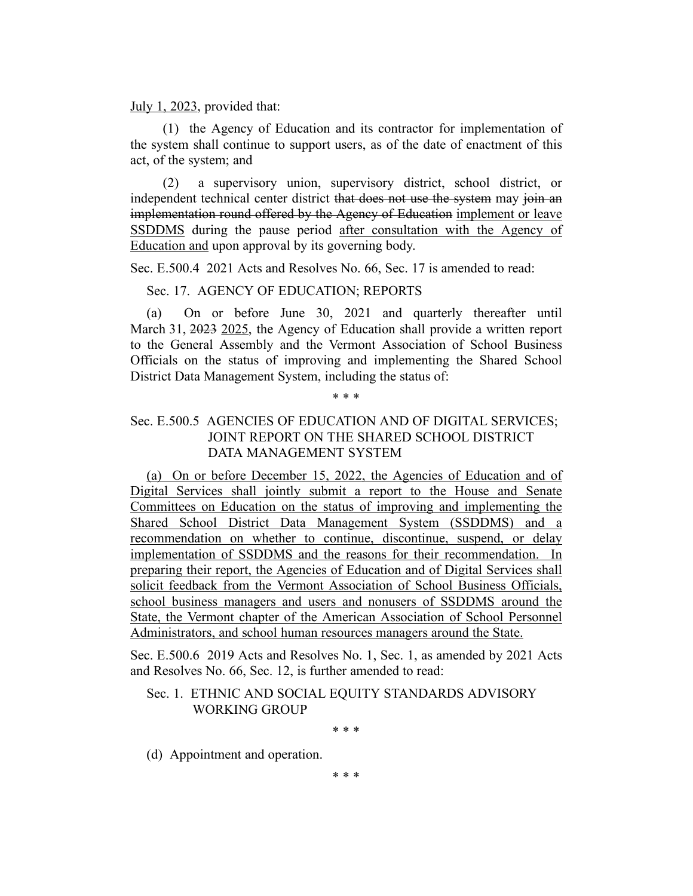#### July 1, 2023, provided that:

(1) the Agency of Education and its contractor for implementation of the system shall continue to support users, as of the date of enactment of this act, of the system; and

(2) a supervisory union, supervisory district, school district, or independent technical center district that does not use the system may join an implementation round offered by the Agency of Education implement or leave SSDDMS during the pause period after consultation with the Agency of Education and upon approval by its governing body.

Sec. E.500.4 2021 Acts and Resolves No. 66, Sec. 17 is amended to read:

Sec. 17. AGENCY OF EDUCATION; REPORTS

(a) On or before June 30, 2021 and quarterly thereafter until March 31, 2023 2025, the Agency of Education shall provide a written report to the General Assembly and the Vermont Association of School Business Officials on the status of improving and implementing the Shared School District Data Management System, including the status of:

# \* \* \*

## Sec. E.500.5 AGENCIES OF EDUCATION AND OF DIGITAL SERVICES; JOINT REPORT ON THE SHARED SCHOOL DISTRICT DATA MANAGEMENT SYSTEM

(a) On or before December 15, 2022, the Agencies of Education and of Digital Services shall jointly submit a report to the House and Senate Committees on Education on the status of improving and implementing the Shared School District Data Management System (SSDDMS) and a recommendation on whether to continue, discontinue, suspend, or delay implementation of SSDDMS and the reasons for their recommendation. In preparing their report, the Agencies of Education and of Digital Services shall solicit feedback from the Vermont Association of School Business Officials, school business managers and users and nonusers of SSDDMS around the State, the Vermont chapter of the American Association of School Personnel Administrators, and school human resources managers around the State.

Sec. E.500.6 2019 Acts and Resolves No. 1, Sec. 1, as amended by 2021 Acts and Resolves No. 66, Sec. 12, is further amended to read:

## Sec. 1. ETHNIC AND SOCIAL EQUITY STANDARDS ADVISORY WORKING GROUP

\* \* \*

(d) Appointment and operation.

\* \* \*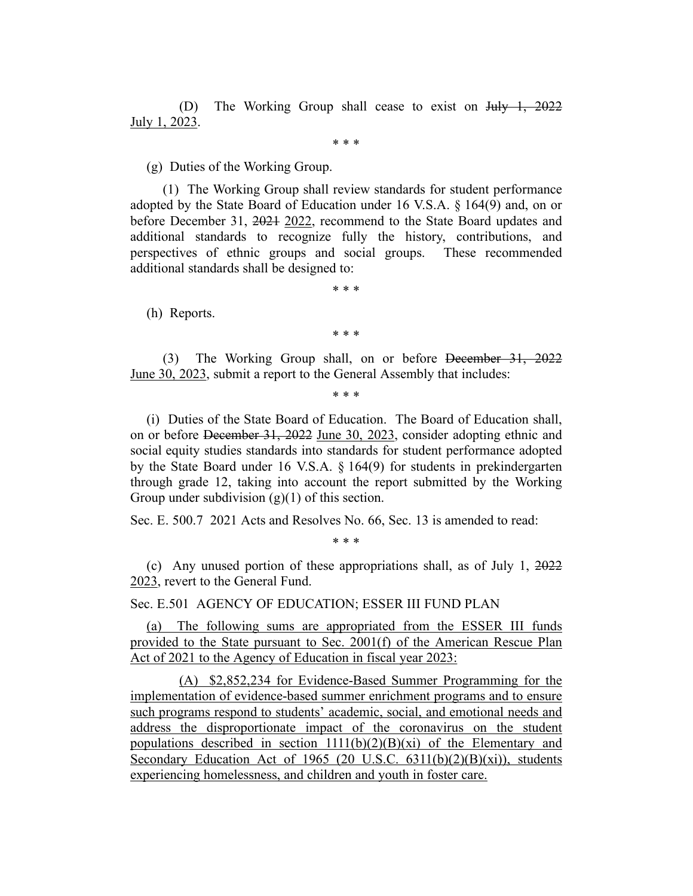(D) The Working Group shall cease to exist on July 1, 2022 July 1, 2023.

\* \* \*

(g) Duties of the Working Group.

(1) The Working Group shall review standards for student performance adopted by the State Board of Education under 16 V.S.A. § 164(9) and, on or before December 31, 2021 2022, recommend to the State Board updates and additional standards to recognize fully the history, contributions, and perspectives of ethnic groups and social groups. These recommended additional standards shall be designed to:

\* \* \*

(h) Reports.

\* \* \*

(3) The Working Group shall, on or before December 31, 2022 June 30, 2023, submit a report to the General Assembly that includes:

\* \* \*

(i) Duties of the State Board of Education. The Board of Education shall, on or before December 31, 2022 June 30, 2023, consider adopting ethnic and social equity studies standards into standards for student performance adopted by the State Board under 16 V.S.A. § 164(9) for students in prekindergarten through grade 12, taking into account the report submitted by the Working Group under subdivision  $(g)(1)$  of this section.

Sec. E. 500.7 2021 Acts and Resolves No. 66, Sec. 13 is amended to read:

\* \* \*

(c) Any unused portion of these appropriations shall, as of July 1, 2022 2023, revert to the General Fund.

Sec. E.501 AGENCY OF EDUCATION; ESSER III FUND PLAN

(a) The following sums are appropriated from the ESSER III funds provided to the State pursuant to Sec. 2001(f) of the American Rescue Plan Act of 2021 to the Agency of Education in fiscal year 2023:

(A) \$2,852,234 for Evidence-Based Summer Programming for the implementation of evidence-based summer enrichment programs and to ensure such programs respond to students' academic, social, and emotional needs and address the disproportionate impact of the coronavirus on the student populations described in section  $1111(b)(2)(B)(xi)$  of the Elementary and Secondary Education Act of 1965 (20 U.S.C. 6311(b)(2)(B)(xi)), students experiencing homelessness, and children and youth in foster care.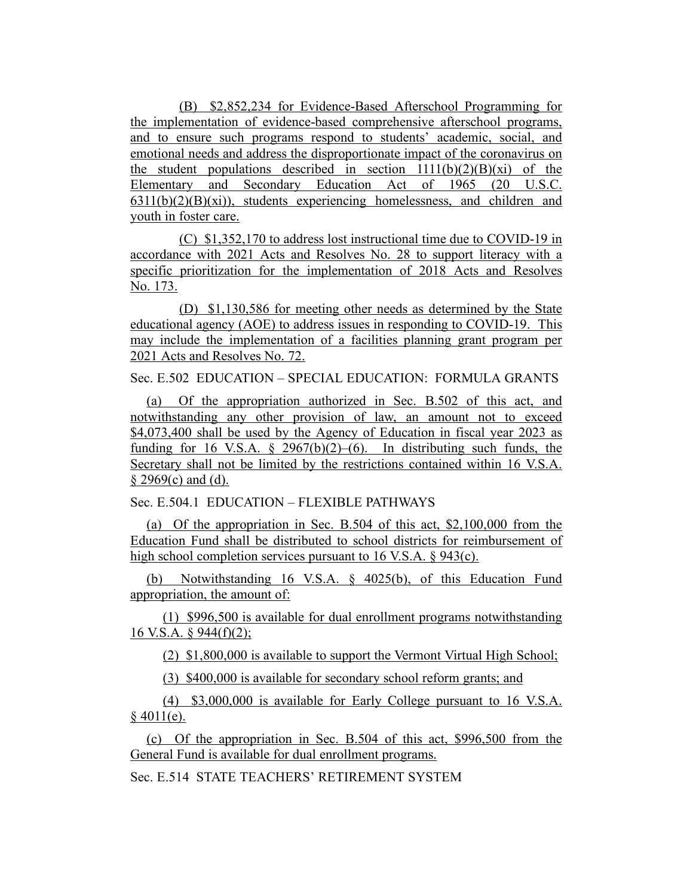(B) \$2,852,234 for Evidence-Based Afterschool Programming for the implementation of evidence-based comprehensive afterschool programs, and to ensure such programs respond to students' academic, social, and emotional needs and address the disproportionate impact of the coronavirus on the student populations described in section  $1111(b)(2)(B)(xi)$  of the Elementary and Secondary Education Act of 1965 (20 U.S.C.  $6311(b)(2)(B)(xi)$ , students experiencing homelessness, and children and youth in foster care.

(C) \$1,352,170 to address lost instructional time due to COVID-19 in accordance with 2021 Acts and Resolves No. 28 to support literacy with a specific prioritization for the implementation of 2018 Acts and Resolves No. 173.

(D) \$1,130,586 for meeting other needs as determined by the State educational agency (AOE) to address issues in responding to COVID-19. This may include the implementation of a facilities planning grant program per 2021 Acts and Resolves No. 72.

Sec. E.502 EDUCATION – SPECIAL EDUCATION: FORMULA GRANTS

(a) Of the appropriation authorized in Sec. B.502 of this act, and notwithstanding any other provision of law, an amount not to exceed \$4,073,400 shall be used by the Agency of Education in fiscal year 2023 as funding for 16 V.S.A.  $\S$  2967(b)(2)–(6). In distributing such funds, the Secretary shall not be limited by the restrictions contained within 16 V.S.A.  $§$  2969(c) and (d).

Sec. E.504.1 EDUCATION – FLEXIBLE PATHWAYS

(a) Of the appropriation in Sec. B.504 of this act, \$2,100,000 from the Education Fund shall be distributed to school districts for reimbursement of high school completion services pursuant to 16 V.S.A. § 943(c).

(b) Notwithstanding 16 V.S.A. § 4025(b), of this Education Fund appropriation, the amount of:

(1) \$996,500 is available for dual enrollment programs notwithstanding 16 V.S.A. § 944(f)(2);

(2) \$1,800,000 is available to support the Vermont Virtual High School;

(3) \$400,000 is available for secondary school reform grants; and

(4) \$3,000,000 is available for Early College pursuant to 16 V.S.A.  $$4011(e).$ 

(c) Of the appropriation in Sec. B.504 of this act, \$996,500 from the General Fund is available for dual enrollment programs.

Sec. E.514 STATE TEACHERS' RETIREMENT SYSTEM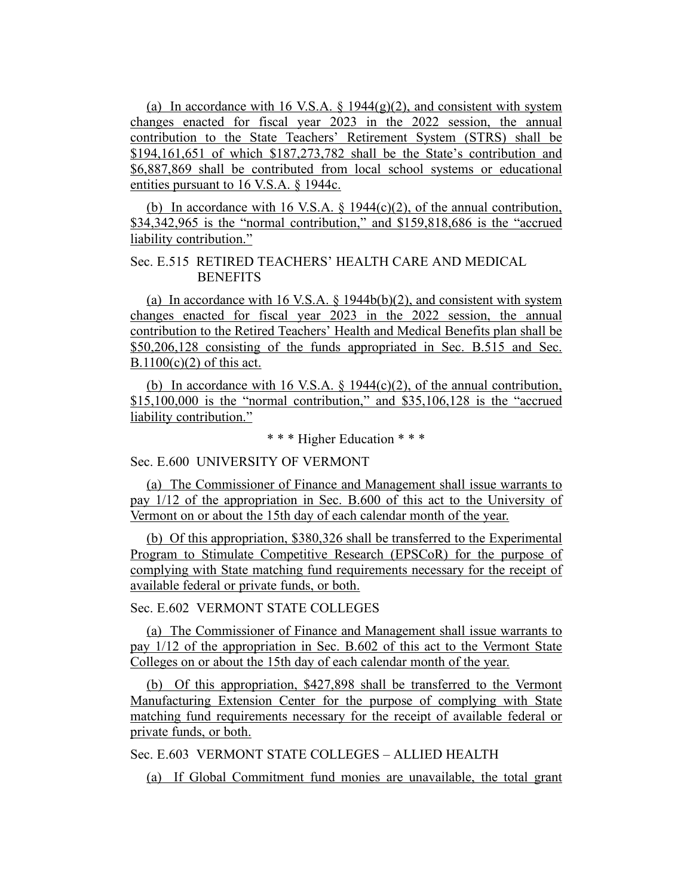(a) In accordance with 16 V.S.A.  $\S$  1944(g)(2), and consistent with system changes enacted for fiscal year 2023 in the 2022 session, the annual contribution to the State Teachers' Retirement System (STRS) shall be \$194,161,651 of which \$187,273,782 shall be the State's contribution and \$6,887,869 shall be contributed from local school systems or educational entities pursuant to 16 V.S.A. § 1944c.

(b) In accordance with 16 V.S.A.  $\S$  1944(c)(2), of the annual contribution, \$34,342,965 is the "normal contribution," and \$159,818,686 is the "accrued liability contribution."

# Sec. E.515 RETIRED TEACHERS' HEALTH CARE AND MEDICAL **BENEFITS**

(a) In accordance with 16 V.S.A.  $\frac{1944b(b)}{2}$ , and consistent with system changes enacted for fiscal year 2023 in the 2022 session, the annual contribution to the Retired Teachers' Health and Medical Benefits plan shall be \$50,206,128 consisting of the funds appropriated in Sec. B.515 and Sec.  $B.1100(c)(2)$  of this act.

(b) In accordance with 16 V.S.A.  $\S$  1944(c)(2), of the annual contribution, \$15,100,000 is the "normal contribution," and \$35,106,128 is the "accrued liability contribution."

\* \* \* Higher Education \* \* \*

## Sec. E.600 UNIVERSITY OF VERMONT

(a) The Commissioner of Finance and Management shall issue warrants to pay 1/12 of the appropriation in Sec. B.600 of this act to the University of Vermont on or about the 15th day of each calendar month of the year.

(b) Of this appropriation, \$380,326 shall be transferred to the Experimental Program to Stimulate Competitive Research (EPSCoR) for the purpose of complying with State matching fund requirements necessary for the receipt of available federal or private funds, or both.

## Sec. E.602 VERMONT STATE COLLEGES

(a) The Commissioner of Finance and Management shall issue warrants to pay 1/12 of the appropriation in Sec. B.602 of this act to the Vermont State Colleges on or about the 15th day of each calendar month of the year.

(b) Of this appropriation, \$427,898 shall be transferred to the Vermont Manufacturing Extension Center for the purpose of complying with State matching fund requirements necessary for the receipt of available federal or private funds, or both.

Sec. E.603 VERMONT STATE COLLEGES – ALLIED HEALTH

(a) If Global Commitment fund monies are unavailable, the total grant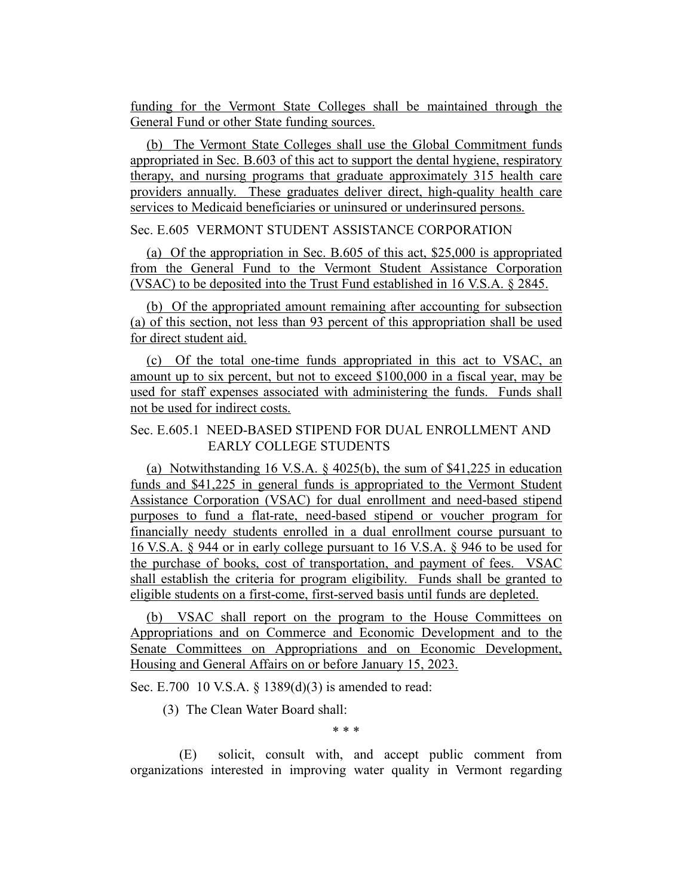funding for the Vermont State Colleges shall be maintained through the General Fund or other State funding sources.

(b) The Vermont State Colleges shall use the Global Commitment funds appropriated in Sec. B.603 of this act to support the dental hygiene, respiratory therapy, and nursing programs that graduate approximately 315 health care providers annually. These graduates deliver direct, high-quality health care services to Medicaid beneficiaries or uninsured or underinsured persons.

#### Sec. E.605 VERMONT STUDENT ASSISTANCE CORPORATION

(a) Of the appropriation in Sec. B.605 of this act, \$25,000 is appropriated from the General Fund to the Vermont Student Assistance Corporation (VSAC) to be deposited into the Trust Fund established in 16 V.S.A. § 2845.

(b) Of the appropriated amount remaining after accounting for subsection (a) of this section, not less than 93 percent of this appropriation shall be used for direct student aid.

(c) Of the total one-time funds appropriated in this act to VSAC, an amount up to six percent, but not to exceed \$100,000 in a fiscal year, may be used for staff expenses associated with administering the funds. Funds shall not be used for indirect costs.

## Sec. E.605.1 NEED-BASED STIPEND FOR DUAL ENROLLMENT AND EARLY COLLEGE STUDENTS

(a) Notwithstanding 16 V.S.A. § 4025(b), the sum of \$41,225 in education funds and \$41,225 in general funds is appropriated to the Vermont Student Assistance Corporation (VSAC) for dual enrollment and need-based stipend purposes to fund a flat-rate, need-based stipend or voucher program for financially needy students enrolled in a dual enrollment course pursuant to 16 V.S.A. § 944 or in early college pursuant to 16 V.S.A. § 946 to be used for the purchase of books, cost of transportation, and payment of fees. VSAC shall establish the criteria for program eligibility. Funds shall be granted to eligible students on a first-come, first-served basis until funds are depleted.

(b) VSAC shall report on the program to the House Committees on Appropriations and on Commerce and Economic Development and to the Senate Committees on Appropriations and on Economic Development, Housing and General Affairs on or before January 15, 2023.

Sec. E.700 10 V.S.A. § 1389(d)(3) is amended to read:

(3) The Clean Water Board shall:

\* \* \*

(E) solicit, consult with, and accept public comment from organizations interested in improving water quality in Vermont regarding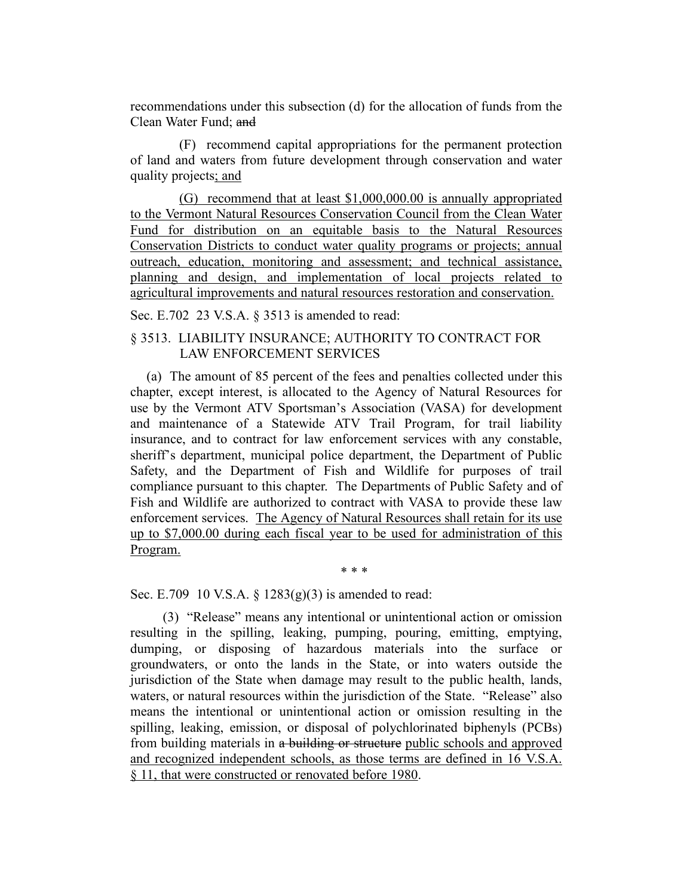recommendations under this subsection (d) for the allocation of funds from the Clean Water Fund; and

(F) recommend capital appropriations for the permanent protection of land and waters from future development through conservation and water quality projects; and

(G) recommend that at least \$1,000,000.00 is annually appropriated to the Vermont Natural Resources Conservation Council from the Clean Water Fund for distribution on an equitable basis to the Natural Resources Conservation Districts to conduct water quality programs or projects; annual outreach, education, monitoring and assessment; and technical assistance, planning and design, and implementation of local projects related to agricultural improvements and natural resources restoration and conservation.

Sec. E.702 23 V.S.A. § 3513 is amended to read:

## § 3513. LIABILITY INSURANCE; AUTHORITY TO CONTRACT FOR LAW ENFORCEMENT SERVICES

(a) The amount of 85 percent of the fees and penalties collected under this chapter, except interest, is allocated to the Agency of Natural Resources for use by the Vermont ATV Sportsman's Association (VASA) for development and maintenance of a Statewide ATV Trail Program, for trail liability insurance, and to contract for law enforcement services with any constable, sheriff's department, municipal police department, the Department of Public Safety, and the Department of Fish and Wildlife for purposes of trail compliance pursuant to this chapter. The Departments of Public Safety and of Fish and Wildlife are authorized to contract with VASA to provide these law enforcement services. The Agency of Natural Resources shall retain for its use up to \$7,000.00 during each fiscal year to be used for administration of this Program.

\* \* \*

Sec. E.709 10 V.S.A. § 1283(g)(3) is amended to read:

(3) "Release" means any intentional or unintentional action or omission resulting in the spilling, leaking, pumping, pouring, emitting, emptying, dumping, or disposing of hazardous materials into the surface or groundwaters, or onto the lands in the State, or into waters outside the jurisdiction of the State when damage may result to the public health, lands, waters, or natural resources within the jurisdiction of the State. "Release" also means the intentional or unintentional action or omission resulting in the spilling, leaking, emission, or disposal of polychlorinated biphenyls (PCBs) from building materials in a building or structure public schools and approved and recognized independent schools, as those terms are defined in 16 V.S.A. § 11, that were constructed or renovated before 1980.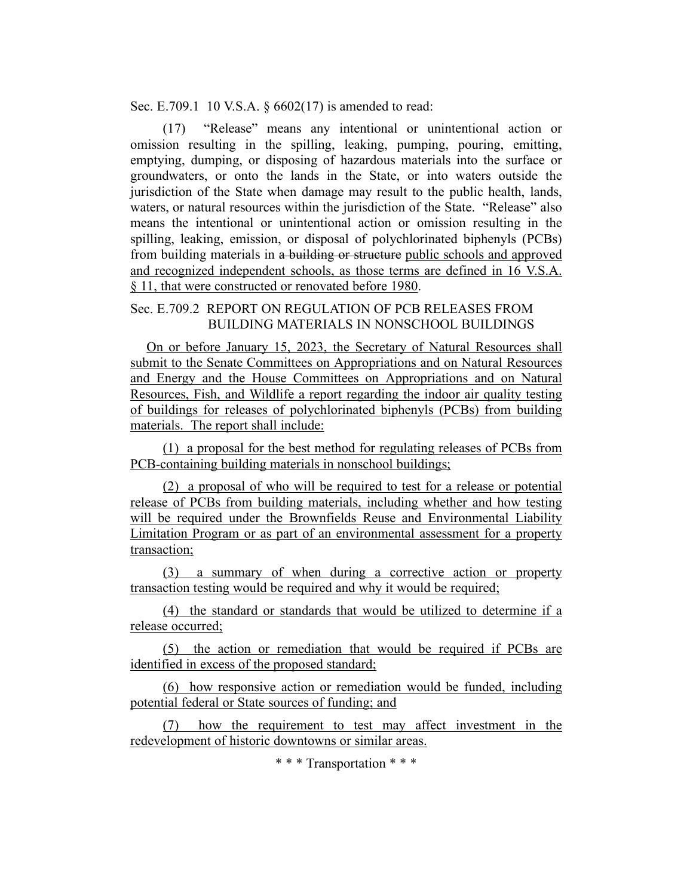Sec. E.709.1 10 V.S.A. § 6602(17) is amended to read:

(17) "Release" means any intentional or unintentional action or omission resulting in the spilling, leaking, pumping, pouring, emitting, emptying, dumping, or disposing of hazardous materials into the surface or groundwaters, or onto the lands in the State, or into waters outside the jurisdiction of the State when damage may result to the public health, lands, waters, or natural resources within the jurisdiction of the State. "Release" also means the intentional or unintentional action or omission resulting in the spilling, leaking, emission, or disposal of polychlorinated biphenyls (PCBs) from building materials in a building or structure public schools and approved and recognized independent schools, as those terms are defined in 16 V.S.A. § 11, that were constructed or renovated before 1980.

## Sec. E.709.2 REPORT ON REGULATION OF PCB RELEASES FROM BUILDING MATERIALS IN NONSCHOOL BUILDINGS

On or before January 15, 2023, the Secretary of Natural Resources shall submit to the Senate Committees on Appropriations and on Natural Resources and Energy and the House Committees on Appropriations and on Natural Resources, Fish, and Wildlife a report regarding the indoor air quality testing of buildings for releases of polychlorinated biphenyls (PCBs) from building materials. The report shall include:

(1) a proposal for the best method for regulating releases of PCBs from PCB-containing building materials in nonschool buildings;

(2) a proposal of who will be required to test for a release or potential release of PCBs from building materials, including whether and how testing will be required under the Brownfields Reuse and Environmental Liability Limitation Program or as part of an environmental assessment for a property transaction;

(3) a summary of when during a corrective action or property transaction testing would be required and why it would be required;

(4) the standard or standards that would be utilized to determine if a release occurred;

(5) the action or remediation that would be required if PCBs are identified in excess of the proposed standard;

(6) how responsive action or remediation would be funded, including potential federal or State sources of funding; and

(7) how the requirement to test may affect investment in the redevelopment of historic downtowns or similar areas.

\* \* \* Transportation \* \* \*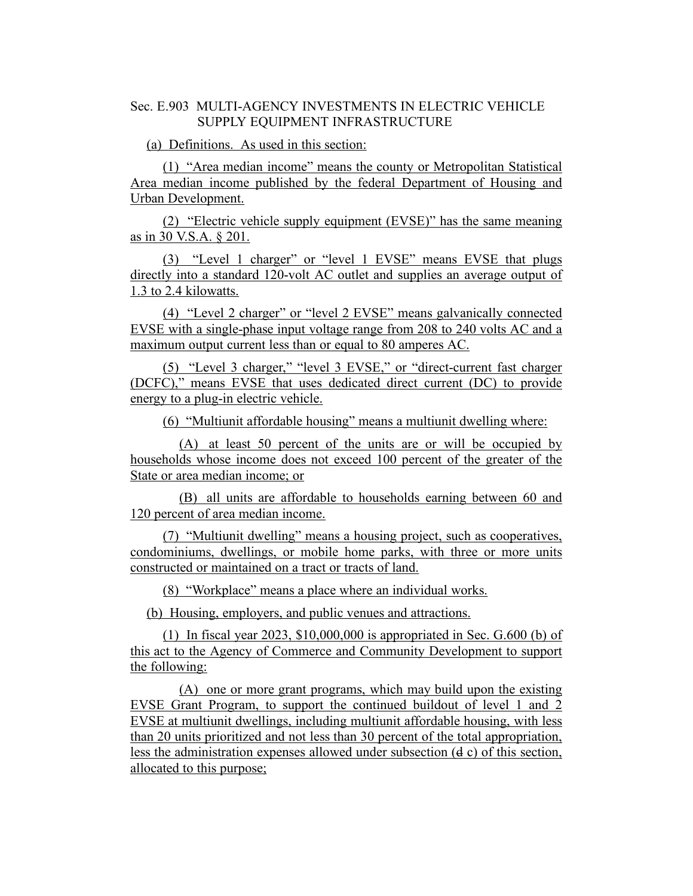# Sec. E.903 MULTI-AGENCY INVESTMENTS IN ELECTRIC VEHICLE SUPPLY EQUIPMENT INFRASTRUCTURE

(a) Definitions. As used in this section:

(1) "Area median income" means the county or Metropolitan Statistical Area median income published by the federal Department of Housing and Urban Development.

(2) "Electric vehicle supply equipment (EVSE)" has the same meaning as in 30 V.S.A. § 201.

(3) "Level 1 charger" or "level 1 EVSE" means EVSE that plugs directly into a standard 120-volt AC outlet and supplies an average output of 1.3 to 2.4 kilowatts.

(4) "Level 2 charger" or "level 2 EVSE" means galvanically connected EVSE with a single-phase input voltage range from 208 to 240 volts AC and a maximum output current less than or equal to 80 amperes AC.

(5) "Level 3 charger," "level 3 EVSE," or "direct-current fast charger (DCFC)," means EVSE that uses dedicated direct current (DC) to provide energy to a plug-in electric vehicle.

(6) "Multiunit affordable housing" means a multiunit dwelling where:

(A) at least 50 percent of the units are or will be occupied by households whose income does not exceed 100 percent of the greater of the State or area median income; or

(B) all units are affordable to households earning between 60 and 120 percent of area median income.

(7) "Multiunit dwelling" means a housing project, such as cooperatives, condominiums, dwellings, or mobile home parks, with three or more units constructed or maintained on a tract or tracts of land.

(8) "Workplace" means a place where an individual works.

(b) Housing, employers, and public venues and attractions.

(1) In fiscal year 2023, \$10,000,000 is appropriated in Sec. G.600 (b) of this act to the Agency of Commerce and Community Development to support the following:

(A) one or more grant programs, which may build upon the existing EVSE Grant Program, to support the continued buildout of level 1 and 2 EVSE at multiunit dwellings, including multiunit affordable housing, with less than 20 units prioritized and not less than 30 percent of the total appropriation, less the administration expenses allowed under subsection (d c) of this section, allocated to this purpose;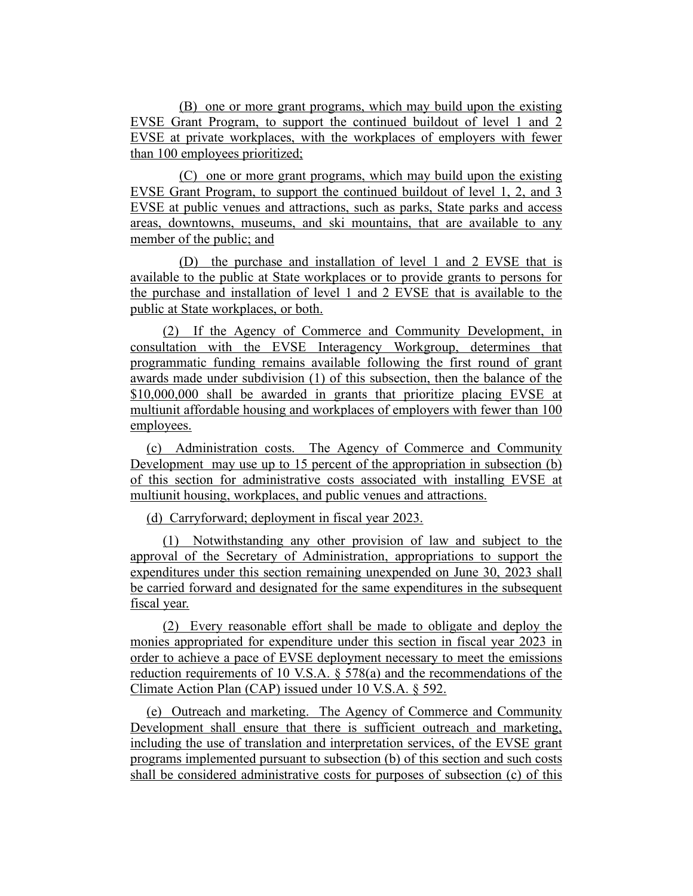(B) one or more grant programs, which may build upon the existing EVSE Grant Program, to support the continued buildout of level 1 and 2 EVSE at private workplaces, with the workplaces of employers with fewer than 100 employees prioritized;

(C) one or more grant programs, which may build upon the existing EVSE Grant Program, to support the continued buildout of level 1, 2, and 3 EVSE at public venues and attractions, such as parks, State parks and access areas, downtowns, museums, and ski mountains, that are available to any member of the public; and

(D) the purchase and installation of level 1 and 2 EVSE that is available to the public at State workplaces or to provide grants to persons for the purchase and installation of level 1 and 2 EVSE that is available to the public at State workplaces, or both.

(2) If the Agency of Commerce and Community Development, in consultation with the EVSE Interagency Workgroup, determines that programmatic funding remains available following the first round of grant awards made under subdivision (1) of this subsection, then the balance of the \$10,000,000 shall be awarded in grants that prioritize placing EVSE at multiunit affordable housing and workplaces of employers with fewer than 100 employees.

(c) Administration costs. The Agency of Commerce and Community Development may use up to 15 percent of the appropriation in subsection (b) of this section for administrative costs associated with installing EVSE at multiunit housing, workplaces, and public venues and attractions.

(d) Carryforward; deployment in fiscal year 2023.

(1) Notwithstanding any other provision of law and subject to the approval of the Secretary of Administration, appropriations to support the expenditures under this section remaining unexpended on June 30, 2023 shall be carried forward and designated for the same expenditures in the subsequent fiscal year.

(2) Every reasonable effort shall be made to obligate and deploy the monies appropriated for expenditure under this section in fiscal year 2023 in order to achieve a pace of EVSE deployment necessary to meet the emissions reduction requirements of 10 V.S.A. § 578(a) and the recommendations of the Climate Action Plan (CAP) issued under 10 V.S.A. § 592.

(e) Outreach and marketing. The Agency of Commerce and Community Development shall ensure that there is sufficient outreach and marketing, including the use of translation and interpretation services, of the EVSE grant programs implemented pursuant to subsection (b) of this section and such costs shall be considered administrative costs for purposes of subsection (c) of this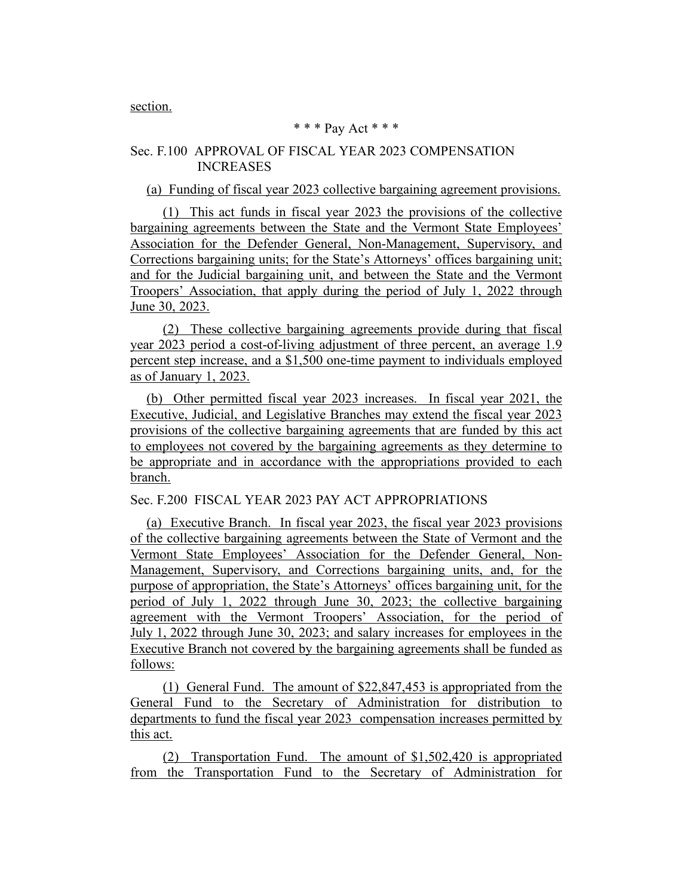section.

#### \* \* \* Pay Act \* \* \*

## Sec. F.100 APPROVAL OF FISCAL YEAR 2023 COMPENSATION INCREASES

(a) Funding of fiscal year 2023 collective bargaining agreement provisions.

(1) This act funds in fiscal year 2023 the provisions of the collective bargaining agreements between the State and the Vermont State Employees' Association for the Defender General, Non-Management, Supervisory, and Corrections bargaining units; for the State's Attorneys' offices bargaining unit; and for the Judicial bargaining unit, and between the State and the Vermont Troopers' Association, that apply during the period of July 1, 2022 through June 30, 2023.

(2) These collective bargaining agreements provide during that fiscal year 2023 period a cost-of-living adjustment of three percent, an average 1.9 percent step increase, and a \$1,500 one-time payment to individuals employed as of January 1, 2023.

(b) Other permitted fiscal year 2023 increases. In fiscal year 2021, the Executive, Judicial, and Legislative Branches may extend the fiscal year 2023 provisions of the collective bargaining agreements that are funded by this act to employees not covered by the bargaining agreements as they determine to be appropriate and in accordance with the appropriations provided to each branch.

Sec. F.200 FISCAL YEAR 2023 PAY ACT APPROPRIATIONS

(a) Executive Branch. In fiscal year 2023, the fiscal year 2023 provisions of the collective bargaining agreements between the State of Vermont and the Vermont State Employees' Association for the Defender General, Non-Management, Supervisory, and Corrections bargaining units, and, for the purpose of appropriation, the State's Attorneys' offices bargaining unit, for the period of July 1, 2022 through June 30, 2023; the collective bargaining agreement with the Vermont Troopers' Association, for the period of July 1, 2022 through June 30, 2023; and salary increases for employees in the Executive Branch not covered by the bargaining agreements shall be funded as follows:

(1) General Fund. The amount of \$22,847,453 is appropriated from the General Fund to the Secretary of Administration for distribution to departments to fund the fiscal year 2023 compensation increases permitted by this act.

(2) Transportation Fund. The amount of \$1,502,420 is appropriated from the Transportation Fund to the Secretary of Administration for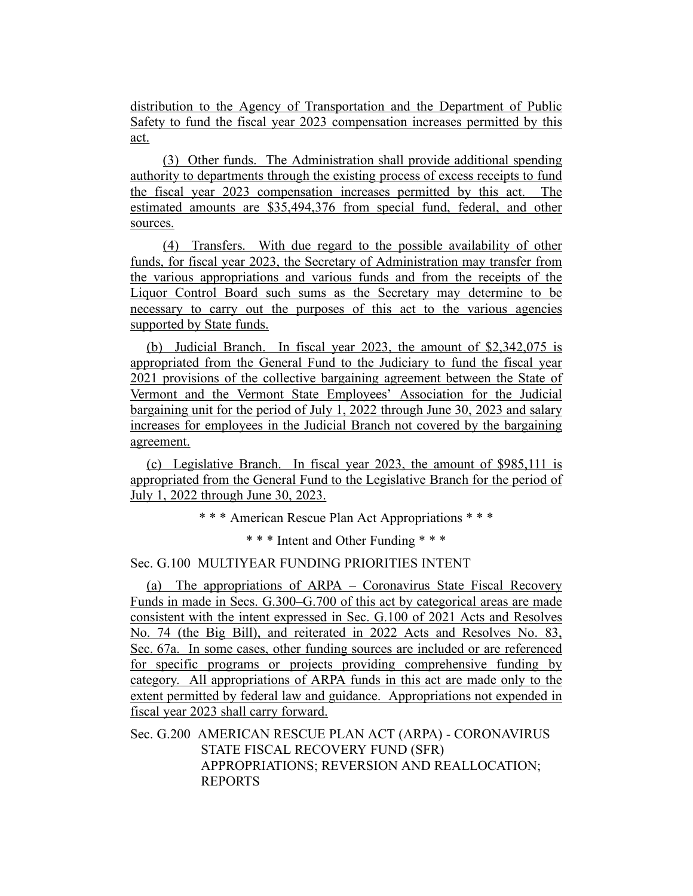distribution to the Agency of Transportation and the Department of Public Safety to fund the fiscal year 2023 compensation increases permitted by this act.

(3) Other funds. The Administration shall provide additional spending authority to departments through the existing process of excess receipts to fund the fiscal year 2023 compensation increases permitted by this act. The estimated amounts are \$35,494,376 from special fund, federal, and other sources.

(4) Transfers. With due regard to the possible availability of other funds, for fiscal year 2023, the Secretary of Administration may transfer from the various appropriations and various funds and from the receipts of the Liquor Control Board such sums as the Secretary may determine to be necessary to carry out the purposes of this act to the various agencies supported by State funds.

(b) Judicial Branch. In fiscal year 2023, the amount of \$2,342,075 is appropriated from the General Fund to the Judiciary to fund the fiscal year 2021 provisions of the collective bargaining agreement between the State of Vermont and the Vermont State Employees' Association for the Judicial bargaining unit for the period of July 1, 2022 through June 30, 2023 and salary increases for employees in the Judicial Branch not covered by the bargaining agreement.

(c) Legislative Branch. In fiscal year 2023, the amount of \$985,111 is appropriated from the General Fund to the Legislative Branch for the period of July 1, 2022 through June 30, 2023.

\* \* \* American Rescue Plan Act Appropriations \* \* \*

\* \* \* Intent and Other Funding \* \* \*

## Sec. G.100 MULTIYEAR FUNDING PRIORITIES INTENT

(a) The appropriations of ARPA – Coronavirus State Fiscal Recovery Funds in made in Secs. G.300–G.700 of this act by categorical areas are made consistent with the intent expressed in Sec. G.100 of 2021 Acts and Resolves No. 74 (the Big Bill), and reiterated in 2022 Acts and Resolves No. 83, Sec. 67a. In some cases, other funding sources are included or are referenced for specific programs or projects providing comprehensive funding by category. All appropriations of ARPA funds in this act are made only to the extent permitted by federal law and guidance. Appropriations not expended in fiscal year 2023 shall carry forward.

Sec. G.200 AMERICAN RESCUE PLAN ACT (ARPA) - CORONAVIRUS STATE FISCAL RECOVERY FUND (SFR) APPROPRIATIONS; REVERSION AND REALLOCATION; REPORTS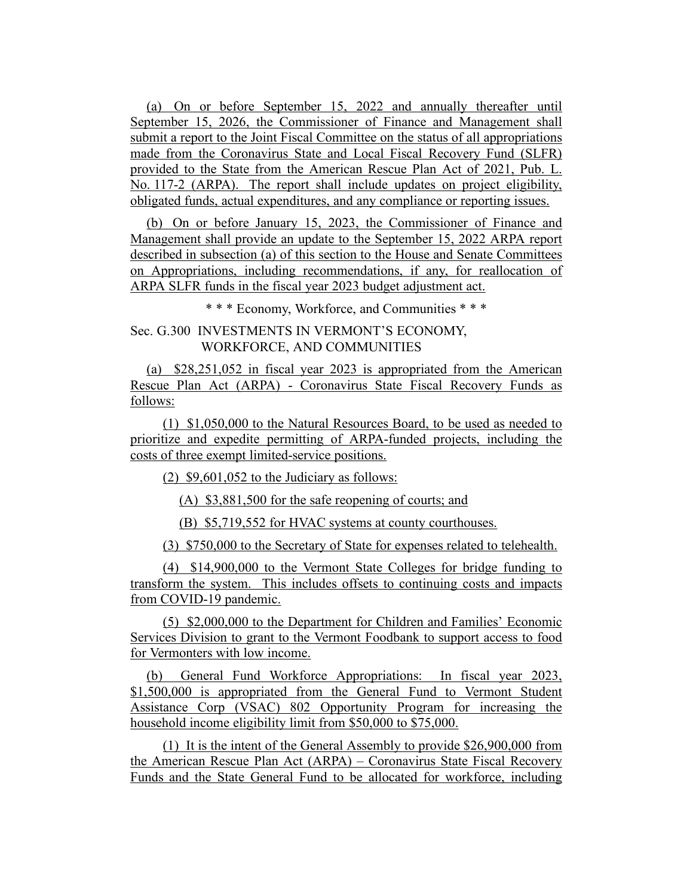(a) On or before September 15, 2022 and annually thereafter until September 15, 2026, the Commissioner of Finance and Management shall submit a report to the Joint Fiscal Committee on the status of all appropriations made from the Coronavirus State and Local Fiscal Recovery Fund (SLFR) provided to the State from the American Rescue Plan Act of 2021, Pub. L. No. 117-2 (ARPA). The report shall include updates on project eligibility, obligated funds, actual expenditures, and any compliance or reporting issues.

(b) On or before January 15, 2023, the Commissioner of Finance and Management shall provide an update to the September 15, 2022 ARPA report described in subsection (a) of this section to the House and Senate Committees on Appropriations, including recommendations, if any, for reallocation of ARPA SLFR funds in the fiscal year 2023 budget adjustment act.

\* \* \* Economy, Workforce, and Communities \* \* \*

## Sec. G.300 INVESTMENTS IN VERMONT'S ECONOMY, WORKFORCE, AND COMMUNITIES

(a) \$28,251,052 in fiscal year 2023 is appropriated from the American Rescue Plan Act (ARPA) - Coronavirus State Fiscal Recovery Funds as follows:

(1) \$1,050,000 to the Natural Resources Board, to be used as needed to prioritize and expedite permitting of ARPA-funded projects, including the costs of three exempt limited-service positions.

(2) \$9,601,052 to the Judiciary as follows:

(A) \$3,881,500 for the safe reopening of courts; and

(B) \$5,719,552 for HVAC systems at county courthouses.

(3) \$750,000 to the Secretary of State for expenses related to telehealth.

(4) \$14,900,000 to the Vermont State Colleges for bridge funding to transform the system. This includes offsets to continuing costs and impacts from COVID-19 pandemic.

(5) \$2,000,000 to the Department for Children and Families' Economic Services Division to grant to the Vermont Foodbank to support access to food for Vermonters with low income.

(b) General Fund Workforce Appropriations: In fiscal year 2023, \$1,500,000 is appropriated from the General Fund to Vermont Student Assistance Corp (VSAC) 802 Opportunity Program for increasing the household income eligibility limit from \$50,000 to \$75,000.

(1) It is the intent of the General Assembly to provide \$26,900,000 from the American Rescue Plan Act (ARPA) – Coronavirus State Fiscal Recovery Funds and the State General Fund to be allocated for workforce, including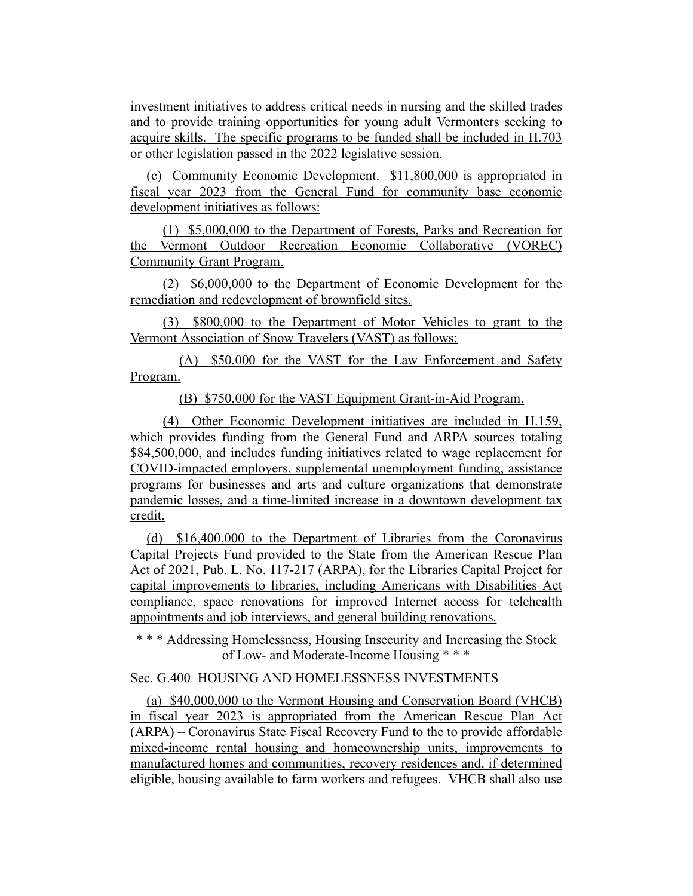investment initiatives to address critical needs in nursing and the skilled trades and to provide training opportunities for young adult Vermonters seeking to acquire skills. The specific programs to be funded shall be included in H.703 or other legislation passed in the 2022 legislative session.

(c) Community Economic Development. \$11,800,000 is appropriated in fiscal year 2023 from the General Fund for community base economic development initiatives as follows:

(1) \$5,000,000 to the Department of Forests, Parks and Recreation for the Vermont Outdoor Recreation Economic Collaborative (VOREC) Community Grant Program.

(2) \$6,000,000 to the Department of Economic Development for the remediation and redevelopment of brownfield sites.

(3) \$800,000 to the Department of Motor Vehicles to grant to the Vermont Association of Snow Travelers (VAST) as follows:

(A) \$50,000 for the VAST for the Law Enforcement and Safety Program.

(B) \$750,000 for the VAST Equipment Grant-in-Aid Program.

(4) Other Economic Development initiatives are included in H.159, which provides funding from the General Fund and ARPA sources totaling \$84,500,000, and includes funding initiatives related to wage replacement for COVID-impacted employers, supplemental unemployment funding, assistance programs for businesses and arts and culture organizations that demonstrate pandemic losses, and a time-limited increase in a downtown development tax credit.

(d) \$16,400,000 to the Department of Libraries from the Coronavirus Capital Projects Fund provided to the State from the American Rescue Plan Act of 2021, Pub. L. No. 117-217 (ARPA), for the Libraries Capital Project for capital improvements to libraries, including Americans with Disabilities Act compliance, space renovations for improved Internet access for telehealth appointments and job interviews, and general building renovations.

\* \* \* Addressing Homelessness, Housing Insecurity and Increasing the Stock of Low- and Moderate-Income Housing \* \* \*

#### Sec. G.400 HOUSING AND HOMELESSNESS INVESTMENTS

(a) \$40,000,000 to the Vermont Housing and Conservation Board (VHCB) in fiscal year 2023 is appropriated from the American Rescue Plan Act (ARPA) – Coronavirus State Fiscal Recovery Fund to the to provide affordable mixed-income rental housing and homeownership units, improvements to manufactured homes and communities, recovery residences and, if determined eligible, housing available to farm workers and refugees. VHCB shall also use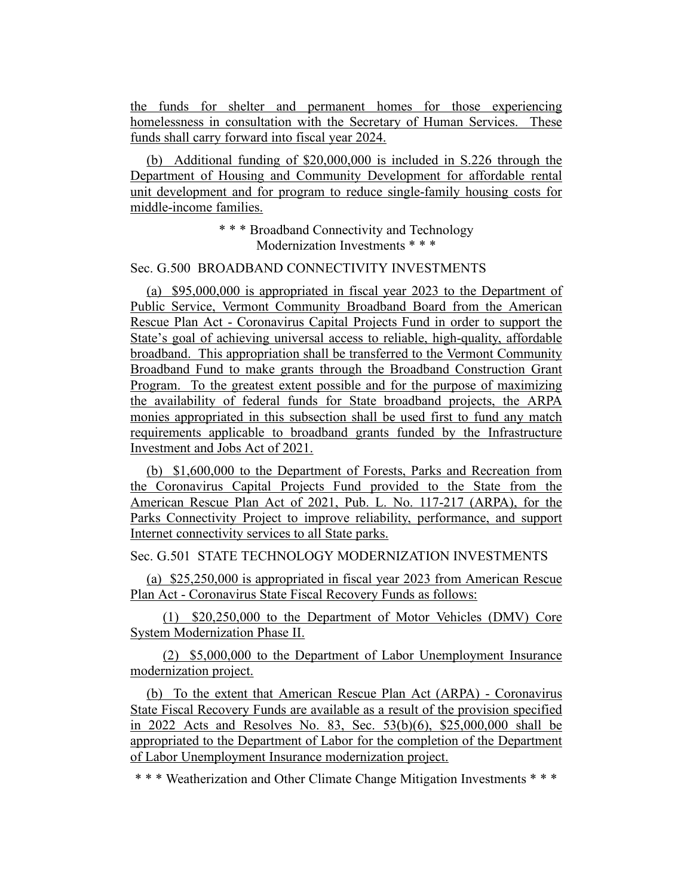the funds for shelter and permanent homes for those experiencing homelessness in consultation with the Secretary of Human Services. These funds shall carry forward into fiscal year 2024.

(b) Additional funding of \$20,000,000 is included in S.226 through the Department of Housing and Community Development for affordable rental unit development and for program to reduce single-family housing costs for middle-income families.

> \* \* \* Broadband Connectivity and Technology Modernization Investments \* \* \*

## Sec. G.500 BROADBAND CONNECTIVITY INVESTMENTS

(a) \$95,000,000 is appropriated in fiscal year 2023 to the Department of Public Service, Vermont Community Broadband Board from the American Rescue Plan Act - Coronavirus Capital Projects Fund in order to support the State's goal of achieving universal access to reliable, high-quality, affordable broadband. This appropriation shall be transferred to the Vermont Community Broadband Fund to make grants through the Broadband Construction Grant Program. To the greatest extent possible and for the purpose of maximizing the availability of federal funds for State broadband projects, the ARPA monies appropriated in this subsection shall be used first to fund any match requirements applicable to broadband grants funded by the Infrastructure Investment and Jobs Act of 2021.

(b) \$1,600,000 to the Department of Forests, Parks and Recreation from the Coronavirus Capital Projects Fund provided to the State from the American Rescue Plan Act of 2021, Pub. L. No. 117-217 (ARPA), for the Parks Connectivity Project to improve reliability, performance, and support Internet connectivity services to all State parks.

## Sec. G.501 STATE TECHNOLOGY MODERNIZATION INVESTMENTS

(a) \$25,250,000 is appropriated in fiscal year 2023 from American Rescue Plan Act - Coronavirus State Fiscal Recovery Funds as follows:

(1) \$20,250,000 to the Department of Motor Vehicles (DMV) Core System Modernization Phase II.

(2) \$5,000,000 to the Department of Labor Unemployment Insurance modernization project.

(b) To the extent that American Rescue Plan Act (ARPA) - Coronavirus State Fiscal Recovery Funds are available as a result of the provision specified in 2022 Acts and Resolves No. 83, Sec. 53(b)(6), \$25,000,000 shall be appropriated to the Department of Labor for the completion of the Department of Labor Unemployment Insurance modernization project.

\* \* \* Weatherization and Other Climate Change Mitigation Investments \* \* \*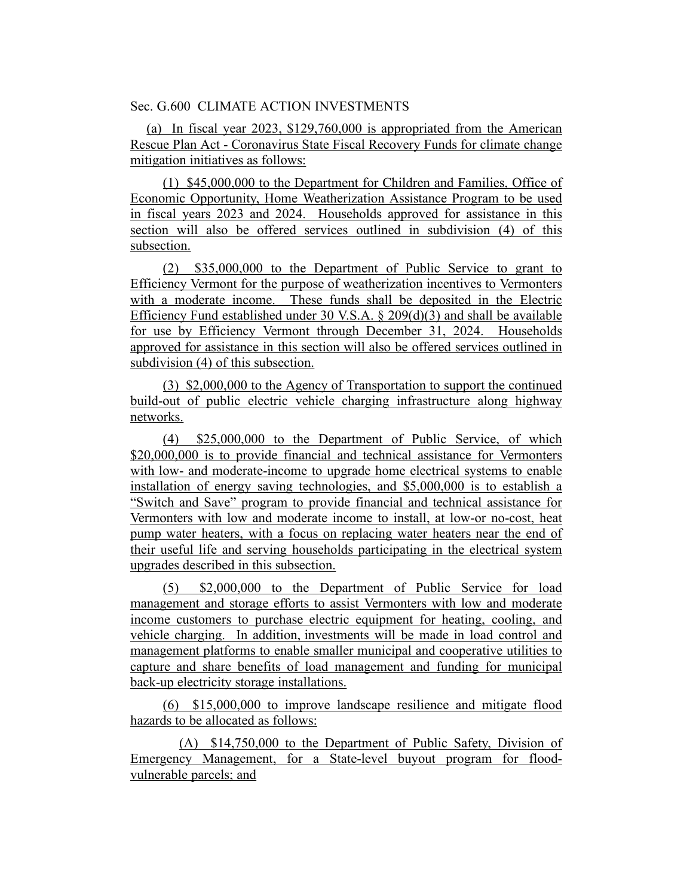Sec. G.600 CLIMATE ACTION INVESTMENTS

(a) In fiscal year 2023, \$129,760,000 is appropriated from the American Rescue Plan Act - Coronavirus State Fiscal Recovery Funds for climate change mitigation initiatives as follows:

(1) \$45,000,000 to the Department for Children and Families, Office of Economic Opportunity, Home Weatherization Assistance Program to be used in fiscal years 2023 and 2024. Households approved for assistance in this section will also be offered services outlined in subdivision (4) of this subsection.

(2) \$35,000,000 to the Department of Public Service to grant to Efficiency Vermont for the purpose of weatherization incentives to Vermonters with a moderate income. These funds shall be deposited in the Electric Efficiency Fund established under 30 V.S.A.  $\S$  209(d)(3) and shall be available for use by Efficiency Vermont through December 31, 2024. Households approved for assistance in this section will also be offered services outlined in subdivision (4) of this subsection.

(3) \$2,000,000 to the Agency of Transportation to support the continued build-out of public electric vehicle charging infrastructure along highway networks.

(4) \$25,000,000 to the Department of Public Service, of which \$20,000,000 is to provide financial and technical assistance for Vermonters with low- and moderate-income to upgrade home electrical systems to enable installation of energy saving technologies, and \$5,000,000 is to establish a "Switch and Save" program to provide financial and technical assistance for Vermonters with low and moderate income to install, at low-or no-cost, heat pump water heaters, with a focus on replacing water heaters near the end of their useful life and serving households participating in the electrical system upgrades described in this subsection.

(5) \$2,000,000 to the Department of Public Service for load management and storage efforts to assist Vermonters with low and moderate income customers to purchase electric equipment for heating, cooling, and vehicle charging. In addition, investments will be made in load control and management platforms to enable smaller municipal and cooperative utilities to capture and share benefits of load management and funding for municipal back-up electricity storage installations.

(6) \$15,000,000 to improve landscape resilience and mitigate flood hazards to be allocated as follows:

(A) \$14,750,000 to the Department of Public Safety, Division of Emergency Management, for a State-level buyout program for floodvulnerable parcels; and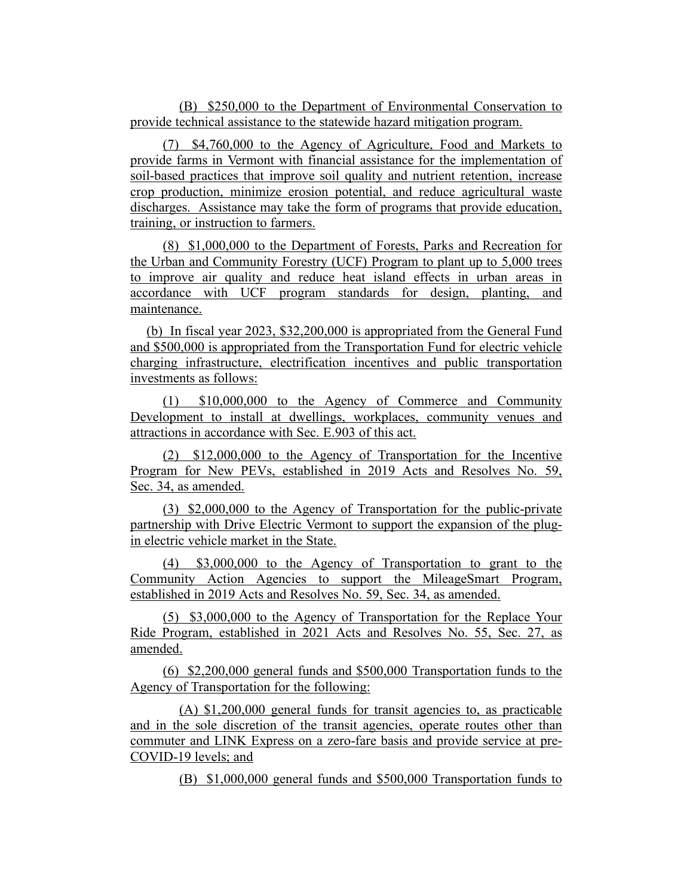(B) \$250,000 to the Department of Environmental Conservation to provide technical assistance to the statewide hazard mitigation program.

(7) \$4,760,000 to the Agency of Agriculture, Food and Markets to provide farms in Vermont with financial assistance for the implementation of soil-based practices that improve soil quality and nutrient retention, increase crop production, minimize erosion potential, and reduce agricultural waste discharges. Assistance may take the form of programs that provide education, training, or instruction to farmers.

(8) \$1,000,000 to the Department of Forests, Parks and Recreation for the Urban and Community Forestry (UCF) Program to plant up to 5,000 trees to improve air quality and reduce heat island effects in urban areas in accordance with UCF program standards for design, planting, and maintenance.

(b) In fiscal year 2023, \$32,200,000 is appropriated from the General Fund and \$500,000 is appropriated from the Transportation Fund for electric vehicle charging infrastructure, electrification incentives and public transportation investments as follows:

(1) \$10,000,000 to the Agency of Commerce and Community Development to install at dwellings, workplaces, community venues and attractions in accordance with Sec. E.903 of this act.

(2) \$12,000,000 to the Agency of Transportation for the Incentive Program for New PEVs, established in 2019 Acts and Resolves No. 59, Sec. 34, as amended.

(3) \$2,000,000 to the Agency of Transportation for the public-private partnership with Drive Electric Vermont to support the expansion of the plugin electric vehicle market in the State.

(4) \$3,000,000 to the Agency of Transportation to grant to the Community Action Agencies to support the MileageSmart Program, established in 2019 Acts and Resolves No. 59, Sec. 34, as amended.

(5) \$3,000,000 to the Agency of Transportation for the Replace Your Ride Program, established in 2021 Acts and Resolves No. 55, Sec. 27, as amended.

(6) \$2,200,000 general funds and \$500,000 Transportation funds to the Agency of Transportation for the following:

(A) \$1,200,000 general funds for transit agencies to, as practicable and in the sole discretion of the transit agencies, operate routes other than commuter and LINK Express on a zero-fare basis and provide service at pre-COVID-19 levels; and

(B) \$1,000,000 general funds and \$500,000 Transportation funds to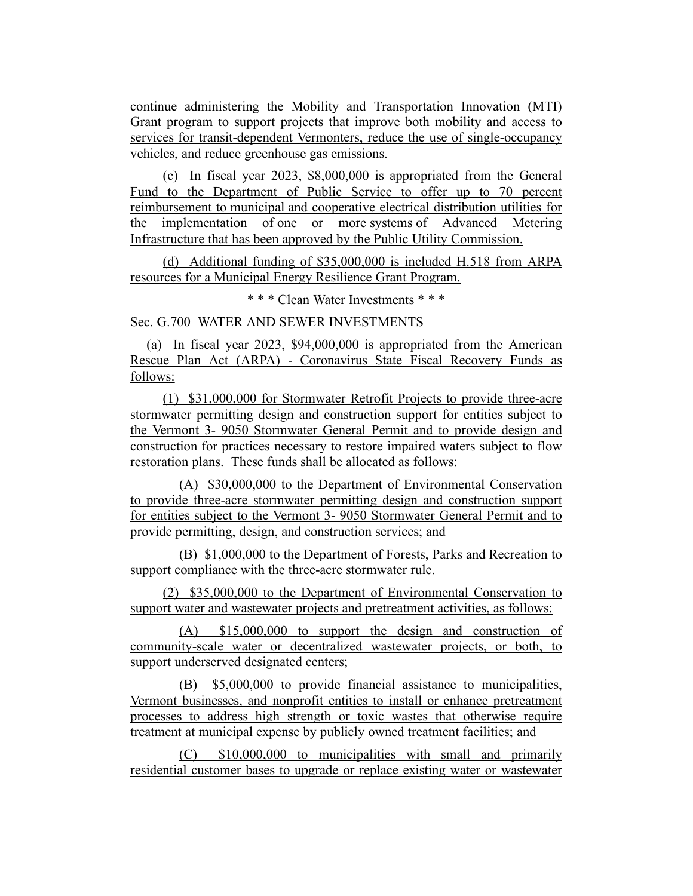continue administering the Mobility and Transportation Innovation (MTI) Grant program to support projects that improve both mobility and access to services for transit-dependent Vermonters, reduce the use of single-occupancy vehicles, and reduce greenhouse gas emissions.

(c) In fiscal year 2023, \$8,000,000 is appropriated from the General Fund to the Department of Public Service to offer up to 70 percent reimbursement to municipal and cooperative electrical distribution utilities for the implementation of one or more systems of Advanced Metering Infrastructure that has been approved by the Public Utility Commission.

(d) Additional funding of \$35,000,000 is included H.518 from ARPA resources for a Municipal Energy Resilience Grant Program.

\* \* \* Clean Water Investments \* \* \*

Sec. G.700 WATER AND SEWER INVESTMENTS

(a) In fiscal year 2023, \$94,000,000 is appropriated from the American Rescue Plan Act (ARPA) - Coronavirus State Fiscal Recovery Funds as follows:

(1) \$31,000,000 for Stormwater Retrofit Projects to provide three-acre stormwater permitting design and construction support for entities subject to the Vermont 3- 9050 Stormwater General Permit and to provide design and construction for practices necessary to restore impaired waters subject to flow restoration plans. These funds shall be allocated as follows:

(A) \$30,000,000 to the Department of Environmental Conservation to provide three-acre stormwater permitting design and construction support for entities subject to the Vermont 3- 9050 Stormwater General Permit and to provide permitting, design, and construction services; and

(B) \$1,000,000 to the Department of Forests, Parks and Recreation to support compliance with the three-acre stormwater rule.

(2) \$35,000,000 to the Department of Environmental Conservation to support water and wastewater projects and pretreatment activities, as follows:

(A) \$15,000,000 to support the design and construction of community-scale water or decentralized wastewater projects, or both, to support underserved designated centers;

(B) \$5,000,000 to provide financial assistance to municipalities, Vermont businesses, and nonprofit entities to install or enhance pretreatment processes to address high strength or toxic wastes that otherwise require treatment at municipal expense by publicly owned treatment facilities; and

(C) \$10,000,000 to municipalities with small and primarily residential customer bases to upgrade or replace existing water or wastewater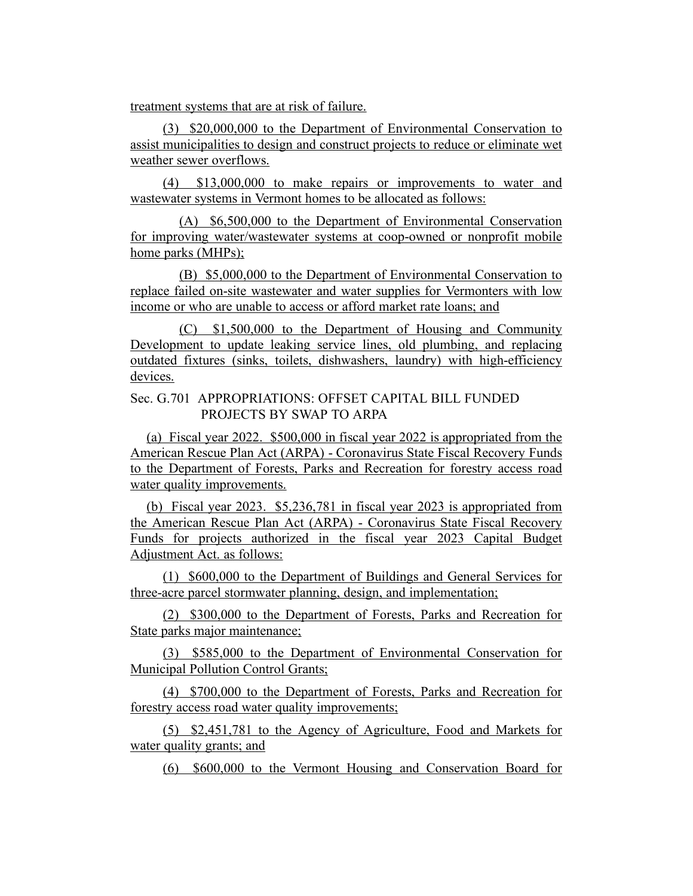treatment systems that are at risk of failure.

(3) \$20,000,000 to the Department of Environmental Conservation to assist municipalities to design and construct projects to reduce or eliminate wet weather sewer overflows.

(4) \$13,000,000 to make repairs or improvements to water and wastewater systems in Vermont homes to be allocated as follows:

(A) \$6,500,000 to the Department of Environmental Conservation for improving water/wastewater systems at coop-owned or nonprofit mobile home parks (MHPs);

(B) \$5,000,000 to the Department of Environmental Conservation to replace failed on-site wastewater and water supplies for Vermonters with low income or who are unable to access or afford market rate loans; and

(C) \$1,500,000 to the Department of Housing and Community Development to update leaking service lines, old plumbing, and replacing outdated fixtures (sinks, toilets, dishwashers, laundry) with high-efficiency devices.

## Sec. G.701 APPROPRIATIONS: OFFSET CAPITAL BILL FUNDED PROJECTS BY SWAP TO ARPA

(a) Fiscal year 2022. \$500,000 in fiscal year 2022 is appropriated from the American Rescue Plan Act (ARPA) - Coronavirus State Fiscal Recovery Funds to the Department of Forests, Parks and Recreation for forestry access road water quality improvements.

(b) Fiscal year 2023. \$5,236,781 in fiscal year 2023 is appropriated from the American Rescue Plan Act (ARPA) - Coronavirus State Fiscal Recovery Funds for projects authorized in the fiscal year 2023 Capital Budget Adjustment Act. as follows:

(1) \$600,000 to the Department of Buildings and General Services for three-acre parcel stormwater planning, design, and implementation;

(2) \$300,000 to the Department of Forests, Parks and Recreation for State parks major maintenance;

(3) \$585,000 to the Department of Environmental Conservation for Municipal Pollution Control Grants;

(4) \$700,000 to the Department of Forests, Parks and Recreation for forestry access road water quality improvements;

(5) \$2,451,781 to the Agency of Agriculture, Food and Markets for water quality grants; and

(6) \$600,000 to the Vermont Housing and Conservation Board for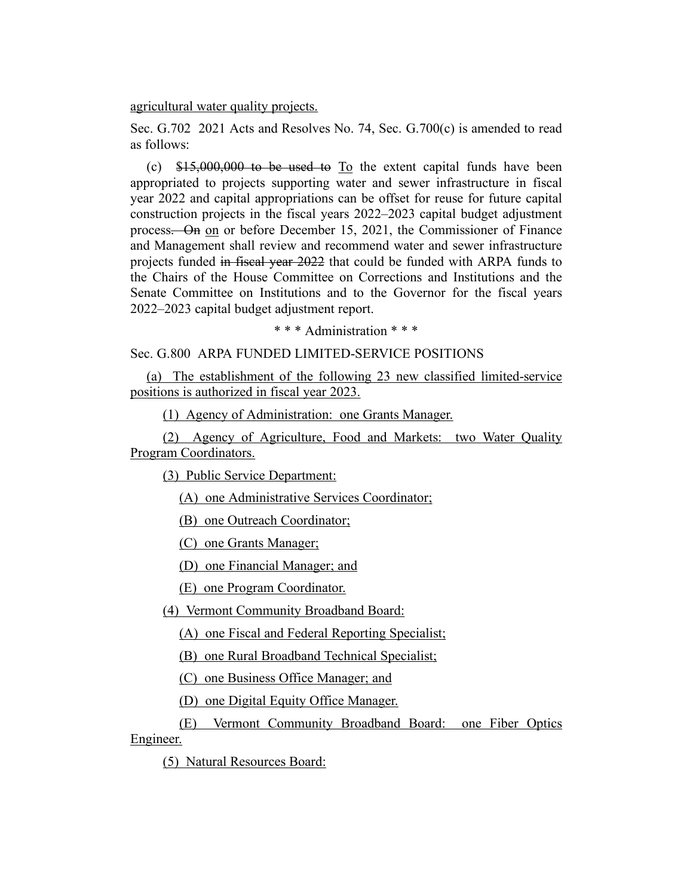agricultural water quality projects.

Sec. G.702 2021 Acts and Resolves No. 74, Sec. G.700(c) is amended to read as follows:

(c)  $$15,000,000$  to be used to  $To$  the extent capital funds have been appropriated to projects supporting water and sewer infrastructure in fiscal year 2022 and capital appropriations can be offset for reuse for future capital construction projects in the fiscal years 2022–2023 capital budget adjustment process. On on or before December 15, 2021, the Commissioner of Finance and Management shall review and recommend water and sewer infrastructure projects funded in fiscal year 2022 that could be funded with ARPA funds to the Chairs of the House Committee on Corrections and Institutions and the Senate Committee on Institutions and to the Governor for the fiscal years 2022–2023 capital budget adjustment report.

\* \* \* Administration \* \* \*

Sec. G.800 ARPA FUNDED LIMITED-SERVICE POSITIONS

(a) The establishment of the following 23 new classified limited-service positions is authorized in fiscal year 2023.

(1) Agency of Administration: one Grants Manager.

(2) Agency of Agriculture, Food and Markets: two Water Quality Program Coordinators.

(3) Public Service Department:

(A) one Administrative Services Coordinator;

(B) one Outreach Coordinator;

(C) one Grants Manager;

(D) one Financial Manager; and

(E) one Program Coordinator.

(4) Vermont Community Broadband Board:

(A) one Fiscal and Federal Reporting Specialist;

(B) one Rural Broadband Technical Specialist;

(C) one Business Office Manager; and

(D) one Digital Equity Office Manager.

(E) Vermont Community Broadband Board: one Fiber Optics Engineer.

(5) Natural Resources Board: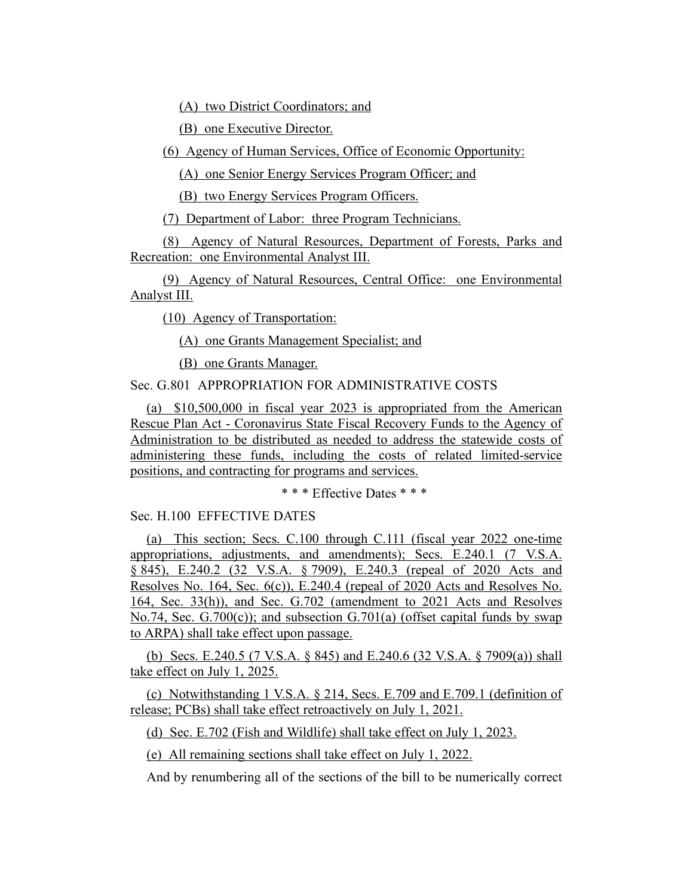(A) two District Coordinators; and

(B) one Executive Director.

(6) Agency of Human Services, Office of Economic Opportunity:

(A) one Senior Energy Services Program Officer; and

(B) two Energy Services Program Officers.

(7) Department of Labor: three Program Technicians.

(8) Agency of Natural Resources, Department of Forests, Parks and Recreation: one Environmental Analyst III.

(9) Agency of Natural Resources, Central Office: one Environmental Analyst III.

(10) Agency of Transportation:

(A) one Grants Management Specialist; and

(B) one Grants Manager.

Sec. G.801 APPROPRIATION FOR ADMINISTRATIVE COSTS

(a) \$10,500,000 in fiscal year 2023 is appropriated from the American Rescue Plan Act - Coronavirus State Fiscal Recovery Funds to the Agency of Administration to be distributed as needed to address the statewide costs of administering these funds, including the costs of related limited-service positions, and contracting for programs and services.

\* \* \* Effective Dates \* \* \*

Sec. H.100 EFFECTIVE DATES

(a) This section; Secs. C.100 through C.111 (fiscal year 2022 one-time appropriations, adjustments, and amendments); Secs. E.240.1 (7 V.S.A. § 845), E.240.2 (32 V.S.A. § 7909), E.240.3 (repeal of 2020 Acts and Resolves No. 164, Sec. 6(c)), E.240.4 (repeal of 2020 Acts and Resolves No. 164, Sec. 33(h)), and Sec. G.702 (amendment to 2021 Acts and Resolves No.74, Sec. G.700(c)); and subsection G.701(a) (offset capital funds by swap to ARPA) shall take effect upon passage.

(b) Secs. E.240.5 (7 V.S.A. § 845) and E.240.6 (32 V.S.A. § 7909(a)) shall take effect on July 1, 2025.

(c) Notwithstanding 1 V.S.A. § 214, Secs. E.709 and E.709.1 (definition of release; PCBs) shall take effect retroactively on July 1, 2021.

(d) Sec. E.702 (Fish and Wildlife) shall take effect on July 1, 2023.

(e) All remaining sections shall take effect on July 1, 2022.

And by renumbering all of the sections of the bill to be numerically correct